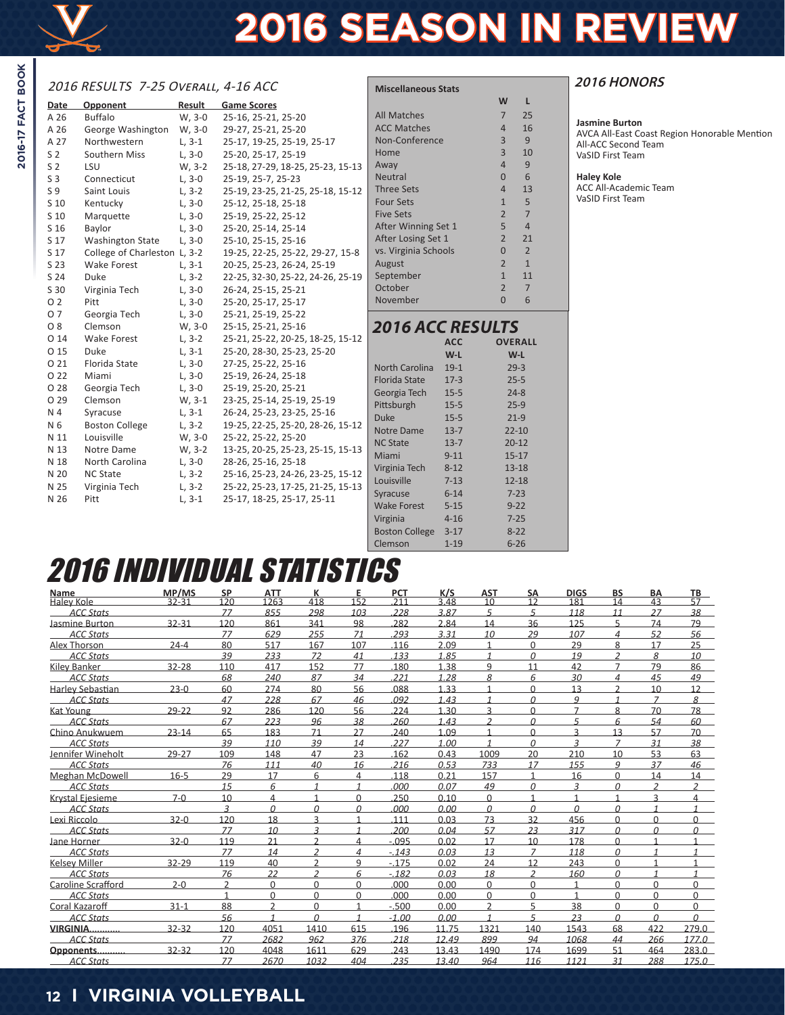

# **2016 SEASON IN REVIEW**

# 2016 RESULTS 7-25 Overall, 4-16 ACC

| <b>Date</b>    | Opponent                     | Result   | <b>Game Scores</b>                |                         |            | W              | L              |
|----------------|------------------------------|----------|-----------------------------------|-------------------------|------------|----------------|----------------|
| A 26           | <b>Buffalo</b>               | W, 3-0   | 25-16, 25-21, 25-20               | All Matches             |            | $\overline{7}$ | 25             |
| A 26           | George Washington            | W, 3-0   | 29-27, 25-21, 25-20               | <b>ACC Matches</b>      |            | $\overline{4}$ | 16             |
| A 27           | Northwestern                 | $L, 3-1$ | 25-17, 19-25, 25-19, 25-17        | Non-Conference          |            | $\overline{3}$ | 9              |
| S <sub>2</sub> | Southern Miss                | $L, 3-0$ | 25-20, 25-17, 25-19               | Home                    |            | $\overline{3}$ | 1 <sub>0</sub> |
| S <sub>2</sub> | LSU                          | W, 3-2   | 25-18, 27-29, 18-25, 25-23, 15-13 | Away                    |            | $\overline{4}$ | 9              |
| S <sub>3</sub> | Connecticut                  | $L, 3-0$ | 25-19, 25-7, 25-23                | <b>Neutral</b>          |            | $\overline{0}$ | 6              |
| S 9            | Saint Louis                  | $L, 3-2$ | 25-19, 23-25, 21-25, 25-18, 15-12 | <b>Three Sets</b>       |            | $\overline{4}$ | 13             |
| S 10           | Kentucky                     | $L, 3-0$ | 25-12, 25-18, 25-18               | <b>Four Sets</b>        |            | $\mathbf{1}$   | 5              |
| S 10           | Marquette                    | $L, 3-0$ | 25-19, 25-22, 25-12               | <b>Five Sets</b>        |            | $\overline{2}$ | $\overline{7}$ |
| S 16           | Baylor                       | $L, 3-0$ | 25-20, 25-14, 25-14               | After Winning Set 1     |            | 5              | $\overline{4}$ |
| S 17           | <b>Washington State</b>      | $L, 3-0$ | 25-10, 25-15, 25-16               | After Losing Set 1      |            | $\overline{2}$ | 21             |
| S 17           | College of Charleston L, 3-2 |          | 19-25, 22-25, 25-22, 29-27, 15-8  | vs. Virginia Schools    |            | $\overline{0}$ | $\overline{2}$ |
| S 23           | Wake Forest                  | $L, 3-1$ | 20-25, 25-23, 26-24, 25-19        | August                  |            | $\overline{2}$ | $\mathbf{1}$   |
| S 24           | Duke                         | $L, 3-2$ | 22-25, 32-30, 25-22, 24-26, 25-19 | September               |            | $\mathbf{1}$   | 11             |
| S 30           | Virginia Tech                | $L, 3-0$ | 26-24, 25-15, 25-21               | October                 |            | $\overline{2}$ | $\overline{7}$ |
| 0 <sub>2</sub> | Pitt                         | $L, 3-0$ | 25-20, 25-17, 25-17               | November                |            | $\Omega$       | 6              |
| 07             | Georgia Tech                 | $L, 3-0$ | 25-21, 25-19, 25-22               |                         |            |                |                |
| O <sub>8</sub> | Clemson                      | W, 3-0   | 25-15, 25-21, 25-16               | <b>2016 ACC RESULTS</b> |            |                |                |
| O 14           | Wake Forest                  | $L, 3-2$ | 25-21, 25-22, 20-25, 18-25, 15-12 |                         | <b>ACC</b> | <b>OVERAL</b>  |                |
| O 15           | Duke                         | $L, 3-1$ | 25-20, 28-30, 25-23, 25-20        |                         | $W-L$      |                | $W-L$          |
| O 21           | Florida State                | $L, 3-0$ | 27-25, 25-22, 25-16               | <b>North Carolina</b>   | $19-1$     |                | $29-3$         |
| O 22           | Miami                        | $L, 3-0$ | 25-19, 26-24, 25-18               | <b>Florida State</b>    | $17-3$     |                | $25 - 5$       |
| O 28           | Georgia Tech                 | $L, 3-0$ | 25-19, 25-20, 25-21               | Georgia Tech            | $15 - 5$   |                | $24 - 8$       |
| O 29           | Clemson                      | $W, 3-1$ | 23-25, 25-14, 25-19, 25-19        | Pittsburgh              | $15 - 5$   |                | $25-9$         |
| N 4            | Syracuse                     | $L, 3-1$ | 26-24, 25-23, 23-25, 25-16        | <b>Duke</b>             | $15-5$     |                | $21-9$         |
| N 6            | <b>Boston College</b>        | $L, 3-2$ | 19-25, 22-25, 25-20, 28-26, 15-12 | Notre Dame              | $13 - 7$   |                | $22 - 10$      |
| N 11           | Louisville                   | W, 3-0   | 25-22, 25-22, 25-20               | <b>NC State</b>         | $13 - 7$   |                | $20 - 12$      |
| N 13           | Notre Dame                   | W, 3-2   | 13-25, 20-25, 25-23, 25-15, 15-13 | Miami                   | $9 - 11$   |                | $15 - 17$      |
| N 18           | North Carolina               | $L, 3-0$ | 28-26, 25-16, 25-18               | Virginia Tech           | $8 - 12$   |                | $13 - 18$      |
| N 20           | <b>NC State</b>              | $L, 3-2$ | 25-16, 25-23, 24-26, 23-25, 15-12 | Louisville              | $7 - 13$   |                | $12 - 18$      |
| N 25           | Virginia Tech                | $L, 3-2$ | 25-22, 25-23, 17-25, 21-25, 15-13 | Syracuse                | $6 - 14$   |                | $7 - 23$       |
| N 26           | Pitt                         | $L, 3-1$ | 25-17, 18-25, 25-17, 25-11        | <b>Wake Forest</b>      | $5 - 15$   |                | $9 - 22$       |
|                |                              |          |                                   |                         | $4 - 16$   |                | $7 - 25$       |
|                |                              |          |                                   | Virginia                |            |                |                |

| <b>Miscellaneous Stats</b> |            |                |                 |
|----------------------------|------------|----------------|-----------------|
|                            |            | W              | г               |
| <b>All Matches</b>         |            | $\overline{7}$ | 25              |
| <b>ACC Matches</b>         |            | $\overline{4}$ | 16              |
| Non-Conference             |            | $\overline{3}$ | $\mathbf{q}$    |
| Home                       |            | $\overline{3}$ | 10              |
| Away                       |            | $\overline{4}$ | 9               |
| <b>Neutral</b>             |            | $\Omega$       | $6\overline{6}$ |
| <b>Three Sets</b>          |            | $\overline{4}$ | 13              |
| <b>Four Sets</b>           |            | $\mathbf{1}$   | 5               |
| <b>Five Sets</b>           |            | $\overline{2}$ | $\overline{7}$  |
| After Winning Set 1        |            | 5 <sup>1</sup> | $\overline{4}$  |
| After Losing Set 1         |            | $\overline{2}$ | 21              |
| vs. Virginia Schools       |            | $\Omega$       | $\overline{2}$  |
| August                     |            | $\overline{2}$ | $\mathbf{1}$    |
| September                  |            | $\mathbf{1}$   | 11              |
| October                    |            | $\overline{2}$ | $\overline{7}$  |
| November                   |            | $\Omega$       | 6               |
|                            |            |                |                 |
| <b>2016 ACC RESULTS</b>    |            |                |                 |
|                            | <b>ACC</b> |                | <b>OVERALL</b>  |
|                            | $W-L$      |                | W-L             |
| North Carolina             | $19-1$     |                | $29 - 3$        |
| <b>Florida State</b>       | $17 - 3$   |                | $25 - 5$        |

Boston College 3-17 8-22 Clemson 1-19 6-26

# **2016 HONORS**

### **Jasmine Burton**

AVCA All-East Coast Region Honorable Mention All-ACC Second Team VaSID First Team

# **Haley Kole**

ACC All-Academic Team VaSID First Team

| <b>2016 INDIVIDUAL STATISTICS</b> |  |  |  |  |
|-----------------------------------|--|--|--|--|
|                                   |  |  |  |  |

| Name                    | MP/MS     | <b>SP</b>               | <b>ATT</b>    | К                       | Е            | <b>PCT</b>       | K/S   | <b>AST</b>                  | <b>SA</b>       | <b>DIGS</b>              | <b>BS</b>       | BA                      | <u>ТВ</u>       |
|-------------------------|-----------|-------------------------|---------------|-------------------------|--------------|------------------|-------|-----------------------------|-----------------|--------------------------|-----------------|-------------------------|-----------------|
| <b>Haley Kole</b>       | $32 - 31$ | 120                     | 1263          | 418                     | 152          | $\overline{211}$ | 3.48  | $\overline{10}$             | $\overline{12}$ | 181                      | $\overline{14}$ | 43                      | $\overline{57}$ |
| <b>ACC Stats</b>        |           | 77                      | 855           | 298                     | 103          | 228              | 3.87  | 5                           | 5               | 118                      | 11              | 27                      | 38              |
| Jasmine Burton          | $32 - 31$ | 120                     | 861           | 341                     | 98           | 282              | 2.84  | 14                          | 36              | 125                      | 5               | 74                      | 79              |
| <b>ACC Stats</b>        |           | 77                      | 629           | 255                     | 71           | 293              | 3.31  | 10                          | 29              | 107                      | 4               | 52                      | 56              |
| Alex Thorson            | $24 - 4$  | 80                      | 517           | 167                     | 107          | 116              | 2.09  | $\mathbf{1}$                | $\Omega$        | 29                       | 8               | 17                      | 25              |
| <b>ACC Stats</b>        |           | 39                      | 233           | 72                      | 41           | 133              | 1.85  | $\mathbf{1}$                | $\Omega$        | 19                       |                 | 8                       | 10              |
| <b>Kiley Banker</b>     | $32 - 28$ | 110                     | 417           | 152                     | 77           | 180              | 1.38  | $\mathbf{q}$                | 11              | 42                       |                 | 79                      | 86              |
| <b>ACC Stats</b>        |           | 68                      | 240           | 87                      | 34           | 221              | 1.28  | $\mathcal{S}_{\mathcal{S}}$ | 6               | 30                       | 4               | 45                      | 49              |
| <b>Harley Sebastian</b> | $23 - 0$  | 60                      | 274           | 80                      | 56           | .088             | 1.33  |                             | $\Omega$        | 13                       | C               | 10                      | 12              |
| <b>ACC Stats</b>        |           | 47                      | 228           | 67                      | 46           | 092              | 1.43  |                             | $\Omega$        | $\overline{q}$           |                 | $\overline{z}$          | 8               |
| <b>Kat Young</b>        | $29 - 22$ | 92                      | 286           | 120                     | 56           | 224              | 1.30  | $\overline{\mathbf{a}}$     | $\Omega$        |                          | 8               | 70                      | 78              |
| <b>ACC Stats</b>        |           | 67                      | 223           | 96                      | 38           | 260              | 1.43  | $\mathcal{P}$               | $\Omega$        | 5                        | 6               | 54                      | 60              |
| Chino Anukwuem          | $23 - 14$ | 65                      | 183           | 71                      | 27           | 240              | 1.09  |                             | $\Omega$        | $\overline{\mathcal{L}}$ | 13              | 57                      | 70              |
| <b>ACC Stats</b>        |           | 39                      | 110           | 39                      | 14           | 227              | 1.00  | $\mathbf{1}$                | $\Omega$        | $\overline{\mathbf{z}}$  | $\overline{7}$  | 31                      | 38              |
| Jennifer Wineholt       | $29 - 27$ | 109                     | 148           | 47                      | 23           | 162              | 0.43  | 1009                        | 20              | 210                      | 10              | 53                      | 63              |
| <b>ACC Stats</b>        |           | 76                      | 111           | 40                      | 16           | 216              | 0.53  | 733                         | 17              | 155                      | $\mathsf{q}$    | 37                      | 46              |
| <b>Meghan McDowell</b>  | $16 - 5$  | 29                      | 17            | 6                       | 4            | 118              | 0.21  | 157                         | 1               | 16                       | $\Omega$        | 14                      | 14              |
| <b>ACC Stats</b>        |           | 15                      | 6             |                         | 1            | 000              | 0.07  | 49                          | $\Omega$        | $\overline{\mathbf{z}}$  | $\Omega$        | $\mathcal{D}$           | $\mathfrak{p}$  |
| Krystal Ejesieme        | $7 - 0$   | 10                      | 4             |                         | $\Omega$     | .250             | 0.10  | $\Omega$                    | 1               |                          |                 | $\overline{\mathbf{3}}$ | 4               |
| <b>ACC Stats</b>        |           | $\overline{\mathbf{z}}$ | $\Omega$      | U                       | $\Omega$     | 000              | 0.00  | $\Omega$                    | $\Omega$        | $\Omega$                 | $\Omega$        | 1                       |                 |
| Lexi Riccolo            | $32 - 0$  | 120                     | 18            | ς                       |              | 111              | 0.03  | 73                          | 32              | 456                      | $\Omega$        | $\Omega$                | $\Omega$        |
| <b>ACC Stats</b>        |           | 77                      | 10            | $\overline{\mathbf{z}}$ |              | 200              | 0.04  | 57                          | 23              | 317                      | $\Omega$        | $\Omega$                | C               |
| Jane Horner             | $32 - 0$  | 119                     | 21            | <sup>1</sup>            | $\Delta$     | $-.095$          | 0.02  | 17                          | 10              | 178                      | $\Omega$        |                         |                 |
| <b>ACC Stats</b>        |           | 77                      | 14            | $\mathcal{L}$           | 4            | $-0.143$         | 0.03  | 13                          | $\overline{7}$  | 118                      | $\Omega$        |                         |                 |
| <b>Kelsey Miller</b>    | 32-29     | 119                     | 40            | C                       | $\mathbf{q}$ | $-.175$          | 0.02  | 24                          | 12              | 243                      | $\Omega$        |                         |                 |
| <b>ACC Stats</b>        |           | 76                      | 22            | $\mathcal{L}$           | 6            | $-182$           | 0.03  | 18                          | $\mathfrak z$   | 160                      | $\Omega$        |                         |                 |
| Caroline Scrafford      | $2 - 0$   | $\mathcal{P}$           | $\Omega$      | U                       | $\Omega$     | .000             | 0.00  | $\Omega$                    | 0               | $\mathbf{1}$             | $\Omega$        | $\Omega$                | $\Omega$        |
| <b>ACC Stats</b>        |           | $\mathbf{1}$            | $\Omega$      | $\Omega$                | $\Omega$     | .000             | 0.00  | $\Omega$                    | $\Omega$        | $\mathbf{1}$             | $\Omega$        | $\Omega$                | $\Omega$        |
| Coral Kazaroff          | $31 - 1$  | 88                      | $\mathcal{L}$ | $\Omega$                |              | $-.500$          | 0.00  | $\mathcal{P}$               | 5               | 38                       | $\Omega$        | $\Omega$                | $\Omega$        |
| <b>ACC Stats</b>        |           | 56                      | $\mathbf{1}$  | $\Omega$                | $\mathbf{1}$ | $-1.00$          | 0.00  | $\mathbf{1}$                | 5               | 23                       | $\Omega$        | $\Omega$                | $\Omega$        |
| <b>VIRGINIA</b>         | $32 - 32$ | 120                     | 4051          | 1410                    | 615          | 196              | 11.75 | 1321                        | 140             | 1543                     | 68              | 422                     | 279.0           |
| <b>ACC Stats</b>        |           | 77                      | 2682          | 962                     | 376          | 218              | 12.49 | 899                         | 94              | 1068                     | 44              | 266                     | 177.0           |
| Opponents.              | $32 - 32$ | 120                     | 4048          | 1611                    | 629          | 243              | 13.43 | 1490                        | 174             | 1699                     | 51              | 464                     | 283.0           |
| <b>ACC Stats</b>        |           | 77                      | 2670          | 1032                    | 404          | 235              | 13.40 | 964                         | 116             | 1121                     | 31              | 288                     | 175.0           |
|                         |           |                         |               |                         |              |                  |       |                             |                 |                          |                 |                         |                 |

# **12 I VIRGINIA VOLLEYBALL**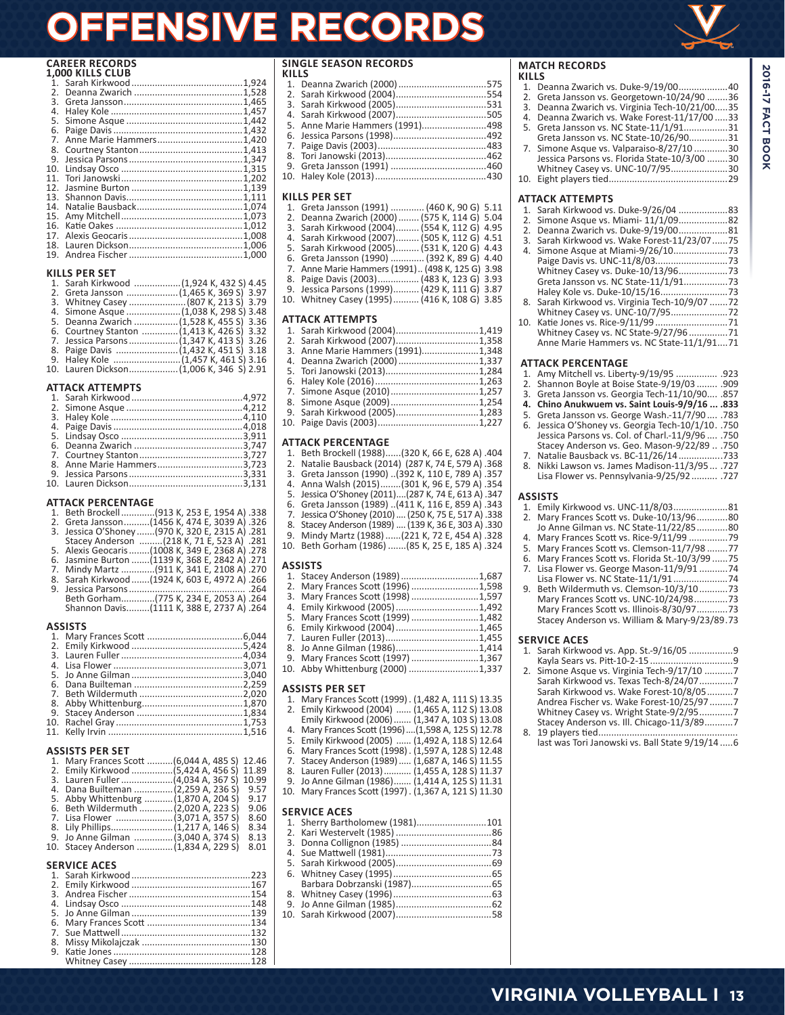# **OFFENSIVE RECORDS**

# **CAREER RECORDS 1,000 KILLS CLUB**

|                 | L.UUU NILLJ CLUD |  |
|-----------------|------------------|--|
|                 |                  |  |
| 2.5             |                  |  |
| 3.              |                  |  |
| 4.              |                  |  |
| 5.              |                  |  |
| 6.              |                  |  |
| 7.              |                  |  |
| 8.              |                  |  |
| 9.              |                  |  |
| 10.             |                  |  |
| 11.             |                  |  |
| 12 <sub>1</sub> |                  |  |
| 13.             |                  |  |
| 14.             |                  |  |
| 15.             |                  |  |
| 16.             |                  |  |
| 17.             |                  |  |
| 18.             |                  |  |
| 19.             |                  |  |
|                 |                  |  |

### **KILLS PER SET**

| 1. Sarah Kirkwood (1.924 K. 432 S) 4.45    |  |
|--------------------------------------------|--|
|                                            |  |
| 3. Whitney Casey  (807 K, 213 S) 3.79      |  |
|                                            |  |
| 5. Deanna Zwarich  (1,528 K, 455 S) 3.36   |  |
| 6. Courtney Stanton  (1,413 K, 426 S) 3.32 |  |
| 7. Jessica Parsons  (1,347 K, 413 S) 3.26  |  |
|                                            |  |
|                                            |  |
|                                            |  |
|                                            |  |

### **ATTACK ATTEMPTS**

## **ATTACK PERCENTAGE**

| 1. Beth Brockell(913 K, 253 E, 1954 A) .338      |
|--------------------------------------------------|
| 2. Greta Jansson(1456 K, 474 E, 3039 A) .326     |
| 3. Jessica O'Shoney  (970 K, 320 E, 2315 A) .281 |
| Stacey Anderson  (218 K, 71 E, 523 A) .281       |
| 5. Alexis Geocaris(1008 K, 349 E, 2368 A) .278   |
| 6. Jasmine Burton (1139 K, 368 E, 2842 A) .271   |
| 7. Mindy Martz (911 K, 341 E, 2108 A) .270       |
| 8. Sarah Kirkwood  (1924 K, 603 E, 4972 A) .266  |
|                                                  |
| Beth Gorham(775 K, 234 E, 2053 A) .264           |
| Shannon Davis(1111 K, 388 E, 2737 A) .264        |
| ASSISTS                                          |

# **ASSISTS PER SET**

| 1. Mary Frances Scott  (6,044 A, 485 S) 12.46 |      |
|-----------------------------------------------|------|
|                                               |      |
|                                               |      |
| 4. Dana Builteman (2,259 A, 236 S) 9.57       |      |
| 5. Abby Whittenburg  (1,870 A, 204 S)         | 9.17 |
| 6. Beth Wildermuth  (2,020 A, 223 S)          | 9.06 |
| 7. Lisa Flower (3,071 A, 357 S)               | 8.60 |
|                                               | 8.34 |
| 9. Jo Anne Gilman (3,040 A, 374 S)            | 8.13 |
| 10. Stacey Anderson (1,834 A, 229 S)          | 8.01 |

# **SERVICE ACES**

| SERVILE ALES |  |
|--------------|--|
|              |  |
|              |  |
|              |  |
|              |  |
|              |  |
|              |  |
|              |  |
|              |  |
|              |  |
|              |  |

# **SINGLE SEASON RECORDS**

| KILLS |                                 |  |
|-------|---------------------------------|--|
|       |                                 |  |
|       |                                 |  |
|       |                                 |  |
|       |                                 |  |
|       | 5. Anne Marie Hammers (1991)498 |  |
|       |                                 |  |
|       |                                 |  |
|       |                                 |  |
|       |                                 |  |
|       |                                 |  |
|       |                                 |  |

# **KILLS PER SET**

| 1. Greta Jansson (1991)  (460 K, 90 G) 5.11      |
|--------------------------------------------------|
| 2. Deanna Zwarich (2000)  (575 K, 114 G) 5.04    |
| 3. Sarah Kirkwood (2004) (554 K, 112 G) 4.95     |
| 4. Sarah Kirkwood (2007) (505 K, 112 G) 4.51     |
| 5. Sarah Kirkwood (2005) (531 K, 120 G) 4.43     |
| 6. Greta Jansson (1990)  (392 K, 89 G) 4.40      |
| 7. Anne Marie Hammers (1991) (498 K, 125 G) 3.98 |
| 8. Paige Davis (2003) (483 K, 123 G) 3.93        |
|                                                  |

9. Jessica Parsons (1999).......... (429 K, 111 G) 3.87 10. Whitney Casey (1995).......... (416 K, 108 G) 3.85

# **ATTACK ATTEMPTS**

| 3. Anne Marie Hammers (1991)1,348 |  |
|-----------------------------------|--|
|                                   |  |
|                                   |  |
|                                   |  |
|                                   |  |
|                                   |  |
|                                   |  |
|                                   |  |
|                                   |  |

# **ATTACK PERCENTAGE**

- 1. Beth Brockell (1988)......(320 K, 66 E, 628 A) .404
- 2. Natalie Bausback (2014) (287 K, 74 E, 579 A) .368 3. Greta Jansson (1990) ..(392 K, 110 E, 789 A) .357
- 4. Anna Walsh (2015)........(301 K, 96 E, 579 A) .354
- 5. Jessica O'Shoney (2011)....(287 K, 74 E, 613 A) .347
- 6. Greta Jansson (1989) ..(411 K, 116 E, 859 A) .343 7. Jessica O'Shoney (2010)....(250 K, 75 E, 517 A) .338
- 8. Stacey Anderson (1989) ....(139 K, 36 E, 303 A) .330
- 9. Mindy Martz (1988)......(221 K, 72 E, 454 A) .328
- 10. Beth Gorham (1986) .......(85 K, 25 E, 185 A) .324

## **ASSISTS**

- 1. Stacey Anderson (1989)..............................1,687
- 2. Mary Frances Scott (1996) ..........................1,598
- 3. Mary Frances Scott (1998) ..........................1,597
- 4. Emily Kirkwood (2005)................................1,492 5. Mary Frances Scott (1999) ..........................1,482
- 6. Emily Kirkwood (2004)................................1,465
- 7. Lauren Fuller (2013)....................................1,455
- 8. Jo Anne Gilman (1986)................................1,414
- 9. Mary Frances Scott (1997) ..........................1,367
- 10. Abby Whittenburg (2000) ...........................1,337

# **ASSISTS PER SET**

- 1. Mary Frances Scott (1999). (1,482 A, 111 S) 13.35<br>2. Fmily Kirkwood (2004) ...... (1,465 A, 112 S) 13.08 2. Emily Kirkwood (2004) ...... (1,465 A, 112 S) 13.08
- Emily Kirkwood (2006)....... (1,347 A, 103 S) 13.08
- 4. Mary Frances Scott (1996)....(1,598 A, 125 S) 12.78
- 5. Emily Kirkwood (2005) ...... (1,492 A, 118 S) 12.64
- 6. Mary Frances Scott (1998). (1,597 A, 128 S) 12.48
- 7. Stacey Anderson (1989)..... (1,687 A, 146 S) 11.55
- 8. Lauren Fuller (2013)........... (1,455 A, 128 S) 11.37 9. Jo Anne Gilman (1986)....... (1,414 A, 125 S) 11.31
- 10. Mary Frances Scott (1997). (1,367 A, 121 S) 11.30

# **SERVICE ACES**

| JLINVILL MLLJ                   |  |
|---------------------------------|--|
| 1. Sherry Bartholomew (1981)101 |  |
|                                 |  |
|                                 |  |
|                                 |  |
|                                 |  |
|                                 |  |
|                                 |  |
|                                 |  |
|                                 |  |
|                                 |  |
|                                 |  |

**MATCH RECORDS KILLS** 1. Deanna Zwarich vs. Duke-9/19/00...................40 2. Greta Jansson vs. Georgetown-10/24/90 ........36 3. Deanna Zwarich vs. Virginia Tech-10/21/00.....35 4. Deanna Zwarich vs. Wake Forest-11/17/00 .....33 5. Greta Jansson vs. NC State-11/1/91.................31 Greta Jansson vs. NC State-10/26/90...............31 7. Simone Asque vs. Valparaiso-8/27/10 .............30 Jessica Parsons vs. Florida State-10/3/00 ........30 Whitney Casey vs. UNC-10/7/95......................30 10. Eight players tied..............................................29 **ATTACK ATTEMPTS** 1. Sarah Kirkwood vs. Duke-9/26/04 ...................83 2. Simone Asque vs. Miami- 11/1/09...................82 2. Deanna Zwarich vs. Duke-9/19/00...................81 3. Sarah Kirkwood vs. Wake Forest-11/23/07......75 4. Simone Asque at Miami-9/26/10.....................73 Paige Davis vs. UNC-11/8/03............................73 Whitney Casey vs. Duke-10/13/96...................73 Greta Jansson vs. NC State-11/1/91.................73 Haley Kole vs. Duke-10/15/16..........................73 8. Sarah Kirkwood vs. Virginia Tech-10/9/07 .......72 Whitney Casey vs. UNC-10/7/95......................72 10. Katie Jones vs. Rice-9/11/99 ............................71 Whitney Casey vs. NC State-9/27/96 ...............71 Anne Marie Hammers vs. NC State-11/1/91....71 **ATTACK PERCENTAGE** 1. Amy Mitchell vs. Liberty-9/19/95 ................ .923 2. Shannon Boyle at Boise State-9/19/03 ........ .909 3. Greta Jansson vs. Georgia Tech-11/10/90.... .857 **4. Chino Anukwuem vs. Saint Louis-9/9/16 ... .833** 5. Greta Jansson vs. George Wash.-11/7/90 .... .783 6. Jessica O'Shoney vs. Georgia Tech-10/1/10. .750 Jessica Parsons vs. Col. of Charl.-11/9/96 .... .750 Stacey Anderson vs. Geo. Mason-9/22/89 .. .750 7. Natalie Bausback vs. BC-11/26/14.................733 8. Nikki Lawson vs. James Madison-11/3/95... .727 Lisa Flower vs. Pennsylvania-9/25/92.......... .727 **ASSISTS** 1. Emily Kirkwood vs. UNC-11/8/03.....................81 2. Mary Frances Scott vs. Duke-10/13/96............80 Jo Anne Gilman vs. NC State-11/22/85............80 4. Mary Frances Scott vs. Rice-9/11/99 ...............79 5. Mary Frances Scott vs. Clemson-11/7/98 ........77 6. Mary Frances Scott vs. Florida St.-10/3/99 ......75 7. Lisa Flower vs. George Mason-11/9/91 ...........74 Lisa Flower vs. NC State-11/1/91.....................74 9. Beth Wildermuth vs. Clemson-10/3/10...........73 Mary Frances Scott vs. UNC-10/24/98.............73 Mary Frances Scott vs. Illinois-8/30/97............73 Stacey Anderson vs. William & Mary-9/23/89.73 **SERVICE ACES** 1. Sarah Kirkwood vs. App. St.-9/16/05 .................9 Kayla Sears vs. Pitt-10-2-15 ................................9 2. Simone Asque vs. Virginia Tech-9/17/10 ...........7 Sarah Kirkwood vs. Texas Tech-8/24/07.............7 Sarah Kirkwood vs. Wake Forest-10/8/05..........7 Andrea Fischer vs. Wake Forest-10/25/97 .........7 Whitney Casey vs. Wright State-9/2/95.............7 Stacey Anderson vs. Ill. Chicago-11/3/89...........7 8. 19 players tied...................................................... last was Tori Janowski vs. Ball State 9/19/14 .....6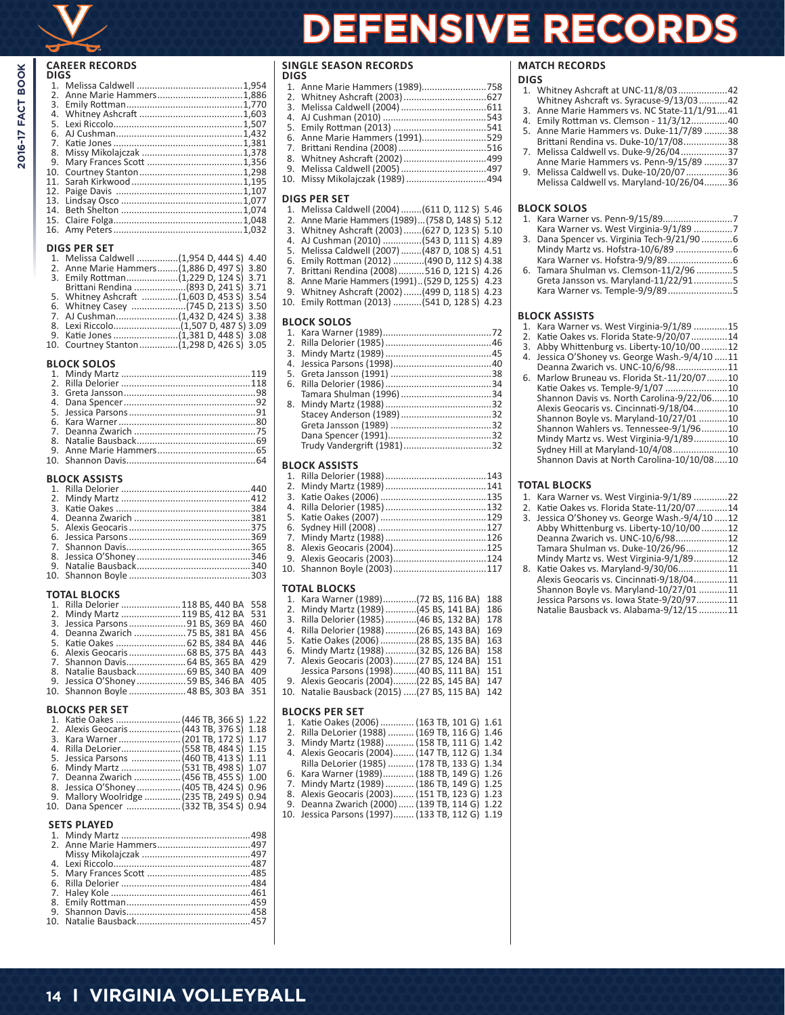# **CAREER RECORDS DIGS**

| .,             |                         |  |
|----------------|-------------------------|--|
|                |                         |  |
| 2 <sub>1</sub> | Anne Marie Hammers1,886 |  |
| 3.             |                         |  |
|                |                         |  |
| 5.             |                         |  |
| 6.             |                         |  |
| 7 <sup>1</sup> |                         |  |
| 8.             |                         |  |
| 9.             |                         |  |
| 10.            |                         |  |
|                |                         |  |
|                |                         |  |
|                |                         |  |
|                |                         |  |
|                |                         |  |
|                |                         |  |
|                |                         |  |

# **DIGS PER SET**

|  | 1. Melissa Caldwell (1,954 D, 444 S) 4.40   |
|--|---------------------------------------------|
|  | 2. Anne Marie Hammers (1,886 D, 497 S) 3.80 |
|  |                                             |
|  | Brittani Rendina (893 D, 241 S) 3.71        |
|  | 5. Whitney Ashcraft (1,603 D, 453 S) 3.54   |
|  |                                             |
|  |                                             |
|  |                                             |
|  |                                             |
|  | 10. Courtney Stanton(1.298 D. 426 S) 3.05   |

#### **BLOCK SOLOS**

# **BLOCK ASSISTS**

#### **TOTAL BLOCKS**

|  | 1. Rilla Delorier  118 BS, 440 BA 558 |  |
|--|---------------------------------------|--|
|  | 2. Mindy Martz  119 BS, 412 BA 531    |  |
|  | 3. Jessica Parsons 91 BS, 369 BA 460  |  |
|  | 4. Deanna Zwarich  75 BS, 381 BA 456  |  |
|  |                                       |  |
|  |                                       |  |
|  |                                       |  |
|  | 8. Natalie Bausback 69 BS, 340 BA 409 |  |
|  | 9. Jessica O'Shoney59 BS, 346 BA 405  |  |
|  | 10. Shannon Boyle  48 BS. 303 BA 351  |  |

## **BLOCKS PER SET**

| 5. Jessica Parsons  (460 TB, 413 S) 1.11   |  |  |
|--------------------------------------------|--|--|
|                                            |  |  |
| 7. Deanna Zwarich  (456 TB, 455 S) 1.00    |  |  |
|                                            |  |  |
| 9. Mallory Woolridge  (235 TB, 249 S) 0.94 |  |  |
| 10. Dana Spencer  (332 TB. 354 S) 0.94     |  |  |

### **SETS PLAYED**

# **SINGLE SEASON RECORDS**

# **DIGS**

| 6. Anne Marie Hammers (1991)529  |  |
|----------------------------------|--|
|                                  |  |
|                                  |  |
|                                  |  |
| 10. Missy Mikolajczak (1989) 494 |  |
|                                  |  |

# **DIGS PER SET**

| 1. Melissa Caldwell (2004)  (611 D, 112 S) 5.46  |  |
|--------------------------------------------------|--|
| 2. Anne Marie Hammers (1989) (758 D, 148 S) 5.12 |  |

- 3. Whitney Ashcraft (2003).......(627 D, 123 S) 5.10
- 4. AJ Cushman (2010) ...............(543 D, 111 S) 4.89
- 5. Melissa Caldwell (2007)........(487 D, 108 S) 4.51 6. Emily Rottman (2012) ............(490 D, 112 S) 4.38
- 7. Brittani Rendina (2008)..........516 D, 121 S) 4.26
- 8. Anne Marie Hammers (1991)..(529 D, 125 S) 4.23
- 9. Whitney Ashcraft (2002).......(499 D, 118 S) 4.23
- 10. Emily Rottman (2013) ...........(541 D, 128 S) 4.23

# **BLOCK SOLOS**

## **BLOCK ASSISTS**

# **TOTAL BLOCKS**

| 1. Kara Warner (1989)(72 BS, 116 BA)         | 188 |
|----------------------------------------------|-----|
| 2. Mindy Martz (1989) (45 BS, 141 BA)        | 186 |
| 3. Rilla Delorier (1985)  (46 BS, 132 BA)    | 178 |
| 4. Rilla Delorier (1988) (26 BS, 143 BA)     | 169 |
| 5. Katie Oakes (2006) (28 BS, 135 BA)        | 163 |
| 6. Mindy Martz (1988) (32 BS, 126 BA)        | 158 |
| 7. Alexis Geocaris (2003)(27 BS, 124 BA)     | 151 |
| Jessica Parsons (1998)(40 BS, 111 BA)        | 151 |
| 9. Alexis Geocaris (2004)(22 BS, 145 BA)     | 147 |
| 10. Natalie Bausback (2015)  (27 BS, 115 BA) | 142 |
|                                              |     |

### **BLOCKS PER SET**

| 1. Katie Oakes (2006)  (163 TB, 101 G) 1.61     |  |
|-------------------------------------------------|--|
| 2. Rilla DeLorier (1988)  (169 TB, 116 G) 1.46  |  |
| 3. Mindy Martz (1988)  (158 TB, 111 G) 1.42     |  |
| 4. Alexis Geocaris (2004) (147 TB, 112 G) 1.34  |  |
| Rilla DeLorier (1985)  (178 TB, 133 G) 1.34     |  |
| 6. Kara Warner (1989) (188 TB, 149 G) 1.26      |  |
| 7. Mindy Martz (1989)  (186 TB, 149 G) 1.25     |  |
| 8. Alexis Geocaris (2003) (151 TB, 123 G) 1.23  |  |
| 9. Deanna Zwarich (2000)  (139 TB, 114 G) 1.22  |  |
| 10. Jessica Parsons (1997) (133 TB, 112 G) 1.19 |  |

# **MATCH RECORDS**

**FENSIVE RECORDS** 

- **DIGS** 1. Whitney Ashcraft at UNC-11/8/03...................42 Whitney Ashcraft vs. Syracuse-9/13/03...........42 3. Anne Marie Hammers vs. NC State-11/1/91....41<br>4. Emily Rottman vs. Clemson - 11/3/12
- 4. Emily Rottman vs. Clemson 11/3/12..............40
- 5. Anne Marie Hammers vs. Duke-11/7/89 .........38 Brittani Rendina vs. Duke-10/17/08.................38
- 7. Melissa Caldwell vs. Duke-9/26/04..................37
- Anne Marie Hammers vs. Penn-9/15/89 .........37 9. Melissa Caldwell vs. Duke-10/20/07................36 Melissa Caldwell vs. Maryland-10/26/04.........36

#### **BLOCK SOLOS**

|  | 3. Dana Spencer vs. Virginia Tech-9/21/906 |  |
|--|--------------------------------------------|--|
|  |                                            |  |
|  |                                            |  |
|  | 6. Tamara Shulman vs. Clemson-11/2/965     |  |
|  | Greta Jansson vs. Maryland-11/22/915       |  |
|  |                                            |  |

Kara Warner vs. Temple-9/9/89.........................5

### **BLOCK ASSISTS**

- 1. Kara Warner vs. West Virginia-9/1/89 .............15
- 2. Katie Oakes vs. Florida State-9/20/07..............14
- 3. Abby Whittenburg vs. Liberty-10/10/00 ..........12
- 4. Jessica O'Shoney vs. George Wash.-9/4/10 .....11
- Deanna Zwarich vs. UNC-10/6/98....................11 6. Marlow Bruneau vs. Florida St.-11/20/07........10 Katie Oakes vs. Temple-9/1/07 ........................10 Shannon Davis vs. North Carolina-9/22/06......10 Alexis Geocaris vs. Cincinnati-9/18/04.............10 Shannon Boyle vs. Maryland-10/27/01 ...........10 Shannon Wahlers vs. Tennessee-9/1/96..........10 Mindy Martz vs. West Virginia-9/1/89.............10 Sydney Hill at Maryland-10/4/08.....................10 Shannon Davis at North Carolina-10/10/08.....10

#### **TOTAL BLOCKS**

- 1. Kara Warner vs. West Virginia-9/1/89 .............22
- 2. Katie Oakes vs. Florida State-11/20/07............14 3. Jessica O'Shoney vs. George Wash.-9/4/10 .....12
- Abby Whittenburg vs. Liberty-10/10/00 ..........12 Deanna Zwarich vs. UNC-10/6/98....................12 Tamara Shulman vs. Duke-10/26/96................12 Mindy Martz vs. West Virginia-9/1/89.............12
- 8. Katie Oakes vs. Maryland-9/30/06...................11 Alexis Geocaris vs. Cincinnati-9/18/04.............11 Shannon Boyle vs. Maryland-10/27/01 ...........11 Jessica Parsons vs. Iowa State-9/20/97............11 Natalie Bausback vs. Alabama-9/12/15 ...........11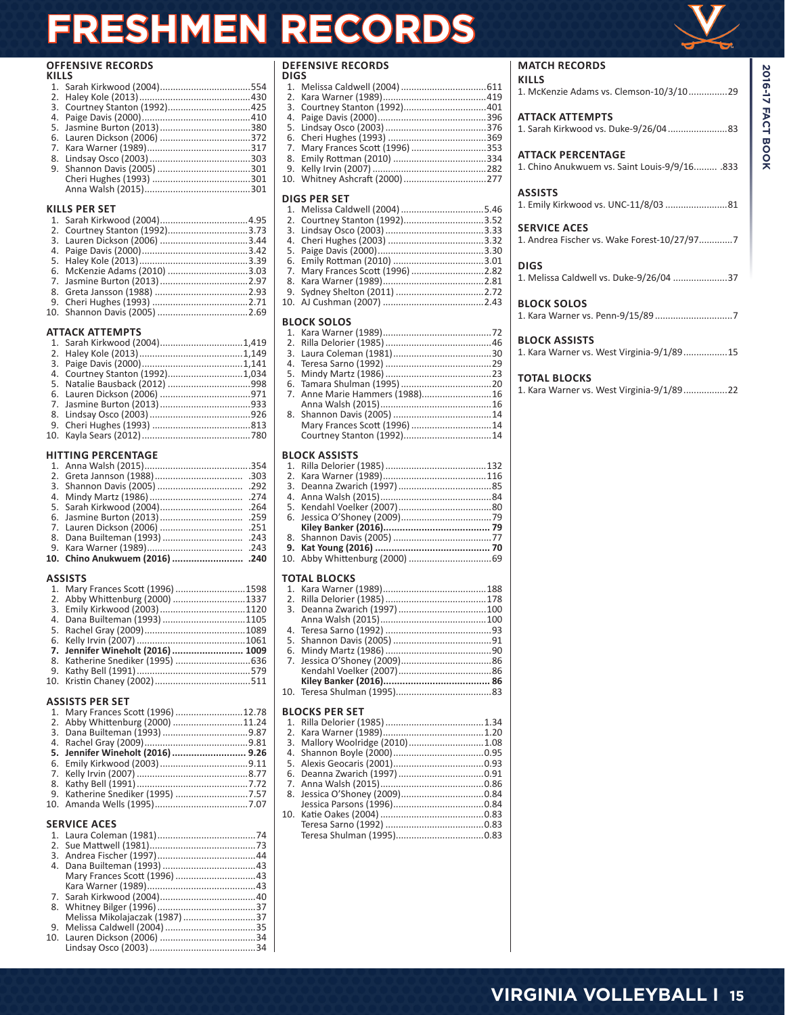# **FRESHMEN RECORDS**

# **OFFENSIVE RECORDS**

| KILLS |  |  |  |
|-------|--|--|--|
|       |  |  |  |
|       |  |  |  |
|       |  |  |  |
|       |  |  |  |
|       |  |  |  |
|       |  |  |  |
|       |  |  |  |
|       |  |  |  |
|       |  |  |  |
|       |  |  |  |
|       |  |  |  |

# **KILLS PER SET**

| 2. Courtney Stanton (1992)3.73 |  |
|--------------------------------|--|
|                                |  |
|                                |  |
|                                |  |
| 6. McKenzie Adams (2010) 3.03  |  |
|                                |  |
|                                |  |
|                                |  |
|                                |  |
|                                |  |

# **ATTACK ATTEMPTS**

| 4. Courtney Stanton (1992)1,034 |  |
|---------------------------------|--|
|                                 |  |
|                                 |  |
|                                 |  |
|                                 |  |
|                                 |  |
|                                 |  |
|                                 |  |

# **HITTING PERCENTAGE**

# **ASSISTS**

| 1. Mary Frances Scott (1996) 1598 |  |
|-----------------------------------|--|
| 2. Abby Whittenburg (2000) 1337   |  |
| 3. Emily Kirkwood (2003)1120      |  |
| 4. Dana Builteman (1993) 1105     |  |
|                                   |  |
|                                   |  |
| 7. Jennifer Wineholt (2016)  1009 |  |
|                                   |  |
|                                   |  |
|                                   |  |
|                                   |  |

# **ASSISTS PER SET**

| 1. Mary Frances Scott (1996) 12.78 |                                           |  |  |  |
|------------------------------------|-------------------------------------------|--|--|--|
| 2. Abby Whittenburg (2000) 11.24   |                                           |  |  |  |
|                                    |                                           |  |  |  |
|                                    |                                           |  |  |  |
| 5. Jennifer Wineholt (2016)  9.26  |                                           |  |  |  |
|                                    |                                           |  |  |  |
|                                    |                                           |  |  |  |
|                                    |                                           |  |  |  |
|                                    |                                           |  |  |  |
|                                    |                                           |  |  |  |
|                                    |                                           |  |  |  |
| <b>SERVICE ACES</b>                |                                           |  |  |  |
|                                    |                                           |  |  |  |
|                                    |                                           |  |  |  |
|                                    |                                           |  |  |  |
|                                    |                                           |  |  |  |
| 1400C                              | $\sim$ $\sim$ $\sim$ $\sim$ $\sim$ $\sim$ |  |  |  |

| Melissa Mikolajaczak (1987) 37 |  |
|--------------------------------|--|
|                                |  |
|                                |  |
|                                |  |
|                                |  |

# **DEFENSIVE RECORDS**

| DIGS |                                  |  |
|------|----------------------------------|--|
|      |                                  |  |
|      |                                  |  |
|      |                                  |  |
|      |                                  |  |
|      |                                  |  |
|      |                                  |  |
|      | 7. Mary Frances Scott (1996) 353 |  |
|      |                                  |  |
|      |                                  |  |
|      | 10. Whitney Ashcraft (2000)277   |  |
|      |                                  |  |

# **DIGS PER SET**

| 2. Courtney Stanton (1992)3.52    |  |
|-----------------------------------|--|
|                                   |  |
|                                   |  |
|                                   |  |
|                                   |  |
| 7. Mary Frances Scott (1996) 2.82 |  |
|                                   |  |
|                                   |  |
|                                   |  |
| <b>BLOCK SOLOS</b>                |  |
|                                   |  |
|                                   |  |
|                                   |  |

|  | 7. Anne Marie Hammers (1988)16 |  |
|--|--------------------------------|--|
|  |                                |  |
|  |                                |  |
|  | Mary Frances Scott (1996)14    |  |
|  |                                |  |
|  |                                |  |

# **BLOCK ASSISTS**

# **TOTAL BLOCKS**

# **BLOCKS PER SET**

| 3. Mallory Woolridge (2010)1.08 |  |
|---------------------------------|--|
|                                 |  |
|                                 |  |
|                                 |  |
|                                 |  |
|                                 |  |
|                                 |  |
|                                 |  |
|                                 |  |
|                                 |  |
|                                 |  |

# **MATCH RECORDS**

| <b>KILLS</b><br>1. McKenzie Adams vs. Clemson-10/3/1029             |     |
|---------------------------------------------------------------------|-----|
| <b>ATTACK ATTEMPTS</b>                                              |     |
| <b>ATTACK PERCENTAGE</b><br>1 Chino Anukwuem vs. Saint Louis-9/9/16 | 833 |

# 1. Chino Anukwuem vs. Saint Louis-9/9/16......... .833

# **ASSISTS** 1. Emily Kirkwood vs. UNC-11/8/03 ........................81

| <b>SERVICE ACES</b> |
|---------------------|
|                     |

# **DIGS**

| 1. Melissa Caldwell vs. Duke-9/26/04 37 |
|-----------------------------------------|
|                                         |

# **BLOCK SOLOS**

1. Kara Warner vs. Penn-9/15/89..............................7

# **BLOCK ASSISTS**

|  |  | 1. Kara Warner vs. West Virginia-9/1/8915 |  |  |
|--|--|-------------------------------------------|--|--|
|  |  |                                           |  |  |

# **TOTAL BLOCKS**

|  |  |  | 1. Kara Warner vs. West Virginia-9/1/8922 |  |
|--|--|--|-------------------------------------------|--|
|  |  |  |                                           |  |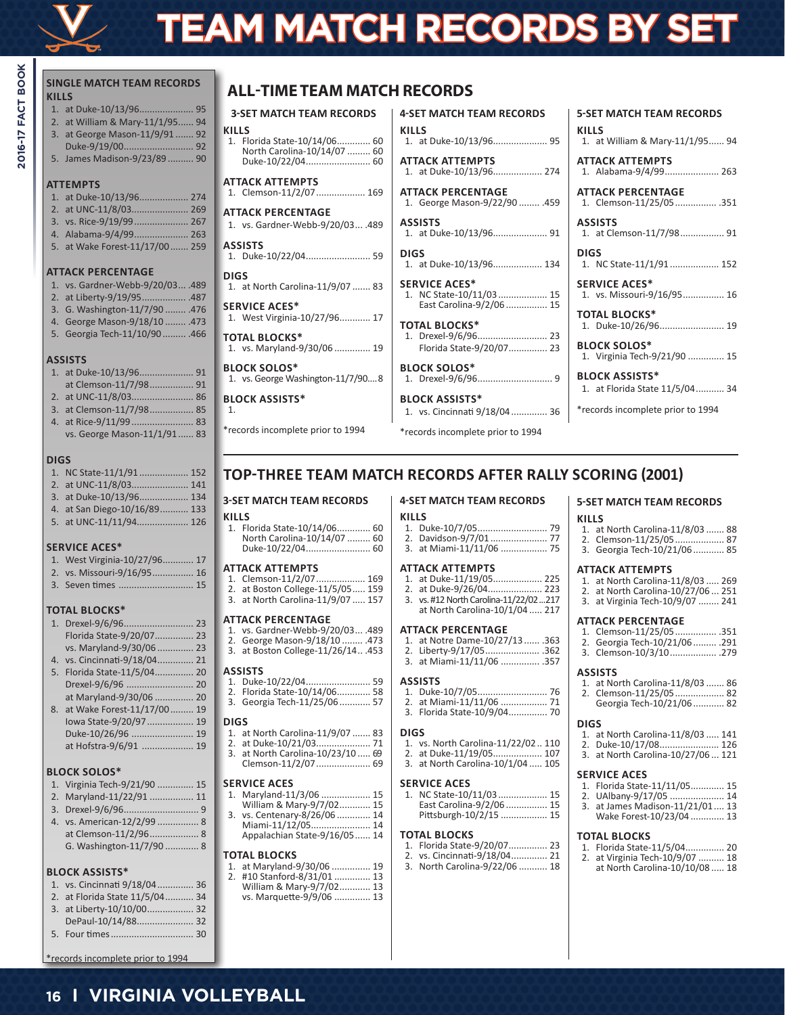

2016-17 FACT BOOK

# **TEAM MATCH RECORDS BY SET**

**ATTACK ATTEMPTS**

**ATTACK PERCENTAGE**

**KILLS**

**ASSISTS**

**SERVICE ACES\***

**TOTAL BLOCKS\***

**BLOCK SOLOS\***

**BLOCK ASSISTS\***

**DIGS**

**4-SET MATCH TEAM RECORDS**

1. at Duke-10/13/96..................... 95

1. at Duke-10/13/96................... 274

1. George Mason-9/22/90 ........ .459

1. at Duke-10/13/96..................... 91

1. at Duke-10/13/96................... 134

1. NC State-10/11/03................... 15 East Carolina-9/2/06 ................ 15

1. Drexel-9/6/96........................... 23 Florida State-9/20/07............... 23

1. Drexel-9/6/96............................. 9

1. vs. Cincinnati 9/18/04.............. 36 \*records incomplete prior to 1994

| <b>SINGLE MATCH TEAM RECORDS</b><br><b>KILLS</b>                                                                                                                                                                | <b>ALL-TIME TEAM MATO</b>                                                                                                                                      |
|-----------------------------------------------------------------------------------------------------------------------------------------------------------------------------------------------------------------|----------------------------------------------------------------------------------------------------------------------------------------------------------------|
| at William & Mary-11/1/95 94<br>2.<br>at George Mason-11/9/91  92<br>3.<br>5. James Madison-9/23/89  90                                                                                                         | <b>3-SET MATCH TEAM RECORDS</b><br><b>KILLS</b><br>1. Florida State-10/14/06 60<br>North Carolina-10/14/07  60<br>Duke-10/22/04 60                             |
| <b>ATTEMPTS</b><br>1. at Duke-10/13/96 274<br>at UNC-11/8/03 269<br>2.<br>3. vs. Rice-9/19/99 267<br>4. Alabama-9/4/99 263<br>5. at Wake Forest-11/17/00  259                                                   | <b>ATTACK ATTEMPTS</b><br>1. Clemson-11/2/07 169<br><b>ATTACK PERCENTAGE</b><br>1. vs. Gardner-Webb-9/20/03 .489<br><b>ASSISTS</b>                             |
| <b>ATTACK PERCENTAGE</b><br>1. vs. Gardner-Webb-9/20/03 .489<br>at Liberty-9/19/95 .487<br>2.<br>3. G. Washington-11/7/90  .476<br>4. George Mason-9/18/10  .473<br>5. Georgia Tech-11/10/90  .466              | <b>DIGS</b><br>1. at North Carolina-11/9/07  83<br><b>SERVICE ACES*</b><br>1. West Virginia-10/27/96 17<br><b>TOTAL BLOCKS*</b><br>1. vs. Maryland-9/30/06  19 |
| <b>ASSISTS</b><br>at Clemson-11/7/98 91<br>3. at Clemson-11/7/98 85<br>4.<br>vs. George Mason-11/1/91  83                                                                                                       | <b>BLOCK SOLOS*</b><br>1. vs. George Washington-11/7/908<br><b>BLOCK ASSISTS*</b><br>1.<br>*records incomplete prior to 1994                                   |
| <b>DIGS</b><br>1. NC State-11/1/91 152<br>at UNC-11/8/03 141<br>2.<br>3. at Duke-10/13/96 134<br>4. at San Diego-10/16/89 133<br>5. at UNC-11/11/94 126<br><b>SERVICE ACES*</b><br>1. West Virginia-10/27/96 17 | <b>TOP-THREE TEAM MAT</b><br><b>3-SET MATCH TEAM RECORDS</b><br><b>KILLS</b><br>1. Florida State-10/14/06 60<br>North Carolina-10/14/07  60                    |
| 2. vs. Missouri-9/16/95 16<br>3. Seven times  15                                                                                                                                                                | <b>ATTACK ATTEMPTS</b><br>1. Clemson-11/2/07 169<br>2. at Boston College-11/5/05 159<br>3 at North Carolina-11/9/07 157                                        |

# **TOTAL BLOCKS\***

|  | Florida State-9/20/07 23     |    |
|--|------------------------------|----|
|  | vs. Maryland-9/30/06  23     |    |
|  | 4. vs. Cincinnati-9/18/04 21 |    |
|  | 5. Florida State-11/5/04 20  |    |
|  |                              |    |
|  | $h/20/2$ hacknell to         | າດ |

# 8. at Wake Forest-11/17/00......... 19

# **BLOCK SOLOS\***

2. Maryland-11/22/91 ................. 11 3. Drexel-9/6/96............................. 9 4. vs. American-12/2/99 ................ 8 at Clemson-11/2/96................... 8 G. Washington-11/7/90 ............. 8

# **BLOCK ASSISTS\***

- 1. vs. Cincinnati 9/18/04.............. 36
- 3. at Liberty-10/10/00.................. 32 DePaul-10/14/88...................... 32
- 5. Four times................................ 30

# **ALL-TIME TEAM MATCH RECORDS**

# **3-SET MATCH TEAM RECORDS**

- **KILLS** 1. Florida State-10/14/06............. 60 North Carolina-10/14/07 ......... 60 Duke-10/22/04......................... 60
- **TACK ATTEMPTS** Clemson-11/2/07..................... 169
- **TACK PERCENTAGE** vs. Gardner-Webb-9/20/03... .489
- **ASSISTS** 1. Duke-10/22/04......................... 59 **DIGS** at North Carolina-11/9/07 ....... 83
- **SERVICE ACES\*** West Virginia-10/27/96............ 17 **TOTAL BLOCKS\***
- vs. Maryland-9/30/06 .............. 19
- **BLOCK SOLOS\*** vs. George Washington-11/7/90....8

at North Carolina-11/9/07 ..... 157

1. vs. Gardner-Webb-9/20/03... .489 2. George Mason-9/18/10 ........ .473 3. at Boston College-11/26/14.. .453

1. Duke-10/22/04......................... 59 2. Florida State-10/14/06............. 58 3. Georgia Tech-11/25/06............ 57

1. at North Carolina-11/9/07 ....... 83 2. at Duke-10/21/03..................... 71 3. at North Carolina-10/23/10 ..... 69 Clemson-11/2/07..................... 69

1. Maryland-11/3/06 ................... 15 William & Mary-9/7/02............ 15 3. vs. Centenary-8/26/06 ............. 14 Miami-11/12/05......................... 14 Appalachian State-9/16/05...... 14

at Maryland-9/30/06 ............... 19 2. #10 Stanford-8/31/01 .............. 13 William & Mary-9/7/02............ 13 vs. Marquette-9/9/06 .............. 13

**ATTACK PERCENTAGE**

**ASSISTS**

**DIGS**

**SERVICE ACES**

**TOTAL BLOCKS**

- 3. Seven times ............................. 15
- 
- at Maryland-9/30/06 ............... 20
- Iowa State-9/20/97.................. 19 Duke-10/26/96 ........................ 19 at Hofstra-9/6/91 .................... 19
- 
- 1. Virginia Tech-9/21/90 .............. 15
	-

- 2. at Florida State 11/5/04........... 34
	-
	-

**16 I VIRGINIA VOLLEYBALL**

# \*records incomplete prior to 1994

- 1. at Duke-11/19/05....................... 225<br>2. at Duke-9/26/04...................... 223
- 3. vs. #12 North Carolina-11/22/02...217
- at North Carolina-10/1/04 ..... 217

# **ATTACK PERCENTAGE**

- 1. at Notre Dame-10/27/13 ...... .363
- 2. Liberty-9/17/05..................... .362

# **ASSISTS**

- 1. Duke-10/7/05........................... 76
- 2. at Miami-11/11/06 .................. 71
- 

# **DIGS**

- -
	- 3. at North Carolina-10/1/04 ..... 105

# **SERVICE ACES**

1. NC State-10/11/03................... 15 East Carolina-9/2/06 ................ 15 Pittsburgh-10/2/15 .................. 15

# **TOTAL BLOCKS**

- 
- 3. North Carolina-9/22/06 ........... 18

# **ATTACK PERCENTAGE** 1. Clemson-11/25/05................ .351 **ASSISTS** 1. at Clemson-11/7/98................. 91 **DIGS** 1. NC State-11/1/91................... 152 **SERVICE ACES\*** 1. vs. Missouri-9/16/95................ 16 **TOTAL BLOCKS\*** 1. Duke-10/26/96......................... 19 **BLOCK SOLOS\*** 1. Virginia Tech-9/21/90 .............. 15 **BLOCK ASSISTS\*** 1. at Florida State 11/5/04........... 34

**5-SET MATCH TEAM RECORDS**

**ATTACK ATTEMPTS**

1. at William & Mary-11/1/95...... 94

1. Alabama-9/4/99..................... 263

**KILLS**

\*records incomplete prior to 1994

# **TOP-THREE TEAM MATCH RECORDS AFTER RALLY SCORING (2001)**

# **4-SET MATCH TEAM RECORDS**

# **KILLS** 1. Duke-10/7/05........................... 79 2. Davidson-9/7/01 ...................... 77

3. at Miami-11/11/06 .................. 75

# **ATTACK ATTEMPTS**

- 2. at Duke-9/26/04.........
- 
- 

- 
- 3. at Miami-11/11/06 ............... .357

- 
- 3. Florida State-10/9/04............... 70

- 1. vs. North Carolina-11/22/02.. 110
- 2. at Duke-11/19/05................... 107
	-

- 1. Florida State-9/20/07............... 23
- 2. vs. Cincinnati-9/18/04.............. 21

**KILLS** 1. at North Carolina-11/8/03 ....... 88 2. Clemson-11/25/05................... 87 3. Georgia Tech-10/21/06............ 85

**5-SET MATCH TEAM RECORDS**

# **ATTACK ATTEMPTS**

1. at North Carolina-11/8/03 ..... 269 at North Carolina-10/27/06 ... 251 3. at Virginia Tech-10/9/07 ........ 241

# **ATTACK PERCENTAGE**

- 1. Clemson-11/25/05................ .351 2. Georgia Tech-10/21/06......... .291
- 3. Clemson-10/3/10.................. .279

# **ASSISTS**

1. at North Carolina-11/8/03 ....... 86 2. Clemson-11/25/05................... 82

# Georgia Tech-10/21/06............ 82

- **DIGS** 1. at North Carolina-11/8/03 ..... 141 2. Duke-10/17/08....................... 126
- 3. at North Carolina-10/27/06 ... 121

2. UAlbany-9/17/05 ..................... 14 3. at James Madison-11/21/01.... 13 Wake Forest-10/23/04 ............. 13

1. Florida State-11/5/04............... 20 2. at Virginia Tech-10/9/07 .......... 18 at North Carolina-10/10/08 ..... 18

#### **SERVICE ACES** 1. Florida State-11/11/05............. 15

**TOTAL BLOCKS**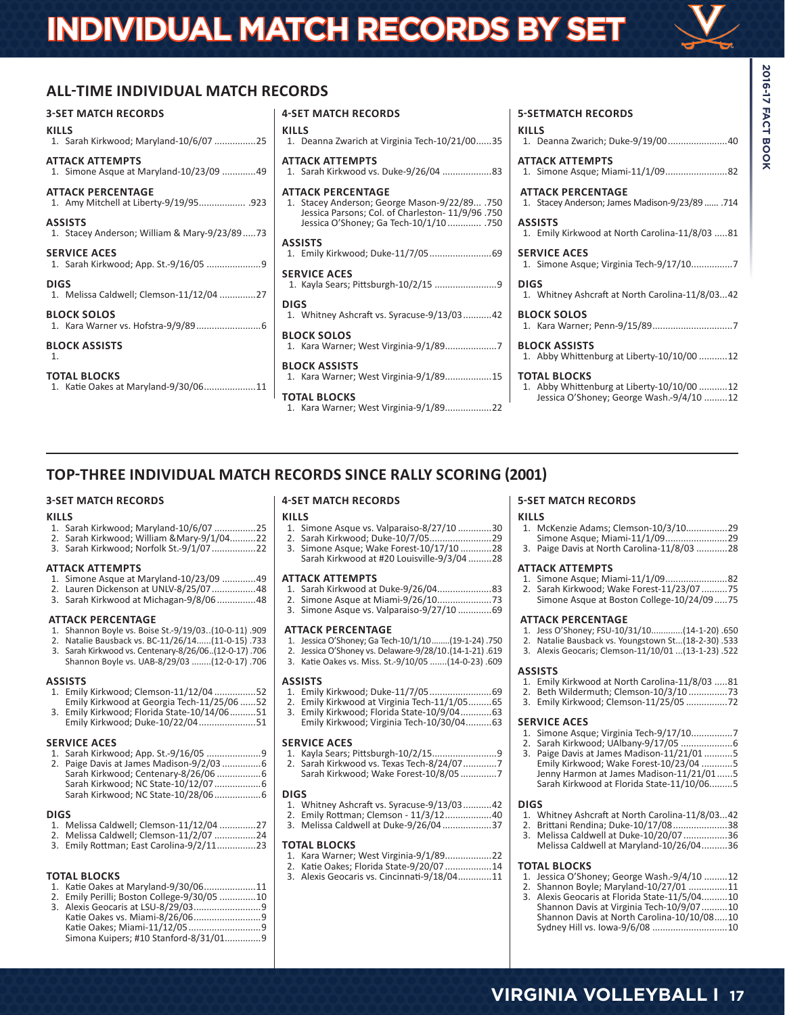# **INDIVIDUAL MATCH RECORDS BY SET**

# **ALL-TIME INDIVIDUAL MATCH RECORDS**

# **3-SET MATCH RECORDS**

| KILLS                                                   | KII       |
|---------------------------------------------------------|-----------|
| 1. Sarah Kirkwood; Maryland-10/6/07 25                  | 1.        |
| ATTACK ATTEMPTS                                         | AT        |
| 1. Simone Asque at Maryland-10/23/09 49                 | 1.        |
| ATTACK PERCENTAGE                                       | AT        |
| 1. Amy Mitchell at Liberty-9/19/95 .923                 | 1.        |
| ASSISTS<br>1. Stacey Anderson; William & Mary-9/23/8973 |           |
| <b>SERVICE ACES</b>                                     | AS        |
|                                                         | 1.        |
| <b>DIGS</b>                                             | <b>SE</b> |
| 1. Melissa Caldwell; Clemson-11/12/04 27                | 1         |
| <b>BLOCK SOLOS</b>                                      | DI        |
|                                                         | 1.        |
| <b>BLOCK ASSISTS</b>                                    | ΒL        |
| 1.                                                      | 1.        |
| <b>TOTAL BLOCKS</b>                                     | ΒL        |
| 1. Katie Oakes at Maryland-9/30/0611                    | 1.        |

| <b>4-SET MATCH RECORDS</b>                                                                                                                                                |
|---------------------------------------------------------------------------------------------------------------------------------------------------------------------------|
| <b>KILLS</b><br>1. Deanna Zwarich at Virginia Tech-10/21/0035                                                                                                             |
| <b>ATTACK ATTEMPTS</b><br>1. Sarah Kirkwood vs. Duke-9/26/04 83                                                                                                           |
| <b>ATTACK PERCENTAGE</b><br>1. Stacey Anderson; George Mason-9/22/89 .750<br>Jessica Parsons; Col. of Charleston- 11/9/96 .750<br>Jessica O'Shoney; Ga Tech-10/1/10  .750 |
| <b>ASSISTS</b><br>1. Emily Kirkwood; Duke-11/7/05 69                                                                                                                      |
| <b>SERVICE ACES</b>                                                                                                                                                       |
| <b>DIGS</b><br>1. Whitney Ashcraft vs. Syracuse-9/13/0342                                                                                                                 |
| <b>BLOCK SOLOS</b>                                                                                                                                                        |
| <b>BLOCK ASSISTS</b><br>1. Kara Warner; West Virginia-9/1/8915                                                                                                            |
| <b>TOTAL BLOCKS</b><br>1. Kara Warner; West Virginia-9/1/8922                                                                                                             |

# **5-SETMATCH RECORDS**

**KILLS** 1. Deanna Zwarich; Duke-9/19/00.......................40

**ATTACK ATTEMPTS** 1. Simone Asque; Miami-11/1/09........................82

**ATTACK PERCENTAGE** 1. Stacey Anderson; James Madison-9/23/89 ...... .714

**ASSISTS** 1. Emily Kirkwood at North Carolina-11/8/03 .....81

**SERVICE ACES** 1. Simone Asque; Virginia Tech-9/17/10................7

1. Whitney Ashcraft at North Carolina-11/8/03...42 **BLOCK SOLOS**

1. Kara Warner; Penn-9/15/89...............................7

**BLOCK ASSISTS** 1. Abby Whittenburg at Liberty-10/10/00 ...........12

### **TOTAL BLOCKS**

**DIGS**

1. Abby Whittenburg at Liberty-10/10/00 ...........12 Jessica O'Shoney; George Wash.-9/4/10 .........12

# **TOP-THREE INDIVIDUAL MATCH RECORDS SINCE RALLY SCORING (2001)**

# **3-SET MATCH RECORDS**

#### **KILLS**

- 1. Sarah Kirkwood; Maryland-10/6/07 ................25
- 2. Sarah Kirkwood; William &Mary-9/1/04..........22
- 3. Sarah Kirkwood; Norfolk St.-9/1/07.................22

# **ATTACK ATTEMPTS**

- 1. Simone Asque at Maryland-10/23/09 ..............49<br>2. Lauren Dickenson at UNLV-8/25/07 ..................48
- 2. Lauren Dickenson at UNLV-8/25/07.................48
- 3. Sarah Kirkwood at Michagan-9/8/06...............48

### **ATTACK PERCENTAGE**

- 1. Shannon Boyle vs. Boise St.-9/19/03..(10-0-11) .909
- 2. Natalie Bausback vs. BC-11/26/14......(11-0-15) .733 3. Sarah Kirkwood vs. Centenary-8/26/06..(12-0-17) .706
- Shannon Boyle vs. UAB-8/29/03 ........(12-0-17) .706

#### **ASSISTS**

- 1. Emily Kirkwood; Clemson-11/12/04 ................52
- Emily Kirkwood at Georgia Tech-11/25/06 ......52 3. Emily Kirkwood; Florida State-10/14/06..........51
- Emily Kirkwood; Duke-10/22/04......................51

#### **SERVICE ACES**

1. Sarah Kirkwood; App. St.-9/16/05 .....................9 2. Paige Davis at James Madison-9/2/03 ...............6 Sarah Kirkwood; Centenary-8/26/06 .................6 Sarah Kirkwood; NC State-10/12/07..................6 Sarah Kirkwood; NC State-10/28/06..................6

#### **DIGS**

- 1. Melissa Caldwell; Clemson-11/12/04 ..............27
- 2. Melissa Caldwell; Clemson-11/2/07 .................24<br>3. Emily Rottman: East Carolina-9/2/11
- 3. Emily Rottman; East Carolina-9/2/11...............23

# **TOTAL BLOCKS**

- 1. Katie Oakes at Maryland-9/30/06....................11
- 2. Emily Perilli; Boston College-9/30/05 ..............10
- 3. Alexis Geocaris at LSU-8/29/03..........................9 Katie Oakes vs. Miami-8/26/06..........................9 Katie Oakes; Miami-11/12/05............................9 Simona Kuipers; #10 Stanford-8/31/01..............9

# **4-SET MATCH RECORDS**

# **KILLS**

- 1. Simone Asque vs. Valparaiso-8/27/10 ..............30<br>29 Sarah Kirkwood: Duke-10/7/05
- 2. Sarah Kirkwood; Duke-10/7/05........................29
- 3. Simone Asque; Wake Forest-10/17/10 ............28 Sarah Kirkwood at #20 Louisville-9/3/04 .........28

#### **ATTACK ATTEMPTS**

- 1. Sarah Kirkwood at Duke-9/26/04.....................83
- 2. Simone Asque at Miami-9/26/10.....................73
- 3. Simone Asque vs. Valparaiso-9/27/10 .............69

# **ATTACK PERCENTAGE**

- 1. Jessica O'Shoney; Ga Tech-10/1/10........(19-1-24) .750
- 2. Jessica O'Shoney vs. Delaware-9/28/10. (14-1-21) .619<br>3. Katie Oakes vs. Miss. St. -9/10/05. (14-0-23). 609
- 3. Katie Oakes vs. Miss. St.-9/10/05 .......(14-0-23) .609

# **ASSISTS**

- 1. Emily Kirkwood; Duke-11/7/05........................69
- 2. Emily Kirkwood at Virginia Tech-11/1/05..........65<br>3. Emily Kirkwood; Florida State-10/9/04............63
- 3. Emily Kirkwood; Florida State-10/9/04............63 Emily Kirkwood; Virginia Tech-10/30/04..........63

# **SERVICE ACES**<br>1. Kavla Sears: I

1. Kayla Sears; Pittsburgh-10/2/15........<br>1. Kayla Sears; Pittsburgh-10/2/15....... 2. Sarah Kirkwood vs. Texas Tech-8/24/07.............7 Sarah Kirkwood; Wake Forest-10/8/05 ..............7

# **DIGS**

- 1. Whitney Ashcraft vs. Syracuse-9/13/03...........42
- 2. Emily Rottman; Clemson 11/3/12..................40 3. Melissa Caldwell at Duke-9/26/04...................37
- 

# **TOTAL BLOCKS**<br>1. Kara Warner:

- 1. Kara Warner; West Virginia-9/1/89..................22
- 2. Katie Oakes; Florida State-9/20/07..................14
	- 3. Alexis Geocaris vs. Cincinnati-9/18/04.............11

# **5-SET MATCH RECORDS**

| <b>KILLS</b> |                                      |  |
|--------------|--------------------------------------|--|
|              | 1. McKenzie Adams: Clemson-10/3/1029 |  |
|              |                                      |  |

3. Paige Davis at North Carolina-11/8/03 ............28

# **ATTACK ATTEMPTS**

- 1. Simone Asque; Miami-11/1/09........................82
- 2. Sarah Kirkwood; Wake Forest-11/23/07 ..........75 Simone Asque at Boston College-10/24/09.....75

# **ATTACK PERCENTAGE**

- 1. Jess O'Shoney; FSU-10/31/10.............(14-1-20) .650
- 2. Natalie Bausback vs. Youngstown St...(18-2-30) .533
- 3. Alexis Geocaris; Clemson-11/10/01 ...(13-1-23) .522

# **ASSISTS**

- 1. Emily Kirkwood at North Carolina-11/8/03 .....81
- 2. Beth Wildermuth; Clemson-10/3/10 ...............73
- 3. Emily Kirkwood; Clemson-11/25/05 ................72

# **SERVICE ACES**

- 1. Simone Asque; Virginia Tech-9/17/10................7
- 2. Sarah Kirkwood; UAlbany-9/17/05 ....................6
- 3. Paige Davis at James Madison-11/21/01 ...........5 Emily Kirkwood; Wake Forest-10/23/04 ............5 Jenny Harmon at James Madison-11/21/01......5 Sarah Kirkwood at Florida State-11/10/06.........5

#### **DIGS**

- 1. Whitney Ashcraft at North Carolina-11/8/03...42
- 2. Brittani Rendina; Duke-10/17/08.....................38
- 3. Melissa Caldwell at Duke-10/20/07.................36 Melissa Caldwell at Maryland-10/26/04..........36

# **TOTAL BLOCKS**

- 1. Jessica O'Shoney; George Wash.-9/4/10 .........12
- 2. Shannon Boyle; Maryland-10/27/01 ...............11
- 3. Alexis Geocaris at Florida State-11/5/04..........10 Shannon Davis at Virginia Tech-10/9/07..........10 Shannon Davis at North Carolina-10/10/08.....10 Sydney Hill vs. Iowa-9/6/08 .............................10

# **2016-17 FACT BOOK 2016-17 FACT BOOK**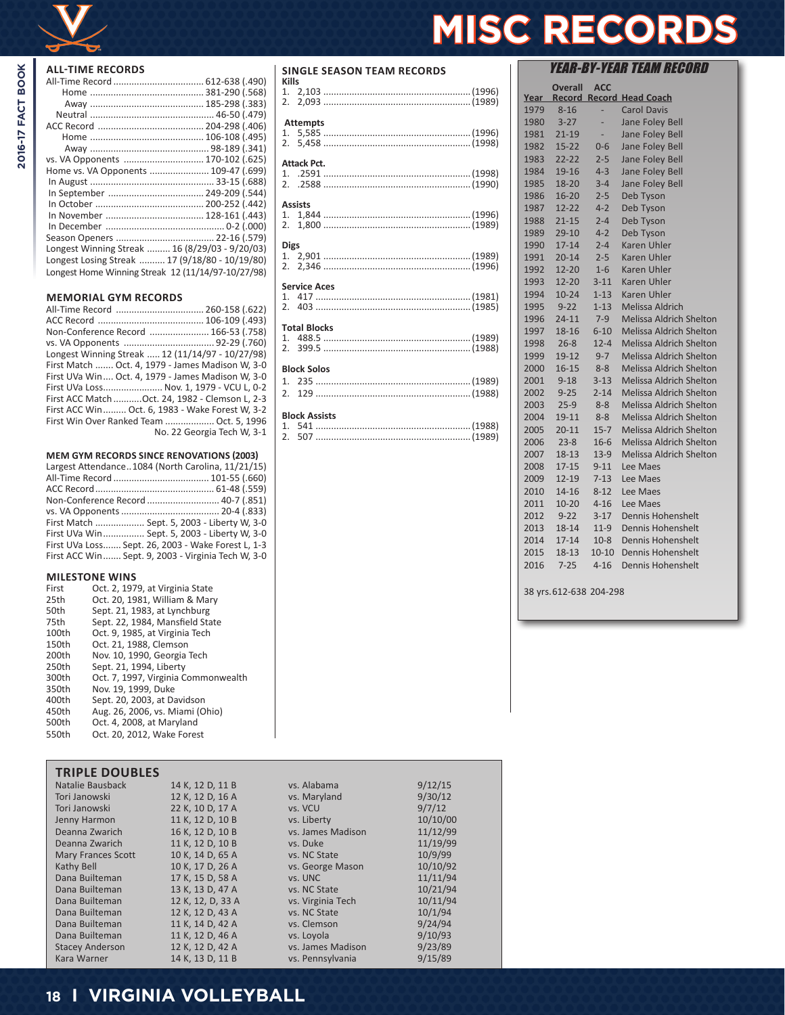

2016-17 FACT BOOK

| vs. VA Opponents  170-102 (.625)                   |  |
|----------------------------------------------------|--|
| Home vs. VA Opponents  109-47 (.699)               |  |
|                                                    |  |
|                                                    |  |
|                                                    |  |
|                                                    |  |
|                                                    |  |
|                                                    |  |
| Longest Winning Streak  16 (8/29/03 - 9/20/03)     |  |
| Longest Losing Streak  17 (9/18/80 - 10/19/80)     |  |
| Longest Home Winning Streak 12 (11/14/97-10/27/98) |  |
|                                                    |  |

# **MEMORIAL GYM RECORDS**

| Non-Conference Record  166-53 (.758)              |                            |
|---------------------------------------------------|----------------------------|
|                                                   |                            |
| Longest Winning Streak  12 (11/14/97 - 10/27/98)  |                            |
| First Match  Oct. 4, 1979 - James Madison W, 3-0  |                            |
| First UVa Win Oct. 4, 1979 - James Madison W, 3-0 |                            |
| First UVa Loss Nov. 1, 1979 - VCU L, 0-2          |                            |
| First ACC Match  Oct. 24, 1982 - Clemson L, 2-3   |                            |
| First ACC Win Oct. 6, 1983 - Wake Forest W, 3-2   |                            |
| First Win Over Ranked Team  Oct. 5, 1996          |                            |
|                                                   | No. 22 Georgia Tech W, 3-1 |
|                                                   |                            |

# **MEM GYM RECORDS SINCE RENOVATIONS (2003)** Largest Attendance 1084 (North Carolin

| Largest Attendance1084 (North Carolina, 11/21/15)  |
|----------------------------------------------------|
|                                                    |
|                                                    |
| Non-Conference Record  40-7 (.851)                 |
|                                                    |
| First Match  Sept. 5, 2003 - Liberty W, 3-0        |
| First UVa Win Sept. 5, 2003 - Liberty W, 3-0       |
| First UVa Loss Sept. 26, 2003 - Wake Forest L, 1-3 |
| First ACC Win Sept. 9, 2003 - Virginia Tech W, 3-0 |
|                                                    |

# **MILESTONE WINS**

| First | Oct. 2, 1979, at Virginia State     |
|-------|-------------------------------------|
| 25th  | Oct. 20, 1981, William & Mary       |
| 50th  | Sept. 21, 1983, at Lynchburg        |
| 75th  | Sept. 22, 1984, Mansfield State     |
| 100th | Oct. 9, 1985, at Virginia Tech      |
| 150th | Oct. 21, 1988. Clemson              |
| 200th | Nov. 10, 1990, Georgia Tech         |
| 250th | Sept. 21, 1994, Liberty             |
| 300th | Oct. 7, 1997, Virginia Commonwealth |
| 350th | Nov. 19, 1999. Duke                 |
| 400th | Sept. 20, 2003, at Davidson         |
| 450th | Aug. 26, 2006, vs. Miami (Ohio)     |
| 500th | Oct. 4, 2008, at Maryland           |
| 550th | Oct. 20. 2012. Wake Forest          |
|       |                                     |

| <b>TRIPLE DOUBLES</b>     |                   |                   |          |
|---------------------------|-------------------|-------------------|----------|
| Natalie Bausback          | 14 K, 12 D, 11 B  | vs. Alabama       | 9/12/15  |
| Tori Janowski             | 12 K. 12 D. 16 A  | vs. Maryland      | 9/30/12  |
| Tori Janowski             | 22 K, 10 D, 17 A  | vs. VCU           | 9/7/12   |
| Jenny Harmon              | 11 K, 12 D, 10 B  | vs. Liberty       | 10/10/00 |
| Deanna Zwarich            | 16 K, 12 D, 10 B  | vs. James Madison | 11/12/99 |
| Deanna Zwarich            | 11 K, 12 D, 10 B  | vs. Duke          | 11/19/99 |
| <b>Mary Frances Scott</b> | 10 K, 14 D, 65 A  | vs. NC State      | 10/9/99  |
| Kathy Bell                | 10 K, 17 D, 26 A  | vs. George Mason  | 10/10/92 |
| Dana Builteman            | 17 K, 15 D, 58 A  | vs. UNC           | 11/11/94 |
| Dana Builteman            | 13 K. 13 D. 47 A  | vs. NC State      | 10/21/94 |
| Dana Builteman            | 12 K, 12, D, 33 A | vs. Virginia Tech | 10/11/94 |
| Dana Builteman            | 12 K, 12 D, 43 A  | vs. NC State      | 10/1/94  |
| Dana Builteman            | 11 K, 14 D, 42 A  | vs. Clemson       | 9/24/94  |
| Dana Builteman            | 11 K, 12 D, 46 A  | vs. Loyola        | 9/10/93  |
| <b>Stacey Anderson</b>    | 12 K, 12 D, 42 A  | vs. James Madison | 9/23/89  |
| Kara Warner               | 14 K, 13 D, 11 B  | vs. Pennsylvania  | 9/15/89  |

# **SINGLE SEASON TEAM RECORDS**

| Kills               |                     |  |  |
|---------------------|---------------------|--|--|
|                     | <b>Attempts</b>     |  |  |
|                     |                     |  |  |
|                     | Attack Pct.         |  |  |
|                     |                     |  |  |
|                     | <b>Assists</b>      |  |  |
|                     |                     |  |  |
| <b>Digs</b>         |                     |  |  |
|                     |                     |  |  |
|                     | <b>Service Aces</b> |  |  |
|                     |                     |  |  |
|                     |                     |  |  |
| <b>Total Blocks</b> |                     |  |  |
|                     |                     |  |  |
|                     |                     |  |  |
|                     | <b>Block Solos</b>  |  |  |
|                     | 1 22 $(1000)$       |  |  |

# **Block Assists**

# YEAR-BY-YEAR TEAM RECORD **Overall ACC Year Record Record Head Coach MISC RECORDS**

| Year |           |           | <b>Record Record Head Coach</b> |
|------|-----------|-----------|---------------------------------|
| 1979 | $8 - 16$  |           | <b>Carol Davis</b>              |
| 1980 | $3 - 27$  |           | Jane Foley Bell                 |
| 1981 | $21 - 19$ |           | Jane Foley Bell                 |
| 1982 | $15 - 22$ | $0 - 6$   | Jane Foley Bell                 |
| 1983 | $22 - 22$ | $2 - 5$   | Jane Foley Bell                 |
| 1984 | 19-16     | $4 - 3$   | Jane Foley Bell                 |
| 1985 | 18-20     | $3 - 4$   | Jane Foley Bell                 |
| 1986 | $16 - 20$ | $2 - 5$   | Deb Tyson                       |
| 1987 | $12 - 22$ | $4 - 2$   | Deb Tyson                       |
| 1988 | $21 - 15$ | $2 - 4$   | Deb Tyson                       |
| 1989 | $29-10$   | $4 - 2$   | Deb Tyson                       |
| 1990 | $17 - 14$ | $2 - 4$   | <b>Karen Uhler</b>              |
| 1991 | $20 - 14$ | $2 - 5$   | Karen Uhler                     |
| 1992 | $12 - 20$ | $1 - 6$   | <b>Karen Uhler</b>              |
| 1993 | $12 - 20$ | $3 - 11$  | <b>Karen Uhler</b>              |
| 1994 | $10 - 24$ | $1 - 13$  | <b>Karen Uhler</b>              |
| 1995 | $9 - 22$  | $1 - 13$  | Melissa Aldrich                 |
| 1996 | $24 - 11$ | $7-9$     | <b>Melissa Aldrich Shelton</b>  |
| 1997 | 18-16     | $6 - 10$  | <b>Melissa Aldrich Shelton</b>  |
| 1998 | $26 - 8$  | $12 - 4$  | <b>Melissa Aldrich Shelton</b>  |
| 1999 | $19 - 12$ | $9 - 7$   | Melissa Aldrich Shelton         |
| 2000 | $16 - 15$ | $8 - 8$   | <b>Melissa Aldrich Shelton</b>  |
| 2001 | $9 - 18$  | $3 - 13$  | <b>Melissa Aldrich Shelton</b>  |
| 2002 | $9 - 25$  | $2 - 14$  | <b>Melissa Aldrich Shelton</b>  |
| 2003 | $25-9$    | $8 - 8$   | <b>Melissa Aldrich Shelton</b>  |
| 2004 | 19-11     | $8 - 8$   | <b>Melissa Aldrich Shelton</b>  |
| 2005 | $20 - 11$ | $15 - 7$  | Melissa Aldrich Shelton         |
| 2006 | $23 - 8$  | $16-6$    | <b>Melissa Aldrich Shelton</b>  |
| 2007 | 18-13     | $13-9$    | <b>Melissa Aldrich Shelton</b>  |
| 2008 | $17 - 15$ | $9 - 11$  | Lee Maes                        |
| 2009 | $12 - 19$ | $7 - 13$  | Lee Maes                        |
| 2010 | 14-16     | $8 - 12$  | Lee Maes                        |
| 2011 | $10 - 20$ | $4 - 16$  | Lee Maes                        |
| 2012 | $9 - 22$  | $3-17$    | Dennis Hohenshelt               |
| 2013 | 18-14     | $11-9$    | Dennis Hohenshelt               |
| 2014 | $17 - 14$ | $10-8$    | Dennis Hohenshelt               |
| 2015 | 18-13     | $10 - 10$ | Dennis Hohenshelt               |
| 2016 | $7 - 25$  | $4 - 16$  | Dennis Hohenshelt               |
|      |           |           |                                 |

38 yrs.612-638 204-298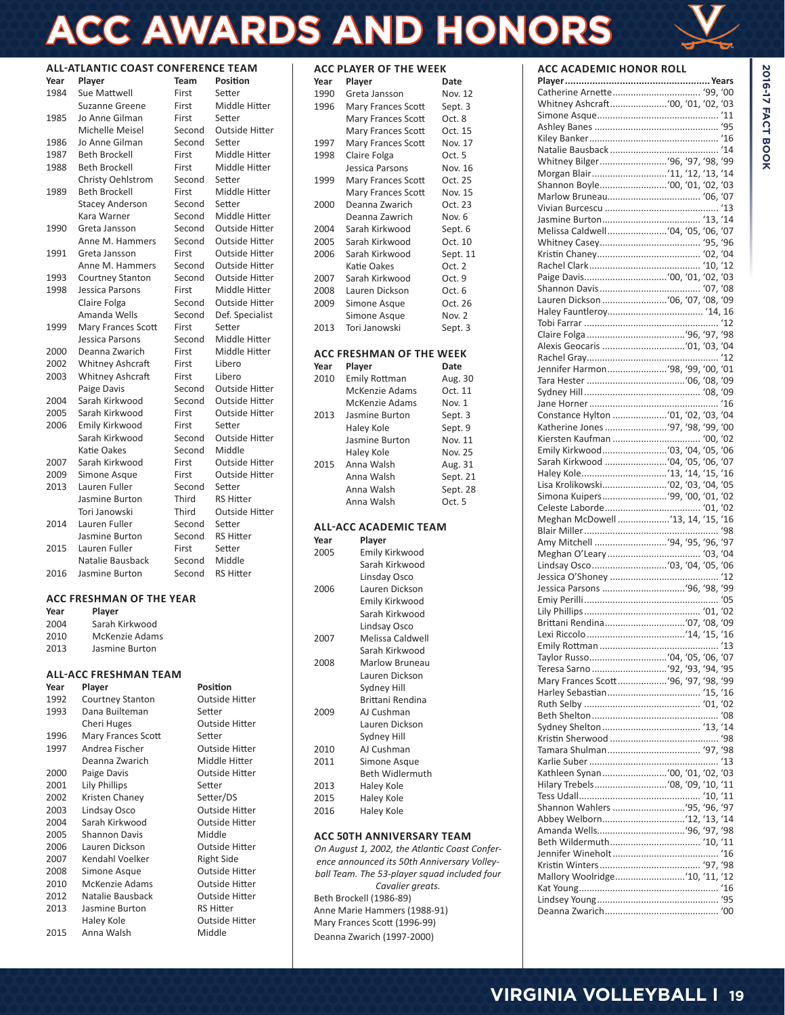# **ACC AWARDS AND HONORS**

# **ALL-ATLANTIC COAST CONFERENCE TEAM**

| Year | Player                    | <b>Team</b> | <b>Position</b>       |
|------|---------------------------|-------------|-----------------------|
| 1984 | Sue Mattwell              | First       | Setter                |
|      | Suzanne Greene            | First       | Middle Hitter         |
| 1985 | Jo Anne Gilman            | First       | Setter                |
|      | Michelle Meisel           | Second      | <b>Outside Hitter</b> |
| 1986 | Jo Anne Gilman            | Second      | Setter                |
| 1987 | <b>Beth Brockell</b>      | First       | Middle Hitter         |
| 1988 | <b>Beth Brockell</b>      | First       | Middle Hitter         |
|      | Christy Oehlstrom         | Second      | Setter                |
| 1989 | <b>Beth Brockell</b>      | First       | Middle Hitter         |
|      | <b>Stacey Anderson</b>    | Second      | Setter                |
|      | Kara Warner               | Second      | Middle Hitter         |
| 1990 | Greta Jansson             | Second      | <b>Outside Hitter</b> |
|      | Anne M. Hammers           | Second      | <b>Outside Hitter</b> |
| 1991 | Greta Jansson             | First       | <b>Outside Hitter</b> |
|      | Anne M. Hammers           | Second      | <b>Outside Hitter</b> |
| 1993 | <b>Courtney Stanton</b>   | Second      | <b>Outside Hitter</b> |
| 1998 | Jessica Parsons           | First       | Middle Hitter         |
|      | Claire Folga              | Second      | <b>Outside Hitter</b> |
|      | Amanda Wells              | Second      | Def. Specialist       |
| 1999 | <b>Mary Frances Scott</b> | First       | Setter                |
|      | Jessica Parsons           | Second      | Middle Hitter         |
| 2000 | Deanna Zwarich            | First       | Middle Hitter         |
| 2002 | <b>Whitney Ashcraft</b>   | First       | Libero                |
| 2003 | <b>Whitney Ashcraft</b>   | First       | Libero                |
|      | Paige Davis               | Second      | <b>Outside Hitter</b> |
| 2004 | Sarah Kirkwood            | Second      | <b>Outside Hitter</b> |
| 2005 | Sarah Kirkwood            | First       | <b>Outside Hitter</b> |
| 2006 | Emily Kirkwood            | First       | Setter                |
|      | Sarah Kirkwood            | Second      | <b>Outside Hitter</b> |
|      | Katie Oakes               | Second      | Middle                |
| 2007 | Sarah Kirkwood            | First       | <b>Outside Hitter</b> |
| 2009 | Simone Asque              | First       | <b>Outside Hitter</b> |
| 2013 | Lauren Fuller             | Second      | Setter                |
|      | Jasmine Burton            | Third       | <b>RS Hitter</b>      |
|      | Tori Janowski             | Third       | <b>Outside Hitter</b> |
| 2014 | Lauren Fuller             | Second      | Setter                |
|      | Jasmine Burton            | Second      | <b>RS Hitter</b>      |
| 2015 | Lauren Fuller             | First       | Setter                |
|      | Natalie Bausback          | Second      | Middle                |
| 2016 | Jasmine Burton            | Second      | <b>RS Hitter</b>      |
|      |                           |             |                       |

## **ACC FRESHMAN OF THE YEAR**

| Year | Player                |
|------|-----------------------|
| 2004 | Sarah Kirkwood        |
| 2010 | <b>McKenzie Adams</b> |
| 2013 | Jasmine Burton        |

# **ALL-ACC FRESHMAN TEAM**

| Year | Player                    | Position              |
|------|---------------------------|-----------------------|
| 1992 | Courtney Stanton          | <b>Outside Hitter</b> |
| 1993 | Dana Builteman            | Setter                |
|      | Cheri Huges               | <b>Outside Hitter</b> |
| 1996 | <b>Mary Frances Scott</b> | Setter                |
| 1997 | Andrea Fischer            | <b>Outside Hitter</b> |
|      | Deanna Zwarich            | Middle Hitter         |
| 2000 | Paige Davis               | <b>Outside Hitter</b> |
| 2001 | Lily Phillips             | Setter                |
| 2002 | Kristen Chaney            | Setter/DS             |
| 2003 | Lindsay Osco              | <b>Outside Hitter</b> |
| 2004 | Sarah Kirkwood            | <b>Outside Hitter</b> |
| 2005 | <b>Shannon Davis</b>      | Middle                |
| 2006 | Lauren Dickson            | <b>Outside Hitter</b> |
| 2007 | Kendahl Voelker           | <b>Right Side</b>     |
| 2008 | Simone Asque              | <b>Outside Hitter</b> |
| 2010 | McKenzie Adams            | Outside Hitter        |
| 2012 | Natalie Bausback          | Outside Hitter        |
| 2013 | Jasmine Burton            | <b>RS Hitter</b>      |
|      | Haley Kole                | Outside Hitter        |
| 2015 | Anna Walsh                | Middle                |

# **ACC PLAYER OF THE WEEK**

| Year | Player             | Date           |
|------|--------------------|----------------|
| 1990 | Greta Jansson      | Nov. 12        |
| 1996 | Mary Frances Scott | Sept. 3        |
|      | Mary Frances Scott | Ort.8          |
|      | Mary Frances Scott | Oct. 15        |
| 1997 | Mary Frances Scott | Nov. 17        |
| 1998 | Claire Folga       | Oct.5          |
|      | Jessica Parsons    | Nov. 16        |
| 1999 | Mary Frances Scott | Oct. 25        |
|      | Mary Frances Scott | <b>Nov. 15</b> |
| 2000 | Deanna Zwarich     | Oct. 23        |
|      | Deanna Zawrich     | Nov. 6         |
| 2004 | Sarah Kirkwood     | Sept. 6        |
| 2005 | Sarah Kirkwood     | Oct. 10        |
| 2006 | Sarah Kirkwood     | Sept. 11       |
|      | Katie Oakes        | Oct. $2$       |
| 2007 | Sarah Kirkwood     | Oct. 9         |
| 2008 | Lauren Dickson     | Oct. 6         |
| 2009 | Simone Asque       | Oct. 26        |
|      | Simone Asque       | <b>Nov. 2</b>  |
| 2013 | Tori Janowski      | Sept. 3        |

# **ACC FRESHMAN OF THE WEEK**

| Year | Player               | Date     |
|------|----------------------|----------|
| 2010 | <b>Emily Rottman</b> | Aug. 30  |
|      | McKenzie Adams       | Oct. 11  |
|      | McKenzie Adams       | Nov. 1   |
| 2013 | Jasmine Burton       | Sept. 3  |
|      | Haley Kole           | Sept. 9  |
|      | Jasmine Burton       | Nov. 11  |
|      | Haley Kole           | Nov. 25  |
| 2015 | Anna Walsh           | Aug. 31  |
|      | Anna Walsh           | Sept. 21 |
|      | Anna Walsh           | Sept. 28 |
|      | Anna Walsh           | Oct. 5   |

# **ALL-ACC ACADEMIC TEAM**

| Year | Player                 |
|------|------------------------|
| 2005 | Emily Kirkwood         |
|      | Sarah Kirkwood         |
|      | Linsday Osco           |
| 2006 | Lauren Dickson         |
|      | Emily Kirkwood         |
|      | Sarah Kirkwood         |
|      | Lindsay Osco           |
| 2007 | Melissa Caldwell       |
|      | Sarah Kirkwood         |
| 2008 | Marlow Bruneau         |
|      | Lauren Dickson         |
|      | Sydney Hill            |
|      | Brittani Rendina       |
| 2009 | AI Cushman             |
|      | Lauren Dickson         |
|      | Sydney Hill            |
| 2010 | AI Cushman             |
| 2011 | Simone Asque           |
|      | <b>Beth Widlermuth</b> |
| 2013 | Haley Kole             |
| 2015 | Haley Kole             |
| 2016 | Haley Kole             |
|      |                        |

# **ACC 50TH ANNIVERSARY TEAM**

*On August 1, 2002, the Atlantic Coast Conference announced its 50th Anniversary Volleyball Team. The 53-player squad included four Cavalier greats.* Beth Brockell (1986-89) Anne Marie Hammers (1988-91) Mary Frances Scott (1996-99) Deanna Zwarich (1997-2000)

# **ACC ACADEMIC HONOR ROLL**

| Whitney Bilger '96, '97, '98, '99                                 |     |
|-------------------------------------------------------------------|-----|
|                                                                   |     |
|                                                                   |     |
|                                                                   |     |
|                                                                   |     |
|                                                                   |     |
| Melissa Caldwell '04, '05, '06, '07                               |     |
|                                                                   |     |
|                                                                   |     |
|                                                                   |     |
|                                                                   |     |
|                                                                   |     |
| Lauren Dickson  '06, '07, '08, '09                                |     |
|                                                                   |     |
|                                                                   |     |
|                                                                   |     |
|                                                                   |     |
|                                                                   |     |
| Jennifer Harmon '98, '99, '00, '01                                |     |
|                                                                   |     |
|                                                                   |     |
|                                                                   |     |
| Constance Hylton  '01, '02, '03, '04                              |     |
|                                                                   |     |
| Katherine Jones  '97, '98, '99, '00<br>Kiersten Kaufman  '00, '02 |     |
|                                                                   |     |
| Sarah Kirkwood  '04, '05, '06, '07                                |     |
|                                                                   |     |
|                                                                   |     |
|                                                                   |     |
|                                                                   |     |
|                                                                   |     |
| Meghan McDowell  '13, 14, '15, '16                                |     |
|                                                                   |     |
| Amy Mitchell  '94, '95, '96, '97                                  |     |
|                                                                   |     |
|                                                                   |     |
|                                                                   |     |
|                                                                   |     |
|                                                                   |     |
|                                                                   |     |
|                                                                   |     |
|                                                                   |     |
|                                                                   |     |
|                                                                   |     |
|                                                                   |     |
|                                                                   |     |
|                                                                   |     |
|                                                                   |     |
|                                                                   |     |
|                                                                   |     |
|                                                                   |     |
|                                                                   |     |
|                                                                   |     |
| Kathleen Synan '00, '01, '02, '03                                 |     |
|                                                                   |     |
|                                                                   |     |
| Shannon Wahlers  '95, '96, '97                                    |     |
|                                                                   | '14 |
|                                                                   |     |
|                                                                   |     |
|                                                                   |     |
|                                                                   |     |
|                                                                   |     |
| Mallory Woolridge '10, '11, '12                                   |     |
|                                                                   |     |
|                                                                   |     |
|                                                                   |     |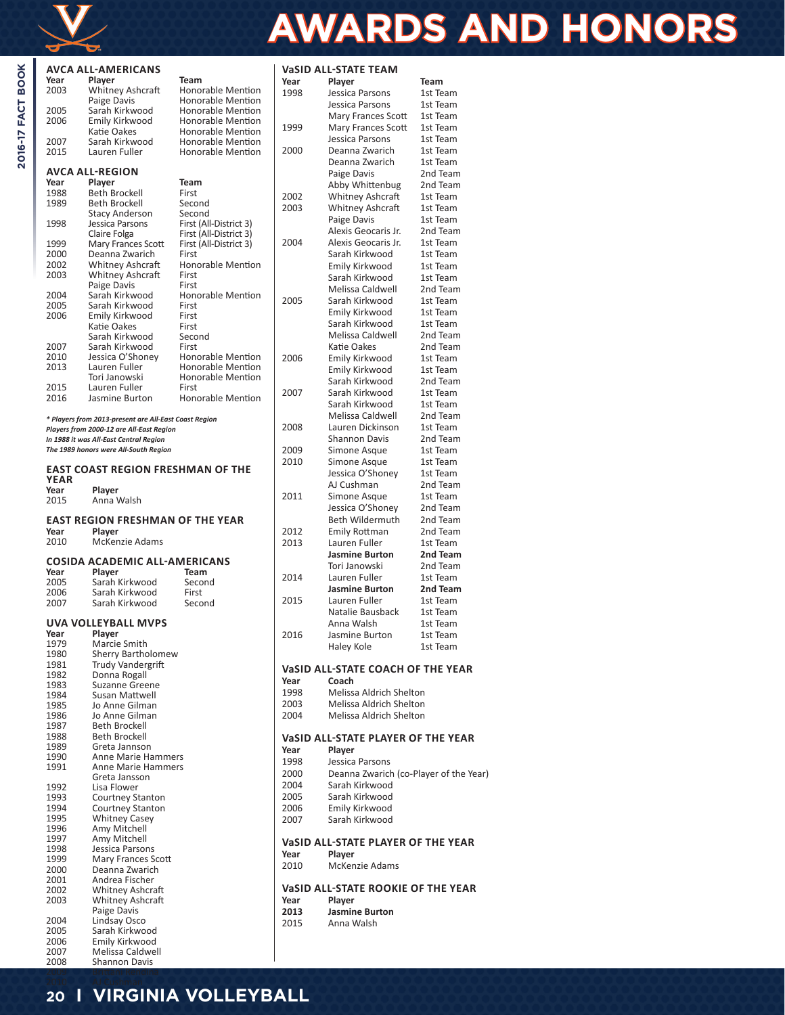

**2016-17 FACT BOOK** 

# **AWARDS AND HONORS**

|              | AVCA ALL-AMERICANS                                                              |                                        |      | <b>VaSID ALL-STATE TEAM</b>            |                      |
|--------------|---------------------------------------------------------------------------------|----------------------------------------|------|----------------------------------------|----------------------|
| Year         | Player                                                                          | Team                                   | Year | Player                                 | Team                 |
| 2003         | Whitney Ashcraft                                                                | Honorable Mention                      | 1998 | Jessica Parsons                        | 1st Team             |
|              | Paige Davis                                                                     | Honorable Mention                      |      | Jessica Parsons                        | 1st Team             |
| 2005<br>2006 | Sarah Kirkwood<br>Emily Kirkwood                                                | Honorable Mention<br>Honorable Mention |      | Mary Frances Scott                     | 1st Team             |
|              | Katie Oakes                                                                     | Honorable Mention                      | 1999 | Mary Frances Scott                     | 1st Team             |
| 2007         | Sarah Kirkwood                                                                  | Honorable Mention                      |      | Jessica Parsons                        | 1st Team             |
| 2015         | Lauren Fuller                                                                   | Honorable Mention                      | 2000 | Deanna Zwarich                         | 1st Team             |
|              |                                                                                 |                                        |      | Deanna Zwarich                         | 1st Team             |
|              | <b>AVCA ALL-REGION</b>                                                          |                                        |      | Paige Davis                            | 2nd Team             |
| Year         | Player                                                                          | Team                                   |      | Abby Whittenbug                        | 2nd Team             |
| 1988<br>1989 | Beth Brockell<br>Beth Brockell                                                  | First<br>Second                        | 2002 | Whitney Ashcraft                       | 1st Team             |
|              | <b>Stacy Anderson</b>                                                           | Second                                 | 2003 | <b>Whitney Ashcraft</b>                | 1st Team             |
| 1998         | Jessica Parsons                                                                 | First (All-District 3)                 |      | Paige Davis                            | 1st Team             |
|              | Claire Folga                                                                    | First (All-District 3)                 |      | Alexis Geocaris Jr.                    | 2nd Team             |
| 1999         | Mary Frances Scott                                                              | First (All-District 3)                 | 2004 | Alexis Geocaris Jr.                    | 1st Team             |
| 2000         | Deanna Zwarich                                                                  | First                                  |      | Sarah Kirkwood                         | 1st Team             |
| 2002<br>2003 | Whitney Ashcraft                                                                | Honorable Mention<br>First             |      | Emily Kirkwood                         | 1st Team             |
|              | Whitney Ashcraft<br>Paige Davis                                                 | First                                  |      | Sarah Kirkwood                         | 1st Team             |
| 2004         | Sarah Kirkwood                                                                  | Honorable Mention                      |      | Melissa Caldwell                       | 2nd Team             |
| 2005         | Sarah Kirkwood                                                                  | First                                  | 2005 | Sarah Kirkwood                         | 1st Team             |
| 2006         | Emily Kirkwood                                                                  | First                                  |      | Emily Kirkwood                         | 1st Team             |
|              | Katie Oakes                                                                     | First                                  |      | Sarah Kirkwood                         | 1st Team             |
|              | Sarah Kirkwood                                                                  | Second                                 |      | Melissa Caldwell                       | 2nd Team             |
| 2007<br>2010 | Sarah Kirkwood<br>Jessica O'Shoney                                              | First<br>Honorable Mention             | 2006 | Katie Oakes                            | 2nd Team             |
| 2013         | Lauren Fuller                                                                   | Honorable Mention                      |      | Emily Kirkwood                         | 1st Team             |
|              | Tori Janowski                                                                   | Honorable Mention                      |      | Emily Kirkwood                         | 1st Team             |
| 2015         | Lauren Fuller                                                                   | First                                  | 2007 | Sarah Kirkwood<br>Sarah Kirkwood       | 2nd Team             |
| 2016         | Jasmine Burton                                                                  | Honorable Mention                      |      | Sarah Kirkwood                         | 1st Team<br>1st Team |
|              |                                                                                 |                                        |      | Melissa Caldwell                       | 2nd Team             |
|              | * Players from 2013-present are All-East Coast Region                           |                                        | 2008 | Lauren Dickinson                       | 1st Team             |
|              | Players from 2000-12 are All-East Region                                        |                                        |      | <b>Shannon Davis</b>                   | 2nd Team             |
|              | In 1988 it was All-East Central Region<br>The 1989 honors were All-South Region |                                        | 2009 | Simone Asque                           | 1st Team             |
|              |                                                                                 |                                        | 2010 | Simone Asque                           | 1st Team             |
|              | <b>EAST COAST REGION FRESHMAN OF THE</b>                                        |                                        |      | Jessica O'Shoney                       | 1st Team             |
| <b>YEAR</b>  |                                                                                 |                                        |      | AJ Cushman                             | 2nd Team             |
| Year         | Player                                                                          |                                        | 2011 | Simone Asque                           | 1st Team             |
| 2015         | Anna Walsh                                                                      |                                        |      | Jessica O'Shoney                       | 2nd Team             |
|              | EAST REGION FRESHMAN OF THE YEAR                                                |                                        |      | Beth Wildermuth                        | 2nd Team             |
| Year         | Player                                                                          |                                        | 2012 | Emily Rottman                          | 2nd Team             |
| 2010         | McKenzie Adams                                                                  |                                        | 2013 | Lauren Fuller                          | 1st Team             |
|              |                                                                                 |                                        |      | <b>Jasmine Burton</b>                  | 2nd Team             |
|              | <b>COSIDA ACADEMIC ALL-AMERICANS</b>                                            |                                        |      | Tori Janowski                          | 2nd Team             |
| Year         | Plaver                                                                          | Team                                   | 2014 | Lauren Fuller                          | 1st Team             |
| 2005<br>2006 | Sarah Kirkwood<br>Sarah Kirkwood                                                | Second<br>First                        |      | Jasmine Burton                         | 2nd Team             |
| 2007         | Sarah Kirkwood                                                                  | Second                                 | 2015 | Lauren Fuller                          | 1st Team             |
|              |                                                                                 |                                        |      | Natalie Bausback                       | 1st Team             |
|              | UVA VOLLEYBALL MVPS                                                             |                                        |      | Anna Walsh                             | 1st Team             |
| Year         | Player                                                                          |                                        | 2016 | Jasmine Burton                         | 1st Team             |
| 1979         | Marcie Smith                                                                    |                                        |      | Haley Kole                             | 1st Team             |
| 1980<br>1981 | <b>Sherry Bartholomew</b><br>Trudy Vandergrift                                  |                                        |      |                                        |                      |
| 1982         | Donna Rogall                                                                    |                                        |      | VaSID ALL-STATE COACH OF THE YEAR      |                      |
| 1983         | Suzanne Greene                                                                  |                                        | Year | Coach                                  |                      |
| 1984         | Susan Mattwell                                                                  |                                        | 1998 | Melissa Aldrich Shelton                |                      |
| 1985         | Jo Anne Gilman                                                                  |                                        | 2003 | Melissa Aldrich Shelton                |                      |
| 1986         | Jo Anne Gilman                                                                  |                                        | 2004 | <b>Melissa Aldrich Shelton</b>         |                      |
| 1987         | <b>Beth Brockell</b><br>Beth Brockell                                           |                                        |      |                                        |                      |
| 1988<br>1989 | Greta Jannson                                                                   |                                        |      | VaSID ALL-STATE PLAYER OF THE YEAR     |                      |
| 1990         | <b>Anne Marie Hammers</b>                                                       |                                        | Year | Player                                 |                      |
| 1991         | Anne Marie Hammers                                                              |                                        | 1998 | Jessica Parsons                        |                      |
|              | Greta Jansson                                                                   |                                        | 2000 | Deanna Zwarich (co-Player of the Year) |                      |
| 1992         | Lisa Flower                                                                     |                                        | 2004 | Sarah Kirkwood                         |                      |
| 1993         | Courtney Stanton                                                                |                                        | 2005 | Sarah Kirkwood                         |                      |
| 1994         | Courtney Stanton                                                                |                                        | 2006 | Emily Kirkwood                         |                      |
| 1995<br>1996 | <b>Whitney Casey</b><br>Amy Mitchell                                            |                                        | 2007 | Sarah Kirkwood                         |                      |
| 1997         | Amy Mitchell                                                                    |                                        |      |                                        |                      |
| 1998         | Jessica Parsons                                                                 |                                        |      | VaSID ALL-STATE PLAYER OF THE YEAR     |                      |
| 1999         | Mary Frances Scott                                                              |                                        | Year | Player                                 |                      |
| 2000         | Deanna Zwarich                                                                  |                                        | 2010 | <b>McKenzie Adams</b>                  |                      |
| 2001         | Andrea Fischer                                                                  |                                        |      | VaSID ALL-STATE ROOKIE OF THE YEAR     |                      |
| 2002<br>2003 | <b>Whitney Ashcraft</b><br>Whitney Ashcraft                                     |                                        | Year | Player                                 |                      |
|              | Paige Davis                                                                     |                                        | 2013 | <b>Jasmine Burton</b>                  |                      |
| 2004         | Lindsay Osco                                                                    |                                        | 2015 | Anna Walsh                             |                      |
| 2005         | Sarah Kirkwood                                                                  |                                        |      |                                        |                      |
| 2006         | Emily Kirkwood                                                                  |                                        |      |                                        |                      |

#### 2007 Melissa Caldwell  $\overline{\phantom{a}}$ Shannon Davis 2009 Brittani Rendina **20 I VIRGINIA VOLLEYBALL**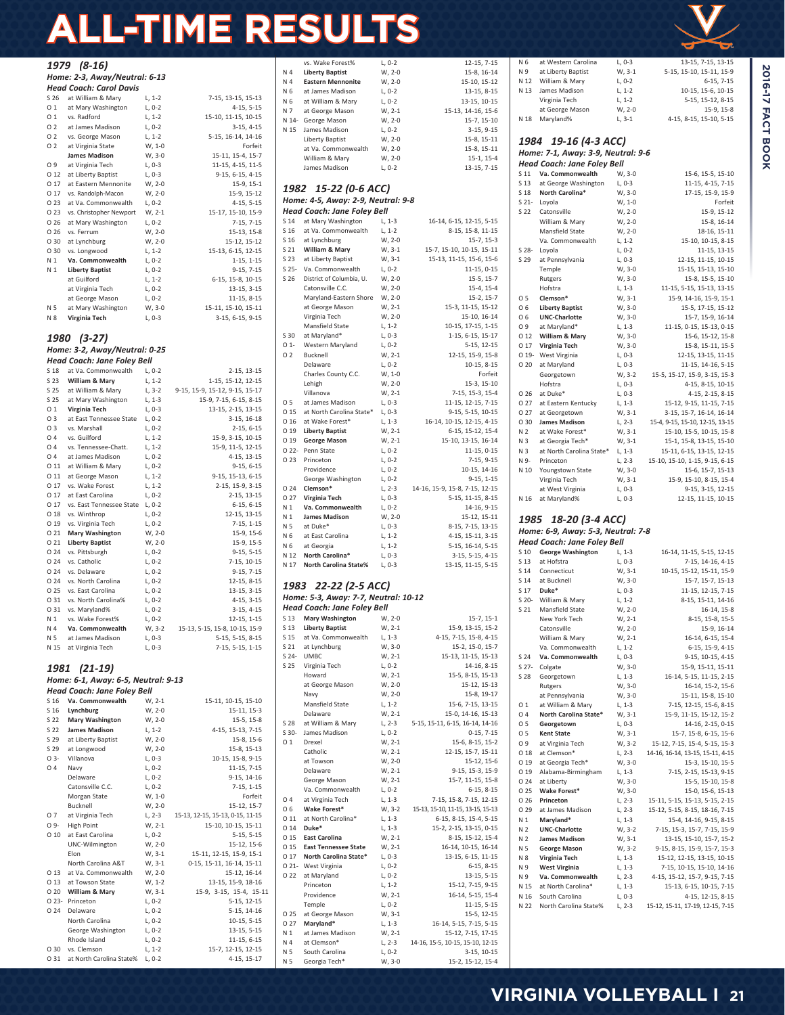# **ALL-TIME RESULTS**

|                         | 1979 (8-16)                                        |                      |                                               |
|-------------------------|----------------------------------------------------|----------------------|-----------------------------------------------|
|                         | Home: 2-3, Away/Neutral: 6-13                      |                      |                                               |
|                         | Head Coach: Carol Davis                            |                      |                                               |
| S 26<br>01              | at William & Mary<br>at Mary Washington            | $L, 1-2$<br>$L, 0-2$ | 7-15, 13-15, 15-13<br>4-15, 5-15              |
| 01                      | vs. Radford                                        | $L, 1-2$             | 15-10, 11-15, 10-15                           |
| O 2                     | at James Madison                                   | $L, 0-2$             | $3-15, 4-15$                                  |
| 02                      | vs. George Mason                                   | $L, 1-2$             | 5-15, 16-14, 14-16                            |
| 02                      | at Virginia State                                  | W, 1-0               | Forfeit                                       |
| O 9                     | <b>James Madison</b><br>at Virginia Tech           | W, 3-0<br>$L, 0-3$   | 15-11, 15-4, 15-7<br>11-15, 4-15, 11-5        |
| 0 1 2                   | at Liberty Baptist                                 | $L, 0-3$             | 9-15, 6-15, 4-15                              |
| 017                     | at Eastern Mennonite                               | W, 2-0               | 15-9, 15-1                                    |
| 0 17                    | vs. Randolph-Macon                                 | W, 2-0               | 15-9, 15-12                                   |
| O 23                    | at Va. Commonwealth                                | $L, 0-2$             | $4-15, 5-15$                                  |
| O 23<br>O 26            | vs. Christopher Newport                            | $W, 2-1$             | 15-17, 15-10, 15-9                            |
| O 26                    | at Mary Washington<br>vs. Ferrum                   | $L, 0-2$<br>W, 2-0   | 7-15, 7-15<br>15-13, 15-8                     |
| O 30                    | at Lynchburg                                       | W, 2-0               | 15-12, 15-12                                  |
| O 30                    | vs. Longwood                                       | $L, 1-2$             | 15-13, 6-15, 12-15                            |
| N 1                     | Va. Commonwealth                                   | $L, 0-2$             | $1-15, 1-15$                                  |
| N 1                     | <b>Liberty Baptist</b>                             | $L, 0-2$             | 9-15, 7-15                                    |
|                         | at Guilford<br>at Virginia Tech                    | $L, 1-2$<br>L, 0-2   | 6-15, 15-8, 10-15<br>13-15, 3-15              |
|                         | at George Mason                                    | $L, 0-2$             | 11-15, 8-15                                   |
| N 5                     | at Mary Washington                                 | W, 3-0               | 15-11, 15-10, 15-11                           |
| N 8                     | Virginia Tech                                      | $L, 0-3$             | 3-15, 6-15, 9-15                              |
|                         |                                                    |                      |                                               |
| 1980                    | $(3-27)$                                           |                      |                                               |
|                         | Home: 3-2, Away/Neutral: 0-25                      |                      |                                               |
|                         | Head Coach: Jane Foley Bell<br>at Va. Commonwealth |                      |                                               |
| S 18<br>S 23            | William & Mary                                     | $L, 0-2$<br>$L, 1-2$ | 2-15, 13-15<br>1-15, 15-12, 12-15             |
| S 25                    | at William & Mary                                  | $L, 3-2$             | 9-15, 15-9, 15-12, 9-15, 15-17                |
| S 25                    | at Mary Washington                                 | $L, 1-3$             | 15-9, 7-15, 6-15, 8-15                        |
| 01                      | Virginia Tech                                      | $L, 0-3$             | 13-15, 2-15, 13-15                            |
| O 3                     | at East Tennessee State                            | $L, 0-2$             | 3-15, 16-18                                   |
| O 3<br>04               | vs. Marshall<br>vs. Guilford                       | $L, 0-2$<br>$L, 1-2$ | $2-15, 6-15$<br>15-9, 3-15, 10-15             |
| 04                      | vs. Tennessee-Chatt.                               | $L, 1-2$             | 15-9, 11-5, 12-15                             |
| 04                      | at James Madison                                   | $L, 0-2$             | 4-15, 13-15                                   |
| 0 1 1                   | at William & Mary                                  | $L, 0-2$             | $9-15, 6-15$                                  |
| 011                     | at George Mason                                    | $L, 1-2$             | 9-15, 15-13, 6-15                             |
| 0 17                    | vs. Wake Forest                                    | $L, 1-2$             | 2-15, 15-9, 3-15                              |
| 017<br>0 17             | at East Carolina<br>vs. East Tennessee State       | $L, 0-2$<br>$L, 0-2$ | 2-15, 13-15<br>$6-15, 6-15$                   |
| 018                     | vs. Winthrop                                       | $L, 0-2$             | 12-15, 13-15                                  |
| O 19                    | vs. Virginia Tech                                  | $L, 0-2$             | $7-15, 1-15$                                  |
| 0 21                    | <b>Mary Washington</b>                             | W, 2-0               | 15-9, 15-6                                    |
| 0 21                    | <b>Liberty Baptist</b>                             | W, 2-0               | 15-9, 15-5                                    |
| O 24                    | vs. Pittsburgh                                     | $L, 0-2$             | $9-15, 5-15$                                  |
| O 24<br>O <sub>24</sub> | vs. Catholic<br>vs. Delaware                       | $L, 0-2$<br>$L, 0-2$ | 7-15, 10-15<br>$9-15, 7-15$                   |
| O <sub>24</sub>         | vs. North Carolina                                 | $L, 0-2$             | 12-15, 8-15                                   |
| O <sub>25</sub>         | vs. East Carolina                                  | $L, 0-2$             | 13-15, 3-15                                   |
| 031                     | vs. North Carolina%                                | $L, 0-2$             | 4-15, 3-15                                    |
| O 31                    | vs. Maryland%                                      | $L, 0-2$             | $3-15, 4-15$                                  |
| N 1<br>N 4              | vs. Wake Forest%<br>Va. Commonwealth               | $L, 0-2$<br>W, 3-2   | 12-15, 1-15<br>15-13, 5-15, 15-8, 10-15, 15-9 |
| N 5                     | at James Madison                                   | $L, 0-3$             | 5-15, 5-15, 8-15                              |
| N 15                    | at Virginia Tech                                   | $L, 0-3$             | 7-15, 5-15, 1-15                              |
|                         |                                                    |                      |                                               |
| 1981                    | $(21-19)$                                          |                      |                                               |
|                         | Home: 6-1, Away: 6-5, Neutral: 9-13                |                      |                                               |
|                         | Head Coach: Jane Foley Bell                        |                      |                                               |
| S 16                    | S 16 Va. Commonwealth<br>Lynchburg                 | $W, 2-1$<br>W, 2-0   | 15-11, 10-15, 15-10<br>15-11, 15-3            |
|                         | S 22 Mary Washington                               | W, 2-0               | 15-5, 15-8                                    |
|                         | S 22 James Madison                                 | $L, 1-2$             | 4-15, 15-13, 7-15                             |
| S 29                    | at Liberty Baptist                                 | W, 2-0               | 15-8, 15-6                                    |
| S 29                    | at Longwood                                        | W, 2-0               | 15-8, 15-13                                   |
| O 3-                    | Villanova                                          | L, 0-3               | 10-15, 15-8, 9-15                             |
| 04                      | Navy<br>Delaware                                   | $L, 0-2$<br>$L, 0-2$ | 11-15, 7-15<br>9-15, 14-16                    |
|                         | Catonsville C.C.                                   | $L, 0-2$             | $7-15, 1-15$                                  |
|                         | Morgan State                                       | W, 1-0               | Forfeit                                       |
|                         | Bucknell                                           | W, 2-0               | 15-12, 15-7                                   |
| 07                      | at Virginia Tech                                   | L, 2-3               | 15-13, 12-15, 15-13, 0-15, 11-15              |
| O 9-                    | High Point                                         | W, 2-1               | 15-10, 10-15, 15-11                           |
| 010                     | at East Carolina<br>UNC-Wilmington                 | $L, 0-2$<br>W, 2-0   | $5-15, 5-15$<br>15-12, 15-6                   |
|                         | Elon                                               | W, 3-1               | 15-11, 12-15, 15-9, 15-1                      |
|                         | North Carolina A&T                                 | W, 3-1               | 0-15, 15-11, 16-14, 15-11                     |
| O 13                    | at Va. Commonwealth                                | W, 2-0               | 15-12, 16-14                                  |
| 0 1 3                   | at Towson State                                    | $W, 1-2$             | 13-15, 15-9, 18-16                            |
| O 20                    | William & Mary<br>O 23- Princeton                  | W, 3-1<br>$L, 0-2$   | 15-9, 3-15, 15-4, 15-11<br>5-15, 12-15        |
| O 24                    | Delaware                                           | $L, 0-2$             | 5-15, 14-16                                   |
|                         | North Carolina                                     | $L, 0-2$             | $10-15, 5-15$                                 |
|                         | George Washington                                  | L, 0-2               | 13-15, 5-15                                   |
|                         | Rhode Island                                       | $L, 0-2$             | 11-15, 6-15                                   |
| O 30<br>O 31            | vs. Clemson<br>at North Carolina State%            | $L, 1-2$<br>$L, 0-2$ | 15-7, 12-15, 12-15                            |
|                         |                                                    |                      | 4-15, 15-17                                   |

|                 | vs. Wake Forest%                                   | L, 0-2               | 12-15, 7-15                                           |
|-----------------|----------------------------------------------------|----------------------|-------------------------------------------------------|
| N 4             | <b>Liberty Baptist</b>                             | W, 2-0               | 15-8, 16-14                                           |
| N 4             | <b>Eastern Mennonite</b>                           | W, 2-0               | 15-10, 15-12                                          |
| N 6             | at James Madison                                   | $L, 0-2$             | 13-15, 8-15                                           |
| N 6             | at William & Mary                                  | $L, 0-2$             | 13-15, 10-15                                          |
| N 7             | at George Mason                                    | W, 2-1               | 15-13, 14-16, 15-6                                    |
| N 14-           | George Mason                                       | W, 2-0               | 15-7, 15-10                                           |
| N 15            | James Madison                                      | $L, 0-2$             | 3-15, 9-15                                            |
|                 | Liberty Baptist                                    | W, 2-0               | 15-8, 15-11                                           |
|                 | at Va. Commonwealth                                | W, 2-0               | 15-8, 15-11                                           |
|                 | William & Mary<br>James Madison                    | W, 2-0               | $15-1, 15-4$                                          |
|                 |                                                    | $L, 0-2$             | 13-15, 7-15                                           |
|                 |                                                    |                      |                                                       |
|                 | 1982 15-22 (0-6 ACC)                               |                      |                                                       |
|                 | Home: 4-5, Away: 2-9, Neutral: 9-8                 |                      |                                                       |
|                 | Head Coach: Jane Foley Bell                        |                      |                                                       |
| S 14            | at Mary Washington                                 | L, 1-3               | 16-14, 6-15, 12-15, 5-15                              |
| S 16            | at Va. Commonwealth                                | $L, 1-2$             | 8-15, 15-8, 11-15                                     |
| S 16            | at Lynchburg                                       | W, 2-0               | 15-7, 15-3                                            |
| S 21            | William & Mary                                     | W, 3-1               | 15-7, 15-10, 10-15, 15-11                             |
|                 | S 23 at Liberty Baptist                            | W, 3-1               | 15-13, 11-15, 15-6, 15-6                              |
| S 26            | S 25- Va. Commonwealth<br>District of Columbia, U. | $L, 0-2$<br>W, 2-0   | 11-15, 0-15<br>$15-5, 15-7$                           |
|                 | Catonsville C.C.                                   | W, 2-0               | 15-4, 15-4                                            |
|                 | Maryland-Eastern Shore                             | W, 2-0               | $15-2, 15-7$                                          |
|                 | at George Mason                                    | W, 2-1               | 15-3, 11-15, 15-12                                    |
|                 | Virginia Tech                                      | W, 2-0               | 15-10, 16-14                                          |
|                 | Mansfield State                                    | $L, 1-2$             | 10-15, 17-15, 1-15                                    |
| S 30            | at Maryland*                                       | L, 0-3               | 1-15, 6-15, 15-17                                     |
| O <sub>1</sub>  | Western Maryland                                   | L, 0-2               | 5-15, 12-15                                           |
| 02              | Bucknell                                           | W, 2-1               | 12-15, 15-9, 15-8                                     |
|                 | Delaware                                           | $L, 0-2$             | $10-15, 8-15$                                         |
|                 | Charles County C.C.                                | W, 1-0               | Forfeit                                               |
|                 | Lehigh                                             | W, 2-0               | 15-3, 15-10                                           |
|                 | Villanova                                          | W, 2-1               | 7-15, 15-3, 15-4                                      |
| 05              | at James Madison                                   | $L, 0-3$             | 11-15, 12-15, 7-15                                    |
| O 15            | at North Carolina State*                           | $L, 0-3$             | 9-15, 5-15, 10-15                                     |
| O 16            | at Wake Forest*                                    | L, 1-3               | 16-14, 10-15, 12-15, 4-15                             |
| O 19            | <b>Liberty Baptist</b>                             | W, 2-1               | 6-15, 15-12, 15-4                                     |
| O 19            | <b>George Mason</b>                                | W, 2-1               | 15-10, 13-15, 16-14                                   |
| O 22-           | Penn State                                         | $L, 0-2$             | 11-15, 0-15                                           |
| O 23            | Princeton                                          | L, 0-2               | 7-15, 9-15                                            |
|                 | Providence                                         | $L, 0-2$             | 10-15, 14-16                                          |
|                 | George Washington                                  | $L, 0-2$             | $9-15, 1-15$                                          |
| O <sub>24</sub> | Clemson*                                           | L, 2-3               | 14-16, 15-9, 15-8, 7-15, 12-15                        |
| O 27            | Virginia Tech                                      | L, 0-3               | 5-15, 11-15, 8-15                                     |
| N 1             | Va. Commonwealth                                   | $L, 0-2$             | 14-16, 9-15                                           |
| N 1             | <b>James Madison</b>                               | W, 2-0               | 15-12, 15-11                                          |
| N 5             | at Duke*                                           | L, 0-3               | 8-15, 7-15, 13-15                                     |
| N 6             | at East Carolina                                   | $L, 1-2$             | 4-15, 15-11, 3-15                                     |
| N 6             | at Georgia<br>North Carolina*                      | $L, 1-2$             | 5-15, 16-14, 5-15                                     |
| N 12<br>N 17    | North Carolina State%                              | L, 0-3<br>L, 0-3     | 3-15, 5-15, 4-15<br>13-15, 11-15, 5-15                |
|                 |                                                    |                      |                                                       |
| 1983            | 22-22 (2-5 ACC)                                    |                      |                                                       |
|                 | Home: 5-3, Away: 7-7, Neutral: 10-12               |                      |                                                       |
|                 | Head Coach: Jane Foley Bell                        |                      |                                                       |
|                 | S 13 Mary Washington                               | W, 2-0               | $15-7, 15-1$                                          |
| S 13            | Liberty Baptist                                    | W, 2-1               | 15-9, 13-15, 15-2                                     |
| S 15            | at Va. Commonwealth                                | $L, 1-3$             | 4-15, 7-15, 15-8, 4-15                                |
| S 21            | at Lynchburg                                       | W, 3-0               | 15-2, 15-0, 15-7                                      |
| $S$ 24-         | <b>UMBC</b>                                        | W, 2-1               | 15-13, 11-15, 15-13                                   |
| S 25            | Virginia Tech                                      | $L, 0-2$             | 14-16, 8-15                                           |
|                 | Howard                                             | W, 2-1               | 15-5, 8-15, 15-13                                     |
|                 | at George Mason                                    | W, 2-0               | 15-12, 15-13                                          |
|                 | Navy                                               | W, 2-0               | 15-8, 19-17                                           |
|                 | Mansfield State                                    | $L, 1-2$             | 15-6, 7-15, 13-15                                     |
| S 28            | Delaware<br>at William & Mary                      | W, 2-1<br>$L, 2-3$   | 15-0, 14-16, 15-13<br>5-15, 15-11, 6-15, 16-14, 14-16 |
| $S$ 30-         |                                                    |                      |                                                       |
| O 1             | James Madison<br>Drexel                            | L, 0-2<br>$W, 2-1$   | $0-15, 7-15$<br>15-6, 8-15, 15-2                      |
|                 | Catholic                                           | W, 2-1               | 12-15, 15-7, 15-11                                    |
|                 | at Towson                                          | W, 2-0               | 15-12, 15-6                                           |
|                 | Delaware                                           | W, 2-1               | 9-15, 15-3, 15-9                                      |
|                 | George Mason                                       | W, 2-1               | 15-7, 11-15, 15-8                                     |
|                 | Va. Commonwealth                                   | $L, 0-2$             | $6-15, 8-15$                                          |
| 04              | at Virginia Tech                                   | L, 1-3               | 7-15, 15-8, 7-15, 12-15                               |
| O 6             | Wake Forest*                                       | W, 3-2               | 15-13, 15-10, 11-15, 13-15, 15-13                     |
| 0 11            | at North Carolina*                                 | L, 1-3               | 6-15, 8-15, 15-4, 5-15                                |
|                 | 0 14 Duke*                                         | L, 1-3               | 15-2, 2-15, 13-15, 0-15                               |
| O 15            | <b>East Carolina</b>                               | W, 2-1               | 8-15, 15-12, 15-4                                     |
| O 15            | <b>East Tennessee State</b>                        | W, 2-1               | 16-14, 10-15, 16-14                                   |
| O 17            | North Carolina State*                              | $L, 0-3$             | 13-15, 6-15, 11-15                                    |
| O 22            | O 21- West Virginia                                | $L, 0-2$             | 6-15, 8-15                                            |
|                 | at Maryland<br>Princeton                           | $L, 0-2$<br>$L, 1-2$ | 13-15, 5-15<br>15-12, 7-15, 9-15                      |
|                 | Providence                                         | W, 2-1               | 16-14, 5-15, 15-4                                     |
|                 | Temple                                             | $L, 0-2$             | $11-15, 5-15$                                         |
| O 25            | at George Mason                                    | W, 3-1               | 15-5, 12-15                                           |
| O 27            | Maryland*                                          | $L, 1-3$             | 16-14, 5-15, 7-15, 5-15                               |
| N <sub>1</sub>  | at James Madison                                   | W, 2-1               | 15-12, 7-15, 17-15                                    |
|                 |                                                    |                      |                                                       |
| N 4             | at Clemson*                                        | L, 2-3               | 14-16, 15-5, 10-15, 15-10, 12-15                      |
| N 5             | South Carolina                                     | $L, 0-2$             | 3-15, 10-15                                           |

|                         |                 |                                         |                    | سے                                                      |
|-------------------------|-----------------|-----------------------------------------|--------------------|---------------------------------------------------------|
| 5                       | N 6             | at Western Carolina                     | L, 0-3             | 13-15, 7-15, 13-15                                      |
| 4                       | N 9             | at Liberty Baptist                      | W, 3-1             | 5-15, 15-10, 15-11, 15-9                                |
| 2                       | N 12            | William & Mary                          | $L, 0-2$           | 6-15, 7-15                                              |
| 5                       | N 13            | James Madison                           | $L, 1-2$           | 10-15, 15-6, 10-15                                      |
| 5                       |                 | Virginia Tech                           | $L, 1-2$           | 5-15, 15-12, 8-15                                       |
| 6                       |                 | at George Mason                         | W, 2-0             | 15-9, 15-8                                              |
| 0                       | N 18            | Maryland%                               | $L, 3-1$           | 4-15, 8-15, 15-10, 5-15                                 |
| 5                       |                 |                                         |                    |                                                         |
| 1                       |                 | 1984 19-16 (4-3 ACC)                    |                    |                                                         |
| 1                       |                 | Home: 7-1, Away: 3-9, Neutral: 9-6      |                    |                                                         |
| 4                       |                 | Head Coach: Jane Foley Bell             |                    |                                                         |
| 5                       | S 11            | Va. Commonwealth                        | W, 3-0             | 15-6, 15-5, 15-10                                       |
|                         | S 13            | at George Washington                    | L, 0-3             | 11-15, 4-15, 7-15                                       |
|                         | S 18            | North Carolina*                         | W, 3-0             | 17-15, 15-9, 15-9                                       |
|                         | S 21-           | Loyola                                  | W, 1-0             | Forfeit                                                 |
|                         | S 22            | Catonsville                             | W, 2-0             | 15-9, 15-12                                             |
| 5                       |                 | William & Mary                          | W, 2-0             | 15-8, 16-14                                             |
| 5                       |                 | Mansfield State                         | W, 2-0             | 18-16, 15-11                                            |
| 3                       |                 | Va. Commonwealth                        | $L, 1-2$           | 15-10, 10-15, 8-15                                      |
| 1                       | S 28-           | Loyola                                  | $L, 0-2$           | 11-15, 13-15                                            |
| 6                       | S 29            | at Pennsylvania                         | L, 0-3             | 12-15, 11-15, 10-15                                     |
| 5                       |                 | Temple                                  | W, 3-0             | 15-15, 15-13, 15-10                                     |
| 7                       |                 | Rutgers                                 | W, 3-0             | 15-8, 15-5, 15-10                                       |
| 4                       |                 | Hofstra                                 | L, 1-3             | 11-15, 5-15, 15-13, 13-15                               |
| 7                       | 05              | Clemson*                                | W, 3-1             | 15-9, 14-16, 15-9, 15-1                                 |
| 2                       | O 6             | <b>Liberty Baptist</b>                  | W, 3-0             | 15-5, 17-15, 15-12                                      |
| 4                       | O 6             | <b>UNC-Charlotte</b>                    | W, 3-0             | 15-7, 15-9, 16-14                                       |
| 5                       | O 9             | at Maryland*                            | $L, 1-3$           | 11-15, 0-15, 15-13, 0-15                                |
| 7                       | O <sub>12</sub> | William & Mary                          | W, 3-0             | 15-6, 15-12, 15-8                                       |
| 5                       | O 17            | Virginia Tech                           | W, 3-0             | 15-8, 15-11, 15-5                                       |
| 8                       | $019 -$         | West Virginia                           | $L, 0-3$           | 12-15, 13-15, 11-15                                     |
| 5                       | O 20            | at Maryland                             | L, 0-3             | 11-15, 14-16, 5-15                                      |
| it                      |                 | Georgetown                              | W, 3-2             | 15-5, 15-17, 15-9, 3-15, 15-3                           |
| 0                       |                 | Hofstra                                 | $L, 0-3$           | 4-15, 8-15, 10-15                                       |
| 4                       | O 26            | at Duke*                                | $L, 0-3$           | 4-15, 2-15, 8-15                                        |
| 5                       | O 27            | at Eastern Kentucky                     | $L, 1-3$           | 15-12, 9-15, 11-15, 7-15                                |
| 5                       | O 27            | at Georgetown                           | W, 3-1             | 3-15, 15-7, 16-14, 16-14                                |
| 5                       | O 30            | <b>James Madison</b>                    | L, 2-3             | 15-4, 9-15, 15-10, 12-15, 13-15                         |
| 4                       | N 2             | at Wake Forest*                         | W, 3-1             | 15-10, 15-5, 10-15, 15-8                                |
| 4                       | N 3             | at Georgia Tech*                        | W, 3-1             | 15-1, 15-8, 13-15, 15-10                                |
| 5                       | N 3             | at North Carolina State*                | $L, 1-3$           | 15-11, 6-15, 13-15, 12-15                               |
| 5                       | N 9-            | Princeton                               | L, 2-3             | 15-10, 15-10, 1-15, 9-15, 6-15                          |
| 6<br>5                  | N 10            | Youngstown State<br>Virginia Tech       | W, 3-0             | 15-6, 15-7, 15-13                                       |
| 5                       |                 | at West Virginia                        | W, 3-1<br>L, 0-3   | 15-9, 15-10, 8-15, 15-4<br>9-15, 3-15, 12-15            |
| 5                       | N 16            | at Maryland%                            | L, 0-3             | 12-15, 11-15, 10-15                                     |
| 5                       |                 |                                         |                    |                                                         |
| 1                       |                 | 18-20 (3-4 ACC)                         |                    |                                                         |
| 5                       | 1985            |                                         |                    |                                                         |
| 5                       |                 | Home: 6-9, Away: 5-3, Neutral: 7-8      |                    |                                                         |
| 5                       |                 | <b>Head Coach: Jane Foley Bell</b>      |                    |                                                         |
| 5                       | S 10            | <b>George Washington</b>                | $L, 1-3$           | 16-14, 11-15, 5-15, 12-15                               |
| 5                       | S 13            | at Hofstra                              | $L, 0-3$           | 7-15, 14-16, 4-15                                       |
|                         | S 14            | Connecticut                             | W, 3-1             | 10-15, 15-12, 15-11, 15-9                               |
|                         | S 14            | at Bucknell                             | W, 3-0             | 15-7, 15-7, 15-13                                       |
|                         | S 17            | Duke*                                   | $L, 0-3$           | 11-15, 12-15, 7-15                                      |
|                         |                 | S 20- William & Mary<br>Mansfield State | $L, 1-2$           | 8-15, 15-11, 14-16                                      |
| $\mathbf{1}$            | S 21            | New York Tech                           | W, 2-0<br>W, 2-1   | 16-14, 15-8<br>8-15. 15-8. 15-5                         |
| $\overline{\mathbf{2}}$ |                 | Catonsville                             | W, 2-0             | 15-9, 16-14                                             |
| 5                       |                 | William & Mary                          | W, 2-1             | 16-14, 6-15, 15-4                                       |
| 7                       |                 | Va. Commonwealth                        | $L, 1-2$           | 6-15, 15-9, 4-15                                        |
| З                       | S 24            | Va. Commonwealth                        | L, 0-3             | 9-15, 10-15, 4-15                                       |
| 5                       | S 27-           | Colgate                                 | W, 3-0             | 15-9, 15-11, 15-11                                      |
| 3                       | S 28            | Georgetown                              | $L, 1-3$           | 16-14, 5-15, 11-15, 2-15                                |
| 3                       |                 | Rutgers                                 | W, 3-0             | 16-14, 15-2, 15-6                                       |
| 7                       |                 | at Pennsylvania                         | W, 3-0             | 15-11, 15-8, 15-10                                      |
| 5                       | 01              | at William & Mary                       | L, 1-3             | 7-15, 12-15, 15-6, 8-15                                 |
| 3                       | 04              | North Carolina State*                   | W, 3-1             | 15-9, 11-15, 15-12, 15-2                                |
| 6                       | 05              | Georgetown                              | L, 0-3             | 14-16, 2-15, 0-15                                       |
| 5                       | 05              | <b>Kent State</b>                       | W, 3-1             | 15-7, 15-8, 6-15, 15-6                                  |
| $\overline{2}$          | O 9             | at Virginia Tech                        | W, 3-2             | 15-12, 7-15, 15-4, 5-15, 15-3                           |
| 1                       | O 18            | at Clemson*                             | L, 2-3             | 14-16, 16-14, 13-15, 15-11, 4-15                        |
| 6                       | O 19            | at Georgia Tech*                        | W, 3-0             | 15-3, 15-10, 15-5                                       |
| 9                       | O 19            | Alabama-Birmingham                      | L, 1-3             | 7-15, 2-15, 15-13, 9-15                                 |
| 8                       | O 24            | at Liberty                              | W, 3-0             | 15-5, 15-10, 15-8                                       |
| 5                       | O 25            | Wake Forest*                            | W, 3-0             | 15-0, 15-6, 15-13                                       |
| 5                       | O 26            | Princeton                               | L, 2-3             | 15-11, 5-15, 15-13, 5-15, 2-15                          |
| 3                       | O 29            | at James Madison                        | L, 2-3             | 15-12, 5-15, 8-15, 18-16, 7-15                          |
| 5<br>5                  | N 1             | Maryland*                               | L, 1-3             | 15-4, 14-16, 9-15, 8-15                                 |
| 4                       | N 2             | <b>UNC-Charlotte</b>                    | W, 3-2             | 7-15, 15-3, 15-7, 7-15, 15-9                            |
| 4                       | N 2             | <b>James Madison</b>                    | W, 3-1             | 13-15, 15-10, 15-7, 15-2                                |
| 5                       | N 5<br>N 8      | <b>George Mason</b>                     | W, 3-2<br>$L, 1-3$ | 9-15, 8-15, 15-9, 15-7, 15-3                            |
| 5                       | N 9             | Virginia Tech<br><b>West Virginia</b>   | L, 1-3             | 15-12, 12-15, 13-15, 10-15<br>7-15, 10-15, 15-10, 14-16 |
| 5                       | N 9             | Va. Commonwealth                        | L, 2-3             | 4-15, 15-12, 15-7, 9-15, 7-15                           |
| 5                       | N 15            | at North Carolina*                      | L, 1-3             | 15-13, 6-15, 10-15, 7-15                                |
| 4                       | N 16            | South Carolina                          | L, 0-3             | 4-15, 12-15, 8-15                                       |
| 5                       | N 22            | North Carolina State%                   | L, 2-3             | 15-12, 15-11, 17-19, 12-15, 7-15                        |
|                         |                 |                                         |                    |                                                         |
| 5                       |                 |                                         |                    |                                                         |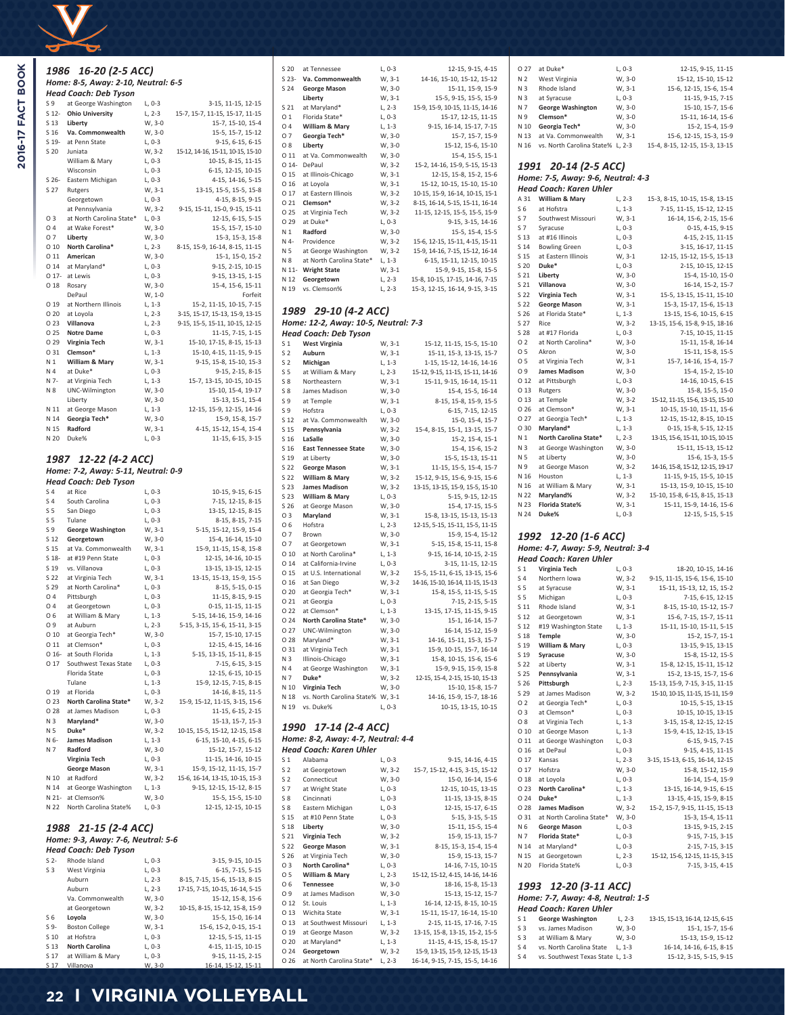

2016-17 FACT BOOK

|                 | 1986 16-20 (2-5 ACC)                   |                      |                                                             |
|-----------------|----------------------------------------|----------------------|-------------------------------------------------------------|
|                 | Home: 8-5, Away: 2-10, Neutral: 6-5    |                      |                                                             |
|                 | Head Coach: Deb Tyson                  |                      |                                                             |
| S 9             | at George Washington                   | $L, 0-3$             | 3-15, 11-15, 12-15                                          |
| $S$ 12-         | <b>Ohio University</b>                 | $L, 2-3$             | 15-7, 15-7, 11-15, 15-17, 11-15                             |
| S 13            | Liberty                                | W, 3-0               | 15-7, 15-10, 15-4                                           |
| S 16            | Va. Commonwealth                       | W, 3-0               | 15-5, 15-7, 15-12                                           |
| S 19-           | at Penn State                          | $L, 0-3$             | 9-15, 6-15, 6-15                                            |
| S 20            | Juniata                                | W, 3-2               | 15-12, 14-16, 15-11, 10-15, 15-10                           |
|                 | William & Mary                         | $L, 0-3$             | 10-15, 8-15, 11-15                                          |
|                 | Wisconsin                              | $L, 0-3$             | 6-15, 12-15, 10-15<br>4-15, 14-16, 5-15                     |
| S 26-<br>S 27   | Eastern Michigan<br>Rutgers            | $L, 0-3$<br>W, 3-1   | 13-15, 15-5, 15-5, 15-8                                     |
|                 | Georgetown                             | $L, 0-3$             | 4-15, 8-15, 9-15                                            |
|                 | at Pennsylvania                        | W, 3-2               | 9-15, 15-11, 15-0, 9-15, 15-11                              |
| O 3             | at North Carolina State*               | $L, 0-3$             | 12-15, 6-15, 5-15                                           |
| 04              | at Wake Forest*                        | W, 3-0               | 15-5, 15-7, 15-10                                           |
| 07              | Liberty                                | W, 3-0               | 15-3, 15-3, 15-8                                            |
| $O$ 10          | North Carolina*                        | L, 2-3               | 8-15, 15-9, 16-14, 8-15, 11-15                              |
| O 11            | American                               | W, 3-0               | 15-1, 15-0, 15-2                                            |
| O 14            | at Maryland*<br>O 17- at Lewis         | L, 0-3               | 9-15, 2-15, 10-15                                           |
| O <sub>18</sub> | Rosary                                 | L, 0-3<br>W, 3-0     | 9-15, 13-15, 1-15<br>15-4, 15-6, 15-11                      |
|                 | DePaul                                 | W, 1-0               | Forfeit                                                     |
| O 19            | at Northern Illinois                   | $L, 1-3$             | 15-2, 11-15, 10-15, 7-15                                    |
| O <sub>20</sub> | at Loyola                              | L, 2-3               | 3-15, 15-17, 15-13, 15-9, 13-15                             |
| O 23            | Villanova                              | L, 2-3               | 9-15, 15-5, 15-11, 10-15, 12-15                             |
| O 25            | <b>Notre Dame</b>                      | $L, 0-3$             | 11-15, 7-15, 1-15                                           |
| O 29            | Virginia Tech                          | W, 3-1               | 15-10, 17-15, 8-15, 15-13                                   |
| O 31            | Clemson*                               | $L, 1-3$             | 15-10, 4-15, 11-15, 9-15                                    |
| N 1             | William & Mary                         | W, 3-1               | 9-15, 15-8, 15-10, 15-3                                     |
| N 4             | at Duke*                               | L, 0-3               | 9-15, 2-15, 8-15                                            |
| N 7-            | at Virginia Tech                       | L, 1-3               | 15-7, 13-15, 10-15, 10-15                                   |
| N 8             | UNC-Wilmington<br>Liberty              | W, 3-0<br>W, 3-0     | 15-10, 15-4, 19-17<br>15-13, 15-1, 15-4                     |
| N 11            | at George Mason                        | $L, 1-3$             | 12-15, 15-9, 12-15, 14-16                                   |
| N 14            | Georgia Tech*                          | W, 3-0               | 15-9, 15-8, 15-7                                            |
| N 15            | Radford                                | W, 3-1               | 4-15, 15-12, 15-4, 15-4                                     |
| N 20            | Duke%                                  | $L, 0-3$             | 11-15, 6-15, 3-15                                           |
|                 |                                        |                      |                                                             |
|                 | 1987 12-22 (4-2 ACC)                   |                      |                                                             |
|                 | Home: 7-2, Away: 5-11, Neutral: 0-9    |                      |                                                             |
|                 | Head Coach: Deb Tyson                  |                      |                                                             |
| S <sub>4</sub>  | at Rice                                | $L, 0-3$             | 10-15, 9-15, 6-15                                           |
| S 4             | South Carolina                         | $L, 0-3$             | 7-15, 12-15, 8-15                                           |
| S <sub>5</sub>  | San Diego                              | $L, 0-3$             | 13-15, 12-15, 8-15                                          |
| S <sub>5</sub>  | Tulane                                 | $L, 0-3$             | 8-15, 8-15, 7-15                                            |
| S 9             | George Washington                      | W, 3-1               | 5-15, 15-12, 15-9, 15-4                                     |
| S 12            | Georgetown                             | W, 3-0               | 15-4, 16-14, 15-10                                          |
| S 15            | at Va. Commonwealth                    | W, 3-1               | 15-9, 11-15, 15-8, 15-8                                     |
| S 18-<br>S 19   | at #19 Penn State<br>vs. Villanova     | $L, 0-3$             | 12-15, 14-16, 10-15<br>13-15, 13-15, 12-15                  |
| S 22            | at Virginia Tech                       | L, 0-3<br>W, 3-1     | 13-15, 15-13, 15-9, 15-5                                    |
| S 29            | at North Carolina*                     | L, 0-3               | 8-15, 5-15, 0-15                                            |
| O 4             | Pittsburgh                             | $L, 0-3$             | 11-15, 8-15, 9-15                                           |
| 04              | at Georgetown                          | L, 0-3               | 0-15, 11-15, 11-15                                          |
| O 6             | at William & Mary                      | L, 1-3               | 5-15, 14-16, 15-9, 14-16                                    |
| O 9             | at Auburn                              | $L, 2-3$             | 5-15, 3-15, 15-6, 15-11, 3-15                               |
| 010             | at Georgia Tech*                       | W, 3-0               | 15-7, 15-10, 17-15                                          |
| O <sub>11</sub> | at Clemson*                            | $L, 0-3$             | 12-15, 4-15, 14-16                                          |
|                 | O 16- at South Florida                 | $L, 1-3$             | 5-15, 13-15, 15-11, 8-15                                    |
| O 17            | Southwest Texas State<br>Florida State | $L, 0-3$<br>$L, 0-3$ | 7-15, 6-15, 3-15<br>12-15, 6-15, 10-15                      |
|                 | Tulane                                 | $L, 1-3$             | 15-9, 12-15, 7-15, 8-15                                     |
| O 19            | at Florida                             | $L, 0-3$             | 14-16, 8-15, 11-5                                           |
| O <sub>23</sub> | North Carolina State*                  | W, 3-2               | 15-9, 15-12, 11-15, 3-15, 15-6                              |
| O 28            | at James Madison                       | L, 0-3               | 11-15, 6-15, 2-15                                           |
| N 3             | Maryland*                              | W, 3-0               | 15-13, 15-7, 15-3                                           |
| N 5             | Duke*                                  | W, 3-2               | 10-15, 15-5, 15-12, 12-15, 15-8                             |
| N 6-            | <b>James Madison</b>                   | $L, 1-3$             | 6-15, 15-10, 4-15, 6-15                                     |
| N 7             | Radford                                | W, 3-0               | 15-12, 15-7, 15-12                                          |
|                 | Virginia Tech                          | $L, 0-3$             | 11-15, 14-16, 10-15                                         |
| N 10            | <b>George Mason</b><br>at Radford      | W, 3-1<br>W, 3-2     | 15-9, 15-12, 11-15, 15-7<br>15-6, 16-14, 13-15, 10-15, 15-3 |
| N 14            | at George Washington                   | $L, 1-3$             | 9-15, 12-15, 15-12, 8-15                                    |
|                 | N 21- at Clemson%                      | W, 3-0               | 15-5, 15-5, 15-10                                           |
| N 22            | North Carolina State%                  | $L, 0-3$             | 12-15, 12-15, 10-15                                         |
|                 |                                        |                      |                                                             |
| 1988            | 21-15 (2-4 ACC)                        |                      |                                                             |
|                 | Home: 9-3, Away: 7-6, Neutral: 5-6     |                      |                                                             |
|                 | Head Coach: Deb Tyson                  |                      |                                                             |
| S <sub>2</sub>  | Rhode Island                           | $L, 0-3$             | 3-15, 9-15, 10-15                                           |
| S <sub>3</sub>  | West Virginia                          | $L, 0-3$             | 6-15, 7-15, 5-15                                            |
|                 | Auburn                                 | $L, 2-3$             | 8-15, 7-15, 15-6, 15-13, 8-15                               |
|                 | Auburn                                 | L, 2-3               | 17-15, 7-15, 10-15, 16-14, 5-15                             |
|                 | Va. Commonwealth                       | W, 3-0               | 15-12, 15-8, 15-6                                           |
|                 | at Georgetown                          | W, 3-2               | 10-15, 8-15, 15-12, 15-8, 15-9                              |
| S6              | Loyola                                 | W, 3-0               | 15-5, 15-0, 16-14                                           |
| S <sub>9</sub>  | <b>Boston College</b>                  | W, 3-1               | 15-6, 15-2, 0-15, 15-1                                      |
| S 10            | at Hofstra                             | L, 0-3               | 12-15, 5-15, 11-15                                          |

| $S$ 23-                          | Va. Commonwealth                       | W, 3-1             | 14-16, 15-10, 15-12, 15-12                           |
|----------------------------------|----------------------------------------|--------------------|------------------------------------------------------|
| S 24                             | <b>George Mason</b>                    | W, 3-0             | 15-11, 15-9, 15-9                                    |
|                                  | Liberty                                | W, 3-1             | 15-5, 9-15, 15-5, 15-9                               |
| S 21                             | at Maryland*                           | L, 2-3             | 15-9, 15-9, 10-15, 11-15, 14-16                      |
| O <sub>1</sub>                   | Florida State*                         | L, 0-3             | 15-17, 12-15, 11-15                                  |
| 04                               | William & Mary                         | $L, 1-3$           | 9-15, 16-14, 15-17, 7-15                             |
| 07                               | Georgia Tech*                          | W, 3-0             | 15-7, 15-7, 15-9                                     |
| O 8                              | Liberty                                | W, 3-0             | 15-12, 15-6, 15-10                                   |
| 0 1 1                            | at Va. Commonwealth                    | W, 3-0             | 15-4, 15-5, 15-1                                     |
| $014 -$                          | DePaul                                 | W, 3-2             | 15-2, 14-16, 15-9, 5-15, 15-13                       |
| O 15                             | at Illinois-Chicago                    | W, 3-1             | 12-15, 15-8, 15-2, 15-6                              |
| O <sub>16</sub>                  | at Loyola                              | W, 3-1             | 15-12, 10-15, 15-10, 15-10                           |
| O 17                             | at Eastern Illinois                    | W, 3-2             | 10-15, 15-9, 16-14, 10-15, 15-1                      |
| O <sub>21</sub>                  | Clemson*                               | W, 3-2             | 8-15, 16-14, 5-15, 15-11, 16-14                      |
| O 25                             | at Virginia Tech                       | W, 3-2             | 11-15, 12-15, 15-5, 15-5, 15-9                       |
| 0 29                             | at Duke*                               | $L, 0-3$           | 9-15, 3-15, 14-16                                    |
| N <sub>1</sub>                   | Radford                                | W, 3-0             | 15-5, 15-4, 15-5                                     |
| N 4-                             | Providence                             | W, 3-2             | 15-6, 12-15, 15-11, 4-15, 15-11                      |
| N 5                              | at George Washington                   | W, 3-2             | 15-9, 14-16, 7-15, 15-12, 16-14                      |
| N 8                              | at North Carolina State*               | $L, 1-3$           | 6-15, 15-11, 12-15, 10-15                            |
| N 11-                            | <b>Wright State</b>                    | W, 3-1             | 15-9, 9-15, 15-8, 15-5                               |
| N 12                             | Georgetown                             | L, 2-3             | 15-8, 10-15, 17-15, 14-16, 7-15                      |
| N 19                             | vs. Clemson%                           | L, 2-3             | 15-3, 12-15, 16-14, 9-15, 3-15                       |
|                                  |                                        |                    |                                                      |
| 1989                             | 29-10 (4-2 ACC)                        |                    |                                                      |
|                                  |                                        |                    |                                                      |
|                                  | Home: 12-2, Away: 10-5, Neutral: 7-3   |                    |                                                      |
|                                  | Head Coach: Deb Tyson                  |                    |                                                      |
| S <sub>1</sub>                   | <b>West Virginia</b>                   | W, 3-1             | 15-12, 11-15, 15-5, 15-10                            |
| S <sub>2</sub>                   | Auburn                                 | W, 3-1             | 15-11, 15-3, 13-15, 15-7                             |
| S <sub>2</sub>                   | Michigan                               | $L, 1-3$           | 1-15, 15-12, 14-16, 14-16                            |
| S <sub>5</sub>                   | at William & Mary                      | $L, 2-3$           | 15-12, 9-15, 11-15, 15-11, 14-16                     |
| S 8                              | Northeastern                           | W, 3-1             | 15-11, 9-15, 16-14, 15-11                            |
| $S_8$                            | James Madison                          | W, 3-0             | 15-4, 15-5, 16-14                                    |
| S 9                              | at Temple                              | W, 3-1             | 8-15, 15-8, 15-9, 15-5                               |
| S 9                              | Hofstra                                | $L, 0-3$           | 6-15, 7-15, 12-15                                    |
| S 12                             | at Va. Commonwealth                    | W, 3-0             | 15-0, 15-4, 15-7                                     |
| S 15                             | Pennsylvania                           | W, 3-2             | 15-4, 8-15, 15-1, 13-15, 15-7                        |
| S 16                             | LaSalle                                | W, 3-0             | 15-2, 15-4, 15-1                                     |
| S 16                             | <b>East Tennessee State</b>            | W, 3-0             | 15-4, 15-6, 15-2                                     |
| S 19                             | at Liberty                             | W, 3-0             | 15-5, 15-13, 15-11                                   |
| S 22                             | <b>George Mason</b>                    | W, 3-1             | 11-15, 15-5, 15-4, 15-7                              |
| S 22                             | William & Mary                         | W, 3-2             | 15-12, 9-15, 15-6, 9-15, 15-6                        |
| S 23<br>S 23                     | <b>James Madison</b><br>William & Mary | W, 3-2             | 13-15, 13-15, 15-9, 15-5, 15-10<br>5-15, 9-15, 12-15 |
| S 26                             | at George Mason                        | $L, 0-3$<br>W, 3-0 | 15-4, 17-15, 15-5                                    |
| 03                               | Maryland                               | W, 3-1             | 15-8, 13-15, 15-13, 15-13                            |
| O 6                              | Hofstra                                | $L, 2-3$           | 12-15, 5-15, 15-11, 15-5, 11-15                      |
| 07                               | Brown                                  | W, 3-0             | 15-9, 15-4, 15-12                                    |
| 07                               |                                        | W, 3-1             |                                                      |
| 010                              | at Georgetown<br>at North Carolina*    | L, 1-3             | 5-15, 15-8, 15-11, 15-8<br>9-15, 16-14, 10-15, 2-15  |
| 0 14                             | at California-Irvine                   | $L, 0-3$           | 3-15, 11-15, 12-15                                   |
| 0 15                             | at U.S. International                  | W, 3-2             | 15-5, 15-11, 6-15, 13-15, 15-6                       |
| 016                              | at San Diego                           | W, 3-2             | 14-16, 15-10, 16-14, 11-15, 15-13                    |
| O 20                             | at Georgia Tech*                       | W, 3-1             | 15-8, 15-5, 11-15, 5-15                              |
| 021                              | at Georgia                             | L, 0-3             | 7-15, 2-15, 5-15                                     |
| O 22                             | at Clemson*                            | $L, 1-3$           | 13-15, 17-15, 11-15, 9-15                            |
| O <sub>24</sub>                  | North Carolina State*                  | W, 3-0             | 15-1, 16-14, 15-7                                    |
| O 27                             | UNC-Wilmington                         | W, 3-0             | 16-14, 15-12, 15-9                                   |
| O 28                             | Maryland*                              | W, 3-1             | 14-16, 15-11, 15-3, 15-7                             |
| U 31                             | at virginia Tecn                       | W, 3-1             | 15-9, 10-15, 15-7, 16-14                             |
| N 3                              | Illinois-Chicago                       | W, 3-1             | 15-8, 10-15, 15-6, 15-6                              |
| N 4                              | at George Washington                   | W, 3-1             | 15-9, 9-15, 15-9, 15-8                               |
| N 7                              | Duke*                                  | W, 3-2             | 12-15, 15-4, 2-15, 15-10, 15-13                      |
| N 10                             | Virginia Tech                          | W, 3-0             | 15-10, 15-8, 15-7                                    |
| N 18                             | vs. North Carolina State% W, 3-1       |                    | 14-16, 15-9, 15-7, 18-16                             |
| N 19                             | vs. Duke%                              | L, 0-3             | 10-15, 13-15, 10-15                                  |
|                                  |                                        |                    |                                                      |
|                                  | 1990 17-14 (2-4 ACC)                   |                    |                                                      |
|                                  | Home: 8-2, Away: 4-7, Neutral: 4-4     |                    |                                                      |
|                                  | Head Coach: Karen Uhler                |                    |                                                      |
|                                  |                                        |                    |                                                      |
| S <sub>1</sub><br>S <sub>2</sub> | Alabama<br>at Georgetown               | L, 0-3             | 9-15, 14-16, 4-15<br>15-7, 15-12, 4-15, 3-15, 15-12  |
|                                  |                                        | W, 3-2             |                                                      |
| S <sub>2</sub><br>S 7            | Connecticut<br>at Wright State         | W, 3-0<br>L, 0-3   | 15-0, 16-14, 15-6<br>12-15, 10-15, 13-15             |
| S 8                              |                                        |                    | 11-15, 13-15, 8-15                                   |
| S 8                              | Cincinnati<br>Eastern Michigan         | L, 0-3<br>$L, 0-3$ | 12-15, 15-17, 6-15                                   |
| S 15                             | at #10 Penn State                      | L, 0-3             | 5-15, 3-15, 5-15                                     |
| S 18                             |                                        |                    |                                                      |
|                                  |                                        |                    |                                                      |
| S 21                             | Liberty                                | W, 3-0             | 15-11, 15-5, 15-4                                    |
|                                  | Virginia Tech                          | W, 3-2             | 15-9, 15-13, 15-7                                    |
| S 22                             | <b>George Mason</b>                    | W, 3-1             | 8-15, 15-3, 15-4, 15-4                               |
| S 26                             | at Virginia Tech                       | W, 3-0             | 15-9, 15-13, 15-7                                    |
| 03                               | North Carolina*                        | L, 0-3             | 14-16, 7-15, 10-15                                   |
| 05                               | William & Mary                         | L, 2-3             | 15-12, 15-12, 4-15, 14-16, 14-16                     |
| O 6                              | Tennessee                              | W, 3-0             | 18-16, 15-8, 15-13                                   |
| O 9                              | at James Madison                       | W, 3-0             | 15-13, 15-12, 15-7                                   |
| O 12                             | St. Louis                              | L, 1-3             | 16-14, 12-15, 8-15, 10-15                            |
| O 13                             | Wichita State                          | W, 3-1             | 15-11, 15-17, 16-14, 15-10                           |
| O 13                             | at Southwest Missouri                  | L, 1-3             | 2-15, 11-15, 17-16, 7-15                             |
| O 19                             | at George Mason                        | W, 3-2             | 13-15, 15-8, 13-15, 15-2, 15-5                       |
| O 20<br>O 24                     | at Maryland*<br>Georgetown             | L, 1-3<br>W, 3-2   | 11-15, 4-15, 15-8, 15-17                             |
| O 26                             | at North Carolina State*               | L, 2-3             | 15-9, 13-15, 15-9, 12-15, 15-13                      |
|                                  |                                        |                    | 16-14, 9-15, 7-15, 15-5, 14-16                       |
|                                  |                                        |                    |                                                      |

S 20 at Tennessee L, 0-3 12-15, 9-15, 4-15

| 0.27           | at Duke*                  | $L. 0-3$ | 12-15, 9-15, 11-15             |
|----------------|---------------------------|----------|--------------------------------|
| N <sub>2</sub> | West Virginia             | W, 3-0   | 15-12, 15-10, 15-12            |
| N <sub>3</sub> | Rhode Island              | W, 3-1   | 15-6, 12-15, 15-6, 15-4        |
| N <sub>3</sub> | at Syracuse               | $L, 0-3$ | 11-15, 9-15, 7-15              |
| N 7            | <b>George Washington</b>  | W. 3-0   | 15-10, 15-7, 15-6              |
| N9             | Clemson*                  | W. 3-0   | 15-11, 16-14, 15-6             |
| N 10           | Georgia Tech*             | W.3-0    | 15-2, 15-4, 15-9               |
| N 13           | at Va. Commonwealth       | $W. 3-1$ | 15-6, 12-15, 15-3, 15-9        |
| N 16           | vs. North Carolina State% | $L. 2-3$ | 15-4, 8-15, 12-15, 15-3, 13-15 |
|                |                           |          |                                |
|                |                           |          |                                |
|                |                           | 1991     | 20-14 (2-5 ACC)                |

*1991 20-14 (2-5 ACC) Home: 7-5, Away: 9-6, Neutral: 4-3*

|                | Head Coach: Karen Uhler            |          |                                  |
|----------------|------------------------------------|----------|----------------------------------|
| A 31           | William & Mary                     | L, 2-3   | 15-3, 8-15, 10-15, 15-8, 13-15   |
| S <sub>6</sub> | at Hofstra                         | L, 1-3   | 7-15, 11-15, 15-12, 12-15        |
| S 7            | Southwest Missouri                 | W, 3-1   | 16-14, 15-6, 2-15, 15-6          |
| S 7            | Syracuse                           | L, 0-3   | 0-15, 4-15, 9-15                 |
| S 13           | at #16 Illinois                    | L, 0-3   | 4-15, 2-15, 11-15                |
| S 14           | <b>Bowling Green</b>               | L, 0-3   | 3-15, 16-17, 11-15               |
| S 15           | at Eastern Illinois                | W, 3-1   | 12-15, 15-12, 15-5, 15-13        |
| S 20           | Duke*                              | $L, 0-3$ | 2-15, 10-15, 12-15               |
| S 21           | Liberty                            | W, 3-0   | 15-4, 15-10, 15-0                |
| S 21           | Villanova                          | W, 3-0   | 16-14, 15-2, 15-7                |
| S 22           | Virginia Tech                      | W, 3-1   | 15-5, 13-15, 15-11, 15-10        |
| S 22           | <b>George Mason</b>                | W, 3-1   | 15-3, 15-17, 15-6, 15-13         |
| S 26           | at Florida State*                  | $L, 1-3$ | 13-15, 15-6, 10-15, 6-15         |
| S 27           | Rice                               | W, 3-2   | 13-15, 15-6, 15-8, 9-15, 18-16   |
| S 28           | at #17 Florida                     | L, 0-3   | 7-15, 10-15, 11-15               |
| 02             | at North Carolina*                 | W, 3-0   | 15-11, 15-8, 16-14               |
| O 5            | Akron                              | W, 3-0   | 15-11, 15-8, 15-5                |
| 05             | at Virginia Tech                   | W, 3-1   | 15-7, 14-16, 15-4, 15-7          |
| O 9            | <b>James Madison</b>               | W, 3-0   | 15-4, 15-2, 15-10                |
| 012            | at Pittsburgh                      | $L, 0-3$ | 14-16, 10-15, 6-15               |
| 0 13           | Rutgers                            | W, 3-0   | 15-8, 15-5, 15-0                 |
| 0 13           | at Temple                          | W, 3-2   | 15-12, 11-15, 15-6, 13-15, 15-10 |
| 026            | at Clemson*                        | W, 3-1   | 10-15, 15-10, 15-11, 15-6        |
| 0 27           | at Georgia Tech*                   | L, 1-3   | 12-15, 15-12, 8-15, 10-15        |
| O 30           | Maryland*                          | L, 1-3   | 0-15, 15-8, 5-15, 12-15          |
| N 1            | North Carolina State*              | $L, 2-3$ | 13-15, 15-6, 15-11, 10-15, 10-15 |
| N 3            | at George Washington               | W, 3-0   | 15-11, 15-13, 15-12              |
| N 5            | at Liberty                         | W, 3-0   | 15-6, 15-3, 15-5                 |
| N 9            | at George Mason                    | W, 3-2   | 14-16, 15-8, 15-12, 12-15, 19-17 |
| N 16           | Houston                            | $L, 1-3$ | 11-15, 9-15, 15-5, 10-15         |
| N 16           | at William & Mary                  | W, 3-1   | 15-13, 15-9, 10-15, 15-10        |
| N 22           | Maryland%                          | W, 3-2   | 15-10, 15-8, 6-15, 8-15, 15-13   |
| N 23           | <b>Florida State%</b>              | W, 3-1   | 15-11, 15-9, 14-16, 15-6         |
| N 24           | Duke%                              | L, 0-3   | 12-15, 5-15, 5-15                |
|                | 1992 12-20 (1-6 ACC)               |          |                                  |
|                | Home: 4-7, Away: 5-9, Neutral: 3-4 |          |                                  |
|                | Head Coach: Karen Uhler            |          |                                  |
| S <sub>1</sub> | Virginia Tech                      | L, 0-3   | 18-20, 10-15, 14-16              |
| S <sub>4</sub> | Northern Iowa                      | W, 3-2   | 9-15, 11-15, 15-6, 15-6, 15-10   |
| S <sub>5</sub> | at Syracuse                        | W, 3-1   | 15-11, 15-13, 12, 15, 15-2       |
| S 5            | Michigan                           | L, 0-3   | 7-15, 6-15, 12-15                |
| S 11           | Rhode Island                       | W, 3-1   | 8-15, 15-10, 15-12, 15-7         |
| S 12           | at Georgetown                      | W, 3-1   | 15-6, 7-15, 15-7, 15-11          |
| S 12           | #19 Washington State               | $L, 1-3$ | 15-11, 15-10, 15-11, 5-15        |
| S 18           | <b>Temple</b>                      | W, 3-0   | 15-2, 15-7, 15-1                 |
| S 19           | William & Mary                     | L, 0-3   | 13-15, 9-15, 13-15               |
| S 19           | Syracuse                           | W, 3-0   | 15-8, 15-12, 15-5                |
|                |                                    |          |                                  |

| S <sub>1</sub>  | Virginia Tech            | $L, 0-3$ | 18-20, 10-15, 14-16              |
|-----------------|--------------------------|----------|----------------------------------|
| S <sub>4</sub>  | Northern Iowa            | W, 3-2   | 9-15, 11-15, 15-6, 15-6, 15-10   |
| S <sub>5</sub>  | at Syracuse              | W, 3-1   | 15-11, 15-13, 12, 15, 15-2       |
| S <sub>5</sub>  | Michigan                 | $L, 0-3$ | 7-15, 6-15, 12-15                |
| S 11            | Rhode Island             | W, 3-1   | 8-15, 15-10, 15-12, 15-7         |
| S 12            | at Georgetown            | W, 3-1   | 15-6, 7-15, 15-7, 15-11          |
| S 12            | #19 Washington State     | $L, 1-3$ | 15-11, 15-10, 15-11, 5-15        |
| S 18            | Temple                   | W, 3-0   | 15-2, 15-7, 15-1                 |
| S 19            | William & Mary           | $L, 0-3$ | 13-15, 9-15, 13-15               |
| S 19            | Syracuse                 | W, 3-0   | 15-8, 15-12, 15-5                |
| S 22            | at Liberty               | W, 3-1   | 15-8, 12-15, 15-11, 15-12        |
| S 25            | Pennsylvania             | W, 3-1   | 15-2, 13-15, 15-7, 15-6          |
| S 26            | Pittsburgh               | $L, 2-3$ | 15-13, 15-9, 7-15, 3-15, 11-15   |
| S 29            | at James Madison         | W, 3-2   | 15-10, 10-15, 11-15, 15-11, 15-9 |
| O <sub>2</sub>  | at Georgia Tech*         | $L, 0-3$ | 10-15, 5-15, 13-15               |
| O 3             | at Clemson*              | $L, 0-3$ | 10-15, 10-15, 13-15              |
| O <sub>8</sub>  | at Virginia Tech         | $L, 1-3$ | 3-15, 15-8, 12-15, 12-15         |
| O <sub>10</sub> | at George Mason          | $L, 1-3$ | 15-9, 4-15, 12-15, 13-15         |
| 011             | at George Washington     | $L, 0-3$ | 6-15, 9-15, 7-15                 |
| O <sub>16</sub> | at DePaul                | $L, 0-3$ | 9-15, 4-15, 11-15                |
| 0 17            | Kansas                   | $L, 2-3$ | 3-15, 15-13, 6-15, 16-14, 12-15  |
| 0 17            | Hofstra                  | W. 3-0   | 15-8, 15-12, 15-9                |
| O 18            | at Loyola                | $L, 0-3$ | 16-14, 15-4, 15-9                |
| O 23            | North Carolina*          | $L, 1-3$ | 13-15, 16-14, 9-15, 6-15         |
| O <sub>24</sub> | Duke*                    | $L, 1-3$ | 13-15, 4-15, 15-9, 8-15          |
| O <sub>28</sub> | <b>James Madison</b>     | W, 3-2   | 15-2, 15-7, 9-15, 11-15, 15-13   |
| 0 31            | at North Carolina State* | W, 3-0   | 15-3, 15-4, 15-11                |
| N 6             | <b>George Mason</b>      | $L, 0-3$ | 13-15, 9-15, 2-15                |
| N 7             | Florida State*           | $L, 0-3$ | 9-15, 7-15, 3-15                 |
| N 14            | at Maryland*             | $L, 0-3$ | 2-15, 7-15, 3-15                 |
| N 15            | at Georgetown            | $L, 2-3$ | 15-12, 15-6, 12-15, 11-15, 3-15  |
| N 20            | Florida State%           | $L, 0-3$ | 7-15, 3-15, 4-15                 |
|                 |                          |          |                                  |
|                 |                          |          |                                  |

## *1993 12-20 (3-11 ACC) Home: 7-7, Away: 4-8, Neutral: 1-5*

|                | Head Coach: Karen Uhler          |           |                                  |
|----------------|----------------------------------|-----------|----------------------------------|
| S 1            | <b>George Washington</b>         | $L. 2-3$  | 13-15, 15-13, 16-14, 12-15, 6-15 |
| S3             | vs. James Madison                | W.3-0     | 15-1, 15-7, 15-6                 |
| S <sub>3</sub> | at William & Mary                | W.3-0     | 15-13, 15-9, 15-12               |
| $S_4$          | vs. North Carolina State         | $1.1 - 3$ | 16-14. 14-16. 6-15. 8-15         |
| S 4            | vs. Southwest Texas State L. 1-3 |           | 15-12, 3-15, 5-15, 9-15          |

S 13 **North Carolina** L, 0-3 4-15, 11-15, 10-15

 $S 17$  at William & Mary L, 0-3<br> $S 17$  Villanova W, 3-0

9-15, 11-15, 2-15<br>16-14, 15-12, 15-11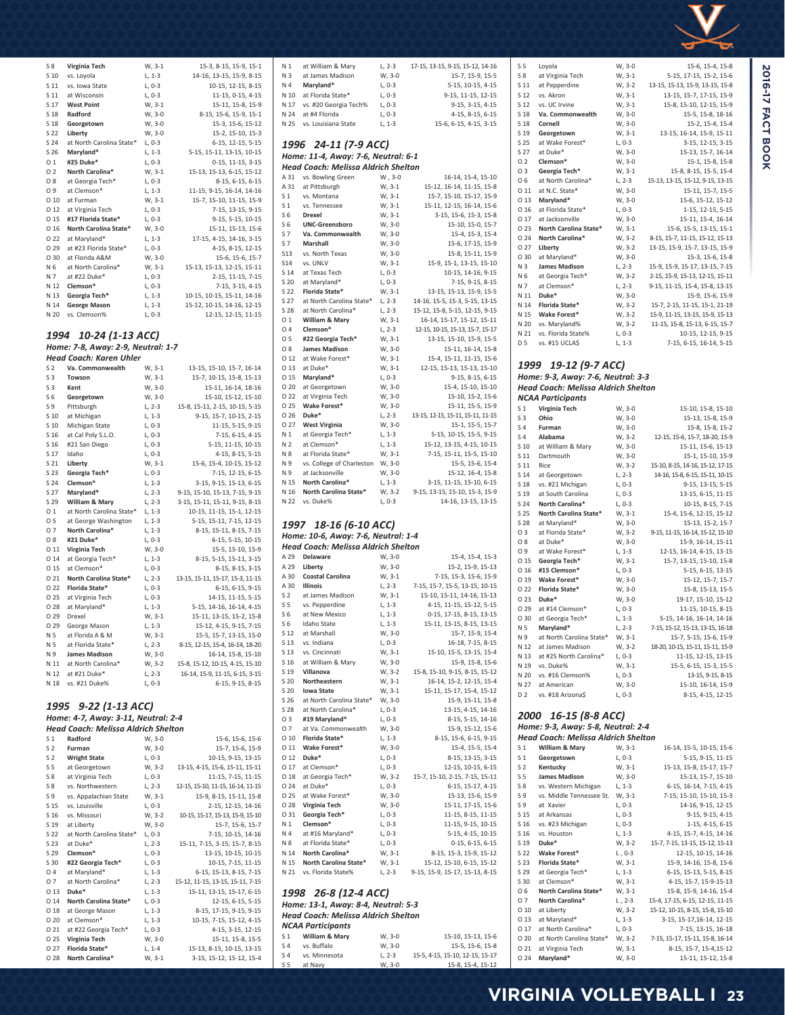

| $S_8$           | Virginia Tech                              | W, 3-1   | 15-3, 8-15, 15-9, 15-1            |
|-----------------|--------------------------------------------|----------|-----------------------------------|
| S 10            | vs. Loyola                                 | $L, 1-3$ | 14-16, 13-15, 15-9, 8-15          |
| S 11            | vs. Iowa State                             | L, 0-3   | 10-15, 12-15, 8-15                |
| S 11            | at Wisconsin                               | $L, 0-3$ | 11-15, 0-15, 4-15                 |
| S 17            | <b>West Point</b>                          | W, 3-1   | 15-11, 15-8, 15-9                 |
| S 18            | Radford                                    | W, 3-0   | 8-15, 15-6, 15-9, 15-1            |
| S 18            | Georgetown                                 | W, 3-0   | 15-3, 15-6, 15-12                 |
| S 22            | Liberty                                    | W, 3-0   | 15-2, 15-10, 15-3                 |
| S 24            | at North Carolina State*                   | L, 0-3   | 6-15, 12-15, 5-15                 |
| S 26            | Maryland*                                  | L, 1-3   | 5-15, 15-11, 13-15, 10-15         |
| 01              | #25 Duke*                                  | L, 0-3   | 0-15, 11-15, 3-15                 |
| 02              | North Carolina*                            | W, 3-1   | 15-13, 15-13, 6-15, 15-12         |
| O 8             | at Georgia Tech*                           | L, 0-3   | 8-15, 6-15, 6-15                  |
| O 9             | at Clemson*                                | L, 1-3   | 11-15, 9-15, 16-14, 14-16         |
| $O$ 10          | at Furman                                  | W, 3-1   | 15-7, 15-10, 11-15, 15-9          |
| O 12            | at Virginia Tech                           | L, 0-3   | 7-15, 13-15, 9-15                 |
| O 15            | #17 Florida State*                         | $L, 0-3$ | 9-15, 5-15, 10-15                 |
| O 16            | North Carolina State*                      | W, 3-0   | 15-11, 15-13, 15-6                |
| O 22            | at Maryland*                               | $L, 1-3$ | 17-15, 4-15, 14-16, 3-15          |
| O 29            | at #23 Florida State*                      | L, 0-3   | 4-15, 8-15, 12-15                 |
| O 30            | at Florida A&M                             | W, 3-0   | 15-6, 15-6, 15-7                  |
| N 6             | at North Carolina*                         | W, 3-1   |                                   |
| N 7             | at #22 Duke*                               |          | 15-13, 15-13, 12-15, 15-11        |
|                 |                                            | L, 0-3   | 2-15, 11-15, 7-15                 |
| N 12            | Clemson*                                   | L, 0-3   | 7-15, 3-15, 4-15                  |
| N 13            | Georgia Tech*                              | $L, 1-3$ | 10-15, 10-15, 15-11, 14-16        |
| N 14            | <b>George Mason</b>                        | L, 1-3   | 15-12, 10-15, 14-16, 12-15        |
| N 20            | vs. Clemson%                               | L, 0-3   | 12-15, 12-15, 11-15               |
|                 |                                            |          |                                   |
|                 | 1994 10-24 (1-13 ACC)                      |          |                                   |
|                 | Home: 7-8, Away: 2-9, Neutral: 1-7         |          |                                   |
|                 | Head Coach: Karen Uhler                    |          |                                   |
| S <sub>2</sub>  | Va. Commonwealth                           | W, 3-1   | 13-15, 15-10, 15-7, 16-14         |
| S <sub>3</sub>  | Towson                                     | W, 3-1   | 15-7, 10-15, 15-8, 15-13          |
| S <sub>3</sub>  | Kent                                       | W, 3-0   | 15-11, 16-14, 18-16               |
| S <sub>6</sub>  | Georgetown                                 | W, 3-0   | 15-10, 15-12, 15-10               |
| S 9             | Pittsburgh                                 | $L, 2-3$ | 15-8, 15-11, 2-15, 10-15, 5-15    |
| S 10            |                                            |          | 9-15, 15-7, 10-15, 2-15           |
| S 10            | at Michigan                                | L, 1-3   |                                   |
| S 16            | Michigan State                             | $L, 0-3$ | 11-15, 5-15, 9-15                 |
|                 | at Cal Poly S.L.O.                         | L, 0-3   | 7-15, 6-15, 4-15                  |
| S 16            | #21 San Diego                              | L, 0-3   | 5-15, 11-15, 10-15                |
| S 17            | Idaho                                      | L, 0-3   | 4-15, 8-15, 5-15                  |
| S 21            | Liberty                                    | W, 3-1   | 15-6, 15-4, 10-15, 15-12          |
| S 23            | Georgia Tech*                              | $L, 0-3$ | 7-15, 12-15, 6-15                 |
| S 24            | Clemson*                                   | $L, 1-3$ | 3-15, 9-15, 15-13, 6-15           |
| S 27            | Maryland*                                  | $L, 2-3$ | 9-15, 15-10, 15-13, 7-15, 9-15    |
| S 29            | William & Mary                             | $L, 2-3$ | 3-15, 15-11, 15-11, 9-15, 8-15    |
| 01              | at North Carolina State*                   | $L, 1-3$ | 10-15, 11-15, 15-1, 12-15         |
| 05              | at George Washington                       | $L, 1-3$ | 5-15, 15-11, 7-15, 12-15          |
| 07              | North Carolina*                            | $L, 1-3$ | 8-15, 15-11, 8-15, 7-15           |
| O 8             | #21 Duke*                                  | $L, 0-3$ | 6-15, 5-15, 10-15                 |
| O 11            | Virginia Tech                              | W, 3-0   | 15-5, 15-10, 15-9                 |
| O 14            | at Georgia Tech*                           | L, 1-3   | 8-15, 5-15, 15-11, 3-15           |
| O 15            | at Clemson*                                | $L, 0-3$ | 8-15, 8-15, 3-15                  |
| O <sub>21</sub> | North Carolina State*                      | L, 2-3   | 13-15, 15-11, 15-17, 15-3, 11-15  |
| 0 2 2           | Florida State*                             | $L, 0-3$ | 6-15, 6-15, 9-15                  |
| 025             | at Virginia Tech                           | L, 0-3   | 14-15, 11-15, 5-15                |
| O <sub>28</sub> | at Maryland*                               | $L, 1-3$ | 5-15, 14-16, 16-14, 4-15          |
| 0 2 9           | Drexel                                     | W, 3-1   | 15-11, 13-15, 15-2, 15-8          |
| 0 2 9           | George Mason                               | L, 1-3   | 15-12, 4-15, 9-15, 7-15           |
| N 5             | at Florida A & M                           | W, 3-1   | 15-5, 15-7, 13-15, 15-0           |
| N 5             | at Florida State*                          | L, 2-3   | 8-15, 12-15, 15-4, 16-14, 18-20   |
| N 9             | <b>James Madison</b>                       | W, 3-0   | 16-14, 15-8, 15-10                |
| N 11            | at North Carolina*                         | W, 3-2   | 15-8, 15-12, 10-15, 4-15, 15-10   |
| N 12            | at #21 Duke*                               | L, 2-3   | 16-14, 15-9, 11-15, 6-15, 3-15    |
| N 18            | vs. #21 Duke%                              | L, 0-3   | 6-15, 9-15, 8-15                  |
|                 |                                            |          |                                   |
| 1995            | 9-22 (1-13 ACC)                            |          |                                   |
|                 |                                            |          |                                   |
|                 | Home: 4-7, Away: 3-11, Neutral: 2-4        |          |                                   |
|                 | <b>Head Coach: Melissa Aldrich Shelton</b> |          |                                   |
| S <sub>1</sub>  | Radford                                    | W, 3-0   | 15-6, 15-6, 15-6                  |
| S <sub>2</sub>  | Furman                                     | W, 3-0   | 15-7, 15-6, 15-9                  |
| S <sub>2</sub>  | <b>Wright State</b>                        | L, 0-3   | 10-15, 9-15, 13-15                |
| S <sub>5</sub>  | at Georgetown                              | W, 3-2   | 13-15, 4-15, 15-6, 15-11, 15-11   |
| S 8             | at Virginia Tech                           | $L, 0-3$ | 11-15, 7-15, 11-15                |
| S 8             | vs. Northwestern                           | L, 2-3   | 12-15, 15-10, 11-15, 16-14, 11-15 |
| S 9             | vs. Appalachian State                      | W, 3-1   | 15-9, 8-15, 15-11, 15-8           |
| S 15            | vs. Louisville                             | L, 0-3   | 2-15, 12-15, 14-16                |
| S 16            | vs. Missouri                               | W, 3-2   | 10-15, 15-17, 15-13, 15-9, 15-10  |
| S 19            | at Liberty                                 | W, 3-0   | 15-7, 15-6, 15-7                  |
| S 22            | at North Carolina State*                   | L, 0-3   | 7-15, 10-15, 14-16                |
| S 23            | at Duke*                                   | $L, 2-3$ | 15-11, 7-15, 3-15, 15-7, 8-15     |
| S 29            | Clemson*                                   | L, 0-3   | 13-15, 10-15, 10-15               |
| S 30            | #22 Georgia Tech*                          | L, 0-3   | 10-15, 7-15, 11-15                |
| 04              | at Maryland*                               | $L, 1-3$ | 6-15, 15-13, 8-15, 7-15           |
| 07              | at North Carolina*                         | L, 2-3   | 15-12, 11-15, 13-15, 15-11, 7-15  |
| 0 13            | Duke*                                      | $L, 1-3$ | 15-11, 13-15, 15-17, 6-15         |
| O 14            | North Carolina State*                      | L, 0-3   | 12-15, 6-15, 5-15                 |
| O 18            | at George Mason                            | $L, 1-3$ | 8-15, 17-15, 9-15, 9-15           |
| O 20            | at Clemson*                                | L, 1-3   | 10-15, 7-15, 15-12, 4-15          |
| 0 21            | at #22 Georgia Tech*                       | L, 0-3   | 4-15, 3-15, 12-15                 |
| O 25            | Virginia Tech                              | W, 3-0   | 15-11, 15-8, 15-5                 |
| 0 27            | Florida State*                             | $L, 1-4$ | 15-13, 8-15, 10-15, 13-15         |

O 27 **Florida State\*** L, 1-4 15-13, 8-15, 10-15, 13-15

O 28 **North Carolina\*** 

| N 1             | at William & Mary                              | $L, 2-3$           | 17-15, 13-15, 9-15, 15-12, 14-16                               |
|-----------------|------------------------------------------------|--------------------|----------------------------------------------------------------|
| N <sub>3</sub>  | at James Madison                               | W, 3-0             | 15-7, 15-9, 15-5                                               |
| N 4             | Maryland*                                      | L, 0-3             | 5-15, 10-15, 4-15                                              |
| N 10            | at Florida State*                              | $L, 0-3$           | 9-15, 11-15, 12-15                                             |
| N 17            | vs. #20 Georgia Tech%                          | $L, 0-3$           | 9-15, 3-15, 4-15                                               |
| N 24<br>N 25    | at #4 Florida<br>vs. Louisiana State           | $L, 0-3$<br>L, 1-3 | 4-15, 8-15, 6-15<br>15-6, 6-15, 4-15, 3-15                     |
|                 |                                                |                    |                                                                |
| 1996            | 24-11 (7-9 ACC)                                |                    |                                                                |
|                 | Home: 11-4, Away: 7-6, Neutral: 6-1            |                    |                                                                |
|                 | Head Coach: Melissa Aldrich Shelton            |                    |                                                                |
| A 31            | vs. Bowling Green                              | W, 3-0             | 16-14, 15-4, 15-10                                             |
| A 31            | at Pittsburgh                                  | W, 3-1             | 15-12, 16-14, 11-15, 15-8                                      |
| S <sub>1</sub>  | vs. Montana                                    | W, 3-1             | 15-7, 15-10, 15-17, 15-9                                       |
| S <sub>1</sub>  | vs. Tennessee                                  | W, 3-1             | 15-11, 12-15, 16-14, 15-6                                      |
| S <sub>6</sub>  | Drexel                                         | W, 3-1             | 3-15, 15-6, 15-3, 15-8                                         |
| S <sub>6</sub>  | <b>UNC-Greensboro</b>                          | W, 3-0             | 15-10, 15-0, 15-7                                              |
| S 7             | Va. Commonwealth                               | W, 3-0             | 15-4, 15-3, 15-4                                               |
| S 7<br>S13      | Marshall<br>vs. North Texas                    | W, 3-0<br>W, 3-0   | 15-6, 17-15, 15-9<br>15-8, 15-11, 15-9                         |
| S14             | vs. UNLV                                       | W, 3-1             | 15-9, 15-1, 13-15, 15-10                                       |
| S 14            | at Texas Tech                                  | L, 0-3             | 10-15, 14-16, 9-15                                             |
| S 20            | at Maryland*                                   | $L, 0-3$           | 7-15, 9-15, 8-15                                               |
| S 22            | Florida State*                                 | W, 3-1             | 13-15, 15-13, 15-9, 15-5                                       |
| S 27            | at North Carolina State*                       | $L, 2-3$           | 14-16, 15-5, 15-3, 5-15, 13-15                                 |
| S 28            | at North Carolina*                             | L, 2-3             | 15-12, 15-8, 5-15, 12-15, 9-15                                 |
| 01<br>04        | William & Mary<br>Clemson*                     | W, 3-1<br>L, 2-3   | 16-14, 15-17, 15-12, 15-11<br>12-15, 10-15, 15-13, 15-7, 15-17 |
| O 5             | #22 Georgia Tech*                              | W, 3-1             | 13-15, 15-10, 15-9, 15-5                                       |
| 08              | <b>James Madison</b>                           | W, 3-0             | 15-11, 16-14, 15-8                                             |
| O <sub>12</sub> | at Wake Forest*                                | W, 3-1             | 15-4, 15-11, 11-15, 15-6                                       |
| O 13            | at Duke*                                       | W, 3-1             | 12-15, 15-13, 15-13, 15-10                                     |
| 0 15            | Maryland*                                      | L, 0-3             | 9-15, 8-15, 6-15                                               |
| O <sub>20</sub> | at Georgetown                                  | W, 3-0             | 15-4, 15-10, 15-10                                             |
| O 22            | at Virginia Tech                               | W, 3-0             | 15-10, 15-2, 15-6                                              |
| 025<br>O 26     | Wake Forest*<br>Duke*                          | W, 3-0<br>L, 2-3   | 15-11, 15-5, 15-9<br>13-15, 12-15, 15-11, 15-11, 11-15         |
| O 27            | <b>West Virginia</b>                           | W, 3-0             | 15-1, 15-5, 15-7                                               |
| N 1             | at Georgia Tech*                               | $L, 1-3$           | 5-15, 10-15, 15-5, 9-15                                        |
| N 2             | at Clemson*                                    | L, 1-3             | 15-12, 13-15, 4-15, 10-15                                      |
| N 8             | at Florida State*                              | W, 3-1             | 7-15, 15-11, 15-5, 15-10                                       |
| N 9             | vs. College of Charleston                      | W, 3-0             | 15-5, 15-6, 15-4                                               |
| N 9<br>N 15     | at Jacksonville<br>North Carolina*             | W, 3-0<br>$L, 1-3$ | 15-12, 16-4, 15-8                                              |
| N 16            | North Carolina State*                          | W, 3-2             | 3-15, 11-15, 15-10, 6-15<br>9-15, 13-15, 15-10, 15-3, 15-9     |
| N 22            | vs. Duke%                                      | L, 0-3             | 14-16, 13-15, 13-15                                            |
|                 |                                                |                    |                                                                |
|                 |                                                |                    |                                                                |
|                 |                                                |                    |                                                                |
|                 | 1997 18-16 (6-10 ACC)                          |                    |                                                                |
|                 | Home: 10-6, Away: 7-6, Neutral: 1-4            |                    |                                                                |
|                 | Head Coach: Melissa Aldrich Shelton            |                    |                                                                |
| A 29<br>A 29    | Delaware<br>Liberty                            | W, 3-0<br>W, 3-0   | 15-4, 15-4, 15-3<br>15-2, 15-9, 15-13                          |
| A 30            | <b>Coastal Carolina</b>                        | W, 3-1             | 7-15, 15-3, 15-6, 15-9                                         |
| A 30            | Illinois                                       | L, 2-3             | 7-15, 15-7, 15-5, 13-15, 10-15                                 |
| S <sub>2</sub>  | at James Madison                               | W, 3-1             | 15-10, 15-11, 14-16, 15-13                                     |
| S 5             | vs. Pepperdine                                 | $L, 1-3$           | 4-15, 11-15, 15-12, 5-15                                       |
| S <sub>6</sub>  | at New Mexico                                  | $L, 1-3$           | 0-15, 17-15, 8-15, 13-15                                       |
| S <sub>6</sub>  | Idaho State                                    | L, 1-3             | 15-11, 13-15, 8-15, 13-15                                      |
| S 12<br>S 13    | at Marshall<br>vs. Indiana                     | W, 3-0<br>L, 0-3   | 15-7, 15-9, 15-4<br>16-18, 7-15, 8-15                          |
| S 13            | vs. Cincinnati                                 | W, 3-1             | 15-10, 15-5, 13-15, 15-4                                       |
| S 16            | at William & Mary                              | W, 3-0             | 15-9, 15-8, 15-6                                               |
| S 19            | Villanova                                      | W, 3-2             | 15-8, 15-10, 9-15, 8-15, 15-12                                 |
| S 20            | Northeastern                                   | W, 3-1             | 16-14, 15-2, 12-15, 15-4                                       |
| S 20            | <b>Iowa State</b>                              | W, 3-1             | 15-11, 15-17, 15-4, 15-12                                      |
| S 26<br>S 28    | at North Carolina State*<br>at North Carolina* | W, 3-0<br>L, 0-3   | 15-9, 15-11, 15-8<br>13-15, 4-15, 14-16                        |
| O 3             | #19 Maryland*                                  | $L, 0-3$           | 8-15, 5-15, 14-16                                              |
| 07              | at Va. Commonwealth                            | W, 3-0             | 15-9, 15-12, 15-6                                              |
| 010             | Florida State*                                 | $L, 1-3$           | 8-15, 15-6, 6-15, 9-15                                         |
| O 11            | Wake Forest*                                   | W, 3-0             | 15-4, 15-5, 15-4                                               |
| O 12            | Duke*                                          | L, 0-3             | 8-15, 13-15, 3-15                                              |
| O 17            | at Clemson*                                    | L, 0-3             | 12-15, 10-15, 6-15                                             |
| O 18<br>O 24    | at Georgia Tech*<br>at Duke*                   | W, 3-2             | 15-7, 15-10, 2-15, 7-15, 15-11                                 |
| O 25            | at Wake Forest*                                | L, 0-3<br>W, 3-0   | 6-15, 15-17, 4-15<br>15-13, 15-6, 15-9                         |
| O 28            | Virginia Tech                                  | W, 3-0             | 15-11, 17-15, 15-6                                             |
| O 31            | Georgia Tech*                                  | $L, 0-3$           | 11-15, 8-15, 11-15                                             |
| N 1             | Clemson*                                       | $L, 0-3$           | 11-15, 9-15, 10-15                                             |
| N 4             | at #16 Maryland*                               | L, 0-3             | 5-15, 4-15, 10-15                                              |
| N 8             | at Florida State*                              | $L, 0-3$           | 0-15, 6-15, 6-15                                               |
| N 14<br>N 15    | North Carolina*<br>North Carolina State*       | W, 3-1<br>W, 3-1   | 8-15, 15-3, 15-9, 15-12<br>15-12, 15-10, 6-15, 15-12           |
| N 21            | vs. Florida State%                             | L, 2-3             | 9-15, 15-9, 15-17, 15-13, 8-15                                 |
|                 |                                                |                    |                                                                |
| 1998            | 26-8 (12-4 ACC)                                |                    |                                                                |
|                 | Home: 13-1, Away: 8-4, Neutral: 5-3            |                    |                                                                |
|                 | Head Coach: Melissa Aldrich Shelton            |                    |                                                                |
|                 | <b>NCAA Participants</b>                       |                    |                                                                |
| S <sub>1</sub>  | William & Mary                                 | W, 3-0             | 15-10, 15-13, 15-6                                             |
| S 4<br>S 4      | vs. Buffalo<br>vs. Minnesota                   | W, 3-0<br>$L, 2-3$ | 15-5, 15-6, 15-8<br>15-5, 4-15, 15-10, 12-15, 15-17            |

| 16        | S 5            | Loyola                                     | W, 3-0   | 15-6, 15-4, 15-8                 |
|-----------|----------------|--------------------------------------------|----------|----------------------------------|
| -5        | S 8            | at Virginia Tech                           | W, 3-1   | 5-15, 17-15, 15-2, 15-6          |
| 15        | S 11           | at Pepperdine                              | W, 3-2   | 13-15, 15-13, 15-9, 13-15, 15-8  |
| L5        | S 12           | vs. Akron                                  | W, 3-1   | 13-15, 15-7, 17-15, 15-9         |
| L5        | S 12           | vs. UC Irvine                              | W, 3-1   | 15-8, 15-10, 12-15, 15-9         |
| L5        | S 18           | Va. Commonwealth                           | W, 3-0   | 15-5, 15-8, 18-16                |
| 15        | S 18           | Cornell                                    | W, 3-0   | 15-2, 15-4, 15-4                 |
|           | S 19           | Georgetown                                 | W, 3-1   | 13-15, 16-14, 15-9, 15-11        |
|           | S 25           | at Wake Forest*                            | L, 0-3   | 3-15, 12-15, 3-15                |
|           | S 27           | at Duke*                                   | W, 3-0   | 15-13, 15-7, 16-14               |
|           | O 2            | Clemson*                                   | W, 3-0   | 15-1, 15-8, 15-8                 |
|           | 03             | Georgia Tech*                              | W, 3-1   | 15-8, 8-15, 15-5, 15-4           |
| LO        |                |                                            |          |                                  |
| $-8$      | O 6            | at North Carolina*                         | L, 2-3   | 15-13, 13-15, 15-12, 9-15, 13-15 |
| -9        | 0 11           | at N.C. State*<br>Maryland*                | W, 3-0   | 15-11, 15-7, 15-5                |
| -6        | O 13           |                                            | W, 3-0   | 15-6, 15-12, 15-12               |
| -8        | O 16           | at Florida State*                          | L, 0-3   | 1-15, 12-15, 5-15                |
| -7        | O 17           | at Jacksonville                            | W, 3-0   | 15-11, 15-4, 16-14               |
| -4        | O 23           | North Carolina State*                      | W, 3-1   | 15-6, 15-5, 13-15, 15-1          |
| -9        | O 24           | North Carolina*                            | W, 3-2   | 8-15, 15-7, 11-15, 15-12, 15-13  |
| -9        | O 27           | Liberty                                    | W, 3-2   | 13-15, 15-9, 15-7, 13-15, 15-9   |
| LO        | O 30           | at Maryland*                               | W, 3-0   | 15-3, 15-6, 15-8                 |
| L5        | N 3            | <b>James Madison</b>                       | L, 2-3   | 15-9, 15-9, 15-17, 13-15, 7-15   |
| L5        | N 6            | at Georgia Tech*                           | W, 3-2   | 2-15, 15-9, 15-13, 12-15, 15-11  |
| -5        | N 7            | at Clemson*                                | L, 2-3   | 9-15, 11-15, 15-4, 15-8, 13-15   |
| 15        | N 11           | Duke*                                      | W, 3-0   | 15-9, 15-6, 15-9                 |
| 15        |                | N 14 Florida State*                        | W, 3-2   | 15-7, 2-15, 11-15, 15-1, 21-19   |
| 11        | N 15           | Wake Forest*                               | W, 3-2   | 15-9, 11-15, 13-15, 15-9, 15-13  |
| 17        |                | N 20 vs. Maryland%                         | W, 3-2   | 11-15, 15-8, 15-13, 6-15, 15-7   |
| -5        | N 21           | vs. Florida State%                         | L, 0-3   | 10-15, 12-15, 9-15               |
| -8        | D 5            | vs. #15 UCLA\$                             | L, 1-3   | 7-15, 6-15, 16-14, 5-15          |
| -6        |                |                                            |          |                                  |
|           |                | 1999 19-12 (9-7 ACC)                       |          |                                  |
| LO.<br>15 |                | Home: 9-3, Away: 7-6, Neutral: 3-3         |          |                                  |
|           |                |                                            |          |                                  |
| LO.       |                | Head Coach: Melissa Aldrich Shelton        |          |                                  |
| -6        |                | <b>NCAA Participants</b>                   |          |                                  |
| -9        | S <sub>1</sub> | Virginia Tech                              | W, 3-0   | 15-10, 15-8, 15-10               |
| 15        | S <sub>3</sub> | Ohio                                       | W, 3-0   | 15-13, 15-8, 15-9                |
| -7        | S 4            | Furman                                     | W, 3-0   | 15-8, 15-8, 15-2                 |
| 15        | S 4            | Alabama                                    | W, 3-2   | 12-15, 15-6, 15-7, 18-20, 15-9   |
| 15        | S 10           | at William & Mary                          | W, 3-0   | 15-11, 15-6, 15-13               |
| LO        | S 11           | Dartmouth                                  | W, 3-0   | 15-1, 15-10, 15-9                |
| -4        | S 11           | Rice                                       | W, 3-2   | 15-10, 8-15, 14-16, 15-12, 17-15 |
| -8        | S 14           | at Georgetown                              | $L, 2-3$ | 14-16, 15-8, 6-15, 15-11, 10-15  |
| 15        | S 18           | vs. #21 Michigan                           | L, 0-3   | 9-15, 13-15, 5-15                |
| -9        | S 19           | at South Carolina                          | L, 0-3   | 13-15, 6-15, 11-15               |
| 15        | S 24           | North Carolina*                            | L, 0-3   | 10-15, 8-15, 7-15                |
|           | S 25           | North Carolina State*                      | W, 3-1   | 15-4, 15-6, 12-15, 15-12         |
|           | S 28           | at Maryland*                               | W, 3-0   | 15-13, 15-2, 15-7                |
|           | 03             | at Florida State*                          | W, 3-2   | 9-15, 11-15, 16-14, 15-12, 15-10 |
|           | 08             | at Duke*                                   | W, 3-0   | 15-9, 16-14, 15-11               |
|           | O 9            | at Wake Forest*                            | $L, 1-3$ | 12-15, 16-14, 6-15, 13-15        |
| -3        | O 15           | Georgia Tech*                              | W, 3-1   | 15-7, 13-15, 15-10, 15-8         |
| L3        | O 16           | #15 Clemson*                               | $L, 0-3$ | 5-15, 6-15, 13-15                |
| -9        | O 19           | Wake Forest*                               | W, 3-0   | 15-12, 15-7, 15-7                |
| 15        |                | O 22 Florida State*                        | $W, 3-0$ | 15-8, 15-13, 15-5                |
| L3        | O 23           | Duke*                                      | W, 3-0   | 19-17, 15-10, 15-12              |
| 15        | O 29           | at #14 Clemson*                            | L, 0-3   | 11-15, 10-15, 8-15               |
| 15        | O 30           | at Georgia Tech*                           | L, 1-3   | 5-15, 14-16, 16-14, 14-16        |
| L5        | N 5            | Maryland*                                  | L, 2-3   | 7-15, 15-12, 15-13, 13-15, 16-18 |
| -4        | N 9            | at North Carolina State*                   | W, 3-1   | 15-7, 5-15, 15-6, 15-9           |
| L5        | N 12           | at James Madison                           | W, 3-2   | 18-20, 10-15, 15-11, 15-11, 15-9 |
| -4        | N 13           | at #25 North Carolina*                     | L, 0-3   | 11-15, 12-15, 13-15              |
| -6        | N 19           | vs. Duke%                                  | W, 3-1   | 15-5, 6-15, 15-3, 15-5           |
| 12        | N 20           | vs. #16 Clemson%                           | $L, 0-3$ | 13-15, 9-15, 8-15                |
| -4        | N 27           | at American                                | W, 3-0   | 15-10, 16-14, 15-9               |
| L2        | D <sub>2</sub> | vs. #18 Arizona\$                          | $L, 0-3$ | 8-15, 4-15, 12-15                |
| -8        |                |                                            |          |                                  |
| L6        |                |                                            |          |                                  |
| L6        | 2000           | 16-15 (8-8 ACC)                            |          |                                  |
| -6        |                | Home: 9-3, Away: 5-8, Neutral: 2-4         |          |                                  |
| 15        |                | <b>Head Coach: Melissa Aldrich Shelton</b> |          |                                  |
| -4        | S <sub>1</sub> | William & Mary                             | W, 3-1   | 16-14, 15-5, 10-15, 15-6         |
| 15        | S <sub>1</sub> | Georgetown                                 | $L, 0-3$ | 5-15, 9-15, 11-15                |
| 15        | S <sub>2</sub> | Kentucky                                   | W, 3-1   | 15-13, 15-8, 15-17, 15-7         |
| 11        | S 5            | <b>James Madison</b>                       | W, 3-0   | 15-13, 15-7, 15-10               |
| 15        | S 8            | vs. Western Michigan                       | $L, 1-3$ | 6-15, 16-14, 7-15, 4-15          |
| -9        | S 9            | vs. Middle Tennessee St.                   | W, 3-1   | 7-15, 15-10, 15-10, 15-3         |
| -6        | S 9            | at Xavier                                  | $L, 0-3$ | 14-16, 9-15, 12-15               |
| 15        | S 15           | at Arkansas                                | L, 0-3   | 9-15, 9-15, 4-15                 |
| 15        | S 16           | vs. #23 Michigan                           | L, 0-3   | 1-15, 4-15, 6-15                 |
| 15        | S 16           | vs. Houston                                | $L, 1-3$ | 4-15, 15-7, 4-15, 14-16          |
| L5        | S 19           | Duke*                                      | W, 3-2   | 15-7, 7-15, 13-15, 15-12, 15-13  |
| L2        | S 22           | Wake Forest*                               | $L, 0-3$ | 12-15, 10-15, 14-16              |
|           |                |                                            |          |                                  |

| S <sub>1</sub>  | Virginia Tech            | W, 3-0   | 15-10, 15-8, 15-10               |
|-----------------|--------------------------|----------|----------------------------------|
| S <sub>3</sub>  | Ohio                     | W, 3-0   | 15-13, 15-8, 15-9                |
| S <sub>4</sub>  | Furman                   | W, 3-0   | 15-8, 15-8, 15-2                 |
| 54              | Alabama                  | W, 3-2   | 12-15, 15-6, 15-7, 18-20, 15-9   |
| S <sub>10</sub> | at William & Mary        | W, 3-0   | 15-11, 15-6, 15-13               |
| S <sub>11</sub> | Dartmouth                | W, 3-0   | 15-1, 15-10, 15-9                |
| S <sub>11</sub> | Rice                     | W. 3-2   | 15-10, 8-15, 14-16, 15-12, 17-15 |
| S 14            | at Georgetown            | $L, 2-3$ | 14-16, 15-8, 6-15, 15-11, 10-15  |
| S 18            | vs. #21 Michigan         | $L, 0-3$ | 9-15, 13-15, 5-15                |
| S 19            | at South Carolina        | $L, 0-3$ | 13-15, 6-15, 11-15               |
| S 24            | North Carolina*          | $L, 0-3$ | 10-15, 8-15, 7-15                |
| S 25            | North Carolina State*    | W, 3-1   | 15-4, 15-6, 12-15, 15-12         |
| S 28            | at Maryland*             | W, 3-0   | 15-13, 15-2, 15-7                |
| O 3             | at Florida State*        | W, 3-2   | 9-15, 11-15, 16-14, 15-12, 15-10 |
| O 8             | at Duke*                 | W, 3-0   | 15-9, 16-14, 15-11               |
| 09              | at Wake Forest*          | $L, 1-3$ | 12-15, 16-14, 6-15, 13-15        |
| 0 15            | Georgia Tech*            | W, 3-1   | 15-7, 13-15, 15-10, 15-8         |
| O 16            | #15 Clemson*             | $L, 0-3$ | 5-15, 6-15, 13-15                |
| O 19            | Wake Forest*             | W, 3-0   | 15-12, 15-7, 15-7                |
| 022             | Florida State*           | W, 3-0   | 15-8, 15-13, 15-5                |
| 0 23            | Duke*                    | W, 3-0   | 19-17, 15-10, 15-12              |
| O 29            | at #14 Clemson*          | $L, 0-3$ | 11-15, 10-15, 8-15               |
| O 30            | at Georgia Tech*         | $L, 1-3$ | 5-15, 14-16, 16-14, 14-16        |
| N 5             | Maryland*                | $L, 2-3$ | 7-15, 15-12, 15-13, 13-15, 16-18 |
| N 9             | at North Carolina State* | W, 3-1   | 15-7, 5-15, 15-6, 15-9           |
| N 12            | at James Madison         | W, 3-2   | 18-20, 10-15, 15-11, 15-11, 15-9 |
| N 13            | at #25 North Carolina*   | $L, 0-3$ | 11-15, 12-15, 13-15              |
| N 19            | vs. Duke%                | W. 3-1   | 15-5, 6-15, 15-3, 15-5           |
| N 20            | vs. #16 Clemson%         | $L, 0-3$ | 13-15, 9-15, 8-15                |
| N 27            | at American              | W, 3-0   | 15-10, 16-14, 15-9               |
| D <sub>2</sub>  | vs. #18 Arizona\$        | $L, 0-3$ | 8-15, 4-15, 12-15                |
|                 |                          |          |                                  |

|                 | Head Loach: Melissa Alarich Sheiton |           |                                 |
|-----------------|-------------------------------------|-----------|---------------------------------|
| S <sub>1</sub>  | William & Mary                      | W, 3-1    | 16-14, 15-5, 10-15, 15-6        |
| S <sub>1</sub>  | Georgetown                          | $L, 0-3$  | 5-15, 9-15, 11-15               |
| S <sub>2</sub>  | Kentucky                            | W, 3-1    | 15-13, 15-8, 15-17, 15-7        |
| S <sub>5</sub>  | <b>James Madison</b>                | W, 3-0    | 15-13, 15-7, 15-10              |
| S8              | vs. Western Michigan                | $L, 1-3$  | 6-15, 16-14, 7-15, 4-15         |
| S 9             | vs. Middle Tennessee St.            | W, 3-1    | 7-15, 15-10, 15-10, 15-3        |
| S 9             | at Xavier                           | $L, 0-3$  | 14-16, 9-15, 12-15              |
| S 15            | at Arkansas                         | $L, 0-3$  | 9-15, 9-15, 4-15                |
| S 16            | vs. #23 Michigan                    | $L, 0-3$  | 1-15, 4-15, 6-15                |
| S 16            | vs. Houston                         | $L, 1-3$  | 4-15, 15-7, 4-15, 14-16         |
| S 19            | Duke*                               | W, 3-2    | 15-7, 7-15, 13-15, 15-12, 15-13 |
| S 22            | Wake Forest*                        | $L, 0-3$  | 12-15, 10-15, 14-16             |
| S 23            | Florida State*                      | W, 3-1    | 15-9, 14-16, 15-8, 15-6         |
| S 29            | at Georgia Tech*                    | $L, 1-3$  | 6-15, 15-13, 5-15, 8-15         |
| S 30            | at Clemson*                         | W, 3-1    | 4-15, 15-7, 15-9-15-13          |
| O 6             | North Carolina State*               | W, 3-1    | 15-8, 15-9, 14-16, 15-4         |
| 07              | North Carolina*                     | $L$ , 2-3 | 15-4, 17-15, 6-15, 12-15, 11-15 |
| 010             | at Liberty                          | W, 3-2    | 15-12, 10-15, 8-15, 15-8, 15-10 |
| O 13            | at Maryland*                        | $L, 1-3$  | 3-15, 15-17, 16-14, 12-15       |
| 0 17            | at North Carolina*                  | L, 0-3    | 7-15, 13-15, 16-18              |
| O 20            | at North Carolina State*            | W, 3-2    | 7-15, 15-17, 15-11, 15-8, 16-14 |
| O 21            | at Virginia Tech                    | W, 3-1    | 8-15, 15-7, 15-4, 15-12         |
| O <sub>24</sub> | Maryland*                           | W. 3-0    | 15-11, 15-12, 15-8              |

# **2016-17 FACT BOOK 2016-17 FACT BOOK**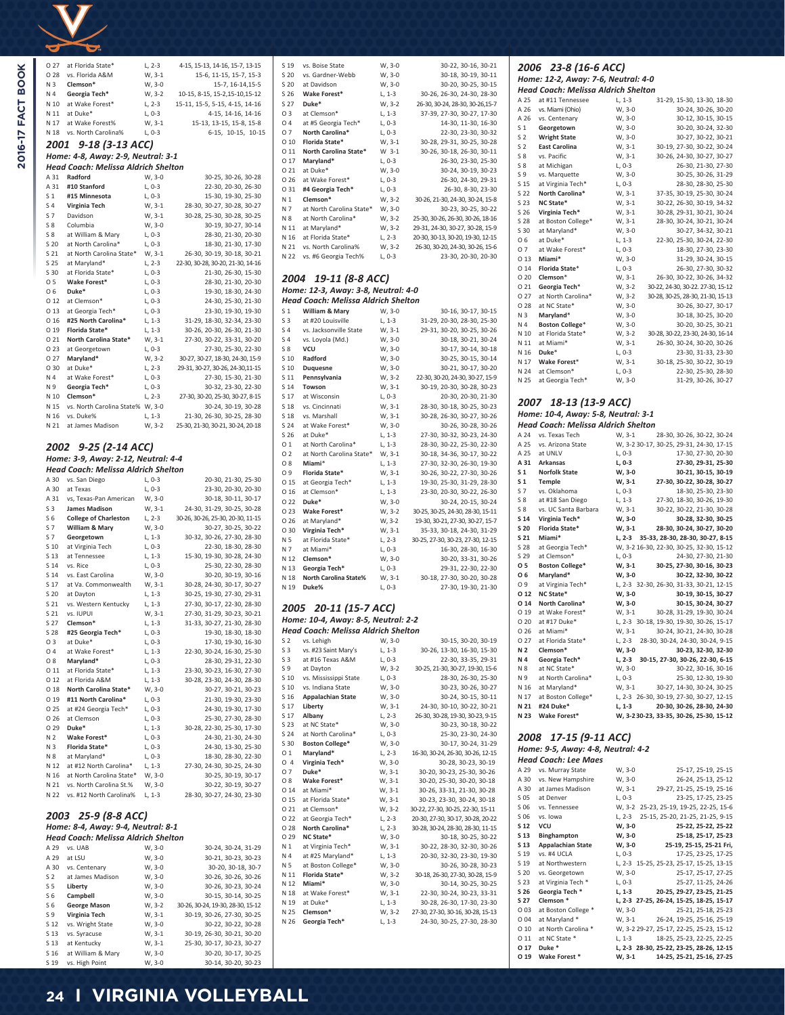| O 27           | at Florida State*                                    | L, 2-3           | 4-15, 15-13, 14-16, 15-7, 13-15                   |
|----------------|------------------------------------------------------|------------------|---------------------------------------------------|
| O 28           | vs. Florida A&M                                      | W, 3-1           | 15-6, 11-15, 15-7, 15-3                           |
| N 3            | Clemson*                                             | W, 3-0           | 15-7, 16-14, 15-5                                 |
| N 4            | Georgia Tech*                                        | W, 3-2           | 10-15, 8-15, 15-2, 15-10, 15-12                   |
| N 10           | at Wake Forest*                                      | L, 2-3           | 15-11, 15-5, 5-15, 4-15, 14-16                    |
| N 11           | at Duke*                                             | L, 0-3           | 4-15, 14-16, 14-16                                |
| N 17           | at Wake Forest%                                      | W, 3-1           | 15-13, 13-15, 15-8, 15-8                          |
| N 18           | vs. North Carolina%                                  | $L, 0-3$         |                                                   |
|                |                                                      |                  | 6-15, 10-15, 10-15                                |
|                | 2001 9-18 (3-13 ACC)                                 |                  |                                                   |
|                | Home: 4-8, Away: 2-9, Neutral: 3-1                   |                  |                                                   |
|                | Head Coach: Melissa Aldrich Shelton                  |                  |                                                   |
| A 31           | Radford                                              | W, 3-0           | 30-25, 30-26, 30-28                               |
| A 31           | #10 Stanford                                         | $L, 0-3$         | 22-30, 20-30, 26-30                               |
| S <sub>1</sub> | #15 Minnesota                                        | $L, 0-3$         | 15-30, 19-30, 25-30                               |
| S <sub>4</sub> | Virginia Tech                                        | W, 3-1           | 28-30, 30-27, 30-28, 30-27                        |
| S 7            | Davidson                                             | W, 3-1           | 30-28, 25-30, 30-28, 30-25                        |
| S8             | Columbia                                             | W, 3-0           | 30-19, 30-27, 30-14                               |
| S 8            | at William & Mary                                    | $L, 0-3$         | 28-30, 21-30, 20-30                               |
| S 20           | at North Carolina*                                   | $L, 0-3$         | 18-30, 21-30, 17-30                               |
| S 21           | at North Carolina State*                             | W, 3-1           | 26-30, 30-19, 30-18, 30-21                        |
| S 25           | at Maryland*                                         | $L, 2-3$         | 22-30, 30-28, 30-20, 21-30, 14-16                 |
| S 30           | at Florida State*                                    | $L, 0-3$         | 21-30, 26-30, 15-30                               |
| 05             | Wake Forest*                                         | $L, 0-3$         | 28-30, 21-30, 20-30                               |
| O 6            | Duke*                                                | $L, 0-3$         | 19-30, 18-30, 24-30                               |
| 012            | at Clemson*                                          | $L, 0-3$         | 24-30, 25-30, 21-30                               |
| O 13           | at Georgia Tech*                                     | $L, 0-3$         | 23-30, 19-30, 19-30                               |
| O 16           | #25 North Carolina*                                  | $L, 1-3$         | 31-29, 18-30, 32-34, 23-30                        |
| O 19           | Florida State*                                       | L, 1-3           | 30-26, 20-30, 26-30, 21-30                        |
| O 21           | North Carolina State*                                | W, 3-1           | 27-30, 30-22, 33-31, 30-20                        |
| O 23           | at Georgetown                                        | L, 0-3           | 27-30, 25-30, 22-30                               |
| O 27           | Maryland*                                            | W, 3-2           | 30-27, 30-27, 18-30, 24-30, 15-9                  |
| O 30           | at Duke*                                             | L, 2-3           | 29-31, 30-27, 30-26, 24-30, 11-15                 |
| N 4            | at Wake Forest*                                      | $L, 0-3$         | 27-30, 15-30, 21-30                               |
| N 9            | Georgia Tech*                                        | L, 0-3           | 30-32, 23-30, 22-30                               |
| N 10           | Clemson*                                             | L, 2-3           | 27-30, 30-20, 25-30, 30-27, 8-15                  |
| N 15           | vs. North Carolina State% W, 3-0                     |                  | 30-24, 30-19, 30-28                               |
| N 16           | vs. Duke%                                            | L, 1-3           | 21-30, 26-30, 30-25, 28-30                        |
| N 21           | at James Madison                                     | W, 3-2           | 25-30, 21-30, 30-21, 30-24, 20-18                 |
|                |                                                      |                  |                                                   |
|                |                                                      |                  |                                                   |
|                |                                                      |                  |                                                   |
|                | 2002 9-25 (2-14 ACC)                                 |                  |                                                   |
|                | Home: 3-9, Away: 2-12, Neutral: 4-4                  |                  |                                                   |
|                | Head Coach: Melissa Aldrich Shelton                  |                  |                                                   |
| A 30           | vs. San Diego                                        | $L, 0-3$         | 20-30, 21-30, 25-30                               |
| A 30           | at Texas                                             | $L, 0-3$         | 23-30, 20-30, 20-30                               |
| A 31           | vs, Texas-Pan American                               | W, 3-0           | 30-18, 30-11, 30-17                               |
| S <sub>3</sub> | <b>James Madison</b>                                 | W, 3-1           | 24-30, 31-29, 30-25, 30-28                        |
| S <sub>6</sub> | <b>College of Charleston</b>                         | L, 2-3           | 30-26, 30-26, 25-30, 20-30, 11-15                 |
| S 7            | William & Mary                                       | W, 3-0           | 30-27, 30-25, 30-22                               |
| S 7            | Georgetown                                           | $L, 1-3$         | 30-32, 30-26, 27-30, 28-30                        |
| S 10           |                                                      |                  |                                                   |
| S 13           | at Virginia Tech<br>at Tennessee                     | L, 0-3           | 22-30, 18-30, 28-30<br>15-30, 19-30, 30-28, 24-30 |
| S 14           | vs. Rice                                             | L, 1-3<br>L, 0-3 | 25-30, 22-30, 28-30                               |
| S 14           | vs. East Carolina                                    |                  |                                                   |
|                |                                                      | W, 3-0           | 30-20, 30-19, 30-16                               |
| S 17<br>S 20   | at Va. Commonwealth                                  | W, 3-1           | 30-28, 24-30, 30-17, 30-27                        |
| S 21           | at Dayton                                            | L, 1-3           | 30-25, 19-30, 27-30, 29-31                        |
| S 21           | vs. Western Kentucky<br>vs. IUPUI                    | $L, 1-3$         | 27-30, 30-17, 22-30, 28-30                        |
|                |                                                      | W, 3-1           | 27-30, 31-29, 30-23, 30-21                        |
| S 27           | Clemson*                                             | $L, 1-3$         | 31-33, 30-27, 21-30, 28-30                        |
| S 28           | #25 Georgia Tech*                                    | L, 0-3           | 19-30, 18-30, 18-30                               |
| O 3            | at Duke*                                             | L, 0-3           | 17-30, 19-30, 16-30                               |
| O 4            | at Wake Forest*                                      | $L, 1-3$         | 22-30, 30-24, 16-30, 25-30                        |
| O 8            | Maryland*                                            | L, 0-3           | 28-30, 29-31, 22-30                               |
| O 11           | at Florida State*                                    | L, 1-3           | 23-30, 30-23, 16-30, 27-30                        |
| O 12           | at Florida A&M                                       | L, 1-3           | 30-28, 23-30, 24-30, 28-30                        |
| O 18           | North Carolina State*                                | W, 3-0           | 30-27, 30-21, 30-23                               |
|                | O 19 #11 North Carolina*                             | L, 0-3           | 21-30, 19-30, 23-30                               |
| O 25           | at #24 Georgia Tech*                                 | L, 0-3           | 24-30, 19-30, 17-30                               |
| O 26           | at Clemson                                           | L, 0-3           | 25-30, 27-30, 28-30                               |
| O 29           | Duke*                                                | $L, 1-3$         | 30-28, 22-30, 25-30, 17-30                        |
| N 2            | Wake Forest*                                         | $L, 0-3$         | 24-30, 21-30, 24-30                               |
| N 3            | Florida State*                                       | L, 0-3           | 24-30, 13-30, 25-30                               |
| N 8            | at Maryland*                                         | $L, 0-3$         | 18-30, 28-30, 22-30                               |
|                | N 12 at #12 North Carolina*                          | $L, 1-3$         | 27-30, 24-30, 30-25, 24-30                        |
|                | N 16 at North Carolina State*                        | W, 3-0           | 30-25, 30-19, 30-17                               |
| N 21           | vs. North Carolina St.%                              | W, 3-0           | 30-22, 30-19, 30-27                               |
|                | N 22 vs. #12 North Carolina%                         | $L, 1-3$         | 28-30, 30-27, 24-30, 23-30                        |
|                |                                                      |                  |                                                   |
| 2003           | 25-9 (8-8 ACC)<br>Home: 8-4, Away: 9-4, Neutral: 8-1 |                  |                                                   |

|                | <b>Head Coach: Melissa Aldrich Shelton</b> |        |                                   |
|----------------|--------------------------------------------|--------|-----------------------------------|
| A 29           | vs. UAB                                    | W.3-0  | 30-24. 30-24. 31-29               |
| A 29           | at LSU                                     | W. 3-0 | 30-21, 30-23, 30-23               |
| A 30           | vs. Centenary                              | W, 3-0 | 30-20, 30-18, 30-7                |
| S <sub>2</sub> | at James Madison                           | W, 3-0 | 30-26, 30-26, 30-26               |
| S 5            | Liberty                                    | W, 3-0 | 30-26, 30-23, 30-24               |
| S <sub>6</sub> | Campbell                                   | W.3-0  | 30-15, 30-14, 30-25               |
| S <sub>6</sub> | <b>George Mason</b>                        | W, 3-2 | 30-26, 30-24, 19-30, 28-30, 15-12 |
| S 9            | Virginia Tech                              | W, 3-1 | 30-19, 30-26, 27-30, 30-25        |
| S 12           | vs. Wright State                           | W.3-0  | 30-22, 30-22, 30-28               |
| S 13           | vs. Syracuse                               | W, 3-1 | 30-19, 26-30, 30-21, 30-20        |
| S 13           | at Kentucky                                | W. 3-1 | 25-30, 30-17, 30-23, 30-27        |
| S 16           | at William & Mary                          | W, 3-0 | 30-20, 30-17, 30-25               |
| S 19           | vs. High Point                             | W. 3-0 | 30-14, 30-20, 30-23               |

| S 19           | vs. Boise State          | W, 3-0   | 30-22, 30-16, 30-21               |
|----------------|--------------------------|----------|-----------------------------------|
| S 20           | vs. Gardner-Webb         | W, 3-0   | 30-18, 30-19, 30-11               |
| S 20           | at Davidson              | W, 3-0   | 30-20, 30-25, 30-15               |
| S 26           | Wake Forest*             | L, 1-3   | 30-26, 26-30, 24-30, 28-30        |
| S 27           | Duke*                    | W, 3-2   | 26-30, 30-24, 28-30, 30-26, 15-7  |
| O 3            | at Clemson*              | L, 1-3   | 37-39, 27-30, 30-27, 17-30        |
| 04             | at #5 Georgia Tech*      | L, 0-3   | 14-30, 11-30, 16-30               |
| 07             | North Carolina*          | L, 0-3   | 22-30, 23-30, 30-32               |
| 0 10           | Florida State*           | W, 3-1   | 30-28, 29-31, 30-25, 30-28        |
| 0 11           | North Carolina State*    | W 3-1    | 30-26, 30-18, 26-30, 30-11        |
| 0 17           | Maryland*                | L, 0-3   | 26-30, 23-30, 25-30               |
| 0 21           | at Duke*                 | W, 3-0   | 30-24, 30-19, 30-23               |
| 026            | at Wake Forest*          | $L, 0-3$ | 26-30, 24-30, 29-31               |
| 0 31           | #4 Georgia Tech*         | L, 0-3   | 26-30, 8-30, 23-30                |
| N <sub>1</sub> | Clemson*                 | $W. 3-2$ | 30-26, 21-30, 24-30, 30-24, 15-8  |
| N 7            | at North Carolina State* | W, 3-0   | 30-23, 30-25, 30-22               |
| N 8            | at North Carolina*       | W, 3-2   | 25-30, 30-26, 26-30, 30-26, 18-16 |
| N 11           | at Maryland*             | W, 3-2   | 29-31, 24-30, 30-27, 30-28, 15-9  |
| N 16           | at Florida State*        | $L, 2-3$ | 20-30, 30-13, 30-20, 19-30, 12-15 |
| N 21           | vs. North Carolina%      | W, 3-2   | 26-30, 30-20, 24-30, 30-26, 15-6  |
| N 22           | vs. #6 Georgia Tech%     | L, 0-3   | 23-30, 20-30, 20-30               |

# *2004 19-11 (8-8 ACC) Home: 12-3, Away: 3-8, Neutral: 4-0*

|                 | Head Coach: Melissa Aldrich Shelton                          |                  |                                                                 |
|-----------------|--------------------------------------------------------------|------------------|-----------------------------------------------------------------|
| S <sub>1</sub>  | William & Mary                                               | W, 3-0           | 30-16, 30-17, 30-15                                             |
| S3              | at #20 Louisville                                            | $L, 1-3$         | 31-29, 20-30, 28-30, 25-30                                      |
| S <sub>4</sub>  | vs. Jacksonville State                                       | W, 3-1           | 29-31, 30-20, 30-25, 30-26                                      |
| S 4             | vs. Loyola (Md.)                                             | W, 3-0           | 30-18, 30-21, 30-24                                             |
| S8              | <b>VCU</b>                                                   | W, 3-0           | 30-17, 30-14, 30-18                                             |
| S 10            | Radford                                                      | W, 3-0           | 30-25, 30-15, 30-14                                             |
| S 10            | <b>Duquesne</b>                                              | W, 3-0           | 30-21, 30-17, 30-20                                             |
| S <sub>11</sub> | Pennsylvania                                                 | W, 3-2           | 22-30, 30-20, 24-30, 30-27, 15-9                                |
| S 14            | Towson                                                       | W, 3-1           | 30-19, 20-30, 30-28, 30-23                                      |
| S 17            | at Wisconsin                                                 | $L, 0-3$         | 20-30, 20-30, 21-30                                             |
| S 18            | vs. Cincinnati                                               | W, 3-1           | 28-30, 30-18, 30-25, 30-23                                      |
| S 18            | vs. Marshall                                                 | W, 3-1           | 30-28, 26-30, 30-27, 30-26                                      |
| S 24            | at Wake Forest*                                              | W, 3-0           | 30-26, 30-28, 30-26                                             |
| S <sub>26</sub> | at Duke*                                                     | L, 1-3           | 27-30, 30-32, 30-23, 24-30                                      |
| 01              | at North Carolina*                                           | L, 1-3           | 28-30, 30-22, 25-30, 22-30                                      |
| O 2             | at North Carolina State*                                     | W, 3-1           | 30-18, 34-36, 30-17, 30-22                                      |
| O 8             | Miami*                                                       | L, 1-3           | 27-30, 32-30, 26-30, 19-30                                      |
| O 9             | Florida State*                                               | W, 3-1           | 30-26, 30-22, 27-30, 30-26                                      |
| O 15            | at Georgia Tech*                                             | L, 1-3           | 19-30, 25-30, 31-29, 28-30                                      |
| 016             | at Clemson*                                                  | $L, 1-3$         | 23-30, 20-30, 30-22, 26-30                                      |
| O 22            | Duke*                                                        | W, 3-0           | 30-24, 20-15, 30-24                                             |
| O 23            | Wake Forest*                                                 | W, 3-2           | 30-25, 30-25, 24-30, 28-30, 15-11                               |
| 026             | at Maryland*                                                 | W, 3-2           | 19-30, 30-21, 27-30, 30-27, 15-7                                |
| O 30            | Virginia Tech*                                               | W, 3-1           | 35-33, 30-18, 24-30, 31-29                                      |
| N 5             | at Florida State*                                            | L, 2-3           | 30-25, 27-30, 30-23, 27-30, 12-15                               |
| N 7             | at Miami*                                                    | L, 0-3           | 16-30, 28-30, 16-30                                             |
| N 12            | Clemson*                                                     | W, 3-0           | 30-20, 33-31, 30-26                                             |
| N 13            | Georgia Tech*                                                | L, 0-3           | 29-31, 22-30, 22-30                                             |
| N 18            | North Carolina State%                                        | W, 3-1           | 30-18, 27-30, 30-20, 30-28                                      |
| N 19            | Duke%                                                        | L, 0-3           | 27-30, 19-30, 21-30                                             |
|                 | 2005 20-11 (15-7 ACC)<br>Home: 10-4, Away: 8-5, Neutral: 2-2 |                  |                                                                 |
|                 | Head Coach: Melissa Aldrich Shelton                          |                  |                                                                 |
| S <sub>2</sub>  | vs. Lehigh                                                   | W, 3-0           | 30-15, 30-20, 30-19                                             |
| S <sub>3</sub>  | vs. #23 Saint Mary's                                         | $L, 1-3$         | 30-26, 13-30, 16-30, 15-30                                      |
| S3              | at #16 Texas A&M                                             | L, 0-3           | 22-30, 33-35, 29-31                                             |
| S 9             | at Dayton                                                    | W, 3-2           | 30-25, 21-30, 30-27, 19-30, 15-6                                |
| S <sub>10</sub> | vs. Mississippi State                                        | L, 0-3           | 28-30, 26-30, 25-30                                             |
| S <sub>10</sub> | vs. Indiana State                                            | W, 3-0           | 30-23, 30-26, 30-27                                             |
| S 16            | <b>Appalachian State</b>                                     | W, 3-0           | 30-24, 30-15, 30-11                                             |
| S 17            | Liberty                                                      | W, 3-1           | 24-30, 30-10, 30-22, 30-21                                      |
| S 17            | Albany                                                       | L, 2-3           | 26-30, 30-28, 19-30, 30-23, 9-15                                |
| S 23            | at NC State*                                                 | W, 3-0           | 30-23, 30-18, 30-22                                             |
| S 24            | at North Carolina*                                           | L, 0-3           | 25-30, 23-30, 24-30                                             |
| S 30            | <b>Boston College*</b>                                       | W, 3-0           | 30-17, 30-24, 31-29                                             |
| 01              | Maryland*                                                    | L, 2-3           | 16-30, 30-24, 26-30, 30-26, 12-15                               |
| O 4             | Virginia Tech*<br>Duke*                                      | W, 3-0           | 30-28, 30-23, 30-19                                             |
| 07<br>O 8       | Wake Forest*                                                 | W, 3-1           | 30-20, 30-23, 25-30, 30-26                                      |
| O 14            | at Miami*                                                    | W, 3-1<br>W, 3-1 | 30-20, 25-30, 30-20, 30-18                                      |
| 0 15            | at Florida State*                                            |                  | 30-26, 33-31, 21-30, 30-28                                      |
| O 21            | at Clemson*                                                  | W, 3-1<br>W, 3-2 | 30-23, 23-30, 30-24, 30-18<br>30-22, 27-30, 30-25, 22-30, 15-11 |
| 0 22            | at Georgia Tech*                                             | L, 2-3           | 20-30, 27-30, 30-17, 30-28, 20-22                               |
| 0 28            | North Carolina*                                              | L, 2-3           | 30-28, 30-24, 28-30, 28-30, 11-15                               |
| O 29            | NC State*                                                    | W, 3-0           | 30-18, 30-25, 30-22                                             |
| N <sub>1</sub>  | at Virginia Tech*                                            | W, 3-1           | 30-22, 28-30, 32-30, 30-26                                      |
| N 4             | at #25 Maryland*                                             | $L, 1-3$         | 20-30, 32-30, 23-30, 19-30                                      |
|                 |                                                              |                  |                                                                 |

N 5 at Boston College\* W, 3-0 30-26, 30-28, 30-23 N 11 **Florida State\*** W, 3-2 30-18, 26-30, 27-30, 30-28, 15-9 Miami\* W, 3-0 30-14, 30-25, 30-25<br>
N 12 **Miami\*** W, 3-0 30-14, 30-25, 30-25<br>
N 18 at Wake Forest<sup>\*</sup> W, 3-1 22-30, 30-24, 30-23, 33-31 N 18 at Wake Forest\* W, 3-1 22-30, 30-24, 30-23, 33-31<br>
N 19 at Duke\* L, 1-3 30-28, 26-30, 17-30, 23-30<br>
N 25 **Clemson\*** W, 3-2 27-30, 27-30, 30-16, 30-28, 15-13 N 19 at Duke\* L, 1-3 30-28, 26-30, 17-30, 23-30 N 25 **Clemson\*** W, 3-2 27-30, 27-30, 30-16, 30-28, 15-13 N 26 **Georgia Tech\*** L, 1-3 24-30, 30-25, 27-30, 28-30

|              | Home: 12-2, Away: 7-6, Neutral: 4-0                                                          |                    |                                                   |
|--------------|----------------------------------------------------------------------------------------------|--------------------|---------------------------------------------------|
|              | Head Coach: Melissa Aldrich Shelton                                                          |                    |                                                   |
| A 25         | at #11 Tennessee                                                                             | $L, 1-3$           | 31-29, 15-30, 13-30, 18-30                        |
| A 26         | vs. Miami (Ohio)                                                                             | W, 3-0             | 30-24, 30-26, 30-20                               |
| A 26         | vs. Centenary                                                                                | W, 3-0             | 30-12, 30-15, 30-15                               |
| S 1          | Georgetown                                                                                   | W, 3-0             | 30-20, 30-24, 32-30                               |
| S 2<br>S 2   | <b>Wright State</b><br><b>East Carolina</b>                                                  | W, 3-0<br>W, 3-1   | 30-27, 30-22, 30-21<br>30-19, 27-30, 30-22, 30-24 |
| S 8          | vs. Pacific                                                                                  | W, 3-1             | 30-26, 24-30, 30-27, 30-27                        |
| S 8          | at Michigan                                                                                  | L, 0-3             | 26-30, 21-30, 27-30                               |
| S 9          | vs. Marquette                                                                                | W, 3-0             | 30-25, 30-26, 31-29                               |
| S 15         | at Virginia Tech*                                                                            | L, 0-3             | 28-30, 28-30, 25-30                               |
| S 22         | North Carolina*                                                                              | W, 3-1             | 37-35, 30-19, 25-30, 30-24                        |
| S 23         | NC State*                                                                                    | W, 3-1             | 30-22, 26-30, 30-19, 34-32                        |
| S 26         | Virginia Tech*                                                                               | W, 3-1             | 30-28, 29-31, 30-21, 30-24                        |
| S 28         | at Boston College*                                                                           | W, 3-1             | 28-30, 30-24, 30-21, 30-24                        |
| S 30         | at Maryland*                                                                                 | W, 3-0             | 30-27, 34-32, 30-21                               |
| O 6<br>07    | at Duke*<br>at Wake Forest*                                                                  | $L, 1-3$           | 22-30, 25-30, 30-24, 22-30                        |
| 0 13         | Miami*                                                                                       | L, 0-3<br>W, 3-0   | 18-30, 27-30, 23-30<br>31-29, 30-24, 30-15        |
| 0 14         | Florida State*                                                                               | L, 0-3             | 26-30, 27-30, 30-32                               |
| O 20         | Clemson*                                                                                     | W, 3-1             | 26-30, 30-22, 30-26, 34-32                        |
| 0 21         | Georgia Tech*                                                                                | W, 3-2             | 30-22, 24-30, 30-22. 27-30, 15-12                 |
| 0 27         | at North Carolina*                                                                           | W, 3-2             | 30-28, 30-25, 28-30, 21-30, 15-13                 |
| O 28         | at NC State*                                                                                 | W, 3-0             | 30-26, 30-27, 30-17                               |
| N 3          | Maryland*                                                                                    | W, 3-0             | 30-18, 30-25, 30-20                               |
| N 4          | <b>Boston College*</b>                                                                       | W, 3-0             | 30-20, 30-25, 30-21                               |
| N 10         | at Florida State*                                                                            | W, 3-2             | 30-28, 30-22, 23-30, 24-30, 16-14                 |
| N 11         | at Miami*                                                                                    | W, 3-1             | 26-30, 30-24, 30-20, 30-26                        |
| N 16         | Duke*                                                                                        | $L, 0-3$           | 23-30, 31-33, 23-30                               |
| N 17<br>N 24 | Wake Forest*<br>at Clemson*                                                                  | W, 3-1<br>L, 0-3   | 30-18, 25-30, 30-22, 30-19<br>22-30, 25-30, 28-30 |
| N 25         | at Georgia Tech*                                                                             | W, 3-0             | 31-29, 30-26, 30-27                               |
|              |                                                                                              |                    |                                                   |
| A 24         | Home: 10-4, Away: 5-8, Neutral: 3-1<br>Head Coach: Melissa Aldrich Shelton<br>vs. Texas Tech | W, 3-1             | 28-30, 30-26, 30-22, 30-24                        |
| A 25         | vs. Arizona State                                                                            |                    | W, 3-2 30-17, 30-25, 29-31, 24-30, 17-15          |
| A 25         | at UNLV                                                                                      | $L, 0-3$           | 17-30, 27-30, 20-30                               |
| A 31         | Arkansas                                                                                     | L, 0-3             | 27-30, 29-31, 25-30                               |
| S 1<br>S 1   | <b>Norfolk State</b><br>Temple                                                               | W, 3-0             | 30-21, 30-15, 30-19<br>27-30, 30-22, 30-28, 30-27 |
| S 7          | vs. Oklahoma                                                                                 | W, 3-1<br>$L, 0-3$ | 18-30, 25-30, 23-30                               |
| S 8          | at #18 San Diego                                                                             | L, 1-3             | 27-30, 18-30, 30-26, 19-30                        |
| S 8          | vs. UC Santa Barbara                                                                         | W, 3-1             | 30-22, 30-22, 21-30, 30-28                        |
| S 14         | Virginia Tech*                                                                               | W, 3-0             | 30-28, 32-30, 30-25                               |
| S 20         | Florida State*                                                                               | W, 3-1             | 28-30, 30-24, 30-27, 30-20                        |
| S 21         | Miami*                                                                                       | L, 2-3             | 35-33, 28-30, 28-30, 30-27, 8-15                  |
| S 28         | at Georgia Tech*                                                                             |                    | W, 3-2 16-30, 22-30, 30-25, 32-30, 15-12          |
| S 29         | at Clemson*                                                                                  | L, 0-3             | 24-30, 27-30, 21-30                               |
| O 5          | <b>Boston College*</b>                                                                       | W, 3-1             | 30-25, 27-30, 30-16, 30-23<br>30-22, 32-30, 30-22 |
| О6<br>O 9    | Maryland*<br>at Virginia Tech*                                                               | W, 3-0             | L, 2-3 32-30, 26-30, 31-33, 30-21, 12-15          |
| O 12         | NC State*                                                                                    | W, 3-0             | 30-19, 30-15, 30-27                               |
| O 14         | North Carolina*                                                                              | W, 3-0             | 30-15, 30-24, 30-27                               |
| O 19         | at Wake Forest*                                                                              | W, 3-1             | 30-28, 31-29, 19-30, 30-24                        |
| O 20         | at #17 Duke*                                                                                 |                    | L, 2-3 30-18, 19-30, 19-30, 30-26, 15-17          |
| O 26         | at Miami*                                                                                    | W, 3-1             | 30-24, 30-21, 24-30, 30-28                        |
| 0 27         | at Florida State*                                                                            | L, 2-3             | 28-30, 30-24, 24-30, 30-24, 9-15                  |
| N 2          | Clemson <sup>+</sup>                                                                         | W, 3-0             | 30-23, 32-30, 32-30                               |
| N 4          | Georgia Tech*                                                                                |                    | L, 2-3 30-15, 27-30, 30-26, 22-30, 6-15           |
| N 8          | at NC State*                                                                                 | W, 3-0<br>$L, 0-3$ | 30-22, 30-16, 30-16                               |
| N 9          | at North Carolina*<br>N 16 at Maryland*                                                      | W, 3-1             | 25-30, 12-30, 19-30<br>30-27, 14-30, 30-24, 30-25 |
|              | N 17 at Boston College*                                                                      |                    | L, 2-3 26-30, 30-19, 27-30, 30-27, 12-15          |
|              | N 21 #24 Duke*                                                                               | L, 1-3             | 20-30, 30-26, 28-30, 24-30                        |
|              | N 23 Wake Forest*                                                                            |                    | W, 3-230-23, 33-35, 30-26, 25-30, 15-12           |
|              |                                                                                              |                    |                                                   |
| 2008         | 17-15 (9-11 ACC)                                                                             |                    |                                                   |
|              |                                                                                              |                    |                                                   |
|              | Home: 9-5, Away: 4-8, Neutral: 4-2                                                           |                    |                                                   |
|              | Head Coach: Lee Maes<br>A 29 Vs. Murray State                                                | $M_{2-}0$          | 25-17 25-19 25-15                                 |

*2006 23-8 (16-6 ACC)*

|      | Head Coach: Lee Maes      |          |                                          |
|------|---------------------------|----------|------------------------------------------|
| A 29 | vs. Murray State          | W, 3-0   | 25-17, 25-19, 25-15                      |
| A 30 | vs. New Hampshire         | W. 3-0   | 26-24, 25-13, 25-12                      |
| A 30 | at James Madison          | W, 3-1   | 29-27, 21-25, 25-19, 25-16               |
| S 05 | at Denver                 | $L. 0-3$ | 23-25, 17-25, 23-25                      |
| S 06 | vs. Tennessee             |          | W, 3-2 25-23, 25-19, 19-25, 22-25, 15-6  |
| S 06 | vs. Iowa                  | $L, 2-3$ | 25-15, 25-20, 21-25, 21-25, 9-15         |
| S 12 | <b>VCU</b>                | W, 3-0   | 25-22, 25-22, 25-22                      |
| S 13 | Binghampton               | W, 3-0   | 25-18, 25-17, 25-23                      |
| S 13 | <b>Appalachian State</b>  | W.3-0    | 25-19, 25-15, 25-21 Fri,                 |
| S 19 | vs. #4 UCLA               | $L, 0-3$ | 17-25, 23-25, 17-25                      |
| S 19 | at Northwestern           |          | L, 2-3 15-25, 25-23, 25-17, 15-25, 13-15 |
| S 20 | vs. Georgetown            | W, 3-0   | 25-17, 25-17, 27-25                      |
| S 23 | at Virginia Tech *        | L, 0-3   | 25-27, 11-25, 24-26                      |
| S 26 | Georgia Tech <sup>*</sup> | L, 1-3   | 20-25, 29-27, 23-25, 21-25               |
| S 27 | Clemson <sup>*</sup>      |          | L, 2-3 27-25, 26-24, 15-25, 18-25, 15-17 |
| O 03 | at Boston College *       | W, 3-0   | 25-21, 25-18, 25-23                      |
| 004  | at Maryland *             | W. 3-1   | 26-24, 19-25, 25-16, 25-19               |
| 010  | at North Carolina *       |          | W, 3-2 29-27, 25-17, 22-25, 25-23, 15-12 |
| 0 11 | at NC State *             | L, 1-3   | 18-25, 25-23, 22-25, 22-25               |
| 0 17 | Duke *                    |          | L, 2-3 28-30, 25-22, 23-25, 28-26, 12-15 |
| O 19 | Wake Forest *             | W, 3-1   | 14-25, 25-21, 25-16, 27-25               |

# **24 I VIRGINIA VOLLEYBALL**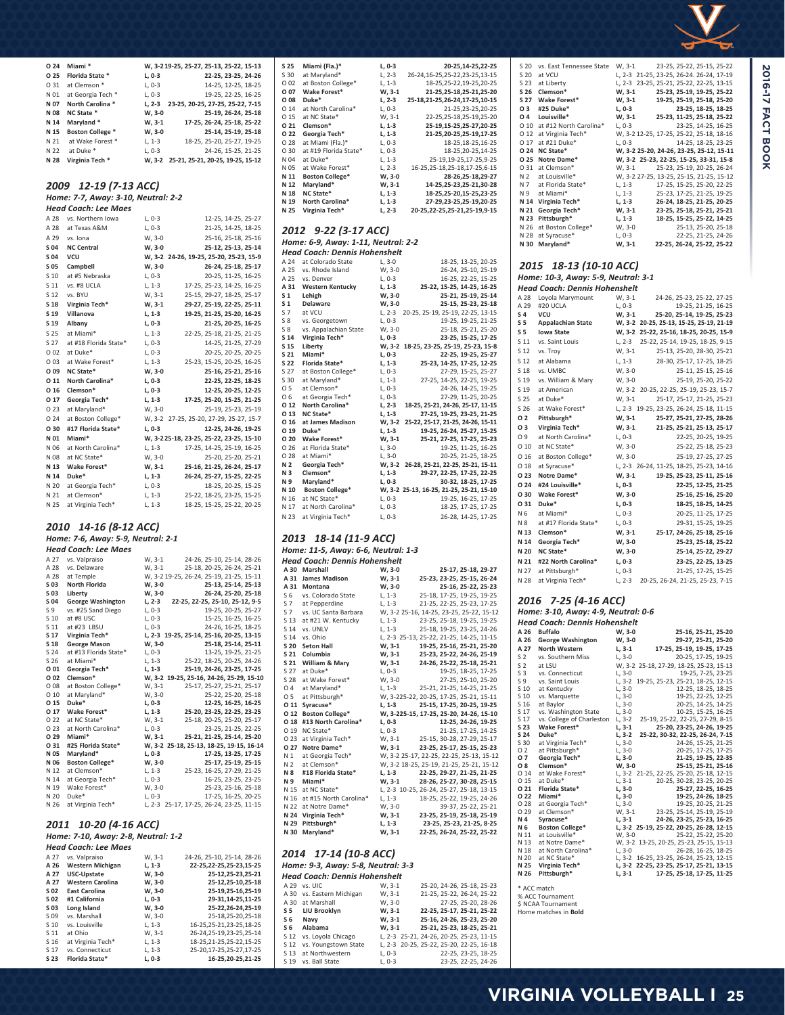

| O 24            | Miami*                              |          | W, 3-219-25, 25-27, 25-13, 25-22, 15-13  |
|-----------------|-------------------------------------|----------|------------------------------------------|
| O 25            | Florida State *                     | L, 0-3   | 22-25, 23-25, 24-26                      |
| O 31            | at Clemson *                        | L, 0-3   | 14-25, 12-25, 18-25                      |
| N 01            | at Georgia Tech *                   | $L, 0-3$ | 19-25, 22-25, 16-25                      |
| N 07            | North Carolina *                    | L, 2-3   | 23-25, 20-25, 27-25, 25-22, 7-15         |
| N 08            | NC State *                          | W, 3-0   | 25-19, 26-24, 25-18                      |
| N 14            | Maryland *                          | $W, 3-1$ | 17-25, 26-24, 25-18, 25-22               |
| N 15            | Boston College *                    | W, 3-0   | 25-14, 25-19, 25-18                      |
| N 21            | at Wake Forest *                    | L, 1-3   | 18-25, 25-20, 25-27, 19-25               |
| N 22            | at Duke *                           | $L, 0-3$ | 24-26, 15-25, 21-25                      |
| N 28            | Virginia Tech *                     |          | W, 3-2 25-21, 25-21, 20-25, 19-25, 15-12 |
|                 |                                     |          |                                          |
|                 |                                     |          |                                          |
|                 | 2009 12-19 (7-13 ACC)               |          |                                          |
|                 | Home: 7-7, Away: 3-10, Neutral: 2-2 |          |                                          |
|                 | <b>Head Coach: Lee Maes</b>         |          |                                          |
| A 28            | vs. Northern Iowa                   | $L, 0-3$ | 12-25, 14-25, 25-27                      |
| A 28            | at Texas A&M                        | $L, 0-3$ | 21-25, 14-25, 18-25                      |
| A 29            | vs. Iona                            | W, 3-0   | 25-16, 25-18, 25-16                      |
| S 04            | <b>NC Central</b>                   | W, 3-0   | 25-12, 25-13, 25-14                      |
| S 04            | vcu                                 |          | W, 3-2 24-26, 19-25, 25-20, 25-23, 15-9  |
| S 05            | Campbell                            | W, 3-0   | 26-24, 25-18, 25-17                      |
| S 10            | at #5 Nebraska                      | $L, 0-3$ | 20-25, 11-25, 16-25                      |
| S 11            | vs. #8 UCLA                         | L, 1-3   | 17-25, 25-23, 14-25, 16-25               |
| S 12            | vs. BYU                             | W, 3-1   | 25-15, 29-27, 18-25, 25-17               |
| S 18            | Virginia Tech*                      | W, 3-1   | 29-27, 25-19, 22-25, 25-11               |
| S 19            | Villanova                           | L, 1-3   | 19-25, 21-25, 25-20, 16-25               |
| S 19            | Albany                              | L, 0-3   | 21-25, 20-25, 16-25                      |
| S 25            | at Miami*                           | L, 1-3   | 22-25, 25-18, 21-25, 21-25               |
| S 27            | at #18 Florida State*               | $L, 0-3$ | 14-25, 21-25, 27-29                      |
| O <sub>02</sub> | at Duke*                            | L, 0-3   | 20-25, 20-25, 20-25                      |
| O 03            | at Wake Forest*                     | $L, 1-3$ | 25-23, 15-25, 20-25, 16-25               |
| O 09            | NC State*                           | W, 3-0   | 25-16, 25-21, 25-16                      |
| 0 11            | North Carolina*                     | L, 0-3   | 22-25, 22-25, 18-25                      |
| O 16            | Clemson*                            | L, 0-3   | 12-25, 20-25, 12-25                      |
| 0 17            | Georgia Tech*                       | L, 1-3   | 17-25, 25-20, 15-25, 21-25               |
| O 23            | at Maryland*                        | W, 3-0   | 25-19, 25-23, 25-19                      |
| O 24            | at Boston College*                  |          | W, 3-2 27-25, 25-20, 27-29, 25-27, 15-7  |
| O 30            | #17 Florida State*                  | L, 0-3   | 12-25, 24-26, 19-25                      |
| N 01            | Miami*                              |          | W, 3-225-18, 23-25, 25-22, 23-25, 15-10  |
| N 06            | at North Carolina*                  | $L, 1-3$ | 17-25, 14-25, 25-19, 16-25               |
| N 08            | at NC State*                        | W, 3-0   | 25-20, 25-20, 25-21                      |
| N 13            | Wake Forest*                        | W, 3-1   | 25-16, 21-25, 26-24, 25-17               |
| N 14            | Duke*                               | L, 1-3   | 26-24, 25-27, 15-25, 22-25               |
| N 20            | at Georgia Tech*                    | $L, 0-3$ | 18-25, 20-25, 15-25                      |
| N 21            | at Clemson*                         | $L, 1-3$ | 25-22, 18-25, 23-25, 15-25               |
| N 25            | at Virginia Tech*                   | L, 1-3   | 18-25, 15-25, 25-22, 20-25               |
|                 |                                     |          |                                          |
|                 | 2010 14-16 (8-12 ACC)               |          |                                          |
|                 | Home: 7-6, Away: 5-9, Neutral: 2-1  |          |                                          |
|                 |                                     |          |                                          |
|                 | <b>Head Coach: Lee Maes</b>         |          |                                          |

| A 27            | vs. Valpraiso            | W, 3-1   | 24-26, 25-10, 25-14, 28-26               |
|-----------------|--------------------------|----------|------------------------------------------|
| A 28            | vs. Delaware             | W. 3-1   | 25-18.20-25.26-24.25-21                  |
| A 28            | at Temple                |          | W, 3-2 19-25, 26-24, 25-19, 21-25, 15-11 |
| S 03            | <b>North Florida</b>     | W.3-0    | 25-13. 25-14. 25-13                      |
| S 03            | Liberty                  | W, 3-0   | 26-24, 25-20, 25-18                      |
| S 04            | <b>George Washington</b> | L, 2-3   | 22-25, 22-25, 25-10, 25-12, 9-5          |
| S 9             | vs. #25 Sand Diego       | $L. 0-3$ | 19-25, 20-25, 25-27                      |
| S 10            | at #8 USC                | L, 0-3   | 15-25, 16-25, 16-25                      |
| S 11            | at #23 LBSU              | $L. 0-3$ | 24-26. 16-25. 18-25                      |
| S 17            | Virginia Tech*           |          | L, 2-3 19-25, 25-14, 25-16, 20-25, 13-15 |
| S 18            | <b>George Mason</b>      | W, 3-0   | 25-18, 25-14, 25-11                      |
| S 24            | at #13 Florida State*    | $L, 0-3$ | 13-25, 19-25, 21-25                      |
| S 26            | at Miami*                | L, 1-3   | 25-22, 18-25, 20-25, 24-26               |
| 001             | Georgia Tech*            | $L. 1-3$ | 25-19. 24-26. 23-25. 17-25               |
| O 02            | Clemson*                 |          | W, 3-2 19-25, 25-16, 24-26, 25-29, 15-10 |
| O <sub>08</sub> | at Boston College*       | W, 3-1   | 25-17, 25-27, 25-21, 25-17               |
| $O$ 10          | at Maryland*             | W. 3-0   | 25-22, 25-20, 25-18                      |
| 0 15            | Duke*                    | L, 0-3   | 12-25, 16-25, 16-25                      |
| 017             | Wake Forest*             | $L. 1-3$ | 25-20, 23-25, 22-25, 23-25               |
| O <sub>22</sub> | at NC State*             | W, 3-1   | 25-18, 20-25, 25-20, 25-17               |
| O <sub>23</sub> | at North Carolina*       | L, 0-3   | 23-25, 21-25, 22-25                      |
| O 29            | Miami*                   | $W. 3-1$ | 25-21, 21-25, 25-14, 25-20               |
| 031             | #25 Florida State*       |          | W, 3-2 25-18, 25-13, 18-25, 19-15, 16-14 |
| N 05            | Maryland*                | L, 0-3   | 17-25, 13-25, 17-25                      |
| N 06            | Boston College*          | W, 3-0   | 25-17, 25-19, 25-15                      |
| N 12            | at Clemson*              | L, 1-3   | 25-23, 16-25, 27-29, 21-25               |
| N 14            | at Georgia Tech*         | $L, 0-3$ | 16-25, 23-25, 23-25                      |
| N 19            | Wake Forest*             | W, 3-0   | 25-23, 25-16, 25-18                      |
| N 20            | Duke*                    | $L, 0-3$ | 17-25, 16-25, 20-25                      |
| N 26            | at Virginia Tech*        |          | L, 2-3 25-17, 17-25, 26-24, 23-25, 11-15 |
|                 |                          |          |                                          |

# *2011 10-20 (4-16 ACC)*

#### *Home: 7-10, Away: 2-8, Neutral: 1-2*

|                 | <b>Head Coach: Lee Maes</b> |          |                            |
|-----------------|-----------------------------|----------|----------------------------|
| A 27            | vs. Valpraiso               | W. 3-1   | 24-26. 25-10. 25-14. 28-26 |
| A 26            | Western Michigan            | $L, 1-3$ | 22-25.22-25.25-23.15-25    |
| A 27            | USC-Upstate                 | W.3-0    | 25-12.25-23.25-21          |
| A 27            | <b>Western Carolina</b>     | W. 3-0   | 25-12.25-10.25-18          |
| S 02            | <b>East Carolina</b>        | W.3-0    | 25-19.25-16.25-19          |
| S 02            | #1 California               | $L.0-3$  | 29-31.14-25.11-25          |
| S 03            | Long Island                 | W, 3-0   | 25-22.26-24.25-19          |
| S 09            | vs. Marshall                | W. 3-0   | 25-18.25-20.25-18          |
| S <sub>10</sub> | vs. Louisville              | $L. 1-3$ | 16-25.25-21.23-25.18-25    |
| S 11            | at Ohio                     | W. 3-1   | 26-24.25-19.23-25.25-14    |
| S 16            | at Virginia Tech*           | $L, 1-3$ | 18-25.21-25.25-22.15-25    |
| S 17            | vs. Connecticut             | $L, 1-3$ | 25-20.17-25.25-27.17-25    |
| S 23            | Florida State*              | $L.0-3$  | 16-25.20-25.21-25          |

| S 25           |                                     |                  |                                                          |
|----------------|-------------------------------------|------------------|----------------------------------------------------------|
|                | Miami (Fla.)*                       | L, 0-3           | 20-25,14-25,22-25                                        |
| S 30           | at Maryland*                        | $L, 2-3$         | 26-24, 16-25, 25-22, 23-25, 13-15                        |
| 002            | at Boston College*                  | L, 1-3           | 18-25, 25-22, 19-25, 20-25                               |
| O 07           | Wake Forest*                        | W, 3-1           | 21-25, 25-18, 25-21, 25-20                               |
| O 08           | Duke*                               | $L, 2-3$         | 25-18,21-25,26-24,17-25,10-15                            |
| O 14           | at North Carolina*                  | L, 0-3           | 21-25,23-25,20-25                                        |
| 0 15           | at NC State*                        | W, 3-1           | 22-25,25-18,25-19,25-20                                  |
| 0 21           | Clemson*                            | L, 1-3           | 25-19,15-25,25-27,20-25                                  |
| O 22           | Georgia Tech*                       | $L, 1-3$         | 21-25, 20-25, 25-19, 17-25                               |
| O 28           | at Miami (Fla.)*                    | $L, 0-3$         | 18-25, 18-25, 16-25                                      |
|                |                                     |                  |                                                          |
| O 30           | at #19 Florida State*               | $L, 0-3$         | 18-25, 20-25, 14-25                                      |
| N 04           | at Duke*                            | $L, 1-3$         | 25-19,19-25,17-25,9-25                                   |
| N 05           | at Wake Forest*                     | L, 2-3           | 16-25, 25-18, 25-18, 17-25, 6-15                         |
| N 11           | Boston College*                     | W, 3-0           | 28-26,25-18,29-27                                        |
| N 12           | Maryland*                           | W, 3-1           | 14-25, 25-23, 25-21, 30-28                               |
| N 18           | NC State*                           | L, 1-3           | 18-25,25-20,15-25,23-25                                  |
| N 19           | North Carolina*                     | L, 1-3           | 27-29,23-25,25-19,20-25                                  |
|                |                                     |                  |                                                          |
| N 25           | Virginia Tech*                      | $L, 2-3$         | 20-25,22-25,25-21,25-19,9-15                             |
|                |                                     |                  |                                                          |
|                | 2012    9-22 (3-17 ACC)             |                  |                                                          |
|                |                                     |                  |                                                          |
|                | Home: 6-9, Away: 1-11, Neutral: 2-2 |                  |                                                          |
|                | Head Coach: Dennis Hohenshelt       |                  |                                                          |
| A 24           | at Colorado State                   |                  |                                                          |
|                |                                     | $L, 3-0$         | 18-25, 13-25, 20-25                                      |
| A 25           | vs. Rhode Island                    | W, 3-0           | 26-24, 25-10, 25-19                                      |
| A 25           | vs. Denver                          | L, 0-3           | 16-25, 22-25, 15-25                                      |
| A 31           | <b>Western Kentucky</b>             | L, 1-3           | 25-22, 15-25, 14-25, 16-25                               |
| S 1            | Lehigh                              | W, 3-0           | 25-21, 25-19, 25-14                                      |
| S <sub>1</sub> | Delaware                            | W, 3-0           | 25-15, 25-23, 25-18                                      |
|                |                                     |                  |                                                          |
| S 7            | at VCU                              | $L, 2-3$         | 20-25, 25-19, 25-19, 22-25, 13-15                        |
| S8             | vs. Georgetown                      | L, 0-3           | 19-25, 19-25, 21-25                                      |
| S 8            | vs. Appalachian State               | W, 3-0           | 25-18, 25-21, 25-20                                      |
| S 14           | Virginia Tech*                      | $L, 0-3$         | 23-25, 15-25, 17-25                                      |
| S 15           | Liberty                             |                  | W, 3-2 18-25, 23-25, 25-19, 25-23, 15-8                  |
|                | Miami*                              |                  |                                                          |
| S 21           |                                     | L, 0-3           | 22-25, 19-25, 25-27                                      |
| S 22           | Florida State*                      | L, 1-3           | 25-23, 14-25, 17-25, 12-25                               |
| S 27           | at Boston College*                  | L, 0-3           | 27-29, 15-25, 25-27                                      |
| S 30           | at Maryland*                        | L, 1-3           | 27-25, 14-25, 22-25, 19-25                               |
| O 5            | at Clemson*                         | L, 0-3           | 24-26, 14-25, 19-25                                      |
| O 6            | at Georgia Tech*                    | L, 0-3           | 27-29, 11-25, 20-25                                      |
| O 12           | North Carolina*                     |                  | 18-25, 25-21, 24-26, 25-17, 11-15                        |
|                |                                     | L, 2-3           |                                                          |
| 0 13           | NC State*                           | L, 1-3           | 27-25, 19-25, 23-25, 21-25                               |
| 0 16           | at James Madison                    | W, 3-2           | 25-22, 25-17, 21-25, 24-26, 15-11                        |
| 0 19           | Duke*                               | $L, 1-3$         | 19-25, 26-24, 25-27, 15-25                               |
| O 20           | Wake Forest*                        | W, 3-1           | 25-21, 27-25, 17-25, 25-23                               |
| O 26           | at Florida State*                   | L, 3-0           | 19-25, 11-25, 16-25                                      |
| O 28           | at Miami*                           | L, 3-0           | 20-25, 21-25, 18-25                                      |
|                |                                     |                  |                                                          |
| N 2            | Georgia Tech*                       |                  | W, 3-2 26-28, 25-21, 22-25, 25-21, 15-11                 |
| N 3            | Clemson*                            | $L, 1-3$         | 29-27, 22-25, 17-25, 22-25                               |
| N 9            | Maryland*                           | L, 0-3           | 30-32, 18-25, 17-25                                      |
|                |                                     |                  | W, 3-2 25-13, 16-25, 21-25, 25-21, 15-10                 |
| N 10           |                                     |                  |                                                          |
|                | <b>Boston College*</b>              |                  |                                                          |
| N 16           | at NC State*                        | $L, 0-3$         | 19-25, 16-25, 17-25                                      |
| N 17           | at North Carolina*                  | L, 0-3           | 18-25, 17-25, 17-25                                      |
| N 23           | at Virginia Tech*                   | $L, 0-3$         | 26-28, 14-25, 17-25                                      |
|                |                                     |                  |                                                          |
|                |                                     |                  |                                                          |
|                | 2013    18-14 (11-9 ACC)            |                  |                                                          |
|                | Home: 11-5, Away: 6-6, Neutral: 1-3 |                  |                                                          |
|                |                                     |                  |                                                          |
|                | Head Coach: Dennis Hohenshelt       |                  |                                                          |
| A 30           | Marshall                            | W, 3-0           | 25-17, 25-18, 29-27                                      |
| A 31           | <b>James Madison</b>                | W, 3-1           | 25-23, 23-25, 25-15, 26-24                               |
| A 31           | Montana                             | W, 3-0           | 25-16, 25-22, 25-23                                      |
| S6             | vs. Colorado State                  | L, 1-3           | 25-18, 17-25, 19-25, 19-25                               |
| S <sub>7</sub> | at Pepperdine                       | L, 1-3           | 21-25, 22-25, 25-23, 17-25                               |
| S 7            | vs. UC Santa Barbara                |                  |                                                          |
|                |                                     |                  | W, 3-2 25-16, 14-25, 23-25, 25-22, 15-12                 |
| S 13           | at #21 W. Kentucky                  | L, 1-3           | 23-25, 25-18, 19-25, 19-25                               |
| S 14           | vs. UNLV                            | L, 1-3           | 25-18, 19-25, 23-25, 24-26                               |
| S 14           | vs. Ohio                            |                  | L, 2-3 25-13, 25-22, 21-25, 14-25, 11-15                 |
| S 20           | <b>Seton Hall</b>                   | W, 3-1           | 19-25, 25-16, 25-21, 25-20                               |
| S 21           | Columbia                            | W, 3-1           | 25-23, 25-22, 24-26, 25-19                               |
| S 21           | William & Mary                      | W, 3-1           |                                                          |
|                |                                     |                  | 24-26, 25-22, 25-18, 25-21<br>19-25, 18-25, 17-25        |
| S 27           | at Duke*                            | L, 0-3           |                                                          |
|                | S 28 at Wake Forest*                | W, 3-0           | 27-25, 25-10, 25-20                                      |
| 04             | at Maryland*                        | $L, 1-3$         | 25-21, 21-25, 14-25, 21-25                               |
| 05             | at Pittsburgh*                      |                  | W, 3-225-22, 20-25, 17-25, 25-21, 15-11                  |
|                | O 11 Syracuse*                      | L, 1-3           | 25-15, 17-25, 20-25, 19-25                               |
|                | O 12 Boston College*                |                  | W, 3-225-15, 17-25, 25-20, 24-26, 15-10                  |
|                | O 18 #13 North Carolina*            | $L, 0-3$         | 12-25, 24-26, 19-25                                      |
|                |                                     |                  |                                                          |
|                | O 19 NC State*                      | $L, 0-3$         | 21-25, 17-25, 14-25                                      |
| O 23           | at Virginia Tech*                   | W, 3-1           | 25-15, 30-28, 27-29, 25-17                               |
|                | O 27 Notre Dame*                    | W, 3-1           | 23-25, 25-17, 25-15, 25-23                               |
| N 1            | at Georgia Tech*                    |                  | W, 3-2 25-17, 22-25, 22-25, 25-13, 15-12                 |
| N 2            | at Clemson*                         |                  | W, 3-2 18-25, 25-19, 21-25, 25-21, 15-12                 |
| N 8            | #18 Florida State*                  | $L, 1-3$         | 22-25, 29-27, 21-25, 21-25                               |
|                |                                     |                  |                                                          |
| N 9            | Miami*                              | W, 3-1           | 28-26, 25-27, 30-28, 25-15                               |
|                | N 15 at NC State*                   |                  | L, 2-3 10-25, 26-24, 25-27, 25-18, 13-15                 |
|                | N 16 at #15 North Carolina*         | L, 1-3           | 18-25, 25-22, 19-25, 24-26                               |
|                | N 22 at Notre Dame*                 | W, 3-0           | 39-37, 25-22, 25-21                                      |
|                | N 24 Virginia Tech*                 | W, 3-1           | 23-25, 25-19, 25-18, 25-19                               |
|                | N 29 Pittsburgh*                    | L, 1-3           | 23-25, 25-23, 21-25, 8-25                                |
|                |                                     |                  |                                                          |
|                | N 30 Maryland*                      | W, 3-1           | 22-25, 26-24, 25-22, 25-22                               |
|                |                                     |                  |                                                          |
|                |                                     |                  |                                                          |
|                | 17-14 (10-8 ACC)                    |                  |                                                          |
|                | Home: 9-3, Away: 5-8, Neutral: 3-3  |                  |                                                          |
| 2014           |                                     |                  |                                                          |
|                | Head Coach: Dennis Hohenshelt       |                  |                                                          |
| A 29<br>A 30   | vs. UIC<br>vs. Eastern Michigan     | W, 3-1<br>W, 3-1 | 25-20, 24-26, 25-18, 25-23<br>21-25, 25-22, 26-24, 25-22 |

| L, 0-3<br>W, 3-1     | 21-25,23-25,20-25<br>22-25,25-18,25-19,25-20                           | О3<br>O 4                          |
|----------------------|------------------------------------------------------------------------|------------------------------------|
| L, 1-3               | 25-19,15-25,25-27,20-25                                                | O 10                               |
| $L, 1-3$             | 21-25, 20-25, 25-19, 17-25                                             | O 12                               |
| L, 0-3<br>$L, 0-3$   | 18-25, 18-25, 16-25<br>18-25,20-25,14-25                               | 0 17<br>O 24                       |
| $L, 1-3$             | 25-19,19-25,17-25,9-25                                                 | O 25                               |
| L, 2-3               | 16-25, 25-18, 25-18, 17-25, 6-15                                       | O 31                               |
| W, 3-0               | 28-26,25-18,29-27                                                      | N 2                                |
| W, 3-1               | 14-25,25-23,25-21,30-28                                                | N 7                                |
| L, 1-3<br>L, 1-3     | 18-25,25-20,15-25,23-25<br>27-29,23-25,25-19,20-25                     | N 9<br>N 14                        |
| L, 2-3               | 20-25,22-25,25-21,25-19,9-15                                           | N 21                               |
|                      |                                                                        | N 23                               |
| ICC)                 |                                                                        | N 26<br>N 28                       |
| Neutral: 2-2         |                                                                        | N 30                               |
| henshelt             |                                                                        |                                    |
| $L, 3-0$             | 18-25, 13-25, 20-25                                                    | 201                                |
| W, 3-0               | 26-24, 25-10, 25-19                                                    |                                    |
| L, 0-3               | 16-25, 22-25, 15-25                                                    | Ноте                               |
| L, 1-3<br>W, 3-0     | 25-22, 15-25, 14-25, 16-25<br>25-21, 25-19, 25-14                      | Head<br>A 28                       |
| W, 3-0               | 25-15, 25-23, 25-18                                                    | A 29                               |
| L, 2-3               | 20-25, 25-19, 25-19, 22-25, 13-15                                      | S 4                                |
| L, 0-3               | 19-25, 19-25, 21-25                                                    | S 5                                |
| W, 3-0<br>L, 0-3     | 25-18, 25-21, 25-20<br>23-25, 15-25, 17-25                             | S 5                                |
| W, 3-2               | 18-25, 23-25, 25-19, 25-23, 15-8                                       | S 11                               |
| L, 0-3               | 22-25, 19-25, 25-27                                                    | S 12                               |
| $L, 1-3$             | 25-23, 14-25, 17-25, 12-25                                             | S 12                               |
| L, 0-3               | 27-29, 15-25, 25-27                                                    | S 18                               |
| L, 1-3               | 27-25, 14-25, 22-25, 19-25                                             | S 19                               |
| $L, 0-3$<br>$L, 0-3$ | 24-26, 14-25, 19-25<br>27-29, 11-25, 20-25                             | S 19                               |
| L, 2-3               | 18-25, 25-21, 24-26, 25-17, 11-15                                      | S 25                               |
| L, 1-3               | 27-25, 19-25, 23-25, 21-25                                             | S 26                               |
| W, 3-2               | 25-22, 25-17, 21-25, 24-26, 15-11                                      | 02<br>03                           |
| L, 1-3               | 19-25, 26-24, 25-27, 15-25                                             | O 9                                |
| W, 3-1<br>L, 3-0     | 25-21, 27-25, 17-25, 25-23<br>19-25, 11-25, 16-25                      | 010                                |
| $L, 3-0$             | 20-25, 21-25, 18-25                                                    | O 16                               |
|                      | W, 3-2 26-28, 25-21, 22-25, 25-21, 15-11                               | 0 18                               |
| L, 1-3               | 29-27, 22-25, 17-25, 22-25                                             | 023                                |
| L, 0-3               | 30-32, 18-25, 17-25                                                    | 0 24                               |
| $L, 0-3$             | W, 3-2 25-13, 16-25, 21-25, 25-21, 15-10<br>19-25, 16-25, 17-25        | O 30                               |
| L, 0-3               | 18-25, 17-25, 17-25                                                    | 031                                |
| $L, 0-3$             | 26-28, 14-25, 17-25                                                    | N 6                                |
|                      |                                                                        | N 8                                |
| ACC)                 |                                                                        | N 13                               |
| Neutral: 1-3         |                                                                        | N 14                               |
| henshelt             |                                                                        | N 20                               |
| W, 3-0               | 25-17, 25-18, 29-27                                                    | N 21                               |
| W, 3-1               | 25-23, 23-25, 25-15, 26-24                                             | N 27<br>N 28                       |
| W, 3-0               | 25-16, 25-22, 25-23                                                    |                                    |
| $L, 1-3$             | 25-18, 17-25, 19-25, 19-25                                             | 2016                               |
| $L, 1-3$             | 21-25, 22-25, 25-23, 17-25                                             |                                    |
|                      | W, 3-2 25-16, 14-25, 23-25, 25-22, 15-12                               | Ноте                               |
| L, 1-3<br>L, 1-3     | 23-25, 25-18, 19-25, 19-25<br>25-18, 19-25, 23-25, 24-26               | Head<br>A 26                       |
|                      | L, 2-3 25-13, 25-22, 21-25, 14-25, 11-15                               | A 26                               |
| W, 3-1               | 19-25, 25-16, 25-21, 25-20                                             | A 27                               |
| W, 3-1               | 25-23, 25-22, 24-26, 25-19                                             | S <sub>2</sub>                     |
| W, 3-1<br>L, 0-3     | 24-26, 25-22, 25-18, 25-21<br>19-25, 18-25, 17-25                      | S <sub>2</sub>                     |
| W. 3-0               | 27-25, 25-10, 25-20                                                    | S <sub>3</sub><br>ς α              |
| $L, 1-3$             | 25-21, 21-25, 14-25, 21-25                                             | S 10                               |
|                      | W, 3-225-22, 20-25, 17-25, 25-21, 15-11                                | S <sub>10</sub>                    |
| $L, 1-3$             | 25-15, 17-25, 20-25, 19-25                                             | S <sub>16</sub><br>S 17            |
|                      | W, 3-225-15, 17-25, 25-20, 24-26, 15-10                                | S 17                               |
| L, 0-3<br>$L, 0-3$   | 12-25, 24-26, 19-25<br>21-25, 17-25, 14-25                             | S 23                               |
| W, 3-1               | 25-15, 30-28, 27-29, 25-17                                             | S 24                               |
| W, 3-1               | 23-25, 25-17, 25-15, 25-23                                             | S 30<br>O <sub>2</sub>             |
|                      | W, 3-2 25-17, 22-25, 22-25, 25-13, 15-12                               | 07                                 |
| $L, 1-3$             | W, 3-2 18-25, 25-19, 21-25, 25-21, 15-12<br>22-25, 29-27, 21-25, 21-25 | O 8                                |
| W, 3-1               | 28-26, 25-27, 30-28, 25-15                                             | 014<br>015                         |
|                      | L, 2-3 10-25, 26-24, 25-27, 25-18, 13-15                               | 021                                |
| $L, 1-3$             | 18-25, 25-22, 19-25, 24-26                                             | O 22                               |
| W, 3-0               | 39-37, 25-22, 25-21                                                    | O <sub>28</sub><br>O <sub>29</sub> |
| W, 3-1               | 23-25, 25-19, 25-18, 25-19                                             | N 4                                |
| L, 1-3<br>W, 3-1     | 23-25, 25-23, 21-25, 8-25<br>22-25, 26-24, 25-22, 25-22                | N 6                                |
|                      |                                                                        | N 11<br>N 13                       |
| ACC)                 |                                                                        | N 18                               |
|                      |                                                                        |                                    |

|                | neuu Couch. Dennis Honensneit |          |                                          |
|----------------|-------------------------------|----------|------------------------------------------|
| A 29           | vs. UIC                       | $W. 3-1$ | 25-20, 24-26, 25-18, 25-23               |
| A 30           | vs. Eastern Michigan          | W. 3-1   | 21-25, 25-22, 26-24, 25-22               |
| A 30           | at Marshall                   | W. 3-0   | 27-25, 25-20, 28-26                      |
| S <sub>5</sub> | LIU Brooklyn                  | W. 3-1   | 22-25, 25-17, 25-21, 25-22               |
| S <sub>6</sub> | Navv                          | W. 3-1   | 25-16. 24-26. 25-23. 25-20               |
| S <sub>6</sub> | Alabama                       | $W. 3-1$ | 25-21. 25-23. 18-25. 25-21               |
| S 12           | vs. Loyola Chicago            |          | L, 2-3 25-21, 24-26, 20-25, 25-23, 11-15 |
| S 12           | vs. Youngstown State          |          | L. 2-3 20-25. 25-22. 25-20. 22-25. 16-18 |
| S 13           | at Northwestern               | $L, 0-3$ | 22-25, 23-25, 18-25                      |
| S 19           | vs. Ball State                | $L. 0-3$ | 23-25, 22-25, 24-26                      |

| S 20            | vs. East Tennessee State | W, 3-1   | 23-25, 25-22, 25-15, 25-22               |
|-----------------|--------------------------|----------|------------------------------------------|
| S 20            | at VCU                   |          | L, 2-3 21-25, 23-25, 26-24. 26-24, 17-19 |
| S 23            | at Liberty               |          | L, 2-3 23-25, 25-21, 25-22, 22-25, 13-15 |
| S 26            | Clemson*                 | W, 3-1   | 25-23, 25-19, 19-25, 25-22               |
| S 27            | Wake Forest*             | W, 3-1   | 19-25, 25-19, 25-18, 25-20               |
| O <sub>3</sub>  | #25 Duke*                | L, 0-3   | 23-25, 18-25, 18-25                      |
| 04              | Louisville*              | W, 3-1   | 25-23, 11-25, 25-18, 25-22               |
| O <sub>10</sub> | at #12 North Carolina*   | $L. 0-3$ | 23-25, 14-25, 16-25                      |
| 0 1 2           | at Virginia Tech*        |          | W, 3-2 12-25, 17-25, 25-22, 25-18, 18-16 |
| O 17            | at #21 Duke*             | $L. 0-3$ | 14-25, 18-25, 23-25                      |
| O 24            | NC State*                |          | W, 3-2 25-20, 24-26, 23-25, 25-12, 15-11 |
|                 | Notre Dame*              |          | W, 3-2 25-23, 22-25, 15-25, 33-31, 15-8  |
| O 25            |                          |          |                                          |
| 031             | at Clemson*              | W. 3-1   | 25-23, 25-19, 20-25, 26-24               |
| N 2             | at Louisville*           |          | W, 3-2 27-25, 13-25, 25-15, 21-25, 15-12 |
| N 7             | at Florida State*        | $L, 1-3$ | 17-25, 15-25, 25-20, 22-25               |
| N 9             | at Miami*                | L, 1-3   | 25-23, 17-25, 21-25, 19-25               |
| N 14            | Virginia Tech*           | L, 1-3   | 26-24, 18-25, 21-25, 20-25               |
| N 21            | Georgia Tech*            | $W. 3-1$ | 23-25. 25-18. 25-21. 25-21               |
| N 23            | Pittsburgh*              | L, 1-3   | 18-25, 15-25, 25-22, 14-25               |
| N 26            | at Boston College*       | W, 3-0   | 25-13, 25-20, 25-18                      |
| N 28            | at Syracuse*             | $L, 0-3$ | 22-25, 21-25, 24-26                      |

## *2015 18-13 (10-10 ACC)*

|                 | Home: 10-3, Away: 5-9, Neutral: 3-1  |            |                                          |  |  |  |
|-----------------|--------------------------------------|------------|------------------------------------------|--|--|--|
|                 | <b>Head Coach: Dennis Hohenshelt</b> |            |                                          |  |  |  |
| A 28            | Loyola Marymount                     | W, 3-1     | 24-26, 25-23, 25-22, 27-25               |  |  |  |
| A 29            | #20 UCLA                             | $L. 0-3$   | 19-25, 21-25, 16-25                      |  |  |  |
| S <sub>4</sub>  | <b>VCU</b>                           | W, 3-1     | 25-20, 25-14, 19-25, 25-23               |  |  |  |
| S <sub>5</sub>  | <b>Appalachian State</b>             |            | W, 3-2 20-25, 25-13, 15-25, 25-19, 21-19 |  |  |  |
| S <sub>5</sub>  | <b>Iowa State</b>                    |            | W, 3-2 25-22, 25-16, 18-25, 20-25, 15-9  |  |  |  |
| S 11            | vs. Saint Louis                      | $L. 2 - 3$ | 25-22, 25-14, 19-25, 18-25, 9-15         |  |  |  |
| S 12            | vs. Trov                             | W, 3-1     | 25-13, 25-20, 28-30, 25-21               |  |  |  |
| S 12            | at Alabama                           | L, 1-3     | 28-30, 25-17, 17-25, 18-25               |  |  |  |
| S 18            | vs. UMBC                             | W, 3-0     | 25-11, 25-15, 25-16                      |  |  |  |
| S 19            | vs. William & Mary                   | W, 3-0     | 25-19, 25-20, 25-22                      |  |  |  |
| S 19            | at American                          |            | W, 3-2 20-25, 22-25, 25-19, 25-23, 15-7  |  |  |  |
| S 25            | at Duke*                             | W. 3-1     | 25-17, 25-17, 21-25, 25-23               |  |  |  |
| S 26            | at Wake Forest*                      |            | L, 2-3 19-25, 23-25, 26-24, 25-18, 11-15 |  |  |  |
| 02              | Pittsburgh*                          | W, 3-1     | 25-27, 25-21, 27-25, 28-26               |  |  |  |
| 03              | Virginia Tech*                       | W, 3-1     | 21-25, 25-21, 25-13, 25-17               |  |  |  |
| O 9             | at North Carolina*                   | $L. 0-3$   | 22-25, 20-25, 19-25                      |  |  |  |
| $O$ 10          | at NC State*                         | W, 3-0     | 25-22, 25-18, 25-23                      |  |  |  |
| O <sub>16</sub> | at Boston College*                   | W, 3-0     | 25-19, 27-25, 27-25                      |  |  |  |
| O <sub>18</sub> | at Syracuse*                         |            | L, 2-3 26-24, 11-25, 18-25, 25-23, 14-16 |  |  |  |
| O 23            | Notre Dame*                          | W, 3-1     | 19-25, 25-23, 25-11, 25-16               |  |  |  |
| O 24            | #24 Louisville*                      | L, 0-3     | 22-25, 12-25, 21-25                      |  |  |  |
| O 30            | Wake Forest*                         | W, 3-0     | 25-16, 25-16, 25-20                      |  |  |  |
| 031             | Duke*                                | $L, 0-3$   | 18-25, 18-25, 14-25                      |  |  |  |
| N 6             | at Miami*                            | $L, 0-3$   | 20-25, 11-25, 17-25                      |  |  |  |
| N 8             | at #17 Florida State*                | $L, 0-3$   | 29-31, 15-25, 19-25                      |  |  |  |
| N 13            | Clemson*                             | W, 3-1     | 25-17, 24-26, 25-18, 25-16               |  |  |  |
| N 14            | Georgia Tech*                        | W, 3-0     | 25-23, 25-18, 25-22                      |  |  |  |
| N 20            | NC State*                            | W, 3-0     | 25-14, 25-22, 29-27                      |  |  |  |
| N 21            | #22 North Carolina*                  | L, 0-3     | 23-25, 22-25, 13-25                      |  |  |  |
| N 27            | at Pittsburgh*                       | $L, 0-3$   | 21-25, 17-25, 15-25                      |  |  |  |
| N 28            | at Virginia Tech*                    | $L, 2-3$   | 20-25, 26-24, 21-25, 25-23, 7-15         |  |  |  |

# *2016 7-25 (4-16 ACC)*

*Home: 3-10, Away: 4-9, Neutral: 0-6 Head Coach: Dennis Hohenshelt*

|                 | neuu couch. Dennis nonensneit |          |                                          |
|-----------------|-------------------------------|----------|------------------------------------------|
| A 26            | <b>Buffalo</b>                | W, 3-0   | 25-16, 25-21, 25-20                      |
| A 26            | George Washington             | W, 3-0   | 29-27, 25-21, 25-20                      |
| A 27            | North Western                 | $L, 3-1$ | 17-25, 25-19, 19-25, 17-25               |
| S <sub>2</sub>  | vs. Southern Miss             | $L, 3-0$ | 20-25, 17-25, 19-25                      |
| S <sub>2</sub>  | at LSU                        |          | W, 3-2 25-18, 27-29, 18-25, 25-23, 15-13 |
| S <sub>3</sub>  | vs. Connecticut               | $L, 3-0$ | 19-25, 7-25, 23-25                       |
| S 9             | vs. Saint Louis               | $L, 3-2$ | 19-25, 25-23, 25-21, 18-25, 12-15        |
| S 10            | at Kentucky                   | $L, 3-0$ | 12-25, 18-25, 18-25                      |
| S 10            | vs. Marquette                 | $L, 3-0$ | 19-25, 22-25, 12-25                      |
| S <sub>16</sub> | at Baylor                     | $L.3-0$  | 20-25, 14-25, 14-25                      |
| S 17            | vs. Washington State          | $L.3-0$  | 10-25, 15-25, 16-25                      |
| S 17            | vs. College of Charleston     | $L, 3-2$ | 25-19, 25-22, 22-25, 27-29, 8-15         |
| S 23            | Wake Forest*                  | $L, 3-1$ | 25-20, 23-25, 24-26, 19-25               |
| S 24            | Duke*                         | $L, 3-2$ | 25-22, 30-32, 22-25, 26-24, 7-15         |
| S 30            | at Virginia Tech*             | $L, 3-0$ | 24-26, 15-25, 21-25                      |
| O 2             | at Pittsburgh*                | $L, 3-0$ | 20-25, 17-25, 17-25                      |
| 07              | Georgia Tech*                 | $L, 3-0$ | 21-25, 19-25, 22-35                      |
| O 8             | Clemson*                      | W. 3-0   | 25-15, 25-21, 25-16                      |
| 0 14            | at Wake Forest*               |          | L, 3-2 21-25, 22-25, 25-20, 25-18, 12-15 |
| O <sub>15</sub> | at Duke*                      | $L, 3-1$ | 20-25, 30-28, 23-25, 20-25               |
| O 21            | Florida State*                | L, 3-0   | 25-27, 22-25, 16-25                      |
| O 22            | Miami*                        | L, 3-0   | 19-25, 24-26, 18-25                      |
| O <sub>28</sub> | at Georgia Tech*              | $L, 3-0$ | 19-25, 20-25, 21-25                      |
| O <sub>29</sub> | at Clemson*                   | W, 3-1   | 23-25, 25-14, 25-19, 25-19               |
| N 4             | Syracuse*                     | $L, 3-1$ | 24-26, 23-25, 25-23, 16-25               |
| N 6             | <b>Boston College*</b>        |          | L, 3-2 25-19, 25-22, 20-25, 26-28, 12-15 |
| N 11            | at Louisville*                | W, 3-0   | 25-22, 25-22, 25-20                      |
| N 13            | at Notre Dame*                |          | W, 3-2 13-25, 20-25, 25-23, 25-15, 15-13 |
| N 18            | at North Carolina*            | L. 3-0   | 26-28, 16-25, 18-25                      |
| N 20            | at NC State*                  |          | L, 3-2 16-25, 23-25, 26-24, 25-23, 12-15 |
| N 25            | Virginia Tech*                |          | L, 3-2 22-25, 23-25, 25-17, 25-21, 13-15 |
| N 26            | Pittsburgh*                   | L, 3-1   | 17-25, 25-18, 17-25, 11-25               |
|                 |                               |          |                                          |

\* ACC match % ACC Tournament \$ NCAA Tournament Home matches in **Bold**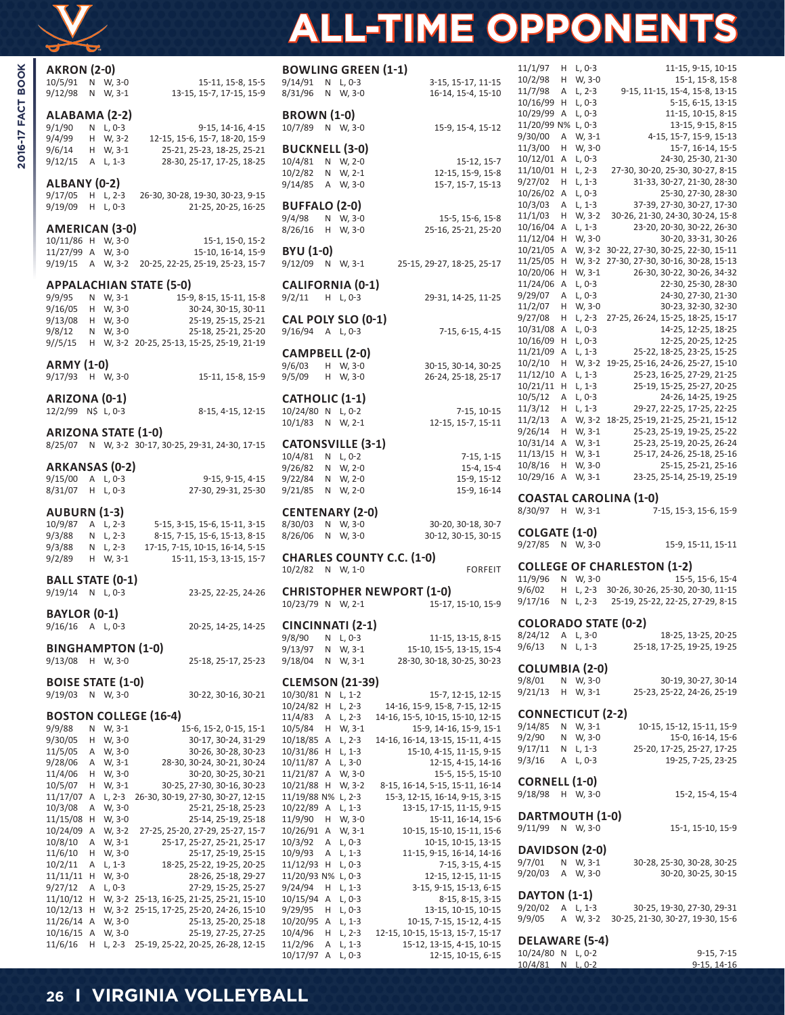

2016-17 FACT BOOK

# **ALL-TIME OPPONENTS**

30-25, 19-30, 27-30, 29-31

9/9/05 A W, 3-2 30-25, 21-30, 30-27, 19-30, 15-6

| <b>AKRON (2-0)</b>                  |    |                    |                                                              | <b>BOWLING GREEN (1-1)</b>                       |                                                              |
|-------------------------------------|----|--------------------|--------------------------------------------------------------|--------------------------------------------------|--------------------------------------------------------------|
| 10/5/91                             |    | N W.3-0            | 15-11, 15-8, 15-5                                            | 9/14/91<br>N L, 0-3                              | 3-15, 15-17, 11-15                                           |
| 9/12/98                             |    | N W, 3-1           | 13-15, 15-7, 17-15, 15-9                                     | 8/31/96<br>N W, 3-0                              | 16-14, 15-4, 15-10                                           |
|                                     |    |                    |                                                              |                                                  |                                                              |
| ALABAMA (2-2)                       |    |                    |                                                              | <b>BROWN (1-0)</b>                               |                                                              |
| 9/1/90                              |    | N L, 0-3           | 9-15, 14-16, 4-15                                            | 10/7/89<br>N W, 3-0                              | 15-9, 15-4, 15-12                                            |
| 9/4/99                              |    | H W, 3-2           | 12-15, 15-6, 15-7, 18-20, 15-9<br>25-21, 25-23, 18-25, 25-21 | <b>BUCKNELL (3-0)</b>                            |                                                              |
| 9/6/14                              |    | H W, 3-1           |                                                              | N W, 2-0<br>10/4/81                              | 15-12, 15-7                                                  |
| 9/12/15                             |    | A L, 1-3           | 28-30, 25-17, 17-25, 18-25                                   | 10/2/82<br>N W, 2-1                              | 12-15, 15-9, 15-8                                            |
| ALBANY (0-2)                        |    |                    |                                                              | 9/14/85<br>A W, 3-0                              | 15-7, 15-7, 15-13                                            |
| 9/17/05                             |    | H L, 2-3           | 26-30, 30-28, 19-30, 30-23, 9-15                             |                                                  |                                                              |
| 9/19/09                             |    | $H L, 0-3$         | 21-25, 20-25, 16-25                                          | <b>BUFFALO (2-0)</b>                             |                                                              |
|                                     |    |                    |                                                              | 9/4/98<br>N W, 3-0                               | 15-5, 15-6, 15-8                                             |
| AMERICAN (3-0)                      |    |                    |                                                              | 8/26/16<br>H W, 3-0                              | 25-16, 25-21, 25-20                                          |
| 10/11/86 H W, 3-0                   |    |                    | 15-1, 15-0, 15-2                                             |                                                  |                                                              |
| 11/27/99 A W, 3-0                   |    |                    | 15-10, 16-14, 15-9                                           | <b>BYU (1-0)</b>                                 |                                                              |
| $9/19/15$ A W, 3-2                  |    |                    | 20-25, 22-25, 25-19, 25-23, 15-7                             | 9/12/09<br>N W, 3-1                              | 25-15, 29-27, 18-25, 25-17                                   |
|                                     |    |                    |                                                              |                                                  |                                                              |
|                                     |    |                    | <b>APPALACHIAN STATE (5-0)</b>                               | <b>CALIFORNIA (0-1)</b>                          |                                                              |
| 9/9/95                              |    | N W, 3-1           | 15-9, 8-15, 15-11, 15-8                                      | 9/2/11<br>$H L, 0-3$                             | 29-31, 14-25, 11-25                                          |
| 9/16/05                             |    | H W, 3-0           | 30-24, 30-15, 30-11                                          |                                                  |                                                              |
| 9/13/08                             |    | H W, 3-0           | 25-19, 25-15, 25-21                                          | CAL POLY SLO (0-1)                               |                                                              |
| 9/8/12                              |    | N W, 3-0           | 25-18, 25-21, 25-20                                          | $9/16/94$ A L, 0-3                               | 7-15, 6-15, 4-15                                             |
| 9//5/15                             |    |                    | H W, 3-2 20-25, 25-13, 15-25, 25-19, 21-19                   |                                                  |                                                              |
|                                     |    |                    |                                                              | CAMPBELL (2-0)                                   |                                                              |
| <b>ARMY (1-0)</b>                   |    |                    |                                                              | 9/6/03<br>H W, 3-0                               | 30-15, 30-14, 30-25                                          |
| 9/17/93 H W, 3-0                    |    |                    | 15-11, 15-8, 15-9                                            | 9/5/09<br>H W, 3-0                               | 26-24, 25-18, 25-17                                          |
|                                     |    |                    |                                                              | <b>CATHOLIC (1-1)</b>                            |                                                              |
| ARIZONA (0-1)                       |    |                    |                                                              |                                                  |                                                              |
| 12/2/99 N\$ L, 0-3                  |    |                    | 8-15, 4-15, 12-15                                            | 10/24/80 N L, 0-2                                | $7-15, 10-15$                                                |
| <b>ARIZONA STATE (1-0)</b>          |    |                    |                                                              | 10/1/83<br>N W, 2-1                              | 12-15, 15-7, 15-11                                           |
|                                     |    |                    | 8/25/07 N W, 3-2 30-17, 30-25, 29-31, 24-30, 17-15           | <b>CATONSVILLE (3-1)</b>                         |                                                              |
|                                     |    |                    |                                                              | 10/4/81<br>N L, 0-2                              | $7-15, 1-15$                                                 |
| ARKANSAS (0-2)                      |    |                    |                                                              | 9/26/82<br>N W, 2-0                              | 15-4, 15-4                                                   |
| $9/15/00$ A L, 0-3                  |    |                    | 9-15, 9-15, 4-15                                             | 9/22/84<br>N W, 2-0                              | 15-9, 15-12                                                  |
| 8/31/07                             |    | $H L, 0-3$         | 27-30, 29-31, 25-30                                          | 9/21/85<br>N W, 2-0                              | 15-9, 16-14                                                  |
|                                     |    |                    |                                                              |                                                  |                                                              |
|                                     |    |                    |                                                              |                                                  |                                                              |
| <b>AUBURN (1-3)</b>                 |    |                    |                                                              | <b>CENTENARY (2-0)</b>                           |                                                              |
| 10/9/87                             |    | A L, 2-3           | 5-15, 3-15, 15-6, 15-11, 3-15                                | 8/30/03<br>N W, 3-0                              | 30-20, 30-18, 30-7                                           |
| 9/3/88                              |    | N L, 2-3           | 8-15, 7-15, 15-6, 15-13, 8-15                                | 8/26/06<br>N W, 3-0                              | 30-12, 30-15, 30-15                                          |
| 9/3/88                              |    | N L, 2-3           | 17-15, 7-15, 10-15, 16-14, 5-15                              |                                                  |                                                              |
| 9/2/89                              |    | H W, 3-1           | 15-11, 15-3, 13-15, 15-7                                     | <b>CHARLES COUNTY C.C. (1-0)</b>                 |                                                              |
|                                     |    |                    |                                                              | 10/2/82<br>N W, 1-0                              | <b>FORFEIT</b>                                               |
| <b>BALL STATE (0-1)</b>             |    |                    |                                                              |                                                  |                                                              |
| $9/19/14$ N L, 0-3                  |    |                    | 23-25, 22-25, 24-26                                          | <b>CHRISTOPHER NEWPORT (1-0)</b>                 |                                                              |
|                                     |    |                    |                                                              | 10/23/79 N W, 2-1                                | 15-17, 15-10, 15-9                                           |
| <b>BAYLOR (0-1)</b>                 |    |                    |                                                              |                                                  |                                                              |
| $9/16/16$ A L, 0-3                  |    |                    | 20-25, 14-25, 14-25                                          | CINCINNATI (2-1)                                 |                                                              |
|                                     |    |                    |                                                              | 9/8/90<br>N L, 0-3                               | 11-15, 13-15, 8-15                                           |
| <b>BINGHAMPTON (1-0)</b>            |    |                    |                                                              | 9/13/97<br>N W, 3-1                              | 15-10, 15-5, 13-15, 15-4                                     |
| 9/13/08                             |    | H W, 3-0           | 25-18, 25-17, 25-23                                          | 9/18/04<br>N W, 3-1                              | 28-30, 30-18, 30-25, 30-23                                   |
|                                     |    |                    |                                                              |                                                  |                                                              |
| <b>BOISE STATE (1-0)</b>            |    |                    |                                                              | <b>CLEMSON (21-39)</b>                           |                                                              |
| 9/19/03                             |    | N W, 3-0           | 30-22, 30-16, 30-21                                          | 10/30/81 N L, 1-2                                | 15-7, 12-15, 12-15                                           |
|                                     |    |                    |                                                              | 10/24/82 H<br>$L, 2-3$                           | 14-16, 15-9, 15-8, 7-15, 12-15                               |
|                                     |    |                    | <b>BOSTON COLLEGE (16-4)</b>                                 | A L, 2-3<br>11/4/83                              | 14-16, 15-5, 10-15, 15-10, 12-15                             |
| 9/9/88                              | N  | W, 3-1             | 15-6, 15-2, 0-15, 15-1                                       | 10/5/84<br>W, 3-1<br>H                           | 15-9, 14-16, 15-9, 15-1                                      |
| 9/30/05                             |    | H W, 3-0           | 30-17, 30-24, 31-29                                          | L, 2-3<br>10/18/85 A                             | 14-16, 16-14, 13-15, 15-11, 4-15                             |
| 11/5/05                             |    | A W, 3-0           | 30-26, 30-28, 30-23                                          | 10/31/86 H L, 1-3                                | 15-10, 4-15, 11-15, 9-15                                     |
| 9/28/06<br>11/4/06                  | H  | A W, 3-1<br>W, 3-0 | 28-30, 30-24, 30-21, 30-24<br>30-20, 30-25, 30-21            | $L, 3-0$<br>$10/11/87$ A<br>11/21/87 A<br>W, 3-0 | 12-15, 4-15, 14-16<br>15-5, 15-5, 15-10                      |
| 10/5/07                             |    | H W, 3-1           | 30-25, 27-30, 30-16, 30-23                                   | 10/21/88 H W, 3-2                                | 8-15, 16-14, 5-15, 15-11, 16-14                              |
| 11/17/07 A L, 2-3                   |    |                    | 26-30, 30-19, 27-30, 30-27, 12-15                            | 11/19/88 N% L, 2-3                               | 15-3, 12-15, 16-14, 9-15, 3-15                               |
| 10/3/08                             | Α  | W, 3-0             | 25-21, 25-18, 25-23                                          | 10/22/89 A<br>L, 1-3                             | 13-15, 17-15, 11-15, 9-15                                    |
| 11/15/08 H                          |    | W, 3-0             | 25-14, 25-19, 25-18                                          | 11/9/90<br>W, 3-0<br>H                           | 15-11, 16-14, 15-6                                           |
| $10/24/09$ A                        |    | W, 3-2             | 27-25, 25-20, 27-29, 25-27, 15-7                             | $10/26/91$ A<br>W, 3-1                           | 10-15, 15-10, 15-11, 15-6                                    |
| 10/8/10                             | Α  | W, 3-1             | 25-17, 25-27, 25-21, 25-17                                   | 10/3/92<br>A L, 0-3                              | 10-15, 10-15, 13-15                                          |
| 11/6/10                             | H. | W, 3-0             | 25-17, 25-19, 25-15                                          | 10/9/93<br>Α<br>L, 1-3                           | 11-15, 9-15, 16-14, 14-16                                    |
| 10/2/11                             | Α  | L, 1-3             | 18-25, 25-22, 19-25, 20-25                                   | $11/12/93$ H L, 0-3                              | 7-15, 3-15, 4-15                                             |
| 11/11/11 H                          |    | W, 3-0             | 28-26, 25-18, 29-27                                          | 11/20/93 N% L, 0-3                               | 12-15, 12-15, 11-15                                          |
| 9/27/12                             | Α  | L, 0-3             | 27-29, 15-25, 25-27                                          | 9/24/94<br>L, 1-3<br>H                           | 3-15, 9-15, 15-13, 6-15                                      |
|                                     |    |                    | 11/10/12 H W, 3-2 25-13, 16-25, 21-25, 25-21, 15-10          | $10/15/94$ A<br>L, $0-3$                         | 8-15, 8-15, 3-15                                             |
|                                     |    |                    | 10/12/13 H W, 3-2 25-15, 17-25, 25-20, 24-26, 15-10          | 9/29/95<br>$H L, 0-3$                            | 13-15, 10-15, 10-15                                          |
| $11/26/14$ A W, 3-0<br>$10/16/15$ A |    | W, 3-0             | 25-13, 25-20, 25-18<br>25-19, 27-25, 27-25                   | 10/20/95 A<br>L, 1-3<br>10/4/96<br>$H L, 2-3$    | 10-15, 7-15, 15-12, 4-15<br>12-15, 10-15, 15-13, 15-7, 15-17 |

|                                        |            | <b>BOWLING GREEN (1-1)</b>                                        | 11/1/97                                  | $H L, 0-3$             | 11-15, 9-15, 10-15                                                                              |
|----------------------------------------|------------|-------------------------------------------------------------------|------------------------------------------|------------------------|-------------------------------------------------------------------------------------------------|
| 9/14/91                                | $N L, 0-3$ | 3-15, 15-17, 11-15                                                | 10/2/98                                  | H W, 3-0               | 15-1, 15-8, 15-8                                                                                |
| 8/31/96                                | N W, 3-0   | 16-14, 15-4, 15-10                                                | 11/7/98<br>10/16/99 H L, 0-3             | A L, 2-3               | 9-15, 11-15, 15-4, 15-8, 13-15<br>5-15, 6-15, 13-15                                             |
| <b>BROWN (1-0)</b>                     |            |                                                                   | 10/29/99 A L, 0-3                        |                        | 11-15, 10-15, 8-15                                                                              |
| 10/7/89                                | N W, 3-0   | 15-9, 15-4, 15-12                                                 | 11/20/99 N% L, 0-3                       |                        | 13-15, 9-15, 8-15                                                                               |
|                                        |            |                                                                   | 9/30/00                                  | A W, 3-1               | 4-15, 15-7, 15-9, 15-13                                                                         |
| <b>BUCKNELL (3-0)</b>                  |            |                                                                   | 11/3/00 H W, 3-0                         |                        | 15-7, 16-14, 15-5                                                                               |
| 10/4/81                                | N W, 2-0   | 15-12, 15-7                                                       | $10/12/01$ A                             | L, 0-3                 | 24-30, 25-30, 21-30<br>27-30, 30-20, 25-30, 30-27, 8-15                                         |
| 10/2/82                                | N W, 2-1   | 12-15, 15-9, 15-8<br>15-7, 15-7, 15-13                            | 11/10/01 H<br>$9/27/02$ H L, 1-3         | L, 2-3                 | 31-33, 30-27, 21-30, 28-30                                                                      |
| 9/14/85                                | A W, 3-0   |                                                                   | 10/26/02 A L, 0-3                        |                        | 25-30, 27-30, 28-30                                                                             |
| <b>BUFFALO (2-0)</b>                   |            |                                                                   | 10/3/03                                  | A L, 1-3               | 37-39, 27-30, 30-27, 17-30                                                                      |
| 9/4/98                                 | N W, 3-0   | 15-5, 15-6, 15-8                                                  | $11/1/03$ H W, 3-2                       |                        | 30-26, 21-30, 24-30, 30-24, 15-8                                                                |
| 8/26/16                                | $H$ W, 3-0 | 25-16, 25-21, 25-20                                               | $10/16/04$ A L, 1-3                      |                        | 23-20, 20-30, 30-22, 26-30                                                                      |
|                                        |            |                                                                   | 11/12/04 H W, 3-0                        |                        | 30-20, 33-31, 30-26                                                                             |
| BYU (1-0)<br>9/12/09                   |            |                                                                   | 11/25/05 H                               |                        | 10/21/05 A W, 3-2 30-22, 27-30, 30-25, 22-30, 15-11<br>W, 3-2 27-30, 27-30, 30-16, 30-28, 15-13 |
|                                        | N W, 3-1   | 25-15, 29-27, 18-25, 25-17                                        | 10/20/06 H W, 3-1                        |                        | 26-30, 30-22, 30-26, 34-32                                                                      |
| <b>CALIFORNIA (0-1)</b>                |            |                                                                   | 11/24/06 A                               | L, 0-3                 | 22-30, 25-30, 28-30                                                                             |
| 9/2/11                                 | $H L, 0-3$ | 29-31, 14-25, 11-25                                               | $9/29/07$ A L, 0-3                       |                        | 24-30, 27-30, 21-30                                                                             |
|                                        |            |                                                                   | 11/2/07 H W, 3-0                         |                        | 30-23, 32-30, 32-30                                                                             |
| <b>CAL POLY SLO (0-1)</b>              |            |                                                                   | 9/27/08<br>10/31/08 A L, 0-3             |                        | H L, 2-3 27-25, 26-24, 15-25, 18-25, 15-17<br>14-25, 12-25, 18-25                               |
| 9/16/94 A L, 0-3                       |            | 7-15, 6-15, 4-15                                                  | 10/16/09 H L, 0-3                        |                        | 12-25, 20-25, 12-25                                                                             |
| <b>CAMPBELL (2-0)</b>                  |            |                                                                   | 11/21/09 A L, 1-3                        |                        | 25-22, 18-25, 23-25, 15-25                                                                      |
| 9/6/03                                 | H W, 3-0   | 30-15, 30-14, 30-25                                               |                                          |                        | 10/2/10 H W, 3-2 19-25, 25-16, 24-26, 25-27, 15-10                                              |
| 9/5/09                                 | $H$ W, 3-0 | 26-24, 25-18, 25-17                                               | $11/12/10$ A L, 1-3                      |                        | 25-23, 16-25, 27-29, 21-25                                                                      |
|                                        |            |                                                                   | 10/21/11 H L, 1-3                        |                        | 25-19, 15-25, 25-27, 20-25                                                                      |
| <b>CATHOLIC (1-1)</b>                  |            |                                                                   | $10/5/12$ A L, 0-3<br>$11/3/12$ H L, 1-3 |                        | 24-26, 14-25, 19-25<br>29-27, 22-25, 17-25, 22-25                                               |
| 10/24/80 N L, 0-2<br>10/1/83           | N W, 2-1   | $7-15, 10-15$<br>12-15, 15-7, 15-11                               |                                          |                        | 11/2/13 A W, 3-2 18-25, 25-19, 21-25, 25-21, 15-12                                              |
|                                        |            |                                                                   | $9/26/14$ H W, 3-1                       |                        | 25-23, 25-19, 19-25, 25-22                                                                      |
| <b>CATONSVILLE (3-1)</b>               |            |                                                                   | $10/31/14$ A W, 3-1                      |                        | 25-23, 25-19, 20-25, 26-24                                                                      |
| 10/4/81                                | N L, 0-2   | $7-15, 1-15$                                                      | $11/13/15$ H W, 3-1                      |                        | 25-17, 24-26, 25-18, 25-16                                                                      |
| 9/26/82                                | N W, 2-0   | $15-4, 15-4$                                                      | 10/8/16 H W, 3-0                         |                        | 25-15, 25-21, 25-16                                                                             |
| 9/22/84                                | N W, 2-0   | 15-9, 15-12                                                       | 10/29/16 A W, 3-1                        |                        | 23-25, 25-14, 25-19, 25-19                                                                      |
| 9/21/85                                | N W, 2-0   | 15-9, 16-14                                                       |                                          |                        | <b>COASTAL CAROLINA (1-0)</b>                                                                   |
| <b>CENTENARY (2-0)</b>                 |            |                                                                   | 8/30/97 H W, 3-1                         |                        | 7-15, 15-3, 15-6, 15-9                                                                          |
| 8/30/03                                | N W, 3-0   | 30-20, 30-18, 30-7                                                |                                          |                        |                                                                                                 |
| 8/26/06                                | N W, 3-0   | 30-12, 30-15, 30-15                                               | <b>COLGATE (1-0)</b>                     |                        |                                                                                                 |
|                                        |            |                                                                   | 9/27/85 N W, 3-0                         |                        | 15-9, 15-11, 15-11                                                                              |
| 10/2/82 N W, 1-0                       |            | <b>CHARLES COUNTY C.C. (1-0)</b><br><b>FORFEIT</b>                |                                          |                        | <b>COLLEGE OF CHARLESTON (1-2)</b>                                                              |
|                                        |            |                                                                   | 11/9/96                                  | N W, 3-0               | 15-5, 15-6, 15-4                                                                                |
|                                        |            | <b>CHRISTOPHER NEWPORT (1-0)</b>                                  | 9/6/02                                   |                        | H L, 2-3 30-26, 30-26, 25-30, 20-30, 11-15                                                      |
|                                        |            | 10/23/79 N W, 2-1 15-17, 15-10, 15-9                              | 9/17/16                                  | N L, 2-3               | 25-19, 25-22, 22-25, 27-29, 8-15                                                                |
| CINCINNATI (2-1)                       |            |                                                                   |                                          |                        | <b>COLORADO STATE (0-2)</b>                                                                     |
| 9/8/90                                 | $N L, 0-3$ | 11-15, 13-15, 8-15                                                | 8/24/12                                  | A L, 3-0               | 18-25, 13-25, 20-25                                                                             |
| 9/13/97                                | N W, 3-1   | 15-10, 15-5, 13-15, 15-4                                          | 9/6/13                                   | $N L, 1-3$             | 25-18, 17-25, 19-25, 19-25                                                                      |
| 9/18/04                                | N W, 3-1   | 28-30, 30-18, 30-25, 30-23                                        |                                          |                        |                                                                                                 |
|                                        |            |                                                                   | <b>COLUMBIA (2-0)</b>                    |                        |                                                                                                 |
| <b>CLEMSON (21-39)</b>                 |            |                                                                   | 9/8/01<br>9/21/13                        | N W, 3-0<br>$H$ W, 3-1 | 30-19, 30-27, 30-14<br>25-23, 25-22, 24-26, 25-19                                               |
| 10/30/81 N L, 1-2<br>10/24/82 H L, 2-3 |            | 15-7, 12-15, 12-15<br>14-16, 15-9, 15-8, 7-15, 12-15              |                                          |                        |                                                                                                 |
| 11/4/83                                | A L, 2-3   | 14-16, 15-5, 10-15, 15-10, 12-15                                  | <b>CONNECTICUT (2-2)</b>                 |                        |                                                                                                 |
| 10/5/84                                | $H$ W, 3-1 | 15-9, 14-16, 15-9, 15-1                                           | 9/14/85                                  | N W, 3-1               | 10-15, 15-12, 15-11, 15-9                                                                       |
| 10/18/85 A L, 2-3                      |            | 14-16, 16-14, 13-15, 15-11, 4-15                                  | 9/2/90                                   | N W, 3-0               | 15-0, 16-14, 15-6                                                                               |
| 10/31/86 H L, 1-3                      |            | 15-10, 4-15, 11-15, 9-15                                          | 9/17/11                                  | N L, 1-3               | 25-20, 17-25, 25-27, 17-25                                                                      |
| 10/11/87 A L, 3-0                      |            | 12-15, 4-15, 14-16                                                | 9/3/16                                   | A L, 0-3               | 19-25, 7-25, 23-25                                                                              |
| 11/21/87 A W, 3-0<br>10/21/88 H W, 3-2 |            | 15-5, 15-5, 15-10                                                 | <b>CORNELL (1-0)</b>                     |                        |                                                                                                 |
| 11/19/88 N% L, 2-3                     |            | 8-15, 16-14, 5-15, 15-11, 16-14<br>15-3, 12-15, 16-14, 9-15, 3-15 | 9/18/98                                  | H W, 3-0               | 15-2, 15-4, 15-4                                                                                |
| 10/22/89 A L, 1-3                      |            | 13-15, 17-15, 11-15, 9-15                                         |                                          |                        |                                                                                                 |
| 11/9/90                                | $H$ W, 3-0 | 15-11, 16-14, 15-6                                                | DARTMOUTH (1-0)                          |                        |                                                                                                 |
| 10/26/91 A                             | W, 3-1     | 10-15, 15-10, 15-11, 15-6                                         | 9/11/99                                  | N W, 3-0               | 15-1, 15-10, 15-9                                                                               |
| 10/3/92                                | A L, 0-3   | 10-15, 10-15, 13-15                                               | DAVIDSON (2-0)                           |                        |                                                                                                 |
| 10/9/93<br>11/12/93 H L, 0-3           | A L, 1-3   | 11-15, 9-15, 16-14, 14-16<br>7-15, 3-15, 4-15                     | 9/7/01                                   | N W, 3-1               | 30-28, 25-30, 30-28, 30-25                                                                      |
| 11/20/93 N% L, 0-3                     |            | 12-15, 12-15, 11-15                                               | 9/20/03                                  | A W, 3-0               | 30-20, 30-25, 30-15                                                                             |
|                                        |            |                                                                   |                                          |                        |                                                                                                 |

12-15, 10-15, 6-15

**DAYTON (1-1)**<br>9/20/02 A L, 1-3

**DELAWARE (5-4)**

10/4/81 N L, 0-2

11/2/96 A L, 1-3 15-12, 13-15, 4-15, 10-15<br>10/17/97 A L, 0-3 12-15, 10-15, 6-15

**26 I VIRGINIA VOLLEYBALL**

10/24/80 N L, 0-2 9-15, 7-15<br>10/4/81 N L, 0-2 9-15, 14-16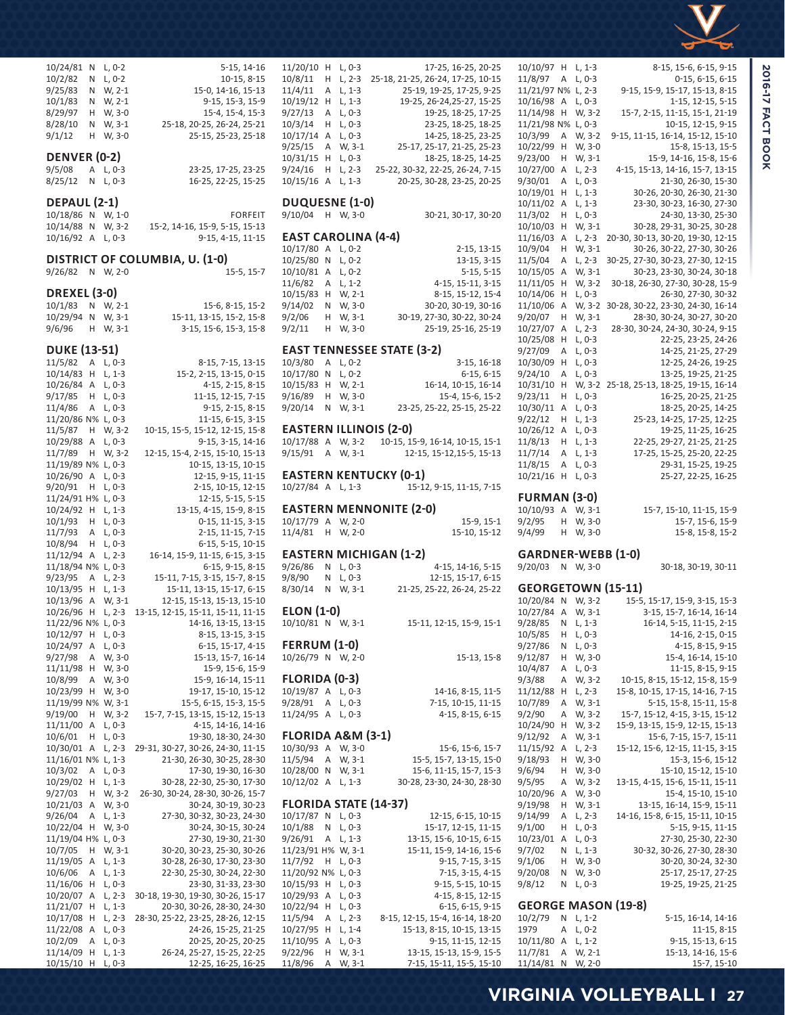

| 17-25, 16-25, 20-25                                                               |                           |   |                    |                                                     |                          |
|-----------------------------------------------------------------------------------|---------------------------|---|--------------------|-----------------------------------------------------|--------------------------|
|                                                                                   | 10/10/97 H L, 1-3         |   |                    | 8-15, 15-6, 6-15, 9-15                              |                          |
| 18, 21-25, 26-24, 17-25, 10-15                                                    | 11/8/97                   |   | A L, 0-3           | $0-15, 6-15, 6-15$                                  | <b>2016-17 FACT BOOK</b> |
| 25-19, 19-25, 17-25, 9-25                                                         | 11/21/97 N% L, 2-3        |   |                    | 9-15, 15-9, 15-17, 15-13, 8-15                      |                          |
| 19-25, 26-24, 25-27, 15-25                                                        | $10/16/98$ A L, 0-3       |   |                    | 1-15, 12-15, 5-15                                   |                          |
| 19-25, 18-25, 17-25                                                               | 11/14/98 H W, 3-2         |   |                    | 15-7, 2-15, 11-15, 15-1, 21-19                      |                          |
| 23-25, 18-25, 18-25                                                               | 11/21/98 N% L, 0-3        |   |                    | 10-15, 12-15, 9-15                                  |                          |
| 14-25, 18-25, 23-25                                                               | 10/3/99                   |   | A W, 3-2           | 9-15, 11-15, 16-14, 15-12, 15-10                    |                          |
| 25-17, 25-17, 21-25, 25-23                                                        | 10/22/99 H                |   | W, 3-0             | 15-8, 15-13, 15-5                                   |                          |
| 18-25, 18-25, 14-25                                                               | 9/23/00                   |   | $H$ W, 3-1         | 15-9, 14-16, 15-8, 15-6                             |                          |
| -22, 30-32, 22-25, 26-24, 7-15                                                    | 10/27/00 A L, 2-3         |   |                    | 4-15, 15-13, 14-16, 15-7, 13-15                     |                          |
| 20-25, 30-28, 23-25, 20-25                                                        | 9/30/01                   |   | A L, 0-3           | 21-30, 26-30, 15-30                                 |                          |
|                                                                                   | 10/19/01 H L, 1-3         |   |                    | 30-26, 20-30, 26-30, 21-30                          |                          |
|                                                                                   | 10/11/02 A L, 1-3         |   |                    | 23-30, 30-23, 16-30, 27-30                          |                          |
| 30-21, 30-17, 30-20                                                               | 11/3/02                   |   | $H L, 0-3$         | 24-30, 13-30, 25-30                                 |                          |
|                                                                                   | 10/10/03 H W, 3-1         |   |                    | 30-28, 29-31, 30-25, 30-28                          |                          |
| ⊦-4)                                                                              | 11/16/03 A L, 2-3         |   |                    | 20-30, 30-13, 30-20, 19-30, 12-15                   |                          |
| 2-15, 13-15                                                                       | 10/9/04                   |   | $H$ W, 3-1         | 30-26, 30-22, 27-30, 30-26                          |                          |
| 13-15, 3-15                                                                       | 11/5/04                   |   | A L, 2-3           | 30-25, 27-30, 30-23, 27-30, 12-15                   |                          |
| $5-15, 5-15$                                                                      | 10/15/05 A W, 3-1         |   |                    | 30-23, 23-30, 30-24, 30-18                          |                          |
| 4-15, 15-11, 3-15                                                                 | 11/11/05 H W, 3-2         |   |                    | 30-18, 26-30, 27-30, 30-28, 15-9                    |                          |
| 8-15, 15-12, 15-4                                                                 | 10/14/06 H L, 0-3         |   |                    | 26-30, 27-30, 30-32                                 |                          |
| 30-20, 30-19, 30-16                                                               |                           |   |                    | 11/10/06 A W, 3-2 30-28, 30-22, 23-30, 24-30, 16-14 |                          |
| 30-19, 27-30, 30-22, 30-24                                                        | 9/20/07                   |   | $H$ W, 3-1         | 28-30, 30-24, 30-27, 30-20                          |                          |
| 25-19, 25-16, 25-19                                                               | 10/27/07 A L, 2-3         |   |                    | 28-30, 30-24, 24-30, 30-24, 9-15                    |                          |
|                                                                                   | 10/25/08 H L, 0-3         |   |                    | 22-25, 23-25, 24-26                                 |                          |
| STATE (3-2)                                                                       | 9/27/09                   |   | A L, 0-3           | 14-25, 21-25, 27-29                                 |                          |
| $3-15, 16-18$                                                                     | 10/30/09 H L, 0-3         |   |                    | 12-25, 24-26, 19-25                                 |                          |
| $6-15, 6-15$                                                                      | 9/24/10                   |   | A L, 0-3           | 13-25, 19-25, 21-25                                 |                          |
| 16-14, 10-15, 16-14                                                               |                           |   |                    | 10/31/10 H W, 3-2 25-18, 25-13, 18-25, 19-15, 16-14 |                          |
| 15-4, 15-6, 15-2                                                                  | 9/23/11                   |   | $H L, 0-3$         | 16-25, 20-25, 21-25                                 |                          |
| 23-25, 25-22, 25-15, 25-22                                                        | $10/30/11$ A L, 0-3       |   |                    | 18-25, 20-25, 14-25                                 |                          |
|                                                                                   | 9/22/12                   |   | $H L, 1-3$         | 25-23, 14-25, 17-25, 12-25                          |                          |
| $(2-0)$                                                                           | 10/26/12 A L, 0-3         |   |                    | 19-25, 11-25, 16-25                                 |                          |
| 0-15, 15-9, 16-14, 10-15, 15-1                                                    | 11/8/13                   |   | $H L, 1-3$         | 22-25, 29-27, 21-25, 21-25                          |                          |
| 12-15, 15-12, 15-5, 15-13                                                         | 11/7/14                   |   | A L, 1-3           | 17-25, 15-25, 25-20, 22-25                          |                          |
|                                                                                   | 11/8/15                   |   | A L, 0-3           | 29-31, 15-25, 19-25                                 |                          |
| KY (0-1)                                                                          | 10/21/16 H L, 0-3         |   |                    | 25-27, 22-25, 16-25                                 |                          |
| 15-12, 9-15, 11-15, 7-15                                                          |                           |   |                    |                                                     |                          |
|                                                                                   | <b>FURMAN (3-0)</b>       |   |                    |                                                     |                          |
| NITE (2-0)                                                                        | 10/10/93 A W, 3-1         |   |                    | 15-7, 15-10, 11-15, 15-9                            |                          |
| $15-9, 15-1$                                                                      | 9/2/95                    |   | $H$ W, 3-0         | 15-7, 15-6, 15-9                                    |                          |
| 15-10, 15-12                                                                      | 9/4/99                    |   | H W, 3-0           | 15-8, 15-8, 15-2                                    |                          |
|                                                                                   |                           |   |                    |                                                     |                          |
|                                                                                   |                           |   |                    |                                                     |                          |
|                                                                                   | GARDNER-WEBB (1-0)        |   |                    |                                                     |                          |
| 4-15, 14-16, 5-15                                                                 | 9/20/03                   |   | N W, 3-0           | 30-18, 30-19, 30-11                                 |                          |
| 12-15, 15-17, 6-15                                                                |                           |   |                    |                                                     |                          |
| 21-25, 25-22, 26-24, 25-22                                                        | <b>GEORGETOWN (15-11)</b> |   |                    |                                                     |                          |
|                                                                                   | 10/20/84 N W, 3-2         |   |                    | 15-5, 15-17, 15-9, 3-15, 15-3                       |                          |
|                                                                                   | 10/27/84 A W, 3-1         |   |                    | 3-15, 15-7, 16-14, 16-14                            |                          |
| AN (1-2)<br>15-11, 12-15, 15-9, 15-1                                              | 9/28/85                   |   | $N$ L, 1-3         | 16-14, 5-15, 11-15, 2-15                            |                          |
|                                                                                   | 10/5/85 H L, 0-3          |   |                    | 14-16, 2-15, 0-15                                   |                          |
|                                                                                   | 9/27/86                   |   | $N L, 0-3$         | 4-15, 8-15, 9-15                                    |                          |
| 15-13, 15-8                                                                       | 9/12/87                   | H | W, 3-0             | 15-4, 16-14, 15-10                                  |                          |
|                                                                                   | 10/4/87                   | Α | $L, 0-3$           | 11-15, 8-15, 9-15                                   |                          |
|                                                                                   | 9/3/88                    | Α | W, 3-2             | 10-15, 8-15, 15-12, 15-8, 15-9                      |                          |
| 14-16, 8-15, 11-5                                                                 | 11/12/88                  | H | $L, 2-3$           | 15-8, 10-15, 17-15, 14-16, 7-15                     |                          |
| 7-15, 10-15, 11-15                                                                | 10/7/89                   | Α | W, 3-1             | 5-15, 15-8, 15-11, 15-8                             |                          |
| 4-15, 8-15, 6-15                                                                  | 9/2/90                    | Α | W, 3-2             | 15-7, 15-12, 4-15, 3-15, 15-12                      |                          |
|                                                                                   | 10/24/90                  | H | W, 3-2             | 15-9, 13-15, 15-9, 12-15, 15-13                     |                          |
| L)                                                                                | 9/12/92                   | Α | W, 3-1             | 15-6, 7-15, 15-7, 15-11                             |                          |
| 15-6, 15-6, 15-7                                                                  | 11/15/92                  | A | L, 2-3             | 15-12, 15-6, 12-15, 11-15, 3-15                     |                          |
| 15-5, 15-7, 13-15, 15-0                                                           | 9/18/93                   | н | W, 3-0             | 15-3, 15-6, 15-12                                   |                          |
| 15-6, 11-15, 15-7, 15-3                                                           | 9/6/94                    | H | W, 3-0             | 15-10, 15-12, 15-10                                 |                          |
| 30-28, 23-30, 24-30, 28-30                                                        | 9/5/95                    | Α | W, 3-2             | 13-15, 4-15, 15-6, 15-11, 15-11                     |                          |
|                                                                                   | 10/20/96                  | Α | W, 3-0             | 15-4, 15-10, 15-10                                  |                          |
| 1-37)                                                                             | 9/19/98                   | H | W, 3-1             | 13-15, 16-14, 15-9, 15-11                           |                          |
| 12-15, 6-15, 10-15                                                                | 9/14/99                   | Α | $L, 2-3$           | 14-16, 15-8, 6-15, 15-11, 10-15                     |                          |
| 15-17, 12-15, 11-15                                                               | 9/1/00                    | н | $L, 0-3$           | 5-15, 9-15, 11-15                                   |                          |
| 13-15, 15-6, 10-15, 6-15                                                          | 10/23/01                  | Α | $L, 0-3$           | 27-30, 25-30, 22-30                                 |                          |
| 15-11, 15-9, 14-16, 15-6                                                          | 9/7/02                    | Ν | $L, 1-3$           | 30-32, 30-26, 27-30, 28-30                          |                          |
| 9-15, 7-15, 3-15                                                                  | 9/1/06                    | H | W, 3-0             | 30-20, 30-24, 32-30                                 |                          |
| 7-15, 3-15, 4-15                                                                  | 9/20/08                   | N | W, 3-0             | 25-17, 25-17, 27-25                                 |                          |
| 9-15, 5-15, 10-15                                                                 | 9/8/12                    | Ν | $L, 0-3$           | 19-25, 19-25, 21-25                                 |                          |
| 4-15, 8-15, 12-15                                                                 |                           |   |                    |                                                     |                          |
| 6-15, 6-15, 9-15                                                                  |                           |   |                    | <b>GEORGE MASON (19-8)</b>                          |                          |
|                                                                                   | 10/2/79                   | N | $L, 1-2$           | 5-15, 16-14, 14-16                                  |                          |
| 15-13, 8-15, 10-15, 13-15                                                         | 1979                      | Α | $L, 0-2$           | $11-15, 8-15$                                       |                          |
| 3-15, 12-15, 15-4, 16-14, 18-20<br>9-15, 11-15, 12-15<br>13-15, 15-13, 15-9, 15-5 | $10/11/80$ A<br>11/7/81   | Α | $L, 1-2$<br>W, 2-1 | 9-15, 15-13, 6-15<br>15-13, 14-16, 15-6             |                          |

#### 10/24/81 N L, 0-2 5-15, 14-16 10/2/82 N L, 0-2 9/25/83 N W, 2-1 15-0, 14-16, 15-13 11/4/11 A L, 1-3 25-19, 19-25, 17-25, 9-25 10/1/83 N W, 2-1 9-15, 15-3, 15-9 8/29/97 H W, 3-0<br>8/28/10 N W, 3-1 25-18, 20-25, 26-24, 25-21<br>25-15, 25-23, 25-18  $9/1/12$  H W, 3-0 **DENVER (0-2)** 9/5/08 A L, 0-3 23-25, 17-25, 23-25 8/25/12 N L, 0-3 **DEPAUL (2-1)** 10/18/86 N W, 1-0 FORFEIT 10/14/88 N W, 3-2 15-2, 14-16, 15-9, 5-15, 15-13 10/16/92 A L, 0-3 9-15, 4-15, 11-15 **DISTRICT OF COLUMBIA, U. (1-0)**<br>9/26/82 N W. 2-0<br>15-5, 15-7 9/26/82 N W, 2-0 **DREXEL (3-0)** 10/1/83 N W, 2-1 15-6, 8-15, 15-2<br>10/29/94 N W, 3-1 15-11, 13-15, 15-2, 15-8  $15-11, 13-15, 15-2, 15-8$ 9/6/96 H W, 3-1 3-15, 15-6, 15-3, 15-8 9/2/11 H W, 3-0 25-19, 25-16, 25-19 **DUKE (13-51)** 11/5/82 A L, 0-3 8-15, 7-15, 13-15<br>10/14/83 H L, 1-3 15-2, 2-15, 13-15, 0-15 10/14/83 H L, 1-3 15-2, 2-15, 13-15, 0-15 10/26/84 A L, 0-3 4-15, 2-15, 8-15 9/17/85 H L, 0-3 11/4/86 A L, 0-3 9-15, 2-15, 8-15<br>11/20/86 N% L, 0-3 11-15, 6-15, 3-15 11/20/86 N% L, 0-3 11/5/87 H W, 3-2 10-15, 15-5, 15-12, 12-15, 15-8 **EASTERN ILLINOIS (2-0)** 10/29/88 A L, 0-3 11/7/89 H W, 3-2 12-15, 15-4, 2-15, 15-10, 15-13 11/19/89 N% L, 0-3 10-15, 13-15, 10-15 10/26/90 A L, 0-3 9/20/91 H L, 0-3 2-15, 10-15, 12-15 11/24/91 H% L, 0-3 12-15, 5-15, 5-15 10/24/92 H L, 1-3 13-15, 4-15, 15-9, 8-15<br>10/1/93 H L, 0-3 0-15, 11-15, 3-15 10/1/93 H L, 0-3 0-15, 11-15, 3-15<br>11/7/93 A L, 0-3 2-15, 11-15, 7-15  $11/7/93$  A L, 0-3 10/8/94 H L, 0-3 6-15, 5-15, 10-15<br>11/12/94 A L, 2-3 16-14, 15-9, 11-15, 6-15, 3-15 11/12/94 A L, 2-3 16-14, 15-9, 11-15, 6-15, 3-15 11/18/94 N% L, 0-3 6-15, 9-15, 8-15<br>9/23/95 A L, 2-3 15-11, 7-15, 3-15, 15-7, 8-15 9/23/95 A L, 2-3 15-11, 7-15, 3-15, 15-7, 8-15<br>10/13/95 H L, 1-3 15-11, 13-15, 15-17, 6-15 15-11, 13-15, 15-17, 6-15 10/13/96 A W, 3-1 12-15, 15-13, 15-13, 15-10 10/26/96 H L, 2-3 13-15, 12-15, 15-11, 15-11, 11-15 **ELON (1-0)** 11/22/96 N% L, 0-3 14-16, 13-15, 13-15 10/12/97 H L, 0-3 8-15, 13-15, 3-15<br>10/24/97 A L, 0-3 6-15, 15-17, 4-15 10/24/97 A L, 0-3 9/27/98 A W, 3-0 15-13, 15-7, 16-14 11/11/98 H W, 3-0 15-9, 15-6, 15-9 10/8/99 A W, 3-0 15-9, 16-14, 15-11 10/23/99 H W, 3-0 19-17, 15-10, 15-12<br>11/19/99 N% W, 3-1 15-5, 6-15, 15-3, 15-5 15-5, 6-15, 15-3, 15-5 9/19/00 H W, 3-2 15-7, 7-15, 13-15, 15-12, 15-13 11/11/00 A L, 0-3 4-15, 14-16, 14-16 10/6/01 H L, 0-3 19-30, 18-30, 24-30 10/30/01 A L, 2-3 29-31, 30-27, 30-26, 24-30, 11-15 11/16/01 N% L, 1-3 10/3/02 A L, 0-3 17-30, 19-30, 16-30<br>10/29/02 H L, 1-3 30-28, 22-30, 25-30, 17-30 10/29/02 H L, 1-3 30-28, 22-30, 25-30, 17-30 10/12/02 A L, 1-3 30-28, 23-30, 24-30, 28-30 9/27/03 H W, 3-2 26-30, 30-24, 28-30, 30-26, 15-7 10/21/03 A W, 3-0 30-24, 30-19, 30-23<br>9/26/04 A L, 1-3 27-30, 30-32, 30-23, 24-30 9/26/04 A L, 1-3 27-30, 30-32, 30-23, 24-30 10/22/04 H W, 3-0 11/19/04 H% L, 0-3 27-30, 19-30, 21-30<br>10/7/05 H W. 3-1 30-20. 30-23. 25-30. 30-26 10/7/05 H W, 3-1 30-20, 30-23, 25-30, 30-26 11/23/91 H% W, 3-1 15-11, 15-9, 14-16, 15-6 11/19/05 A L, 1-3 30-28, 26-30, 17-30, 23-30 11/7/92 H L, 0-3 9-15, 7-15, 3-15 10/6/06 A L, 1-3 22-30, 25-30, 30-24, 22-30  $11/16/06$  H L, 0-3 10/20/07 A L, 2-3 30-18, 19-30, 19-30, 30-26, 15-17 20-30, 30-26, 28-30, 24-30 10/17/08 H L, 2-3 28-30, 25-22, 23-25, 28-26, 12-15 11/22/08 A L, 0-3 10/2/09 A L, 0-3 20-25, 20-25, 20-25 11/14/09 H L, 1-3 26-24, 25-27, 15-25, 22-25<br>10/15/10 H L, 0-3 12-25, 16-25, 16-25 12-25, 16-25, 16-25 11/20/10 H L, 0-3 10-15, 8-15 10/8/11 H L, 2-3 25-10/19/12 H L, 1-3 15-4, 15-4, 15-3 9/27/13 A L, 0-3  $10/3/14$  H L, 0-3  $10/17/14$  A L, 0-3  $9/25/15$  A W, 3-1 10/31/15 H L, 0-3 9/24/16 H L, 2-3 25 10/15/16 A L, 1-3 **DUQUESNE (1-0)**  $9/10/04$  H W, 3-0 **EAST CAROLINA (4-4)** 10/17/80 A L, 0-2 10/25/80 N L, 0-2 10/10/81 A L, 0-2 11/6/82 A L, 1-2 10/15/83 H W, 2-1  $9/14/02$  N W, 3-0  $9/2/06$  H W, 3-1 **EAST TENNESSEE S** 10/3/80 A L, 0-2 10/17/80 N L, 0-2 10/15/83 H W, 2-1 11-15, 12-15, 7-15 9/16/89 H W, 3-0 9-15, 2-15, 8-15 9/20/14 N W, 3-1 9-15, 3-15, 14-16 10/17/88 A W, 3-2 9/15/91 A W, 3-1 12-15, 9-15, 11-15 **EASTERN KENTUC** 10/27/84 A L, 1-3 **EASTERN MENNOI** 10/17/79 A W, 2-0  $11/4/81$  H W, 2-0 **EASTERN MICHIGA** 9/26/86 N L, 0-3 9/8/90 N L, 0-3 8/30/14 N W, 3-1 10/10/81 N W.3-1 **FERRUM (1-0)** 10/26/79 N W, 2-0 **FLORIDA (0-3)** 10/19/87 A L, 0-3  $9/28/91$  A L, 0-3 11/24/95 A L, 0-3 **FLORIDA A&M (3-1)** 10/30/93 A W, 3-0 11/5/94 A W, 3-1 10/28/00 N W, 3-1 **FLORIDA STATE (14)** 10/17/87 N L, 0-3 30-24, 30-15, 30-24 10/1/88 N L, 0-3 9/26/91 A L, 1-3 11/20/92 N% L, 0-3 23-30, 31-33, 23-30 10/15/93 H L, 0-3 10/29/93 A L, 0-3 10/22/94 H L, 0-3 11/5/94 A L, 2-3 8 10/27/95 H L, 1-4  $11/10/95$  A L, 0-3 9/22/96 H W, 3-1<br>11/8/96 A W, 3-1 11/8/96 A W, 3-1 7-15, 15-11, 15-5, 15-10 11/14/81 N W, 2-0 15-7, 15-10

# <sup>27</sup> **VIRGINIA VOLLEYBALL I 27**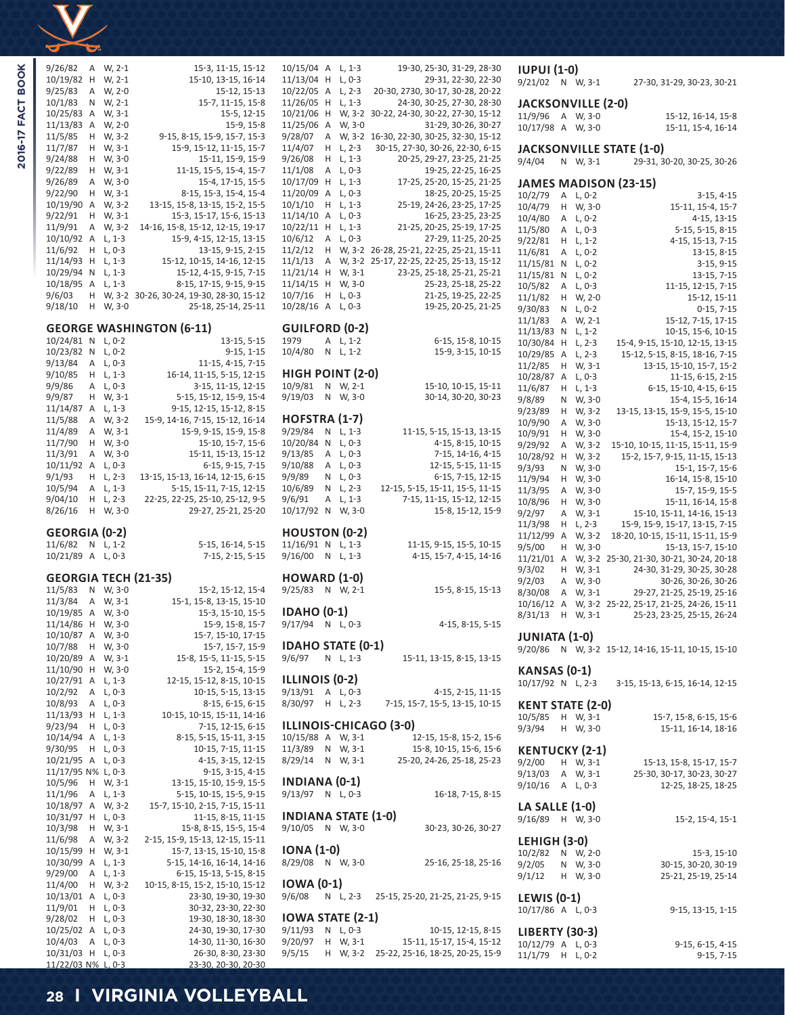

2016-17 FACT BOOK

| 9/26/82<br>Α<br>10/19/82<br>Н<br>9/25/83<br>Α<br>10/1/83<br>Ν<br>10/25/83<br>Α<br>11/13/83<br>Α<br>11/5/85<br>Н<br>11/7/87<br>Н<br>9/24/88<br>Н<br>9/22/89<br>Н<br>9/26/89<br>Α  | W, 2-1<br>W, 2-1<br>W, 2-0<br>W, 2-1<br>W, 3-1<br>W, 2-0<br>W, 3-2<br>W, 3-1<br>W, 3-0<br>W, 3-1<br>W, 3-0     | 15-3, 11-15, 15-12<br>15-10, 13-15, 16-14<br>15-12, 15-13<br>15-7, 11-15, 15-8<br>15-5, 12-15<br>15-9, 15-8<br>9-15, 8-15, 15-9, 15-7, 15-3<br>15-9, 15-12, 11-15, 15-7<br>15-11, 15-9, 15-9<br>11-15, 15-5, 15-4, 15-7<br>15-4, 17-15, 15-5                                                                              |
|----------------------------------------------------------------------------------------------------------------------------------------------------------------------------------|----------------------------------------------------------------------------------------------------------------|---------------------------------------------------------------------------------------------------------------------------------------------------------------------------------------------------------------------------------------------------------------------------------------------------------------------------|
| 9/22/90<br>Н<br>10/19/90<br>Α<br>9/22/91<br>Н<br>11/9/91<br>Α<br>10/10/92<br>Α<br>11/6/92<br>Н<br>11/14/93<br>Η<br>10/29/94<br>Ν<br>10/18/95<br>Α<br>9/6/03<br>Н<br>9/18/10<br>Н | W, 3-1<br>W, 3-2<br>W, 3-1<br>W, 3-2<br>L, 1-3<br>$L, 0-3$<br>L, 1-3<br>$L, 1-3$<br>L, 1-3<br>W, 3-2<br>W, 3-0 | 8-15, 15-3, 15-4, 15-4<br>13-15, 15-8, 13-15, 15-2, 15-5<br>15-3, 15-17, 15-6, 15-13<br>14-16, 15-8, 15-12, 12-15, 19-17<br>15-9, 4-15, 12-15, 13-15<br>13-15, 9-15, 2-15<br>15-12, 10-15, 14-16, 12-15<br>15-12, 4-15, 9-15, 7-15<br>8-15, 17-15, 9-15, 9-15<br>30-26, 30-24, 19-30, 28-30, 15-12<br>25-18, 25-14, 25-11 |
|                                                                                                                                                                                  |                                                                                                                | <b>GEORGE WASHINGTON (6-11)</b>                                                                                                                                                                                                                                                                                           |
| 10/24/81<br>Ν<br>10/23/82<br>Ν<br>9/13/84<br>Α<br>9/10/85<br>Н<br>9/9/86<br>Α<br>9/9/87<br>Н<br>11/14/87<br>Α<br>11/5/88<br>Α                                                    | L, 0-2<br>L, 0-2<br>$L, 0-3$<br>L, 1-3<br>$L, 0-3$<br>W, 3-1<br>$L, 1-3$<br>W, 3-2                             | 13-15, 5-15<br>$9-15, 1-15$<br>11-15, 4-15, 7-15<br>16-14, 11-15, 5-15, 12-15<br>3-15, 11-15, 12-15<br>5-15, 15-12, 15-9, 15-4<br>9-15, 12-15, 15-12, 8-15<br>15-9, 14-16, 7-15, 15-12, 16-14                                                                                                                             |
| 11/4/89<br>Α<br>11/7/90<br>н<br>11/3/91<br>Α<br>10/11/92<br>Α<br>9/1/93<br>Н<br>10/5/94<br>Α<br>9/04/10<br>Н                                                                     | W, 3-1<br>W, 3-0<br>W, 3-0<br>$L, 0-3$<br>$L, 2-3$<br>L, 1-3<br>$L, 2-3$                                       | 15-9, 9-15, 15-9, 15-8<br>15-10, 15-7, 15-6<br>15-11, 15-13, 15-12<br>6-15, 9-15, 7-15<br>13-15, 15-13, 16-14, 12-15, 6-15<br>5-15, 15-11, 7-15, 12-15<br>22-25, 22-25, 25-10, 25-12, 9-5                                                                                                                                 |
| 8/26/16<br>Н                                                                                                                                                                     | W, 3-0                                                                                                         | 29-27, 25-21, 25-20                                                                                                                                                                                                                                                                                                       |
| <b>GEORGIA (0-2)</b>                                                                                                                                                             |                                                                                                                |                                                                                                                                                                                                                                                                                                                           |
| 11/6/82<br>Ν<br>10/21/89<br>Α                                                                                                                                                    | $L, 1-2$<br>$L, 0-3$                                                                                           | 5-15, 16-14, 5-15<br>7-15, 2-15, 5-15                                                                                                                                                                                                                                                                                     |
|                                                                                                                                                                                  |                                                                                                                |                                                                                                                                                                                                                                                                                                                           |
| <b>GEORGIA TECH (21-35)</b><br>11/5/83<br>Ν                                                                                                                                      | W, 3-0                                                                                                         | 15-2, 15-12, 15-4                                                                                                                                                                                                                                                                                                         |
| 11/3/84<br>Α<br>10/19/85<br>Α                                                                                                                                                    | W, 3-1                                                                                                         | 15-1, 15-8, 13-15, 15-10                                                                                                                                                                                                                                                                                                  |
| 11/14/86<br>Н                                                                                                                                                                    | W, 3-0<br>W, 3-0                                                                                               | 15-3, 15-10, 15-5<br>15-9, 15-8, 15-7                                                                                                                                                                                                                                                                                     |
| 10/10/87<br>Α                                                                                                                                                                    | W, 3-0                                                                                                         | 15-7, 15-10, 17-15                                                                                                                                                                                                                                                                                                        |
| 10/7/88<br>Н<br>10/20/89<br>Α                                                                                                                                                    | W, 3-0<br>W, 3-1                                                                                               | 15-7, 15-7, 15-9<br>15-8, 15-5, 11-15, 5-15                                                                                                                                                                                                                                                                               |
| 11/10/90<br>Н                                                                                                                                                                    | W, 3-0                                                                                                         | 15-2, 15-4, 15-9                                                                                                                                                                                                                                                                                                          |
| 10/27/91<br>Α<br>10/2/92<br>Α                                                                                                                                                    | $L, 1-3$<br>L, 0-3                                                                                             | 12-15, 15-12, 8-15, 10-15<br>10-15, 5-15, 13-15                                                                                                                                                                                                                                                                           |
| 10/8/93<br>Α                                                                                                                                                                     | $L, 0-3$                                                                                                       | 8-15, 6-15, 6-15                                                                                                                                                                                                                                                                                                          |
| 11/13/93<br>Η<br>9/23/94<br>Н                                                                                                                                                    | $L, 1-3$<br>L, 0-3                                                                                             | 10-15, 10-15, 15-11, 14-16<br>7-15, 12-15, 6-15                                                                                                                                                                                                                                                                           |
| 10/14/94<br>Α                                                                                                                                                                    | $L, 1-3$                                                                                                       | 8-15, 5-15, 15-11, 3-15                                                                                                                                                                                                                                                                                                   |
| 9/30/95<br>Н<br>10/21/95<br>Α                                                                                                                                                    | $L, 0-3$<br>L, 0-3                                                                                             | 10-15, 7-15, 11-15<br>4-15, 3-15, 12-15                                                                                                                                                                                                                                                                                   |
| 11/17/95 N%                                                                                                                                                                      | L, 0-3                                                                                                         | 9-15, 3-15, 4-15                                                                                                                                                                                                                                                                                                          |
| 10/5/96<br>Н<br>11/1/96<br>Α                                                                                                                                                     | W, 3-1<br>L, 1-3                                                                                               | 13-15, 15-10, 15-9, 15-5<br>5-15, 10-15, 15-5, 9-15                                                                                                                                                                                                                                                                       |
| 10/18/97<br>Α                                                                                                                                                                    | W, 3-2                                                                                                         | 15-7, 15-10, 2-15, 7-15, 15-11                                                                                                                                                                                                                                                                                            |
| 10/31/97<br>Н<br>10/3/98<br>Н                                                                                                                                                    | $L, 0-3$<br>W, 3-1                                                                                             | 11-15, 8-15, 11-15<br>15-8, 8-15, 15-5, 15-4                                                                                                                                                                                                                                                                              |
| 11/6/98<br>Α                                                                                                                                                                     | W, 3-2                                                                                                         | 2-15, 15-9, 15-13, 12-15, 15-11                                                                                                                                                                                                                                                                                           |
| 10/15/99<br>Η<br>Α                                                                                                                                                               | W, 3-1                                                                                                         | 15-7, 13-15, 15-10, 15-8                                                                                                                                                                                                                                                                                                  |
| 10/30/99<br>9/29/00<br>Α                                                                                                                                                         | $L, 1-3$<br>$L, 1-3$                                                                                           | 5-15, 14-16, 16-14, 14-16<br>6-15, 15-13, 5-15, 8-15                                                                                                                                                                                                                                                                      |
| 11/4/00<br>Η<br>10/13/01<br>Α                                                                                                                                                    | W, 3-2                                                                                                         | 10-15, 8-15, 15-2, 15-10, 15-12                                                                                                                                                                                                                                                                                           |
| 11/9/01<br>Η                                                                                                                                                                     | $L, 0-3$<br>$L, 0-3$                                                                                           | 23-30, 19-30, 19-30<br>30-32, 23-30, 22-30                                                                                                                                                                                                                                                                                |
| 9/28/02<br>Н                                                                                                                                                                     | L, 0-3                                                                                                         | 19-30, 18-30, 18-30                                                                                                                                                                                                                                                                                                       |
| 10/25/02<br>Α<br>10/4/03<br>Α<br>10/31/03<br>Н                                                                                                                                   | $L, 0-3$<br>L, 0-3<br>L, 0-3                                                                                   | 24-30, 19-30, 17-30<br>14-30, 11-30, 16-30<br>26-30, 8-30, 23-30                                                                                                                                                                                                                                                          |

| 10/15/04                        | Α      | $L, 1-3$             | 19-30, 25-30, 31-29, 28-30                                      | π        |
|---------------------------------|--------|----------------------|-----------------------------------------------------------------|----------|
| 11/13/04                        | Η      | $L, 0-3$             | 29-31, 22-30, 22-30                                             | 9/       |
| 10/22/05                        | Α      | L, 2-3               | 20-30, 2730, 30-17, 30-28, 20-22                                |          |
| 11/26/05                        | Н      | L, 1-3               | 24-30, 30-25, 27-30, 28-30                                      | Jŀ       |
| 10/21/06<br>11/25/06            | Н<br>Α | W, 3-2<br>W, 3-0     | 30-22, 24-30, 30-22, 27-30, 15-12<br>31-29, 30-26, 30-27        | 11       |
| 9/28/07                         | Α      | W, 3-2               | 16-30, 22-30, 30-25, 32-30, 15-12                               | 10       |
| 11/4/07                         | Н      | $L, 2-3$             | 30-15, 27-30, 30-26, 22-30, 6-15                                | Jŀ       |
| 9/26/08                         | Н      | L, 1-3               | 20-25, 29-27, 23-25, 21-25                                      | 9/       |
| 11/1/08                         | А      | L, 0-3               | 19-25, 22-25, 16-25                                             |          |
| 10/17/09<br>11/20/09            | Н      | L, 1-3               | 17-25, 25-20, 15-25, 21-25                                      | Jŀ       |
| 10/1/10                         | А<br>Н | L, 0-3<br>L, 1-3     | 18-25, 20-25, 15-25<br>25-19, 24-26, 23-25, 17-25               | 10       |
| 11/14/10                        | А      | $L, 0-3$             | 16-25, 23-25, 23-25                                             | 10<br>10 |
| 10/22/11                        | Н      | L, 1-3               | 21-25, 20-25, 25-19, 17-25                                      | 11       |
| 10/6/12                         | Α      | L, 0-3               | 27-29, 11-25, 20-25                                             | 9/       |
| 11/2/12                         | н      | W, 3-2               | 26-28, 25-21, 22-25, 25-21, 15-11                               | 11       |
| 11/1/13<br>11/21/14             | Α<br>н | W, 3-2<br>W, 3-1     | 25-17, 22-25, 22-25, 25-13, 15-12<br>23-25, 25-18, 25-21, 25-21 | 11       |
| 11/14/15                        | Η      | W, 3-0               | 25-23, 25-18, 25-22                                             | 11<br>10 |
| 10/7/16                         | Н      | L, 0-3               | 21-25, 19-25, 22-25                                             | 11       |
| 10/28/16                        | Α      | L, 0-3               | 19-25, 20-25, 21-25                                             | 9/       |
|                                 |        |                      |                                                                 | 11       |
| <b>GUILFORD (0-2)</b><br>1979   | А      | L, 1-2               |                                                                 | 11       |
| 10/4/80                         | N      | $L, 1-2$             | 6-15, 15-8, 10-15<br>15-9, 3-15, 10-15                          | 10       |
|                                 |        |                      |                                                                 | 10<br>11 |
| <b>HIGH POINT (2-0)</b>         |        |                      |                                                                 | 10       |
| 10/9/81                         | Ν      | W, 2-1               | 15-10, 10-15, 15-11                                             | 11       |
| 9/19/03                         | N      | W, 3-0               | 30-14, 30-20, 30-23                                             | 9/       |
| HOFSTRA (1-7)                   |        |                      |                                                                 | 9/       |
| 9/29/84                         | Ν      | $L, 1-3$             | 11-15, 5-15, 15-13, 13-15                                       | 10<br>10 |
| 10/20/84                        | Ν      | $L, 0-3$             | 4-15, 8-15, 10-15                                               | 9/       |
| 9/13/85                         | Α      | $L, 0-3$             | 7-15, 14-16, 4-15                                               | 10       |
| 9/10/88                         | Α      | $L, 0-3$             | 12-15, 5-15, 11-15                                              | 9/       |
| 9/9/89                          | Ν      | $L, 0-3$             | 6-15, 7-15, 12-15                                               | 11       |
| 10/6/89<br>9/6/91               | N<br>Α | $L, 2-3$<br>$L, 1-3$ | 12-15, 5-15, 15-11, 15-5, 11-15<br>7-15, 11-15, 15-12, 12-15    | 11       |
| 10/17/92                        | N      | W, 3-0               | 15-8, 15-12, 15-9                                               | 10<br>9/ |
|                                 |        |                      |                                                                 | 11       |
| <b>HOUSTON (0-2)</b>            |        |                      |                                                                 | 11       |
| 11/16/91 N<br>9/16/00           |        | L, 1-3               | 11-15, 9-15, 15-5, 10-15                                        | 9/       |
|                                 | N      | $L, 1-3$             | 4-15, 15-7, 4-15, 14-16                                         | 11<br>9/ |
| <b>HOWARD (1-0)</b>             |        |                      |                                                                 | 9/       |
| 9/25/83 N W, 2-1                |        |                      | 15-5, 8-15, 15-13                                               | 8/       |
|                                 |        |                      |                                                                 | 10       |
| IDAHO (0-1)<br>9/17/94 N L, 0-3 |        |                      | 4-15, 8-15, 5-15                                                | 8/       |
|                                 |        |                      |                                                                 | Jι       |
| IDAHO STATE (0-1)               |        |                      |                                                                 | 9/       |
| 9/6/97                          |        | N L, 1-3             | 15-11, 13-15, 8-15, 13-15                                       |          |
| ILLINOIS (0-2)                  |        |                      |                                                                 | К.       |
| 9/13/91                         |        | A L, 0-3             | 4-15, 2-15, 11-15                                               | 10       |
| 8/30/97                         |        | H L, 2-3             | 7-15, 15-7, 15-5, 13-15, 10-15                                  | К        |
|                                 |        |                      |                                                                 | 10       |
|                                 |        |                      | ILLINOIS-CHICAGO (3-0)                                          | 9/       |
| 10/15/88 A W, 3-1               |        |                      | 12-15, 15-8, 15-2, 15-6                                         |          |
| 11/3/89 N W, 3-1<br>8/29/14     |        |                      | 15-8, 10-15, 15-6, 15-6                                         | K        |
|                                 |        | N W, 3-1             | 25-20, 24-26, 25-18, 25-23                                      | 9/       |
| INDIANA (0-1)                   |        |                      |                                                                 | 9/<br>9/ |
| 9/13/97 N L,0-3                 |        |                      | 16-18, 7-15, 8-15                                               |          |
|                                 |        |                      |                                                                 | Ц        |
| <b>INDIANA STATE (1-0)</b>      |        |                      |                                                                 | 9/       |
| 9/10/05 N W, 3-0                |        |                      | 30-23, 30-26, 30-27                                             |          |
| IONA (1-0)                      |        |                      |                                                                 | и<br>10  |
| 8/29/08 N W, 3-0                |        |                      | 25-16, 25-18, 25-16                                             | 9/       |
|                                 |        |                      |                                                                 | 9/       |
| IOWA (0-1)                      |        |                      |                                                                 |          |
| 9/6/08                          |        |                      | N L, 2-3 25-15, 25-20, 21-25, 21-25, 9-15                       | и        |
| IOWA STATE (2-1)                |        |                      |                                                                 | 10       |
| 9/11/93                         |        | N L, 0-3             | 10-15, 12-15, 8-15                                              | Ы        |
| 9/20/97                         | Н.     | W, 3-1               | 15-11, 15-17, 15-4, 15-12                                       | 10       |

9/5/15 H W, 3-2 25-22, 25-16, 18-25, 20-25, 15-9

| <b>IUPUI (1-0)</b><br>9/21/02             | N      | W, 3-1             | 27-30, 31-29, 30-23, 30-21                                      |
|-------------------------------------------|--------|--------------------|-----------------------------------------------------------------|
| JACKSONVILLE (2-0)                        |        |                    |                                                                 |
| 11/9/96<br>10/17/98 A                     | Α      | W, 3-0<br>W, 3-0   | 15-12, 16-14, 15-8<br>15-11, 15-4, 16-14                        |
| 9/4/04                                    |        | W, 3-1             | <b>JACKSONVILLE STATE (1-0)</b>                                 |
|                                           | Ν      |                    | 29-31, 30-20, 30-25, 30-26                                      |
| 10/2/79                                   | Α      | $L, 0-2$           | <b>JAMES MADISON (23-15)</b><br>$3-15, 4-15$                    |
| 10/4/79                                   | Н      | W, 3-0             | 15-11, 15-4, 15-7                                               |
| 10/4/80                                   | Α      | L, 0-2             | 4-15, 13-15                                                     |
| 11/5/80                                   | Α      | L, 0-3             | 5-15, 5-15, 8-15                                                |
| 9/22/81                                   | Н      | $L, 1-2$           | 4-15, 15-13, 7-15                                               |
| 11/6/81<br>11/15/81                       | Α<br>Ν | $L, 0-2$<br>L, 0-2 | 13-15, 8-15<br>$3-15, 9-15$                                     |
| 11/15/81                                  | N      | L, 0-2             | 13-15, 7-15                                                     |
| 10/5/82                                   | Α      | L, 0-3             | 11-15, 12-15, 7-15                                              |
| 11/1/82                                   | Н      | W, 2-0             | 15-12, 15-11                                                    |
| 9/30/83                                   | Ν      | $L, 0-2$           | $0-15, 7-15$                                                    |
| 11/1/83<br>11/13/83                       | Α<br>Ν | W, 2-1<br>$L, 1-2$ | 15-12, 7-15, 17-15<br>10-15, 15-6, 10-15                        |
| 10/30/84                                  | Н      | L, 2-3             | 15-4, 9-15, 15-10, 12-15, 13-15                                 |
| 10/29/85                                  | Α      | L, 2-3             | 15-12, 5-15, 8-15, 18-16, 7-15                                  |
| 11/2/85                                   | Н      | W, 3-1             | 13-15, 15-10, 15-7, 15-2                                        |
| 10/28/87                                  | Α      | L, 0-3             | 11-15, 6-15, 2-15                                               |
| 11/6/87                                   | Н      | L, 1-3             | 6-15, 15-10, 4-15, 6-15                                         |
| 9/8/89<br>9/23/89                         | Ν<br>Н | W, 3-0<br>W, 3-2   | 15-4, 15-5, 16-14<br>13-15, 13-15, 15-9, 15-5, 15-10            |
| 10/9/90                                   | Α      | W, 3-0             | 15-13, 15-12, 15-7                                              |
| 10/9/91                                   | Н      | W, 3-0             | 15-4, 15-2, 15-10                                               |
| 9/29/92                                   | Α      | W, 3-2             | 15-10, 10-15, 11-15, 15-11, 15-9                                |
| 10/28/92                                  | Н      | W, 3-2             | 15-2, 15-7, 9-15, 11-15, 15-13                                  |
| 9/3/93<br>11/9/94                         | Ν<br>Н | W, 3-0<br>W, 3-0   | 15-1, 15-7, 15-6<br>16-14, 15-8, 15-10                          |
| 11/3/95                                   | Α      | W, 3-0             | 15-7, 15-9, 15-5                                                |
| 10/8/96                                   | Н      | W, 3-0             | 15-11, 16-14, 15-8                                              |
| 9/2/97                                    | Α      | W, 3-1             | 15-10, 15-11, 14-16, 15-13                                      |
| 11/3/98                                   | Н      | L, 2-3             | 15-9, 15-9, 15-17, 13-15, 7-15                                  |
| 11/12/99<br>9/5/00                        | Α<br>Н | W, 3-2<br>W, 3-0   | 18-20, 10-15, 15-11, 15-11, 15-9<br>15-13, 15-7, 15-10          |
| 11/21/01                                  | Α      | W, 3-2             | 25-30, 21-30, 30-21, 30-24, 20-18                               |
| 9/3/02                                    | Н      | W, 3-1             | 24-30, 31-29, 30-25, 30-28                                      |
| 9/2/03                                    | Α      | W, 3-0             | 30-26, 30-26, 30-26                                             |
| 8/30/08<br>10/16/12                       | Α<br>Α | W, 3-1             | 29-27, 21-25, 25-19, 25-16<br>25-22, 25-17, 21-25, 24-26, 15-11 |
| 8/31/13                                   | Н      | W, 3-2<br>W, 3-1   | 25-23, 23-25, 25-15, 26-24                                      |
| <b>JUNIATA (1-0)</b>                      |        |                    | 9/20/86 N W, 3-2 15-12, 14-16, 15-11, 10-15, 15-10              |
| KANSAS (0-1)                              |        |                    |                                                                 |
| 10/17/92 N L, 2-3                         |        |                    | 3-15, 15-13, 6-15, 16-14, 12-15                                 |
| <b>KENT STATE (2-0)</b>                   |        | W, 3-1             |                                                                 |
| 10/5/85<br>9/3/94                         | H<br>H | W, 3-0             | 15-7, 15-8, 6-15, 15-6<br>15-11, 16-14, 18-16                   |
| <b>KENTUCKY (2-1)</b>                     |        |                    |                                                                 |
| 9/2/00 H W, 3-1                           |        |                    | 15-13, 15-8, 15-17, 15-7                                        |
| 9/13/03                                   |        | A W, 3-1           | 25-30, 30-17, 30-23, 30-27                                      |
| $9/10/16$ A L, 0-3                        |        |                    | 12-25, 18-25, 18-25                                             |
| <b>LA SALLE (1-0)</b><br>9/16/89 H W, 3-0 |        |                    | 15-2, 15-4, 15-1                                                |
| <b>LEHIGH (3-0)</b>                       |        |                    |                                                                 |
| 10/2/82 N W, 2-0                          |        |                    | 15-3, 15-10                                                     |
| $9/2/05$ N W, 3-0                         |        |                    | 30-15, 30-20, 30-19                                             |
| 9/1/12 H W, 3-0                           |        |                    | 25-21, 25-19, 25-14                                             |
| LEWIS (0-1)<br>10/17/86 A L, 0-3          |        |                    | 9-15, 13-15, 1-15                                               |
| <b>LIBERTY (30-3)</b>                     |        |                    |                                                                 |
| 10/12/79 A L, 0-3                         |        |                    | 9-15, 6-15, 4-15                                                |
| 11/1/79 H L, 0-2                          |        |                    | $9-15, 7-15$                                                    |
|                                           |        |                    |                                                                 |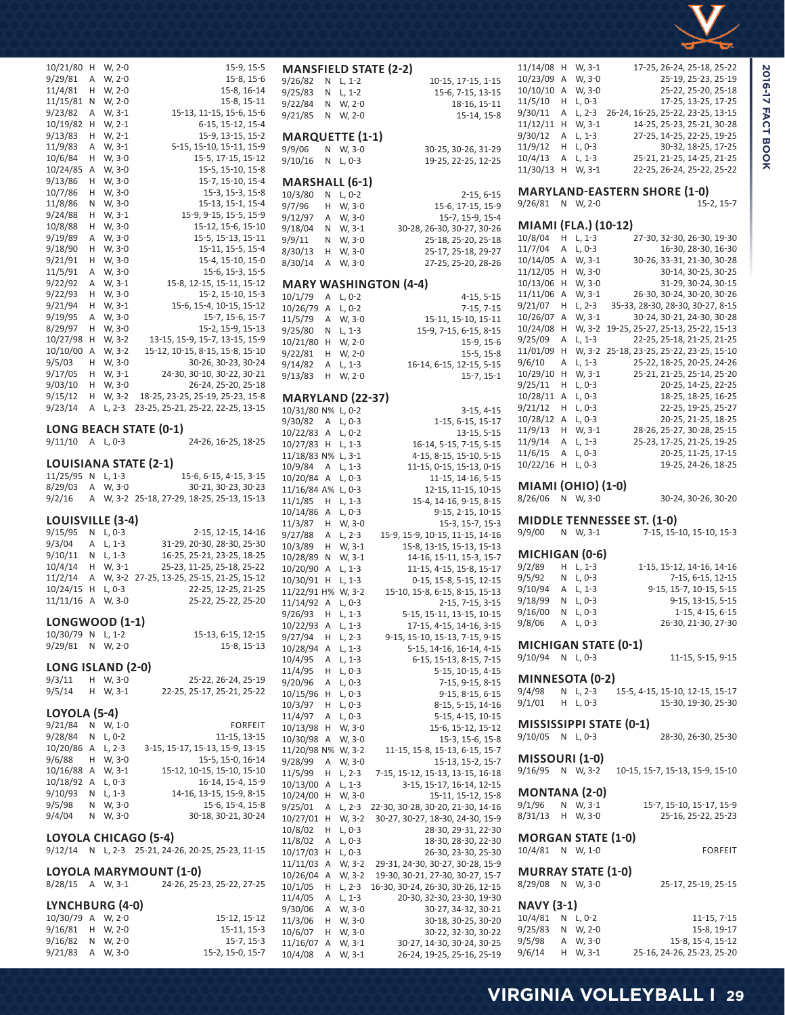| 10/21/80              | Η | W, 2-0             | 15-9, 15-5                               |
|-----------------------|---|--------------------|------------------------------------------|
| 9/29/81               | Α | W, 2-0             | 15-8, 15-6                               |
|                       |   |                    |                                          |
| 11/4/81               | Н | W, 2-0             | 15-8, 16-14                              |
| 11/15/81              | Ν | W, 2-0             | 15-8, 15-11                              |
| 9/23/82               | Α | W, 3-1             | 15-13, 11-15, 15-6, 15-6                 |
| 10/19/82              | Н | W, 2-1             | 6-15, 15-12, 15-4                        |
| 9/13/83               | Н | W, 2-1             | 15-9, 13-15, 15-2                        |
| 11/9/83               | Α | W, 3-1             | 5-15, 15-10, 15-11, 15-9                 |
| 10/6/84               | Н | W, 3-0             | 15-5, 17-15, 15-12                       |
| 10/24/85              | Α | W, 3-0             | 15-5, 15-10, 15-8                        |
|                       |   | W, 3-0             | 15-7, 15-10, 15-4                        |
| 9/13/86               | Н |                    |                                          |
| 10/7/86               | Н | W, 3-0             | 15-3, 15-3, 15-8                         |
| 11/8/86               | Ν | W, 3-0             | 15-13, 15-1, 15-4                        |
| 9/24/88               | Н | W, 3-1             | 15-9, 9-15, 15-5, 15-9                   |
| 10/8/88               | Н | W, 3-0             | 15-12, 15-6, 15-10                       |
| 9/19/89               | Α | W, 3-0             | 15-5, 15-13, 15-11                       |
| 9/18/90               | Н | W, 3-0             | 15-11, 15-5, 15-4                        |
| 9/21/91               | Н | W, 3-0             | 15-4, 15-10, 15-0                        |
| 11/5/91               | Α | W, 3-0             | 15-6, 15-3, 15-5                         |
| 9/22/92               |   | W, 3-1             | 15-8, 12-15, 15-11, 15-12                |
|                       | Α |                    |                                          |
| 9/22/93               | Н | W, 3-0             | 15-2, 15-10, 15-3                        |
| 9/21/94               | Н | W, 3-1             | 15-6, 15-4, 10-15, 15-12                 |
| 9/19/95               | Α | W, 3-0             | 15-7, 15-6, 15-7                         |
| 8/29/97               | Н | W, 3-0             | 15-2, 15-9, 15-13                        |
| 10/27/98              | Н | W, 3-2             | 13-15, 15-9, 15-7, 13-15, 15-9           |
| 10/10/00              | Α | W, 3-2             | 15-12, 10-15, 8-15, 15-8, 15-10          |
| 9/5/03                | Н | W, 3-0             | 30-26, 30-23, 30-24                      |
| 9/17/05               | Н | W, 3-1             | 24-30, 30-10, 30-22, 30-21               |
|                       |   |                    |                                          |
| 9/03/10               | Н | W, 3-0             | 26-24, 25-20, 25-18                      |
| 9/15/12               | Н | W, 3-2             | 18-25, 23-25, 25-19, 25-23, 15-8         |
| 9/23/14               | Α | $L, 2-3$           | 23-25, 25-21, 25-22, 22-25, 13-15        |
|                       |   |                    |                                          |
|                       |   |                    | LONG BEACH STATE (0-1)                   |
|                       |   |                    |                                          |
| 9/11/10               | A | $L, 0-3$           | 24-26, 16-25, 18-25                      |
|                       |   |                    |                                          |
|                       |   |                    | LOUISIANA STATE (2-1)                    |
| 11/25/95              | Ν | $L, 1-3$           | 15-6, 6-15, 4-15, 3-15                   |
|                       | Α |                    |                                          |
| 8/29/03               | A | W, 3-0             | 30-21, 30-23, 30-23                      |
| 9/2/16                |   |                    | W, 3-2 25-18, 27-29, 18-25, 25-13, 15-13 |
|                       |   |                    |                                          |
| LOUISVILLE (3-4)      |   |                    |                                          |
| 9/15/95               | Ν | $L, 0-3$           | 2-15, 12-15, 14-16                       |
| 9/3/04                | Α | $L, 1-3$           | 31-29, 20-30, 28-30, 25-30               |
| 9/10/11               | Ν | L, 1-3             | 16-25, 25-21, 23-25, 18-25               |
| 10/4/14               | н | W, 3-1             | 25-23, 11-25, 25-18, 25-22               |
| 11/2/14               | Α | W, 3-2             | 27-25, 13-25, 25-15, 21-25, 15-12        |
| 10/24/15              | н | $L, 0-3$           | 22-25, 12-25, 21-25                      |
| 11/11/16              | Α | W, 3-0             | 25-22, 25-22, 25-20                      |
|                       |   |                    |                                          |
| <b>LONGWOOD (1-1)</b> |   |                    |                                          |
|                       | N |                    |                                          |
| 10/30/79              |   | $L, 1-2$           | 15-13, 6-15, 12-15                       |
| 9/29/81               | Ν | W, 2-0             | 15-8, 15-13                              |
|                       |   |                    |                                          |
| LONG ISLAND (2-0)     |   |                    |                                          |
| 9/3/11                | Н | W, 3-0             | 25-22, 26-24, 25-19                      |
| 9/5/14                | Η | W, 3-1             | 22-25, 25-17, 25-21, 25-22               |
|                       |   |                    |                                          |
| <b>LOYOLA (5-4)</b>   |   |                    |                                          |
| 9/21/84               | Ν | W, 1-0             | <b>FORFEIT</b>                           |
| 9/28/84               | Ν | $L, 0-2$           | 11-15, 13-15                             |
| 10/20/86              | Α | $L, 2-3$           | 3-15, 15-17, 15-13, 15-9, 13-15          |
| 9/6/88                | н | W, 3-0             | 15-5, 15-0, 16-14                        |
| 10/16/88              | Α | W, 3-1             | 15-12, 10-15, 15-10, 15-10               |
| 10/18/92              | Α | L, 0-3<br>$L, 1-3$ | 16-14, 15-4, 15-9                        |

9/5/98 N W, 3-0 15-6, 15-4, 15-8 9/4/04 N W, 3-0 30-18, 30-21, 30-24

9/12/14 N L, 2-3 25-21, 24-26, 20-25, 25-23, 11-15

10/30/79 A W, 2-0 15-12, 15-12 9/16/81 H W, 2-0 15-11, 15-3<br>9/16/82 N W, 2-0 15-7, 15-3

9/21/83 A W, 3-0 15-2, 15-0, 15-7

8/28/15 A W, 3-1 24-26, 25-23, 25-22, 27-25

**LOYOLA CHICAGO (5-4)**

**LYNCHBURG (4-0)**

9/16/82 N W, 2-0

**LOYOLA MARYMOUNT (1-0)**<br>8/28/15 A W, 3-1 24-26, 25-2

| 9/7/96              | Н      | W, 3-0             | 15-6, 17-15, 15-9                                                     |
|---------------------|--------|--------------------|-----------------------------------------------------------------------|
| 9/12/97             | Α      | W, 3-0             | 15-7, 15-9, 15-4                                                      |
| 9/18/04             | Ν      | W, 3-1             | 30-28, 26-30, 30-27, 30-26                                            |
| 9/9/11              | Ν      | W, 3-0             | 25-18, 25-20, 25-18                                                   |
| 8/30/13             | Н      | W, 3-0             | 25-17, 25-18, 29-27                                                   |
| 8/30/14             | Α      | W, 3-0             | 27-25, 25-20, 28-26                                                   |
|                     |        |                    | <b>MARY WASHINGTON (4-4)</b>                                          |
| 10/1/79             | Α      | L, 0-2             | $4-15, 5-15$                                                          |
| 10/26/79            | Α      | L, 0-2             | $7-15, 7-15$                                                          |
| 11/5/79             | Α      | W, 3-0             | 15-11, 15-10, 15-11                                                   |
| 9/25/80             | Ν      | L, 1-3             | 15-9, 7-15, 6-15, 8-15                                                |
| 10/21/80            | Н      | W, 2-0             | 15-9, 15-6                                                            |
| 9/22/81             | Н      | W, 2-0             | 15-5, 15-8                                                            |
| 9/14/82             | Α      | L, 1-3             | 16-14, 6-15, 12-15, 5-15                                              |
| 9/13/83             | Н      | W, 2-0             | 15-7, 15-1                                                            |
| MARYLAND (22-37)    |        |                    |                                                                       |
| 10/31/80 N%         |        | L, 0-2             | 3-15, 4-15                                                            |
| 9/30/82             | Α      | L, 0-3             | 1-15, 6-15, 15-17                                                     |
| 10/22/83            | Α      | L, 0-2             | 13-15, 5-15                                                           |
| 10/27/83            | Н      | L, 1-3             | 16-14, 5-15, 7-15, 5-15                                               |
| 11/18/83 N%         |        | L, 3-1             | 4-15, 8-15, 15-10, 5-15                                               |
| 10/9/84             | Α      | L, 1-3             | 11-15, 0-15, 15-13, 0-15                                              |
| 10/20/84            | Α      | L, 0-3             | 11-15, 14-16, 5-15                                                    |
| 11/16/84 A%         |        | L, 0-3             | 12-15, 11-15, 10-15                                                   |
| 11/1/85             | Н      | $L, 1-3$           | 15-4, 14-16, 9-15, 8-15                                               |
| 10/14/86            | Α      | $L, 0-3$           | 9-15, 2-15, 10-15                                                     |
| 11/3/87             | Н      | W, 3-0             | 15-3, 15-7, 15-3                                                      |
| 9/27/88             | Α      | L, 2-3             | 15-9, 15-9, 10-15, 11-15, 14-16                                       |
| 10/3/89             | Н      | W, 3-1             | 15-8, 13-15, 15-13, 15-13                                             |
| 10/28/89            | Ν      | W, 3-1             | 14-16, 15-11, 15-3, 15-7                                              |
| 10/20/90            | Α      | L, 1-3             | 11-15, 4-15, 15-8, 15-17                                              |
| 10/30/91            | Н      | L, 1-3             | 0-15, 15-8, 5-15, 12-15                                               |
| 11/22/91 H%         |        | W, 3-2             | 15-10, 15-8, 6-15, 8-15, 15-13                                        |
| 11/14/92            | Α      | $L, 0-3$           | 2-15, 7-15, 3-15                                                      |
| 9/26/93             | Н      | L, 1-3             | 5-15, 15-11, 13-15, 10-15                                             |
| 10/22/93            | Α      | L, 1-3             | 17-15, 4-15, 14-16, 3-15                                              |
| 9/27/94             | Н      | L, 2-3             | 9-15, 15-10, 15-13, 7-15, 9-15                                        |
| 10/28/94            | Α      | L, 1-3             | 5-15, 14-16, 16-14, 4-15                                              |
| 10/4/95             | Α      | L, 1-3             | 6-15, 15-13, 8-15, 7-15                                               |
| 11/4/95             | Н      | L, 0-3             | 5-15, 10-15, 4-15                                                     |
| 9/20/96             | Α      | L, 0-3             | 7-15, 9-15, 8-15                                                      |
| 10/15/96            | Н      | L, 0-3             | 9-15, 8-15, 6-15                                                      |
| 10/3/97             | Н      | L, 0-3             | 8-15, 5-15, 14-16                                                     |
| 11/4/97             | Α      | $L, 0-3$           | 5-15, 4-15, 10-15                                                     |
| 10/13/98            | Н      | W, 3-0             | 15-6, 15-12, 15-12                                                    |
| 10/30/98            | Α      | W, 3-0             | 15-3, 15-6, 15-8                                                      |
| 11/20/98 N%         |        | W, 3-2             | 11-15, 15-8, 15-13, 6-15, 15-7                                        |
| 9/28/99             | Α      | W, 3-0             | 15-13, 15-2, 15-7                                                     |
| 11/5/99             | н      | $L, 2-3$           | 7-15, 15-12, 15-13, 13-15, 16-18                                      |
| 10/13/00            | Α      | L, 1-3             | 3-15, 15-17, 16-14, 12-15                                             |
| 10/24/00            | Н      | W, 3-0             | 15-11, 15-12, 15-8                                                    |
| 9/25/01             | Α      | $L, 2-3$           | 22-30, 30-28, 30-20, 21-30, 14-16<br>30-27, 30-27, 18-30, 24-30, 15-9 |
| 10/27/01<br>10/8/02 | Н      | W, 3-2<br>$L, 0-3$ |                                                                       |
| 11/8/02             | Н<br>Α | $L, 0-3$           | 28-30, 29-31, 22-30<br>18-30, 28-30, 22-30                            |
| 10/17/03            | Н      | $L, 0-3$           | 26-30, 23-30, 25-30                                                   |
| 11/11/03            | Α      | W, 3-2             | 29-31, 24-30, 30-27, 30-28, 15-9                                      |
| 10/26/04            | Α      | W, 3-2             | 19-30, 30-21, 27-30, 30-27, 15-7                                      |
| 10/1/05             | Н      | L, 2-3             | 16-30, 30-24, 26-30, 30-26, 12-15                                     |
| 11/4/05             | Α      | $L, 1-3$           | 20-30, 32-30, 23-30, 19-30                                            |
| 9/30/06             | Α      | W, 3-0             | 30-27, 34-32, 30-21                                                   |
| 11/3/06             | Н      | W, 3-0             | 30-18, 30-25, 30-20                                                   |
| 10/6/07             | Н      | W, 3-0             | 30-22, 32-30, 30-22                                                   |
| 11/16/07            | Α      | W, 3-1             | 30-27, 14-30, 30-24, 30-25                                            |
| 10/4/08             | Α      | W, 3-1             | 26-24, 19-25, 25-16, 25-19                                            |

|                                       |            | <b>MANSFIELD STATE (2-2)</b>                   | 17-25, 26-24, 25-18, 25-22<br>11/14/08 H W, 3-1                                                         |
|---------------------------------------|------------|------------------------------------------------|---------------------------------------------------------------------------------------------------------|
| 9/26/82                               | N L, 1-2   | 10-15, 17-15, 1-15                             | 25-19, 25-23, 25-19<br>$10/23/09$ A<br>W, 3-0                                                           |
| 9/25/83                               | N L, 1-2   | 15-6, 7-15, 13-15                              | $10/10/10$ A<br>W, 3-0<br>25-22, 25-20, 25-18                                                           |
| 9/22/84                               | N W, 2-0   | 18-16, 15-11                                   | 17-25, 13-25, 17-25<br>11/5/10<br>L, 0-3<br>H                                                           |
| 9/21/85                               | N W, 2-0   | 15-14, 15-8                                    | 9/30/11<br>L, 2-3 26-24, 16-25, 25-22, 23-25, 13-15<br>Α                                                |
|                                       |            |                                                | $11/12/11$ H<br>W, 3-1<br>14-25, 25-23, 25-21, 30-28                                                    |
| <b>MARQUETTE (1-1)</b>                |            |                                                | 9/30/12<br>A L, 1-3<br>27-25, 14-25, 22-25, 19-25                                                       |
| 9/9/06                                | N W, 3-0   | 30-25, 30-26, 31-29                            | 11/9/12<br>$H L, 0-3$<br>30-32, 18-25, 17-25                                                            |
| 9/10/16                               | $N L, 0-3$ | 19-25, 22-25, 12-25                            | 10/4/13<br>25-21, 21-25, 14-25, 21-25<br>A L, 1-3<br>11/30/13 H<br>W, 3-1<br>22-25, 26-24, 25-22, 25-22 |
| <b>MARSHALL (6-1)</b>                 |            |                                                |                                                                                                         |
| 10/3/80                               | N L, 0-2   | $2-15, 6-15$                                   | <b>MARYLAND-EASTERN SHORE (1-0)</b>                                                                     |
| 9/7/96                                | H W, 3-0   | 15-6, 17-15, 15-9                              | 9/26/81<br>N W, 2-0<br>$15-2, 15-7$                                                                     |
| 9/12/97                               | A W, 3-0   | 15-7, 15-9, 15-4                               |                                                                                                         |
| 9/18/04                               | N W, 3-1   | 30-28, 26-30, 30-27, 30-26                     | MIAMI (FLA.) (10-12)                                                                                    |
| 9/9/11                                | $N$ W, 3-0 | 25-18, 25-20, 25-18                            | $H L, 1-3$<br>27-30, 32-30, 26-30, 19-30<br>10/8/04                                                     |
| 8/30/13                               | H W, 3-0   | 25-17, 25-18, 29-27                            | 11/7/04<br>A L, 0-3<br>16-30, 28-30, 16-30                                                              |
| 8/30/14                               | A W, 3-0   | 27-25, 25-20, 28-26                            | $10/14/05$ A<br>W, 3-1<br>30-26, 33-31, 21-30, 30-28<br>30-14, 30-25, 30-25<br>11/12/05 H<br>W, 3-0     |
|                                       |            | <b>MARY WASHINGTON (4-4)</b>                   | 10/13/06 H<br>W, 3-0<br>31-29, 30-24, 30-15                                                             |
| 10/1/79                               | A L, 0-2   | $4-15, 5-15$                                   | $11/11/06$ A<br>W, 3-1<br>26-30, 30-24, 30-20, 30-26                                                    |
| 10/26/79 A L, 0-2                     |            | $7-15, 7-15$                                   | 9/21/07<br>L, $2-3$<br>35-33, 28-30, 28-30, 30-27, 8-15<br>H                                            |
| 11/5/79                               | A W, 3-0   | 15-11, 15-10, 15-11                            | W, 3-1<br>30-24, 30-21, 24-30, 30-28<br>$10/26/07$ A                                                    |
| 9/25/80                               | $N$ L, 1-3 | 15-9, 7-15, 6-15, 8-15                         | W, 3-2 19-25, 25-27, 25-13, 25-22, 15-13<br>10/24/08 H                                                  |
| 10/21/80 H W, 2-0                     |            | 15-9, 15-6                                     | 22-25, 25-18, 21-25, 21-25<br>9/25/09<br>$L. 1-3$<br>Α                                                  |
| 9/22/81                               | H W, 2-0   | $15-5, 15-8$                                   | 11/01/09 H<br>W, 3-2 25-18, 23-25, 25-22, 23-25, 15-10                                                  |
| 9/14/82                               | A L, 1-3   | 16-14, 6-15, 12-15, 5-15                       | 9/6/10<br>$L, 1-3$<br>25-22, 18-25, 20-25, 24-26<br>Α                                                   |
| 9/13/83                               | H W, 2-0   | $15-7, 15-1$                                   | 10/29/10 H<br>W, 3-1<br>25-21, 21-25, 25-14, 25-20<br>9/25/11<br>20-25, 14-25, 22-25<br>L, 0-3<br>H     |
| <b>MARYLAND (22-37)</b>               |            |                                                | $10/28/11$ A<br>L, 0-3<br>18-25, 18-25, 16-25                                                           |
| 10/31/80 N% L, 0-2                    |            | $3-15, 4-15$                                   | 9/21/12<br>H L, 0-3<br>22-25, 19-25, 25-27                                                              |
| 9/30/82                               | A L, 0-3   | 1-15, 6-15, 15-17                              | 10/28/12 A L, 0-3<br>20-25, 21-25, 18-25                                                                |
| 10/22/83 A L, 0-2                     |            | $13-15, 5-15$                                  | 11/9/13<br>H W, 3-1<br>28-26, 25-27, 30-28, 25-15                                                       |
| $10/27/83$ H L, 1-3                   |            | 16-14, 5-15, 7-15, 5-15                        | 11/9/14<br>A L, 1-3<br>25-23, 17-25, 21-25, 19-25                                                       |
| 11/18/83 N% L, 3-1                    |            | 4-15, 8-15, 15-10, 5-15                        | 11/6/15<br>A L, 0-3<br>20-25, 11-25, 17-15                                                              |
| 10/9/84                               | A L, 1-3   | 11-15, 0-15, 15-13, 0-15                       | 10/22/16 H L, 0-3<br>19-25, 24-26, 18-25                                                                |
| 10/20/84 A L, 0-3                     |            | 11-15, 14-16, 5-15                             | <b>MIAMI (OHIO) (1-0)</b>                                                                               |
| 11/16/84 A% L, 0-3                    |            | 12-15, 11-15, 10-15                            | 8/26/06<br>N W, 3-0<br>30-24, 30-26, 30-20                                                              |
| 11/1/85<br>10/14/86 A L, 0-3          | $H L, 1-3$ | 15-4, 14-16, 9-15, 8-15                        |                                                                                                         |
| 11/3/87                               | H W, 3-0   | 9-15, 2-15, 10-15<br>15-3, 15-7, 15-3          | <b>MIDDLE TENNESSEE ST. (1-0)</b>                                                                       |
| 9/27/88                               | A L, 2-3   | 15-9, 15-9, 10-15, 11-15, 14-16                | 9/9/00<br>N W, 3-1<br>7-15, 15-10, 15-10, 15-3                                                          |
| 10/3/89                               | H W, 3-1   | 15-8, 13-15, 15-13, 15-13                      |                                                                                                         |
| 10/28/89 N W, 3-1                     |            | 14-16, 15-11, 15-3, 15-7                       | MICHIGAN (0-6)                                                                                          |
| 10/20/90 A L, 1-3                     |            | 11-15, 4-15, 15-8, 15-17                       | $H L, 1-3$<br>9/2/89<br>1-15, 15-12, 14-16, 14-16                                                       |
| 10/30/91 H L, 1-3                     |            | 0-15, 15-8, 5-15, 12-15                        | 9/5/92<br>N L, 0-3<br>7-15, 6-15, 12-15                                                                 |
| 11/22/91 H% W, 3-2                    |            | 15-10, 15-8, 6-15, 8-15, 15-13                 | 9/10/94<br>A L, 1-3<br>9-15, 15-7, 10-15, 5-15<br>9/18/99<br>L, 0-3<br>9-15, 13-15, 5-15<br>N           |
| 11/14/92 A L, 0-3<br>9/26/93 H L, 1-3 |            | 2-15, 7-15, 3-15<br>5-15, 15-11, 13-15, 10-15  | 9/16/00<br>$N L. 0-3$<br>1-15, 4-15, 6-15                                                               |
| 10/22/93 A L, 1-3                     |            | 17-15, 4-15, 14-16, 3-15                       | 9/8/06<br>A L, 0-3<br>26-30, 21-30, 27-30                                                               |
| 9/27/94                               | $H L, 2-3$ | 9-15, 15-10, 15-13, 7-15, 9-15                 |                                                                                                         |
| 10/28/94 A L, 1-3                     |            | 5-15, 14-16, 16-14, 4-15                       | <b>MICHIGAN STATE (0-1)</b>                                                                             |
| 10/4/95                               | A L, 1-3   | 6-15, 15-13, 8-15, 7-15                        | $N L, 0-3$<br>11-15, 5-15, 9-15<br>9/10/94                                                              |
| 11/4/95                               | $H L, 0-3$ | 5-15, 10-15, 4-15                              |                                                                                                         |
| 9/20/96                               | A L, 0-3   | 7-15, 9-15, 8-15                               | MINNESOTA (0-2)                                                                                         |
| 10/15/96 H L, 0-3                     |            | $9-15, 8-15, 6-15$                             | N L, 2-3<br>15-5, 4-15, 15-10, 12-15, 15-17<br>9/4/98<br>9/1/01<br>$H L, 0-3$<br>15-30, 19-30, 25-30    |
| 10/3/97                               | $H L, 0-3$ | 8-15, 5-15, 14-16                              |                                                                                                         |
| 11/4/97<br>10/13/98 H W, 3-0          | A L, 0-3   | 5-15, 4-15, 10-15<br>15-6, 15-12, 15-12        | MISSISSIPPI STATE (0-1)                                                                                 |
| 10/30/98 A W, 3-0                     |            | 15-3, 15-6, 15-8                               | $N L, 0-3$<br>9/10/05<br>28-30, 26-30, 25-30                                                            |
| 11/20/98 N% W, 3-2                    |            | 11-15, 15-8, 15-13, 6-15, 15-7                 |                                                                                                         |
| 9/28/99                               | A W, 3-0   | 15-13, 15-2, 15-7                              | MISSOURI (1-0)                                                                                          |
| 11/5/99                               | $H L, 2-3$ | 7-15, 15-12, 15-13, 13-15, 16-18               | N W, 3-2<br>9/16/95<br>10-15, 15-7, 15-13, 15-9, 15-10                                                  |
| $10/13/00$ A L, 1-3                   |            | 3-15, 15-17, 16-14, 12-15                      |                                                                                                         |
| 10/24/00 H W, 3-0                     |            | 15-11, 15-12, 15-8                             | <b>MONTANA (2-0)</b>                                                                                    |
| 9/25/01                               | A L, 2-3   | 22-30, 30-28, 30-20, 21-30, 14-16              | 9/1/96<br>N W, 3-1<br>15-7, 15-10, 15-17, 15-9<br>8/31/13<br>H W, 3-0<br>25-16, 25-22, 25-23            |
| 10/27/01 H W, 3-2                     |            | 30-27, 30-27, 18-30, 24-30, 15-9               |                                                                                                         |
| 10/8/02<br>11/8/02                    | $H L, 0-3$ | 28-30, 29-31, 22-30                            | <b>MORGAN STATE (1-0)</b>                                                                               |
| 10/17/03 H L, 0-3                     | A L, 0-3   | 18-30, 28-30, 22-30<br>26-30, 23-30, 25-30     | 10/4/81<br>N W, 1-0<br><b>FORFEIT</b>                                                                   |
| $11/11/03$ A W, 3-2                   |            | 29-31, 24-30, 30-27, 30-28, 15-9               |                                                                                                         |
| 10/26/04 A W, 3-2                     |            | 19-30, 30-21, 27-30, 30-27, 15-7               | <b>MURRAY STATE (1-0)</b>                                                                               |
| 10/1/05                               | H L, 2-3   | 16-30, 30-24, 26-30, 30-26, 12-15              | N W, 3-0<br>8/29/08<br>25-17, 25-19, 25-15                                                              |
| 11/4/05                               | A L, 1-3   | 20-30, 32-30, 23-30, 19-30                     |                                                                                                         |
| 9/30/06                               | A W, 3-0   | 30-27, 34-32, 30-21                            | <b>NAVY (3-1)</b>                                                                                       |
| 11/3/06                               | $H$ W, 3-0 | 30-18, 30-25, 30-20                            | 10/4/81<br>11-15, 7-15<br>N L, 0-2<br>9/25/83<br>N W, 2-0<br>15-8, 19-17                                |
| 10/6/07<br>$11/16/07$ A W 2-1         | $H$ W, 3-0 | 30-22, 32-30, 30-22<br>30-27 14-30 30-24 30-25 | 9/5/98<br>A W. 3-0<br>15-8.15-4.15-12                                                                   |

# <sup>29</sup> **VIRGINIA VOLLEYBALL I 29**

9/6/14 H W, 3-1 25-16, 24-26, 25-23, 25-20

**2016-17 FACT BOOK 2016-17 FACT BOOK**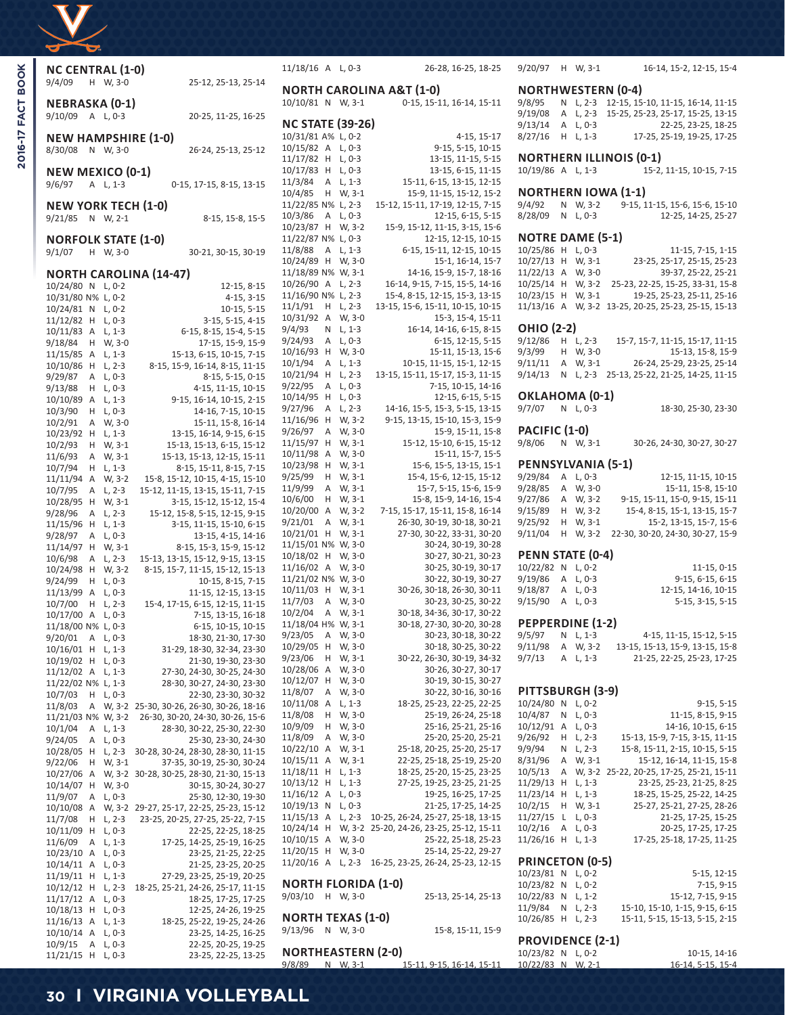|  | d. |
|--|----|

| <b>NC CENTRAL (1-0)</b>    |        |                      |                                                                     | 11/1         |
|----------------------------|--------|----------------------|---------------------------------------------------------------------|--------------|
| 9/4/09                     | н      | W, 3-0               | 25-12, 25-13, 25-14                                                 | ΝO           |
| NEBRASKA (0-1)<br>9/10/09  | Α      | $L, 0-3$             | 20-25, 11-25, 16-25                                                 | 10/1<br>ΝC   |
|                            |        |                      | <b>NEW HAMPSHIRE (1-0)</b>                                          | 10/3         |
| 8/30/08                    | Ν      | W, 3-0               | 26-24, 25-13, 25-12                                                 | 10/1         |
| <b>NEW MEXICO (0-1)</b>    |        |                      |                                                                     | 11/1<br>10/1 |
| 9/6/97                     | Α      | $L, 1-3$             | 0-15, 17-15, 8-15, 13-15                                            | 11/3         |
|                            |        |                      |                                                                     | 10/4         |
| <b>NEW YORK TECH (1-0)</b> |        |                      |                                                                     | 11/2<br>10/3 |
| 9/21/85                    |        | N W, 2-1             | 8-15, 15-8, 15-5                                                    | 10/2         |
| <b>NORFOLK STATE (1-0)</b> |        |                      |                                                                     | 11/2         |
| 9/1/07                     | н      | W, 3-0               | 30-21, 30-15, 30-19                                                 | 11/8<br>10/2 |
|                            |        |                      | <b>NORTH CAROLINA (14-47)</b>                                       | 11/1         |
| 10/24/80 N                 |        | L, 0-2               | 12-15, 8-15                                                         | 10/2         |
| 10/31/80 N%                |        | $L, 0-2$             | $4-15, 3-15$                                                        | 11/1<br>11/1 |
| 10/24/81<br>11/12/82       | Ν<br>Н | L, 0-2<br>$L, 0-3$   | 10-15, 5-15<br>3-15, 5-15, 4-15                                     | 10/3         |
| 10/11/83                   | Α      | $L, 1-3$             | 6-15, 8-15, 15-4, 5-15                                              | 9/4/9        |
| 9/18/84                    | н      | W, 3-0               | 17-15, 15-9, 15-9                                                   | 9/24         |
| 11/15/85                   | Α      | L, 1-3               | 15-13, 6-15, 10-15, 7-15                                            | 10/1<br>10/1 |
| 10/10/86<br>9/29/87        | Н<br>Α | $L, 2-3$<br>L, 0-3   | 8-15, 15-9, 16-14, 8-15, 11-15<br>8-15, 5-15, 0-15                  | 10/2         |
| 9/13/88                    | н      | $L, 0-3$             | 4-15, 11-15, 10-15                                                  | 9/22         |
| 10/10/89                   | Α      | $L, 1-3$             | 9-15, 16-14, 10-15, 2-15                                            | 10/1         |
| 10/3/90                    | н      | $L, 0-3$             | 14-16, 7-15, 10-15                                                  | 9/27<br>11/1 |
| 10/2/91<br>10/23/92        | Α<br>Н | W, 3-0<br>L, 1-3     | 15-11, 15-8, 16-14<br>13-15, 16-14, 9-15, 6-15                      | 9/26         |
| 10/2/93                    | н      | W, 3-1               | 15-13, 15-13, 6-15, 15-12                                           | 11/1         |
| 11/6/93                    | Α      | W, 3-1               | 15-13, 15-13, 12-15, 15-11                                          | 10/1         |
| 10/7/94                    | н      | $L, 1-3$             | 8-15, 15-11, 8-15, 7-15                                             | 10/2<br>9/25 |
| 11/11/94<br>10/7/95        | Α<br>Α | W, 3-2<br>$L, 2-3$   | 15-8, 15-12, 10-15, 4-15, 15-10<br>15-12, 11-15, 13-15, 15-11, 7-15 | 11/9         |
| 10/28/95                   | н      | W, 3-1               | 3-15, 15-12, 15-12, 15-4                                            | 10/6         |
| 9/28/96                    | Α      | L, 2-3               | 15-12, 15-8, 5-15, 12-15, 9-15                                      | 10/2<br>9/21 |
| 11/15/96<br>9/28/97        | Н<br>Α | $L, 1-3$<br>$L, 0-3$ | 3-15, 11-15, 15-10, 6-15<br>13-15, 4-15, 14-16                      | 10/2         |
| 11/14/97                   | Н      | W, 3-1               | 8-15, 15-3, 15-9, 15-12                                             | 11/1         |
| 10/6/98                    | Α      | $L, 2-3$             | 15-13, 13-15, 15-12, 9-15, 13-15                                    | 10/1         |
| 10/24/98                   | Η      | W, 3-2               | 8-15, 15-7, 11-15, 15-12, 15-13                                     | 11/1<br>11/2 |
| 9/24/99<br>11/13/99        | Н<br>Α | $L, 0-3$<br>$L, 0-3$ | 10-15, 8-15, 7-15<br>11-15, 12-15, 13-15                            | 10/1         |
| 10/7/00                    | н      | $L, 2-3$             | 15-4, 17-15, 6-15, 12-15, 11-15                                     | 11/7         |
| 10/17/00                   | Α      | $L, 0-3$             | 7-15, 13-15, 16-18                                                  | 10/2         |
| 11/18/00 N% L, 0-3         |        |                      | 6-15, 10-15, 10-15                                                  | 11/1<br>9/23 |
| 9/20/01<br>10/16/01        | A<br>Η | L, U-3<br>$L, 1-3$   | 18-30, 21-30, 17-30<br>31-29, 18-30, 32-34, 23-30                   | 10/2         |
| 10/19/02                   | Н      | L, 0-3               | 21-30, 19-30, 23-30                                                 | 9/23         |
| 11/12/02                   | А      | $L, 1-3$             | 27-30, 24-30, 30-25, 24-30                                          | 10/2         |
| 11/22/02 N%<br>10/7/03     | Η      | $L, 1-3$<br>L, 0-3   | 28-30, 30-27, 24-30, 23-30<br>22-30, 23-30, 30-32                   | 10/1<br>11/8 |
| 11/8/03                    | Α      | W, 3-2               | 25-30, 30-26, 26-30, 30-26, 18-16                                   | 10/1         |
| 11/21/03 N%                |        | W, 3-2               | 26-30, 30-20, 24-30, 30-26, 15-6                                    | 11/8         |
| 10/1/04                    | Α      | $L, 1-3$             | 28-30, 30-22, 25-30, 22-30                                          | 10/9<br>11/8 |
| 9/24/05<br>10/28/05        | Α<br>Η | $L, 0-3$<br>$L, 2-3$ | 25-30, 23-30, 24-30<br>30-28, 30-24, 28-30, 28-30, 11-15            | 10/2         |
| 9/22/06                    | Η      | W, 3-1               | 37-35, 30-19, 25-30, 30-24                                          | 10/1         |
| 10/27/06                   | Α      | W, 3-2               | 30-28, 30-25, 28-30, 21-30, 15-13                                   | 11/1         |
| 10/14/07<br>11/9/07        | Η<br>Α | W, 3-0<br>L, 0-3     | 30-15, 30-24, 30-27<br>25-30, 12-30, 19-30                          | 10/1<br>11/1 |
| 10/10/08                   | Α      | W, 3-2               | 29-27, 25-17, 22-25, 25-23, 15-12                                   | 10/1         |
| 11/7/08                    | Η      | L, 2-3               | 23-25, 20-25, 27-25, 25-22, 7-15                                    | 11/1         |
| 10/11/09                   | Н      | $L, 0-3$             | 22-25, 22-25, 18-25                                                 | 10/2<br>10/1 |
| 11/6/09<br>10/23/10        | Α<br>Α | L, 1-3<br>L, 0-3     | 17-25, 14-25, 25-19, 16-25<br>23-25, 21-25, 22-25                   | 11/2         |
| 10/14/11                   | Α      | L, 0-3               | 21-25, 23-25, 20-25                                                 | 11/2         |
| 11/19/11                   | Н      | L, 1-3               | 27-29, 23-25, 25-19, 20-25                                          |              |
| 10/12/12                   | Η      | L, 2-3               | 18-25, 25-21, 24-26, 25-17, 11-15                                   | ΝO<br>9/03   |
| 11/17/12<br>10/18/13       | Α<br>Н | L, 0-3<br>L, 0-3     | 18-25, 17-25, 17-25<br>12-25, 24-26, 19-25                          |              |
| 11/16/13                   | Α      | L, 1-3               | 18-25, 25-22, 19-25, 24-26                                          | ΝO           |
| 10/10/14                   | Α      | $L, 0-3$             | 23-25, 14-25, 16-25                                                 | 9/13         |
| 10/9/15<br>11/21/15        | Α<br>Н | L, 0-3<br>L, 0-3     | 22-25, 20-25, 19-25<br>23-25, 22-25, 13-25                          | ΝO           |
|                            |        |                      |                                                                     |              |

| 11/18/16 A                                   |                | L, 0-3             | 26-28, 16-25, 18-25                                              |
|----------------------------------------------|----------------|--------------------|------------------------------------------------------------------|
| 10/10/81 N                                   |                | W, 3-1             | <b>NORTH CAROLINA A&amp;T (1-0)</b><br>0-15, 15-11, 16-14, 15-11 |
| <b>NC STATE</b>                              |                | $(39-26)$          |                                                                  |
| 10/31/81 A%                                  |                | L, 0-2             | 4-15, 15-17                                                      |
| 10/15/82                                     | Α              | L, 0-3             | 9-15, 5-15, 10-15                                                |
| 11/17/82                                     | Η              | $L, 0-3$           | 13-15, 11-15, 5-15                                               |
| 10/17/83                                     | Η              | $L, 0-3$           | 13-15, 6-15, 11-15                                               |
| 11/3/84                                      | Α              | L, 1-3             | 15-11, 6-15, 13-15, 12-15                                        |
| 10/4/85                                      | Н              | W, 3-1             | 15-9, 11-15, 15-12, 15-2                                         |
| 11/22/85 N%                                  |                | L, 2-3             | 15-12, 15-11, 17-19, 12-15, 7-15                                 |
| 10/3/86                                      | Α              | L, 0-3             | 12-15, 6-15, 5-15                                                |
| 10/23/87<br>11/22/87 N%                      | Н              | W, 3-2<br>$L, 0-3$ | 15-9, 15-12, 11-15, 3-15, 15-6<br>12-15, 12-15, 10-15            |
| 11/8/88                                      | Α              | $L, 1-3$           | 6-15, 15-11, 12-15, 10-15                                        |
| 10/24/89                                     | Н              | W, 3-0             | 15-1, 16-14, 15-7                                                |
| 11/18/89 N%                                  |                | W, 3-1             | 14-16, 15-9, 15-7, 18-16                                         |
| 10/26/90                                     | Α              | L, 2-3             | 16-14, 9-15, 7-15, 15-5, 14-16                                   |
| 11/16/90 N%                                  |                | $L, 2-3$           | 15-4, 8-15, 12-15, 15-3, 13-15                                   |
| 11/1/91                                      | Н              | $L, 2-3$           | 13-15, 15-6, 15-11, 10-15, 10-15                                 |
| 10/31/92                                     | Α              | W, 3-0             | 15-3, 15-4, 15-11                                                |
| 9/4/93                                       | Ν              | L, 1-3             | 16-14, 14-16, 6-15, 8-15                                         |
| 9/24/93                                      | Α              | L, 0-3             | 6-15, 12-15, 5-15                                                |
| 10/16/93                                     | Н              | W, 3-0             | 15-11, 15-13, 15-6                                               |
| 10/1/94<br>10/21/94                          | Α<br>Н         | L, 1-3<br>L, 2-3   | 10-15, 11-15, 15-1, 12-15<br>13-15, 15-11, 15-17, 15-3, 11-15    |
| 9/22/95                                      | A              | L, 0-3             | 7-15, 10-15, 14-16                                               |
| 10/14/95                                     | Н              | $L, 0-3$           | 12-15, 6-15, 5-15                                                |
| 9/27/96                                      | Α              | L, 2-3             | 14-16, 15-5, 15-3, 5-15, 13-15                                   |
| 11/16/96                                     | Н              | W, 3-2             | 9-15, 13-15, 15-10, 15-3, 15-9                                   |
| 9/26/97                                      | Α              | W, 3-0             | 15-9, 15-11, 15-8                                                |
| 11/15/97                                     | Н              | W, 3-1             | 15-12, 15-10, 6-15, 15-12                                        |
| 10/11/98                                     | Α              | W, 3-0             | 15-11, 15-7, 15-5                                                |
| 10/23/98                                     | Н              | W, 3-1             | 15-6, 15-5, 13-15, 15-1                                          |
| 9/25/99                                      | Н              | W, 3-1             | 15-4, 15-6, 12-15, 15-12                                         |
| 11/9/99<br>10/6/00                           | А<br>Н         | W, 3-1<br>W, 3-1   | 15-7, 5-15, 15-6, 15-9<br>15-8, 15-9, 14-16, 15-4                |
| 10/20/00                                     | А              | W, 3-2             | 7-15, 15-17, 15-11, 15-8, 16-14                                  |
| 9/21/01                                      | Α              | W, 3-1             | 26-30, 30-19, 30-18, 30-21                                       |
| 10/21/01                                     | Н              | W, 3-1             | 27-30, 30-22, 33-31, 30-20                                       |
| 11/15/01 N%                                  |                | W, 3-0             | 30-24, 30-19, 30-28                                              |
| 10/18/02                                     | Н              | W, 3-0             | 30-27, 30-21, 30-23                                              |
| 11/16/02                                     | Α              | W, 3-0             | 30-25, 30-19, 30-17                                              |
| 11/21/02 N%                                  |                | W, 3-0             | 30-22, 30-19, 30-27                                              |
| 10/11/03                                     | Н              | W, 3-1             | 30-26, 30-18, 26-30, 30-11                                       |
| 11/7/03<br>10/2/04                           | Α<br>Α         | W, 3-0             | 30-23, 30-25, 30-22<br>30-18, 34-36, 30-17, 30-22                |
| 11/18/04 H%                                  |                | W, 3-1<br>W, 3-1   | 30-18, 27-30, 30-20, 30-28                                       |
| 9/23/05                                      | A              | W, 3-0             | 30-23, 30-18, 30-22                                              |
| 10/29/05                                     | Н              | W, 3-0             | 30-18, 30-25, 30-22                                              |
| 9/23/06                                      | н              | W, 3-1             | 30-22, 26-30, 30-19, 34-32                                       |
| 10/28/06                                     | Α              | W, 3-0             | 30-26, 30-27, 30-17                                              |
| 10/12/07                                     | Н              | W, 3-0             | 30-19, 30-15, 30-27                                              |
| 11/8/07                                      | А              | W, 3-0             | 30-22, 30-16, 30-16                                              |
| 10/11/08                                     | Α              | $L, 1-3$           | 18-25, 25-23, 22-25, 22-25                                       |
| 11/8/08                                      | Н              | W, 3-0             | 25-19, 26-24, 25-18                                              |
| 10/9/09<br>11/8/09                           | Н<br>Α         | W, 3-0<br>W, 3-0   | 25-16, 25-21, 25-16<br>25-20, 25-20, 25-21                       |
| 10/22/10                                     | Α              | W, 3-1             | 25-18, 20-25, 25-20, 25-17                                       |
| 10/15/11                                     | Α              | W, 3-1             | 22-25, 25-18, 25-19, 25-20                                       |
| 11/18/11                                     | Н              | $L, 1-3$           | 18-25, 25-20, 15-25, 23-25                                       |
| 10/13/12                                     | Н              | L, 1-3             | 27-25, 19-25, 23-25, 21-25                                       |
| 11/16/12                                     | A              | L, 0-3             | 19-25, 16-25, 17-25                                              |
| 10/19/13                                     | Ν              | L, 0-3             | 21-25, 17-25, 14-25                                              |
| 11/15/13                                     | Α              | $L, 2-3$           | 10-25, 26-24, 25-27, 25-18, 13-15                                |
| 10/24/14                                     | Η              | W, 3-2             | 25-20, 24-26, 23-25, 25-12, 15-11                                |
| 10/10/15                                     | $\overline{A}$ | W, 3-0             | 25-22, 25-18, 25-23                                              |
| 11/20/15                                     | Η              | W, 3-0             | 25-14, 25-22, 29-27                                              |
| 11/20/16                                     | Α              | L, 2-3             | 16-25, 23-25, 26-24, 25-23, 12-15                                |
| <b>NORTH FLORIDA (1-0)</b><br>9/03/10        | H              | W, 3-0             | 25-13, 25-14, 25-13                                              |
| <b>NORTH TEXAS (1-0)</b><br>9/13/96          |                | N W, 3-0           | 15-8, 15-11, 15-9                                                |
| <b>NORTHEASTERN (2-0)</b><br>9/8/89 N W, 3-1 |                |                    | 15-11, 9-15, 16-14, 15-11                                        |

| 9/20/97 H W, 3-1 |  |  | 16-14, 15-2, 12-15, 15-4 |  |
|------------------|--|--|--------------------------|--|
|                  |  |  |                          |  |

#### **NORTHWESTERN (0-4)**

| 9/8/95             |  | N L, 2-3 12-15, 15-10, 11-15, 16-14, 11-15 |
|--------------------|--|--------------------------------------------|
| 9/19/08            |  | A L, 2-3 15-25, 25-23, 25-17, 15-25, 13-15 |
| $9/13/14$ A L. 0-3 |  | 22-25, 23-25, 18-25                        |
| $8/27/16$ H L 1-3  |  | 17-25, 25-19, 19-25, 17-25                 |

# **NORTHERN ILLINOIS (0-1)**<br>10/19/86 A L, 1-3 15-2,

15-2, 11-15, 10-15, 7-15

#### **NORTHERN IOWA (1-1)**

9/4/92 N W, 3-2 9-15, 11-15, 15-6, 15-6, 15-10 8/28/09 N L, 0-3 12-25, 14-25, 25-27

## **NOTRE DAME (5-1)**

10/25/86 H L, 0-3 11-15, 7-15, 1-15<br>10/27/13 H W, 3-1 23-25, 25-17, 25-15, 25-23 10/27/13 H W, 3-1 23-25, 25-17, 25-15, 25-23 11/22/13 A W, 3-0 39-37, 25-22, 25-21 10/25/14 H W, 3-2 25-23, 22-25, 15-25, 33-31, 15-8 19-25, 25-23, 25-11, 25-16 11/13/16 A W, 3-2 13-25, 20-25, 25-23, 25-15, 15-13

**OHIO (2-2)**<br>9/12/86 H L, 2-3 9/12/86 H L, 2-3 15-7, 15-7, 11-15, 15-17, 11-15<br>9/3/99 H W, 3-0 15-13, 15-8, 15-9 15-13, 15-8, 15-9 9/11/11 A W, 3-1 26-24, 25-29, 23-25, 25-14 9/14/13 N L, 2-3 25-13, 25-22, 21-25, 14-25, 11-15

#### **OKLAHOMA (0-1)**

9/7/07 N L, 0-3 18-30, 25-30, 23-30

# **PACIFIC (1-0)**<br>9/8/06 N W, 3-1

30-26, 24-30, 30-27, 30-27

## **PENNSYLVANIA (5-1)**

9/29/84 A L, 0-3 12-15, 11-15, 10-15<br>9/28/85 A W, 3-0 15-11, 15-8, 15-10 9/28/85 A W, 3-0 9/27/86 A W, 3-2 9-15, 15-11, 15-0, 9-15, 15-11 9/15/89 H W, 3-2 15-4, 8-15, 15-1, 13-15, 15-7<br>9/25/92 H W, 3-1 15-2, 13-15, 15-7, 15-6 9/25/92 H W, 3-1 9/11/04 H W, 3-2 22-30, 30-20, 24-30, 30-27, 15-9

### **PENN STATE (0-4)**

| 10/22/82 N L, 0-2 |  | 11-15.0-15          |
|-------------------|--|---------------------|
| 9/19/86 A L, 0-3  |  | $9-15, 6-15, 6-15$  |
| 9/18/87 A L, 0-3  |  | 12-15, 14-16, 10-15 |
| 9/15/90 A L, 0-3  |  | $5-15, 3-15, 5-15$  |

**PEPPERDINE (1-2)**<br>9/5/97 N L, 1-3 9/5/97 N L, 1-3 4-15, 11-15, 15-12, 5-15<br>9/11/98 A W, 3-2 13-15, 15-13, 15-9, 13-15, 15-8 13-15, 15-13, 15-9, 13-15, 15-8 9/7/13 A L, 1-3 21-25, 22-25, 25-23, 17-25

# **PITTSBURGH (3-9)**

| 10/24/80 | Ν | $L, 0-2$ | $9-15, 5-15$                      |
|----------|---|----------|-----------------------------------|
| 10/4/87  | Ν | $L, 0-3$ | 11-15, 8-15, 9-15                 |
| 10/12/91 | А | $L, 0-3$ | 14-16, 10-15, 6-15                |
| 9/26/92  | н | L, 2-3   | 15-13, 15-9, 7-15, 3-15, 11-15    |
| 9/9/94   | Ν | $L, 2-3$ | 15-8, 15-11, 2-15, 10-15, 5-15    |
| 8/31/96  | А | W, 3-1   | 15-12, 16-14, 11-15, 15-8         |
| 10/5/13  | А | W, 3-2   | 25-22, 20-25, 17-25, 25-21, 15-11 |
| 11/29/13 | н | $L, 1-3$ | 23-25, 25-23, 21-25, 8-25         |
| 11/23/14 | н | L, 1-3   | 18-25, 15-25, 25-22, 14-25        |
| 10/2/15  | н | W, 3-1   | 25-27, 25-21, 27-25, 28-26        |
| 11/27/15 | L | $L, 0-3$ | 21-25, 17-25, 15-25               |
| 10/2/16  | А | $L, 0-3$ | 20-25, 17-25, 17-25               |
| 11/26/16 | н | $L, 1-3$ | 17-25, 25-18, 17-25, 11-25        |
|          |   |          |                                   |

#### **PRINCETON (0-5)** 10/23/81 N L, 0-2 5-15, 12-15 10/23/82 N L, 0-2 7-15, 9-15<br>10/22/83 N L, 1-2 15-12, 7-15, 9-15 10/22/83 N L, 1-2<br>11/9/84 N L, 2-3 15-10, 15-10, 1-15, 9-15, 6-15 10/26/85 H L, 2-3 15-11, 5-15, 15-13, 5-15, 2-15

### **PROVIDENCE (2-1)**

| 10/23/82 N L, 0-2 |  | 10-15, 14-16      |
|-------------------|--|-------------------|
| 10/22/83 N W, 2-1 |  | 16-14, 5-15, 15-4 |

# **30 I VIRGINIA VOLLEYBALL**

2016-17 FACT BOOK **2016-17 FACT BOOK**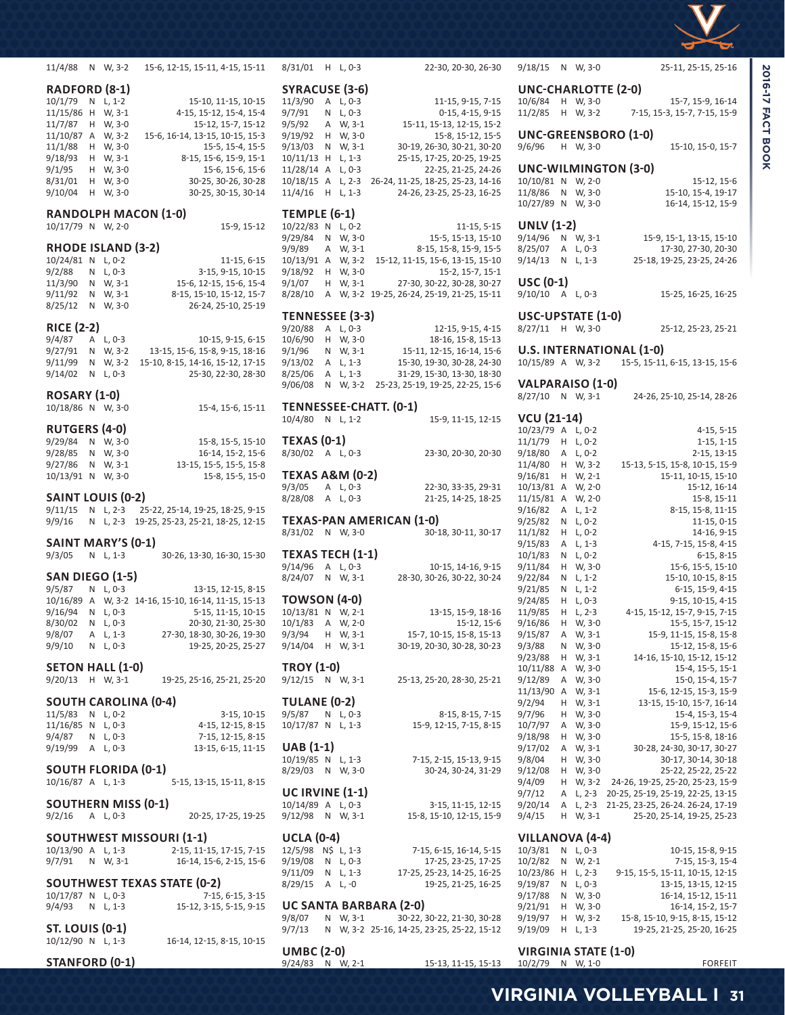

**2016-17 FACT BOOK** 

| 11/4/88                              |                                        | N W, 3-2   | 15-6, 12-15, 15-11, 4-15, 15-11          | 8/31/01 H L, 0-3                            |    |                     |    |
|--------------------------------------|----------------------------------------|------------|------------------------------------------|---------------------------------------------|----|---------------------|----|
|                                      | SYRACUSE (3-6)<br><b>RADFORD (8-1)</b> |            |                                          |                                             |    |                     |    |
| 10/1/79                              | Ν                                      | $L, 1-2$   | 15-10, 11-15, 10-15                      | 11/3/90                                     | Α  | $L, 0-3$            |    |
| 11/15/86 H                           |                                        | W, 3-1     | 4-15, 15-12, 15-4, 15-4                  | 9/7/91                                      | N  | $L, 0-3$            |    |
| 11/7/87                              | н                                      | W, 3-0     | 15-12, 15-7, 15-12                       | 9/5/92                                      | Α  | W, 3-1              |    |
| 11/10/87                             | Α                                      | W, 3-2     | 15-6, 16-14, 13-15, 10-15, 15-3          | 9/19/92                                     | н  | W, 3-0              |    |
| 11/1/88                              | н                                      | W, 3-0     | 15-5, 15-4, 15-5                         | 9/13/03                                     | N  | W, 3-1              |    |
| 9/18/93                              | н                                      | W, 3-1     | 8-15, 15-6, 15-9, 15-1                   | $10/11/13$ H                                |    | $L, 1-3$            |    |
|                                      |                                        |            |                                          |                                             |    |                     |    |
| 9/1/95                               | H                                      | W, 3-0     | 15-6, 15-6, 15-6                         | 11/28/14                                    | A  | $L, 0-3$            |    |
| 8/31/01                              | н                                      | W, 3-0     | 30-25, 30-26, 30-28                      | 10/18/15                                    | Α  | $L, 2-3$            | 26 |
| 9/10/04                              | н                                      | W, 3-0     | 30-25, 30-15, 30-14                      | 11/4/16                                     | н  | $L, 1-3$            |    |
|                                      |                                        |            | <b>RANDOLPH MACON (1-0)</b>              | <b>TEMPLE (6-1)</b>                         |    |                     |    |
| 10/17/79 N W, 2-0                    |                                        |            | 15-9, 15-12                              | 10/22/83                                    | N  | $L, 0-2$            |    |
|                                      |                                        |            |                                          | 9/29/84                                     | N  | W, 3-0              |    |
| <b>RHODE ISLAND (3-2)</b>            |                                        |            |                                          | 9/9/89                                      | Α  | W, 3-1              |    |
| 10/24/81 N                           |                                        | $L, 0-2$   | $11-15, 6-15$                            | 10/13/91                                    | Α  | W, 3-2              | 1  |
| 9/2/88                               | N                                      | L, 0-3     | 3-15, 9-15, 10-15                        | 9/18/92                                     | н  | W, 3-0              |    |
| 11/3/90                              | N                                      | W, 3-1     | 15-6, 12-15, 15-6, 15-4                  | 9/1/07                                      | H  | W, 3-1              |    |
| 9/11/92                              | N                                      | W, 3-1     | 8-15, 15-10, 15-12, 15-7                 | 8/28/10                                     | Α  | W, 3-2 19           |    |
| 8/25/12                              | N                                      | W, 3-0     |                                          |                                             |    |                     |    |
|                                      |                                        |            | 26-24, 25-10, 25-19                      | TENNESSEE (3-3)                             |    |                     |    |
| <b>RICE (2-2)</b>                    |                                        |            |                                          | 9/20/88                                     | Α  | $L, 0-3$            |    |
| 9/4/87                               | Α                                      | L, 0-3     | 10-15, 9-15, 6-15                        | 10/6/90                                     | н  | W, 3-0              |    |
| 9/27/91                              | Ν                                      | W, 3-2     | 13-15, 15-6, 15-8, 9-15, 18-16           | 9/1/96                                      |    | N W, 3-1            |    |
|                                      |                                        |            |                                          |                                             |    |                     |    |
| 9/11/99                              | N                                      | W, 3-2     | 15-10, 8-15, 14-16, 15-12, 17-15         | 9/13/02                                     | Α  | $L, 1-3$            |    |
| 9/14/02                              | Ν                                      | $L.0-3$    | 25-30, 22-30, 28-30                      | 8/25/06                                     | Α  | $L, 1-3$            |    |
|                                      |                                        |            |                                          | 9/06/08                                     | N  | W, 3-2              | 2  |
| <b>ROSARY (1-0)</b>                  |                                        |            |                                          |                                             |    |                     |    |
| 10/18/86 N W, 3-0                    |                                        |            | 15-4, 15-6, 15-11                        | <b>TENNESSEE-CHAT</b>                       |    |                     |    |
|                                      |                                        |            |                                          | 10/4/80 N L, 1-2                            |    |                     |    |
| <b>RUTGERS (4-0)</b>                 |                                        |            |                                          | <b>TEXAS (0-1)</b>                          |    |                     |    |
| 9/29/84                              | N                                      | W, 3-0     | 15-8, 15-5, 15-10                        |                                             |    |                     |    |
| 9/28/85                              | N                                      | W, 3-0     | 16-14, 15-2, 15-6                        | 8/30/02 A L, 0-3                            |    |                     |    |
| 9/27/86                              | N                                      | W, 3-1     | 13-15, 15-5, 15-5, 15-8                  |                                             |    |                     |    |
| 10/13/91 N                           |                                        | W, 3-0     | 15-8, 15-5, 15-0                         | <b>TEXAS A&amp;M (0-2)</b>                  |    |                     |    |
| SAINT LOUIS (0-2)                    |                                        |            |                                          | 9/3/05                                      | A  | $L, 0-3$            |    |
|                                      |                                        | $L, 2-3$   |                                          | 8/28/08                                     | A  | $L, 0-3$            |    |
| 9/11/15                              | N.                                     |            | 25-22, 25-14, 19-25, 18-25, 9-15         |                                             |    |                     |    |
|                                      |                                        |            |                                          |                                             |    |                     |    |
| 9/9/16                               | N                                      | $L, 2-3$   | 19-25, 25-23, 25-21, 18-25, 12-15        | TEXAS-PAN AMER                              |    |                     |    |
|                                      |                                        |            |                                          | 8/31/02                                     |    | N W, 3-0            |    |
| SAINT MARY'S (0-1)                   |                                        |            |                                          |                                             |    |                     |    |
| 9/3/05                               | Ν                                      | $L, 1-3$   | 30-26, 13-30, 16-30, 15-30               | <b>TEXAS TECH (1-1)</b>                     |    |                     |    |
|                                      |                                        |            |                                          | 9/14/96                                     | Α  | $L, 0-3$            |    |
| <b>SAN DIEGO (1-5)</b>               |                                        |            |                                          | 8/24/07                                     |    | N W, 3-1            |    |
| 9/5/87                               |                                        | N L, 0-3   | 13-15, 12-15, 8-15                       |                                             |    |                     |    |
| 10/16/89                             | A                                      |            | W, 3-2 14-16, 15-10, 16-14, 11-15, 15-13 | TOWSON (4-0)                                |    |                     |    |
| 9/16/94                              | Ν                                      | $L, 0-3$   | 5-15, 11-15, 10-15                       | 10/13/81 N W, 2-1                           |    |                     |    |
| 8/30/02                              | N                                      | $L, 0-3$   | 20-30, 21-30, 25-30                      | 10/1/83                                     | Α  | W, 2-0              |    |
| 9/8/07                               |                                        | A L, 1-3   | 27-30, 18-30, 30-26, 19-30               | 9/3/94                                      |    | H W, 3-1            |    |
| 9/9/10                               |                                        | N L, 0-3   | 19-25, 20-25, 25-27                      | 9/14/04                                     |    | H W, 3-1            |    |
|                                      |                                        |            |                                          |                                             |    |                     |    |
| <b>SETON HALL (1-0)</b>              |                                        |            |                                          | <b>TROY (1-0)</b>                           |    |                     |    |
| 9/20/13                              |                                        | $H$ W. 3-1 | 19-25, 25-16, 25-21, 25-20               | $9/12/15$ N W, 3-1                          |    |                     |    |
|                                      |                                        |            |                                          |                                             |    |                     |    |
|                                      |                                        |            | <b>SOUTH CAROLINA (0-4)</b>              | <b>TULANE (0-2)</b>                         |    |                     |    |
| 11/5/83                              | N                                      | L, 0-2     | $3-15, 10-15$                            | 9/5/87                                      | N  | L, 0-3              |    |
| 11/16/85 N L, 0-3                    |                                        |            | 4-15, 12-15, 8-15                        | 10/17/87 N L, 1-3                           |    |                     |    |
| 9/4/87                               |                                        | $N L, 0-3$ | 7-15, 12-15, 8-15                        |                                             |    |                     |    |
| 9/19/99                              |                                        | A L, 0-3   | 13-15, 6-15, 11-15                       | <b>UAB</b> (1-1)                            |    |                     |    |
|                                      |                                        |            |                                          | 10/19/85 N                                  |    | L, 1-3              |    |
| <b>SOUTH FLORIDA (0-1)</b>           |                                        |            |                                          | 8/29/03                                     |    | N W, 3-0            |    |
| 10/16/87 A L, 1-3                    |                                        |            | 5-15, 13-15, 15-11, 8-15                 |                                             |    |                     |    |
|                                      |                                        |            |                                          | <b>UC IRVINE (1-1)</b><br>10/14/89 A L, 0-3 |    |                     |    |
| <b>SOUTHERN MISS (0-1)</b><br>9/2/16 |                                        | A L, 0-3   | 20-25, 17-25, 19-25                      | 9/12/98                                     |    | N W, 3-1            |    |
|                                      |                                        |            |                                          |                                             |    |                     |    |
|                                      |                                        |            | SOUTHWEST MISSOURI (1-1)                 | $UCLA (0-4)$                                |    |                     |    |
| 10/13/90 A L, 1-3                    |                                        |            | 2-15, 11-15, 17-15, 7-15                 | 12/5/98                                     |    | N\$ L, 1-3          |    |
| 9/7/91                               | N                                      | W, 3-1     | 16-14, 15-6, 2-15, 15-6                  | 9/19/08                                     |    | $N L, 0-3$          |    |
|                                      |                                        |            | <b>SOUTHWEST TEXAS STATE (0-2)</b>       | 9/11/09<br>8/29/15                          | N. | $L, 1-3$<br>A L, -0 |    |

10/17/87 N L, 0-3 7-15, 6-15, 3-15 9/4/93 N L, 1-3 15-12, 3-15, 5-15, 9-15 **ST. LOUIS (0-1)**<br>10/12/90 N L, 1-3 16-14, 12-15, 8-15, 10-15

**STANFORD (0-1)**

| 9/13/03                | N W, 3-1                 | 30-19, 26-30, 30-21, 30-20                                                        | 9/6/96                                |        | $H$ W, 3-0             | 15-10, 15-0, 15-7                                   |
|------------------------|--------------------------|-----------------------------------------------------------------------------------|---------------------------------------|--------|------------------------|-----------------------------------------------------|
| 10/11/13 H L, 1-3      |                          | 25-15, 17-25, 20-25, 19-25                                                        |                                       |        |                        |                                                     |
| 11/28/14 A L, 0-3      |                          | 22-25, 21-25, 24-26                                                               |                                       |        |                        | UNC-WILMINGTON (3-0)                                |
| 11/4/16                | $H L, 1-3$               | 10/18/15 A L, 2-3 26-24, 11-25, 18-25, 25-23, 14-16<br>24-26, 23-25, 25-23, 16-25 | 10/10/81 N W, 2-0<br>11/8/86 N W, 3-0 |        |                        | 15-12, 15-6<br>15-10, 15-4, 19-17                   |
|                        |                          |                                                                                   | 10/27/89 N W, 3-0                     |        |                        | 16-14, 15-12, 15-9                                  |
| TEMPLE (6-1)           |                          |                                                                                   |                                       |        |                        |                                                     |
| 10/22/83 N L, 0-2      |                          | $11-15, 5-15$                                                                     | UNLV $(1-2)$                          |        |                        |                                                     |
| 9/29/84                | N W, 3-0                 | 15-5, 15-13, 15-10                                                                | 9/14/96 N W, 3-1                      |        |                        | 15-9, 15-1, 13-15, 15-10                            |
| 9/9/89                 | A W, 3-1                 | 8-15, 15-8, 15-9, 15-5                                                            | 8/25/07                               |        | A L, 0-3               | 17-30, 27-30, 20-30                                 |
| 10/13/91 A W, 3-2      |                          | 15-12, 11-15, 15-6, 13-15, 15-10                                                  | $9/14/13$ N L, 1-3                    |        |                        | 25-18, 19-25, 23-25, 24-26                          |
| 9/18/92                | H W, 3-0                 | 15-2, 15-7, 15-1                                                                  |                                       |        |                        |                                                     |
| 9/1/07                 | $H$ W. 3-1               | 27-30, 30-22, 30-28, 30-27                                                        | USC $(0-1)$                           |        |                        |                                                     |
| 8/28/10                |                          | A W, 3-2 19-25, 26-24, 25-19, 21-25, 15-11                                        | $9/10/10$ A L, 0-3                    |        |                        | 15-25, 16-25, 16-25                                 |
| TENNESSEE (3-3)        |                          |                                                                                   | <b>USC-UPSTATE (1-0)</b>              |        |                        |                                                     |
| 9/20/88                | A L, 0-3                 | 12-15, 9-15, 4-15                                                                 | 8/27/11 H W, 3-0                      |        |                        | 25-12, 25-23, 25-21                                 |
| 10/6/90                | H W, 3-0                 | 18-16, 15-8, 15-13                                                                |                                       |        |                        |                                                     |
| 9/1/96                 | N W, 3-1                 | 15-11, 12-15, 16-14, 15-6                                                         |                                       |        |                        | U.S. INTERNATIONAL (1-0)                            |
| 9/13/02                | A L, 1-3                 | 15-30, 19-30, 30-28, 24-30                                                        | 10/15/89 A W, 3-2                     |        |                        | 15-5, 15-11, 6-15, 13-15, 15-6                      |
| 8/25/06                | A L, 1-3                 | 31-29, 15-30, 13-30, 18-30                                                        |                                       |        |                        |                                                     |
| 9/06/08                |                          | N W, 3-2 25-23, 25-19, 19-25, 22-25, 15-6                                         | VALPARAISO (1-0)                      |        |                        |                                                     |
|                        |                          | TENNESSEE-CHATT. (0-1)                                                            | 8/27/10 N W, 3-1                      |        |                        | 24-26, 25-10, 25-14, 28-26                          |
| 10/4/80                | N L, 1-2                 | 15-9, 11-15, 12-15                                                                | $VCU (21-14)$                         |        |                        |                                                     |
|                        |                          |                                                                                   | 10/23/79 A L, 0-2                     |        |                        | $4-15, 5-15$                                        |
| TEXAS (0-1)            |                          |                                                                                   | 11/1/79 H L, 0-2                      |        |                        | $1-15, 1-15$                                        |
| 8/30/02 A L, 0-3       |                          | 23-30, 20-30, 20-30                                                               | 9/18/80                               |        | A L, 0-2               | $2-15, 13-15$                                       |
|                        |                          |                                                                                   | $11/4/80$ H W, 3-2                    |        |                        | 15-13, 5-15, 15-8, 10-15, 15-9                      |
| TEXAS A&M (0-2)        |                          |                                                                                   | $9/16/81$ H W, 2-1                    |        |                        | 15-11, 10-15, 15-10                                 |
| 9/3/05                 | A L, 0-3                 | 22-30, 33-35, 29-31                                                               | 10/13/81 A W, 2-0                     |        |                        | 15-12, 16-14                                        |
| 8/28/08                | A L, 0-3                 | 21-25, 14-25, 18-25                                                               | $11/15/81$ A W, 2-0                   |        |                        | 15-8, 15-11                                         |
|                        |                          | TEXAS-PAN AMERICAN (1-0)                                                          | 9/16/82                               |        | A L, 1-2               | 8-15, 15-8, 11-15                                   |
| 8/31/02 N W, 3-0       |                          | 30-18, 30-11, 30-17                                                               | 9/25/82<br>11/1/82                    |        | N L, 0-2<br>$H L, 0-2$ | 11-15, 0-15<br>14-16, 9-15                          |
|                        |                          |                                                                                   | 9/15/83                               |        | A L, 1-3               | 4-15, 7-15, 15-8, 4-15                              |
| TEXAS TECH (1-1)       |                          |                                                                                   | 10/1/83                               |        | N L, 0-2               | $6-15, 8-15$                                        |
| 9/14/96                | A L, 0-3                 | 10-15, 14-16, 9-15                                                                | 9/11/84                               |        | H W, 3-0               | 15-6, 15-5, 15-10                                   |
| 8/24/07                | N W, 3-1                 | 28-30, 30-26, 30-22, 30-24                                                        | 9/22/84                               |        | N L, 1-2               | 15-10, 10-15, 8-15                                  |
|                        |                          |                                                                                   | 9/21/85                               |        | N L, 1-2               | 6-15, 15-9, 4-15                                    |
| TOWSON (4-0)           |                          |                                                                                   | 9/24/85                               |        | $H L, 0-3$             | 9-15, 10-15, 4-15                                   |
| 10/13/81 N W, 2-1      |                          | 13-15, 15-9, 18-16                                                                | 11/9/85                               |        | $H L, 2-3$             | 4-15, 15-12, 15-7, 9-15, 7-15                       |
| 10/1/83<br>9/3/94      | A W, 2-0<br>$H$ W, 3-1   | 15-12, 15-6<br>15-7, 10-15, 15-8, 15-13                                           | 9/16/86<br>9/15/87                    |        | $H$ W, 3-0<br>A W, 3-1 | 15-5, 15-7, 15-12<br>15-9, 11-15, 15-8, 15-8        |
| 9/14/04                | H W, 3-1                 | 30-19, 20-30, 30-28, 30-23                                                        | 9/3/88                                |        | N W, 3-0               | 15-12, 15-8, 15-6                                   |
|                        |                          |                                                                                   | 9/23/88                               |        | H W, 3-1               | 14-16, 15-10, 15-12, 15-12                          |
| TROY (1-0)             |                          |                                                                                   | $10/11/88$ A W, 3-0                   |        |                        | 15-4, 15-5, 15-1                                    |
| 9/12/15 N W, 3-1       |                          | 25-13, 25-20, 28-30, 25-21                                                        | 9/12/89                               |        | A W, 3-0               | 15-0, 15-4, 15-7                                    |
|                        |                          |                                                                                   | 11/13/90 A W, 3-1                     |        |                        | 15-6, 12-15, 15-3, 15-9                             |
| <b>TULANE (0-2)</b>    |                          |                                                                                   | 9/2/94                                |        | $H$ W, 3-1             | 13-15, 15-10, 15-7, 16-14                           |
| 9/5/87                 | N L, 0-3                 | 8-15, 8-15, 7-15                                                                  | 9/7/96                                |        | H W, 3-0               | 15-4, 15-3, 15-4                                    |
| 10/17/87 N L, 1-3      |                          | 15-9, 12-15, 7-15, 8-15                                                           | 10/7/97                               |        | A W, 3-0               | 15-9, 15-12, 15-6                                   |
| UAB (1-1)              |                          |                                                                                   | 9/18/98<br>9/17/02                    | H<br>Α | W, 3-0<br>W, 3-1       | 15-5, 15-8, 18-16<br>30-28, 24-30, 30-17, 30-27     |
| 10/19/85 N L, 1-3      |                          | 7-15, 2-15, 15-13, 9-15                                                           | 9/8/04                                | H.     | W, 3-0                 | 30-17, 30-14, 30-18                                 |
| 8/29/03                | N W, 3-0                 | 30-24, 30-24, 31-29                                                               | 9/12/08                               | H.     | W, 3-0                 | 25-22, 25-22, 25-22                                 |
|                        |                          |                                                                                   | 9/4/09                                | H.     | W, 3-2                 | 24-26, 19-25, 25-20, 25-23, 15-9                    |
| <b>UC IRVINE (1-1)</b> |                          |                                                                                   | 9/7/12                                |        | A L, 2-3               | 20-25, 25-19, 25-19, 22-25, 13-15                   |
| 10/14/89 A L, 0-3      |                          | 3-15, 11-15, 12-15                                                                | 9/20/14                               |        | A L, 2-3               | 21-25, 23-25, 26-24. 26-24, 17-19                   |
| 9/12/98                | N W, 3-1                 | 15-8, 15-10, 12-15, 15-9                                                          | 9/4/15                                |        | $H$ W, 3-1             | 25-20, 25-14, 19-25, 25-23                          |
|                        |                          |                                                                                   |                                       |        |                        |                                                     |
| UCLA (0-4)             |                          |                                                                                   | VILLANOVA (4-4)                       |        |                        |                                                     |
| 12/5/98                | $N\$ L, 1-3              | 7-15, 6-15, 16-14, 5-15                                                           | 10/3/81                               |        | $N L, 0-3$             | 10-15, 15-8, 9-15                                   |
| 9/19/08<br>9/11/09     | $N L, 0-3$<br>$N L, 1-3$ | 17-25, 23-25, 17-25<br>17-25, 25-23, 14-25, 16-25                                 | 10/2/82<br>10/23/86 H L, 2-3          |        | N W, 2-1               | 7-15, 15-3, 15-4<br>9-15, 15-5, 15-11, 10-15, 12-15 |
| 8/29/15                | A L, -0                  | 19-25, 21-25, 16-25                                                               | 9/19/87                               |        | $N L, 0-3$             | 13-15, 13-15, 12-15                                 |
|                        |                          |                                                                                   | 9/17/88                               |        | N W, 3-0               | 16-14, 15-12, 15-11                                 |
|                        |                          | UC SANTA BARBARA (2-0)                                                            | 9/21/91                               |        | $H$ W, 3-0             | 16-14, 15-2, 15-7                                   |
| 9/8/07                 | N W, 3-1                 | 30-22, 30-22, 21-30, 30-28                                                        | 9/19/97                               |        | $H$ W, 3-2             | 15-8, 15-10, 9-15, 8-15, 15-12                      |
| 0/7/12                 |                          | 22.25.25                                                                          | 0/10/0                                |        |                        |                                                     |

22-30, 20-30, 26-30

15-11, 15-13, 12-15, 15-2 15-8, 15-12, 15-5

**UC SANTA BARB**<br>9/8/07 N W, 3-1 30-22, 30-22, 21-30, 30-28<br>14-25, 23-25, 25-22, 15-12 9/7/13 N W, 3-2 25-16, 14-25, 2

**UMBC (2-0)** 9/24/83 N W, 2-1

|                         | <b>VIRGINIA STA</b> |  |
|-------------------------|---------------------|--|
| 25, 23-25, 25-22, 15-12 | 9/19/09 H L, I      |  |

| 2-30, 20-30, 26-30                      | 9/18/15                    |        | N W, 3-0         | 25-11, 25-15, 25-16                          |
|-----------------------------------------|----------------------------|--------|------------------|----------------------------------------------|
|                                         | <b>UNC-CHARLOTTE (2-0)</b> |        |                  |                                              |
| 11-15, 9-15, 7-15                       | 10/6/84                    | H      | W, 3-0           | 15-7, 15-9, 16-14                            |
| 0-15, 4-15, 9-15                        | 11/2/85                    | н      | W, 3-2           | 7-15, 15-3, 15-7, 7-15, 15-9                 |
| .5-13, 12-15, 15-2                      |                            |        |                  |                                              |
| 15-8, 15-12, 15-5                       |                            |        |                  | UNC-GREENSBORO (1-0)                         |
| i-30, 30-21, 30-20                      | 9/6/96                     | н      | W, 3-0           | 15-10, 15-0, 15-7                            |
| '-25, 20-25, 19-25                      |                            |        |                  |                                              |
| 2-25, 21-25, 24-26                      |                            |        |                  | UNC-WILMINGTON (3-0)                         |
| 3-25, 25-23, 14-16                      | $10/10/81$ N               |        | W, 2-0           | 15-12, 15-6                                  |
| 3-25, 25-23, 16-25                      | 11/8/86                    | Ν      | W, 3-0           | 15-10, 15-4, 19-17                           |
|                                         | 10/27/89 N                 |        | W, 3-0           | 16-14, 15-12, 15-9                           |
| $11-15, 5-15$                           | <b>UNLV</b> (1-2)          |        |                  |                                              |
| .5-5, 15-13, 15-10                      | 9/14/96                    | Ν      | W, 3-1           | 15-9, 15-1, 13-15, 15-10                     |
| 5, 15-8, 15-9, 15-5                     | 8/25/07                    | Α      | L, 0-3           | 17-30, 27-30, 20-30                          |
| .5-6, 13-15, 15-10                      | 9/14/13                    | N      | $L, 1-3$         | 25-18, 19-25, 23-25, 24-26                   |
| 15-2, 15-7, 15-1                        |                            |        |                  |                                              |
| -22, 30-28, 30-27                       | <b>USC (0-1)</b>           |        |                  |                                              |
| i-19, 21-25, 15-11                      | $9/10/10$ A                |        | $L, 0-3$         | 15-25, 16-25, 16-25                          |
|                                         | USC-UPSTATE (1-0)          |        |                  |                                              |
| 12-15, 9-15, 4-15                       | 8/27/11 H W, 3-0           |        |                  | 25-12, 25-23, 25-21                          |
| 8-16, 15-8, 15-13                       |                            |        |                  |                                              |
| .2-15, 16-14, 15-6                      |                            |        |                  | U.S. INTERNATIONAL (1-0)                     |
| -30, 30-28, 24-30                       | 10/15/89 A W, 3-2          |        |                  | 15-5, 15-11, 6-15, 13-15, 15-6               |
| -30, 13-30, 18-30                       |                            |        |                  |                                              |
| 9-25, 22-25, 15-6                       | <b>VALPARAISO (1-0)</b>    |        | N W, 3-1         |                                              |
|                                         | 8/27/10                    |        |                  | 24-26, 25-10, 25-14, 28-26                   |
| 15-9, 11-15, 12-15                      | <b>VCU (21-14)</b>         |        |                  |                                              |
|                                         | 10/23/79 A                 |        | $L, 0-2$         | $4-15, 5-15$                                 |
|                                         | 11/1/79                    | Н      | $L, 0-2$         | 1-15, 1-15                                   |
| 3-30, 20-30, 20-30                      | 9/18/80                    | Α      | L, 0-2           | 2-15, 13-15                                  |
|                                         | 11/4/80                    | н      | W, 3-2           | 15-13, 5-15, 15-8, 10-15, 15-9               |
|                                         | 9/16/81                    | Н      | W, 2-1<br>W, 2-0 | 15-11, 10-15, 15-10                          |
| :-30, 33-35, 29-31<br>-25, 14-25, 18-25 | 10/13/81<br>11/15/81       | Α<br>Α | W, 2-0           | 15-12, 16-14<br>15-8, 15-11                  |
|                                         | 9/16/82                    | Α      | $L, 1-2$         | 8-15, 15-8, 11-15                            |
| ))                                      | 9/25/82                    | N      | $L, 0-2$         | 11-15, 0-15                                  |
| 18, 30-11, 30-17                        | 11/1/82                    | Η      | L, 0-2           | 14-16, 9-15                                  |
|                                         | 9/15/83                    | Α      | $L, 1-3$         | 4-15, 7-15, 15-8, 4-15                       |
|                                         | 10/1/83                    | Ν      | $L, 0-2$         | $6-15, 8-15$                                 |
| 0-15, 14-16, 9-15                       | 9/11/84                    | Η      | W, 3-0           | 15-6, 15-5, 15-10                            |
| -26, 30-22, 30-24                       | 9/22/84                    | Ν      | $L, 1-2$         | 15-10, 10-15, 8-15                           |
|                                         | 9/21/85                    | Ν      | $L, 1-2$         | 6-15, 15-9, 4-15                             |
|                                         | 9/24/85                    | Η      | $L, 0-3$         | 9-15, 10-15, 4-15                            |
| 13-15, 15-9, 18-16                      | 11/9/85                    | Η      | $L, 2-3$         | 4-15, 15-12, 15-7, 9-15, 7-15                |
| 15-12, 15-6<br>0-15, 15-8, 15-13        | 9/16/86                    | н<br>Α | W, 3-0<br>W, 3-1 | 15-5, 15-7, 15-12                            |
| -30, 30-28, 30-23                       | 9/15/87<br>9/3/88          | N      | W, 3-0           | 15-9, 11-15, 15-8, 15-8<br>15-12, 15-8, 15-6 |
|                                         | 9/23/88                    | Η      | W, 3-1           | 14-16, 15-10, 15-12, 15-12                   |
|                                         | 10/11/88                   | Α      | W, 3-0           | 15-4, 15-5, 15-1                             |
| -20, 28-30, 25-21                       | 9/12/89                    | Α      | W, 3-0           | 15-0, 15-4, 15-7                             |
|                                         | 11/13/90                   | Α      | W, 3-1           | 15-6, 12-15, 15-3, 15-9                      |
|                                         | 9/2/94                     | Н      | W, 3-1           | 13-15, 15-10, 15-7, 16-14                    |
| 8-15, 8-15, 7-15                        | 9/7/96                     | Н      | W, 3-0           | 15-4, 15-3, 15-4                             |
| 12-15, 7-15, 8-15                       | 10/7/97                    | Α      | W, 3-0           | 15-9, 15-12, 15-6                            |
|                                         | 9/18/98                    | Н      | W, 3-0           | 15-5, 15-8, 18-16                            |
|                                         | 9/17/02<br>9/8/04          | Α      | W, 3-1           | 30-28, 24-30, 30-17, 30-27                   |
| $2 - 15$ , 15-13, 9-15                  |                            | н      | $W. 3-0$         | 30-17 30-14 30-18                            |

| , 23-25, 25-22, 15-12 | $9/19/09$ H L. 1-3 | VIRGINIA STATE (1-0) | 19-25, 21-25, 25-20, 16-25 |
|-----------------------|--------------------|----------------------|----------------------------|
|                       |                    |                      |                            |
| 15-13, 11-15, 15-13   | $10/2/79$ N W, 1-0 |                      | <b>FORFEIT</b>             |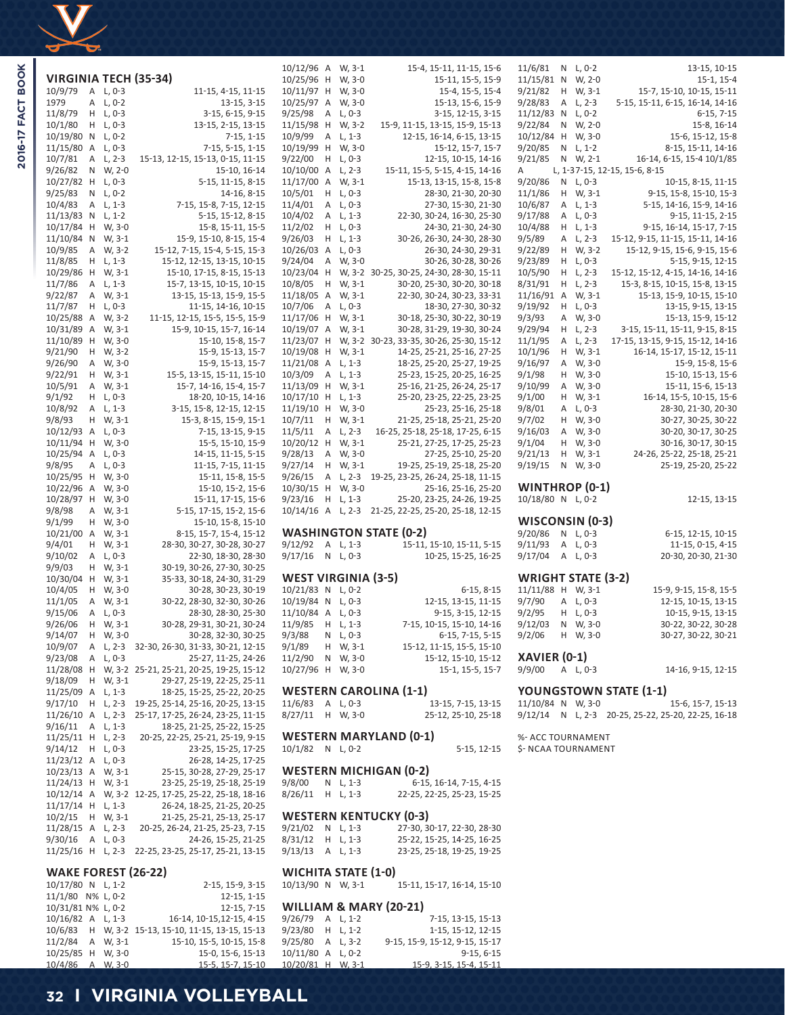

|                            |        |                    | <b>VIRGINIA TECH (35-34)</b>                               |
|----------------------------|--------|--------------------|------------------------------------------------------------|
| 10/9/79                    | А      | $L, 0-3$           | 11-15, 4-15, 11-15                                         |
| 1979                       | Α      | L, 0-2             | 13-15, 3-15                                                |
| 11/8/79                    | н      | $L, 0-3$           | 3-15, 6-15, 9-15                                           |
| 10/1/80<br>10/19/80        | Н<br>Ν | L, 0-3<br>$L, 0-2$ | 13-15, 2-15, 13-15<br>$7-15, 1-15$                         |
| 11/15/80                   | Α      | L, 0-3             | 7-15, 5-15, 1-15                                           |
| 10/7/81                    | Α      | $L, 2-3$           | 15-13, 12-15, 15-13, 0-15, 11-15                           |
| 9/26/82                    | Ν      | W, 2-0             | 15-10, 16-14                                               |
| 10/27/82                   | Н      | L, 0-3             | 5-15, 11-15, 8-15                                          |
| 9/25/83                    | Ν      | L, 0-2             | 14-16, 8-15                                                |
| 10/4/83                    | Α      | $L, 1-3$           | 7-15, 15-8, 7-15, 12-15                                    |
| 11/13/83                   | Ν      | $L, 1-2$           | 5-15, 15-12, 8-15                                          |
| 10/17/84<br>11/10/84       | Н<br>Ν | W, 3-0<br>W, 3-1   | 15-8, 15-11, 15-5<br>15-9, 15-10, 8-15, 15-4               |
| 10/9/85                    | Α      | W, 3-2             | 15-12, 7-15, 15-4, 5-15, 15-3                              |
| 11/8/85                    | Н      | L, 1-3             | 15-12, 12-15, 13-15, 10-15                                 |
| 10/29/86                   | Н      | W, 3-1             | 15-10, 17-15, 8-15, 15-13                                  |
| 11/7/86                    | Α      | L, 1-3             | 15-7, 13-15, 10-15, 10-15                                  |
| 9/22/87                    | Α      | W, 3-1             | 13-15, 15-13, 15-9, 15-5                                   |
| 11/7/87                    | н      | $L, 0-3$           | 11-15, 14-16, 10-15                                        |
| 10/25/88<br>10/31/89       | А<br>Α | W, 3-2<br>W, 3-1   | 11-15, 12-15, 15-5, 15-5, 15-9<br>15-9, 10-15, 15-7, 16-14 |
| 11/10/89                   | Н      | W, 3-0             | 15-10, 15-8, 15-7                                          |
| 9/21/90                    | Н      | W, 3-2             | 15-9, 15-13, 15-7                                          |
| 9/26/90                    | Α      | W, 3-0             | 15-9, 15-13, 15-7                                          |
| 9/22/91                    | Н      | W, 3-1             | 15-5, 13-15, 15-11, 15-10                                  |
| 10/5/91                    | Α      | W, 3-1             | 15-7, 14-16, 15-4, 15-7                                    |
| 9/1/92                     | н      | L, 0-3             | 18-20, 10-15, 14-16                                        |
| 10/8/92                    | Α<br>Η | $L, 1-3$           | 3-15, 15-8, 12-15, 12-15                                   |
| 9/8/93<br>10/12/93         | Α      | W, 3-1<br>L, 0-3   | 15-3, 8-15, 15-9, 15-1<br>7-15, 13-15, 9-15                |
| 10/11/94                   | н      | W, 3-0             | 15-5, 15-10, 15-9                                          |
| 10/25/94                   | Α      | L, 0-3             | 14-15, 11-15, 5-15                                         |
| 9/8/95                     | Α      | $L, 0-3$           | 11-15, 7-15, 11-15                                         |
| 10/25/95                   | н      | W, 3-0             | 15-11, 15-8, 15-5                                          |
| 10/22/96                   | Α      | W, 3-0             | 15-10, 15-2, 15-6                                          |
| 10/28/97<br>9/8/98         | Н<br>Α | W, 3-0<br>W, 3-1   | 15-11, 17-15, 15-6<br>5-15, 17-15, 15-2, 15-6              |
| 9/1/99                     | н      | W, 3-0             | 15-10, 15-8, 15-10                                         |
| 10/21/00                   | Α      | W, 3-1             | 8-15, 15-7, 15-4, 15-12                                    |
| 9/4/01                     | н      | W, 3-1             | 28-30, 30-27, 30-28, 30-27                                 |
| 9/10/02                    | Α      | $L, 0-3$           | 22-30, 18-30, 28-30                                        |
| 9/9/03                     | Н      | W, 3-1             | 30-19, 30-26, 27-30, 30-25                                 |
| 10/30/04<br>10/4/05        | Н<br>н | W, 3-1<br>W, 3-0   | 35-33, 30-18, 24-30, 31-29<br>30-28, 30-23, 30-19          |
| 11/1/05                    | Α      | W, 3-1             | 30-22, 28-30, 32-30, 30-26                                 |
| 9/15/06                    | Α      | $L, 0-3$           | 28-30, 28-30, 25-30                                        |
| 9/26/06                    | Н      | W, 3-1             | 30-28, 29-31, 30-21, 30-24                                 |
| 9/14/07                    | Η      | W, 3-0             | 30-28, 32-30, 30-25                                        |
| 10/9/07                    | Α      | L, 2-3             | 32-30, 26-30, 31-33, 30-21, 12-15                          |
| 9/23/08<br>11/28/08        | Α<br>Н | $L, 0-3$<br>W, 3-2 | 25-27, 11-25, 24-26<br>25-21, 25-21, 20-25, 19-25, 15-12   |
| 9/18/09                    | Η      | W, 3-1             | 29-27, 25-19, 22-25, 25-11                                 |
| 11/25/09                   | Α      | L, 1-3             | 18-25, 15-25, 25-22, 20-25                                 |
| 9/17/10                    | Н      | $L, 2-3$           | 19-25, 25-14, 25-16, 20-25, 13-15                          |
| 11/26/10                   | Α      | L, 2-3             | 25-17, 17-25, 26-24, 23-25, 11-15                          |
| 9/16/11                    | Α      | $L, 1-3$           | 18-25, 21-25, 25-22, 15-25                                 |
| 11/25/11                   | Η      | $L, 2-3$           | 20-25, 22-25, 25-21, 25-19, 9-15                           |
| 9/14/12<br>11/23/12        | Η<br>Α | L, 0-3<br>$L, 0-3$ | 23-25, 15-25, 17-25<br>26-28, 14-25, 17-25                 |
| 10/23/13                   | А      | W, 3-1             | 25-15, 30-28, 27-29, 25-17                                 |
| 11/24/13                   | н      | W, 3-1             | 23-25, 25-19, 25-18, 25-19                                 |
| 10/12/14                   | Α      | W, 3-2             | 12-25, 17-25, 25-22, 25-18, 18-16                          |
| 11/17/14                   | Н      | $L, 1-3$           | 26-24, 18-25, 21-25, 20-25                                 |
| 10/2/15                    | Н      | W, 3-1             | 21-25, 25-21, 25-13, 25-17                                 |
| 11/28/15                   | Α      | L, 2-3             | 20-25, 26-24, 21-25, 25-23, 7-15                           |
| 9/30/16<br>11/25/16        | Α<br>Н | L, 0-3<br>L, 2-3   | 24-26, 15-25, 21-25<br>22-25, 23-25, 25-17, 25-21, 13-15   |
|                            |        |                    |                                                            |
| <b>WAKE FOREST (26-22)</b> |        |                    |                                                            |

| 10/17/80 N L, 1-2  |  | 2-15, 15-9, 3-15                                   |
|--------------------|--|----------------------------------------------------|
| 11/1/80 N% L, 0-2  |  | $12-15, 1-15$                                      |
| 10/31/81 N% L, 0-2 |  | $12-15, 7-15$                                      |
| 10/16/82 A L, 1-3  |  | 16-14, 10-15, 12-15, 4-15                          |
|                    |  | 10/6/83 H W, 3-2 15-13, 15-10, 11-15, 13-15, 15-13 |
| $11/2/84$ A W. 3-1 |  | 15-10, 15-5, 10-15, 15-8                           |
| 10/25/85 H W.3-0   |  | 15-0, 15-6, 15-13                                  |
| 10/4/86 A W, 3-0   |  | 15-5, 15-7, 15-10                                  |

| 10/25/96             | Н      | W, 3-0           | 15-11, 15-5, 15-9                                               |
|----------------------|--------|------------------|-----------------------------------------------------------------|
| 10/11/97             | Н      | W, 3-0           | 15-4, 15-5, 15-4                                                |
| 10/25/97             | Α      | W, 3-0           | 15-13, 15-6, 15-9                                               |
| 9/25/98              | A      | L, 0-3           | 3-15, 12-15, 3-15                                               |
| 11/15/98             | Н      | W, 3-2           | 15-9, 11-15, 13-15, 15-9, 15-13                                 |
| 10/9/99              | Α      | $L, 1-3$         | 12-15, 16-14, 6-15, 13-15                                       |
| 10/19/99             | Н      | W, 3-0           | 15-12, 15-7, 15-7                                               |
| 9/22/00              | Н      | $L, 0-3$         | 12-15, 10-15, 14-16                                             |
| 10/10/00             | Α      | $L, 2-3$         | 15-11, 15-5, 5-15, 4-15, 14-16                                  |
| 11/17/00             | Α      | W, 3-1           | 15-13, 13-15, 15-8, 15-8                                        |
| 10/5/01              | Η      | L, 0-3           | 28-30, 21-30, 20-30                                             |
| 11/4/01              | Α      | L, 0-3           | 27-30, 15-30, 21-30                                             |
| 10/4/02              | Α      | L, 1-3           | 22-30, 30-24, 16-30, 25-30                                      |
| 11/2/02              | Н      | L, 0-3           | 24-30, 21-30, 24-30                                             |
| 9/26/03              | Н      | $L, 1-3$         | 30-26, 26-30, 24-30, 28-30                                      |
| 10/26/03             | Α      | $L, 0-3$         | 26-30, 24-30, 29-31                                             |
| 9/24/04              | Α      | W, 3-0           | 30-26, 30-28, 30-26                                             |
| 10/23/04             | Н      | W, 3-2           | 30-25, 30-25, 24-30, 28-30, 15-11                               |
| 10/8/05              | Н      | W, 3-1           | 30-20, 25-30, 30-20, 30-18                                      |
| 11/18/05             | Α      | W, 3-1           | 22-30, 30-24, 30-23, 33-31                                      |
| 10/7/06              | Α      | L, 0-3           | 18-30, 27-30, 30-32                                             |
| 11/17/06             | Н      | W, 3-1           | 30-18, 25-30, 30-22, 30-19                                      |
| 10/19/07<br>11/23/07 | Α<br>Н | W, 3-1<br>W, 3-2 | 30-28, 31-29, 19-30, 30-24<br>30-23, 33-35, 30-26, 25-30, 15-12 |
| 10/19/08             | Η      | W, 3-1           | 14-25, 25-21, 25-16, 27-25                                      |
| 11/21/08             | Α      | $L, 1-3$         | 18-25, 25-20, 25-27, 19-25                                      |
| 10/3/09              | Α      | L, 1-3           | 25-23, 15-25, 20-25, 16-25                                      |
| 11/13/09             | Η      | W, 3-1           | 25-16, 21-25, 26-24, 25-17                                      |
| 10/17/10             | Н      | $L, 1-3$         | 25-20, 23-25, 22-25, 23-25                                      |
| 11/19/10             | Н      | W, 3-0           | 25-23, 25-16, 25-18                                             |
| 10/7/11              | Η      | W, 3-1           | 21-25, 25-18, 25-21, 25-20                                      |
| 11/5/11              | Α      | L, 2-3           | 16-25, 25-18, 25-18, 17-25, 6-15                                |
| 10/20/12             | Н      | W, 3-1           | 25-21, 27-25, 17-25, 25-23                                      |
| 9/28/13              | Α      | W, 3-0           | 27-25, 25-10, 25-20                                             |
| 9/27/14              | Η      | W, 3-1           | 19-25, 25-19, 25-18, 25-20                                      |
| 9/26/15              | Α      | L, 2-3           | 19-25, 23-25, 26-24, 25-18, 11-15                               |
| 10/30/15             | Н      | W, 3-0           | 25-16, 25-16, 25-20                                             |
| 9/23/16              | Н      | $L, 1-3$         | 25-20, 23-25, 24-26, 19-25                                      |
| 10/14/16             | Α      | L, 2-3           | 21-25, 22-25, 25-20, 25-18, 12-15                               |
|                      |        |                  |                                                                 |
| 9/12/92              | A      | $L, 1-3$         | <b>WASHINGTON STATE (0-2)</b>                                   |
| 9/17/16              | N      | L, 0-3           | 15-11, 15-10, 15-11, 5-15<br>10-25, 15-25, 16-25                |
|                      |        |                  |                                                                 |
| WEST VIRGINIA (3-5)  |        |                  |                                                                 |
| 10/21/83             | Ν      | $L, 0-2$         | 6-15, 8-15                                                      |
| 10/19/84             | Ν      | L, 0-3           | 12-15, 13-15, 11-15                                             |
| 11/10/84             | Α      | $L, 0-3$         | 9-15, 3-15, 12-15                                               |
| 11/9/85              | Η      | L, 1-3           | 7-15, 10-15, 15-10, 14-16                                       |
| 9/3/88               | Ν      | L, 0-3           | 6-15, 7-15, 5-15                                                |
| 9/1/89               | Н      | W, 3-1           | 15-12, 11-15, 15-5, 15-10                                       |
| 11/2/90              | Ν      | W, 3-0           | 15-12, 15-10, 15-12                                             |
| 10/27/96             | Н      | W, 3-0           | 15-1, 15-5, 15-7                                                |
|                      |        |                  | <b>WESTERN CAROLINA (1-1)</b>                                   |
| 11/6/83              | A      | $L, 0-3$         | 13-15, 7-15, 13-15                                              |
| 8/27/11              | Η      | W, 3-0           | 25-12, 25-10, 25-18                                             |
|                      |        |                  |                                                                 |
|                      |        |                  |                                                                 |

10/12/96 A W, 3-1 15-4, 15-11, 11-15, 15-6

**WESTERN MARYLAND (0-1)** 10/1/82 N L, 0-2

# **WESTERN MICHIGAN (0-2)**

| $9/8/00$ N L, 1-3  |  | 6-15, 16-14, 7-15, 4-15    |
|--------------------|--|----------------------------|
| $8/26/11$ H L, 1-3 |  | 22-25, 22-25, 25-23, 15-25 |

# **WESTERN KENTUCKY (0-3)**

| $9/21/02$ N L, 1-3 |  | 27-30, 30-17, 22-30, 28-30 |
|--------------------|--|----------------------------|
| $8/31/12$ H L, 1-3 |  | 25-22, 15-25, 14-25, 16-25 |
| $9/13/13$ A L, 1-3 |  | 23-25, 25-18, 19-25, 19-25 |

# **WICHITA STATE (1-0)**<br>10/13/90 N W, 3-1

15-11, 15-17, 16-14, 15-10

# **WILLIAM & MARY (20-21)**

| $9/26/79$ A L, 1-2 |  | 7-15, 13-15, 15-13             |
|--------------------|--|--------------------------------|
| $9/23/80$ H L 1-2  |  | 1-15, 15-12, 12-15             |
| $9/25/80$ A L. 3-2 |  | 9-15, 15-9, 15-12, 9-15, 15-17 |
| 10/11/80 A L, 0-2  |  | $9-15, 6-15$                   |
| 10/20/81 H W, 3-1  |  | 15-9, 3-15, 15-4, 15-11        |

| 11/15/81              | Ν | W, 2-0   | 15-1, 15-4                       |
|-----------------------|---|----------|----------------------------------|
| 9/21/82               | Н | W, 3-1   | 15-7, 15-10, 10-15, 15-11        |
| 9/28/83               | Α | L, 2-3   | 5-15, 15-11, 6-15, 16-14, 14-16  |
| 11/12/83              | Ν | $L, 0-2$ | $6-15, 7-15$                     |
| 9/22/84               | Ν | W, 2-0   | 15-8, 16-14                      |
| 10/12/84              | Н | W, 3-0   | 15-6, 15-12, 15-8                |
| 9/20/85               | Ν | $L, 1-2$ | 8-15, 15-11, 14-16               |
| 9/21/85               | Ν | W, 2-1   | 16-14, 6-15, 15-4 10/1/85        |
| А                     |   |          | L, 1-37-15, 12-15, 15-6, 8-15    |
| 9/20/86               | Ν | $L, 0-3$ | 10-15, 8-15, 11-15               |
| 11/1/86               | Н | W, 3-1   | 9-15, 15-8, 15-10, 15-3          |
| 10/6/87               | Α | $L, 1-3$ | 5-15, 14-16, 15-9, 14-16         |
| 9/17/88               | A | $L, 0-3$ | 9-15, 11-15, 2-15                |
| 10/4/88               | н | $L, 1-3$ | 9-15, 16-14, 15-17, 7-15         |
| 9/5/89                | Α | $L, 2-3$ | 15-12, 9-15, 11-15, 15-11, 14-16 |
| 9/22/89               | н | W, 3-2   | 15-12, 9-15, 15-6, 9-15, 15-6    |
| 9/23/89               | Н | $L, 0-3$ | 5-15, 9-15, 12-15                |
| 10/5/90               | н | $L, 2-3$ | 15-12, 15-12, 4-15, 14-16, 14-16 |
| 8/31/91               | Н | L, 2-3   | 15-3, 8-15, 10-15, 15-8, 13-15   |
| 11/16/91              | Α | W, 3-1   | 15-13, 15-9, 10-15, 15-10        |
| 9/19/92               | н | $L, 0-3$ | 13-15, 9-15, 13-15               |
| 9/3/93                | Α | W, 3-0   | 15-13, 15-9, 15-12               |
| 9/29/94               | н | $L, 2-3$ | 3-15, 15-11, 15-11, 9-15, 8-15   |
| 11/1/95               | Α | $L, 2-3$ | 17-15, 13-15, 9-15, 15-12, 14-16 |
| 10/1/96               | Н | W, 3-1   | 16-14, 15-17, 15-12, 15-11       |
| 9/16/97               | Α | W, 3-0   | 15-9, 15-8, 15-6                 |
| 9/1/98                | н | W, 3-0   | 15-10, 15-13, 15-6               |
| 9/10/99               | Α | W, 3-0   | 15-11, 15-6, 15-13               |
| 9/1/00                | н | W, 3-1   | 16-14, 15-5, 10-15, 15-6         |
| 9/8/01                | Α | $L, 0-3$ | 28-30, 21-30, 20-30              |
| 9/7/02                | Н | W, 3-0   | 30-27, 30-25, 30-22              |
| 9/16/03               | Α | W, 3-0   | 30-20, 30-17, 30-25              |
| 9/1/04                | Н | W, 3-0   | 30-16, 30-17, 30-15              |
| 9/21/13               | н | W, 3-1   | 24-26, 25-22, 25-18, 25-21       |
| 9/19/15               | N | W, 3-0   | 25-19, 25-20, 25-22              |
|                       |   |          |                                  |
| <b>WINTHROP (0-1)</b> |   |          |                                  |
| 10/18/80 N            |   | $L, 0-2$ | 12-15, 13-15                     |
| WISCONSIN (0-3)       |   |          |                                  |
| 9/20/86               | N | $L, 0-3$ | 6-15, 12-15, 10-15               |
| 9/11/93               | Α | $L, 0-3$ | 11-15, 0-15, 4-15                |
| 9/17/04               | Α | $L, 0-3$ | 20-30, 20-30, 21-30              |
|                       |   |          |                                  |

11/6/81 N L, 0-2 13-15, 10-15

# **WRIGHT STATE (3-2)**

| 11/11/88 H W, 3-1 |          | 15-9, 9-15, 15-8, 15-5 |
|-------------------|----------|------------------------|
| 9/7/90 A L, 0-3   |          | 12-15, 10-15, 13-15    |
| 9/2/95 H L, 0-3   |          | 10-15, 9-15, 13-15     |
| 9/12/03 N W, 3-0  |          | 30-22, 30-22, 30-28    |
| 9/2/06            | H W. 3-0 | 30-27, 30-22, 30-21    |
| XAVIER (0-1)      |          |                        |
|                   |          |                        |
| 9/9/00 A L, 0-3   |          | 14-16, 9-15, 12-15     |

**YOUNGSTOWN STATE (1-1)**<br>11/10/84 N W, 3-0<br>15-6, 15-7, 15-13 11/10/84 N W, 3-0 9/12/14 N L, 2-3 20-25, 25-22, 25-20, 22-25, 16-18

%- ACC TOURNAMENT 5-15, 12-15 \$- NCAA TOURNAMENT